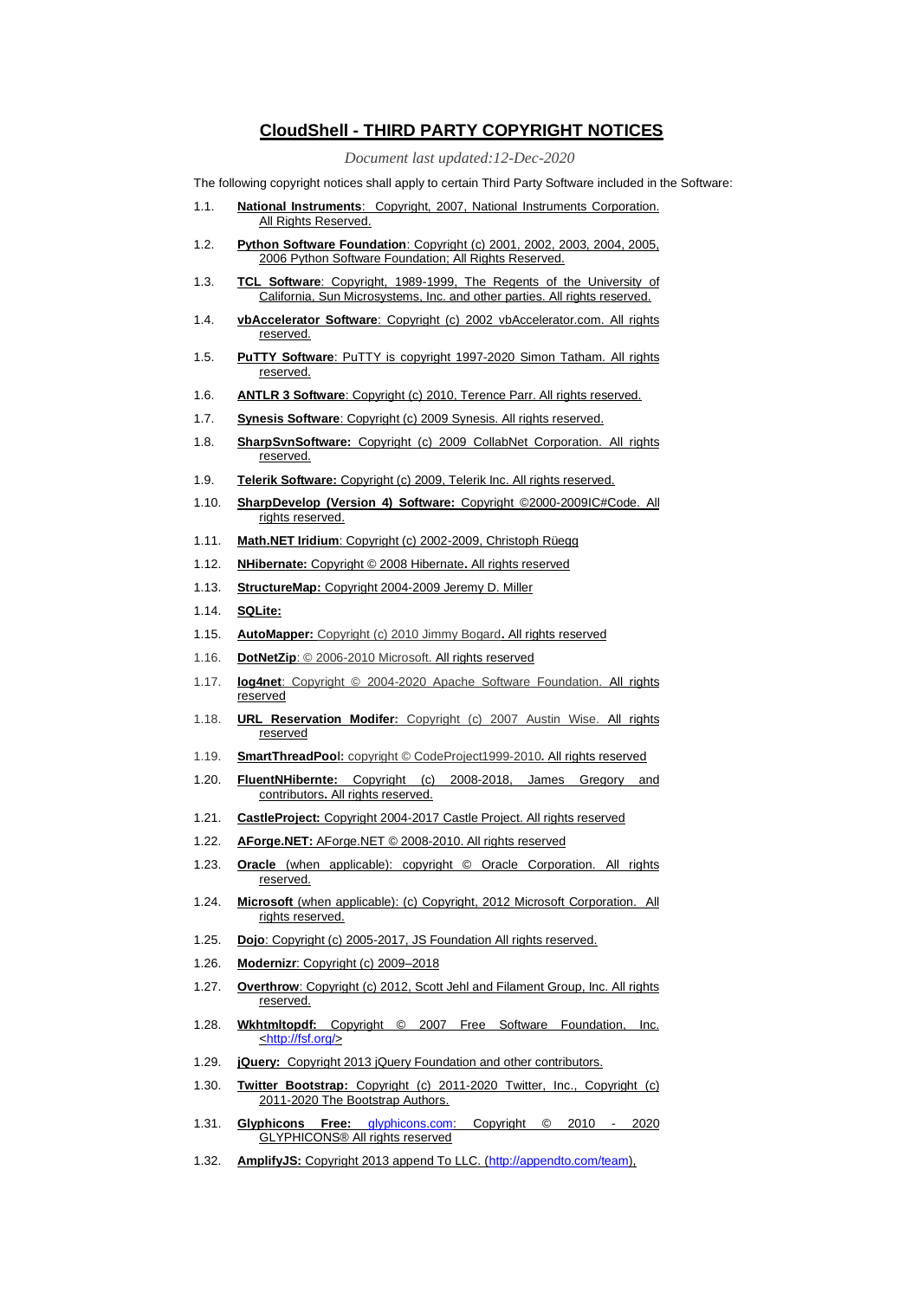# **CloudShell - THIRD PARTY COPYRIGHT NOTICES**

*Document last updated:12-Dec-2020*

The following copyright notices shall apply to certain Third Party Software included in the Software:

- 1.1. **National Instruments**: Copyright, 2007, National Instruments Corporation. All Rights Reserved.
- 1.2. **Python Software Foundation**: Copyright (c) 2001, 2002, 2003, 2004, 2005, 2006 Python Software Foundation; All Rights Reserved.
- 1.3. **TCL Software**: Copyright, 1989-1999, The Regents of the University of California, Sun Microsystems, Inc. and other parties. All rights reserved.
- 1.4. **vbAccelerator Software**: Copyright (c) 2002 vbAccelerator.com. All rights reserved.
- 1.5. **PuTTY Software**: PuTTY is copyright 1997-2020 Simon Tatham. All rights reserved.
- 1.6. **ANTLR 3 Software**: Copyright (c) 2010, Terence Parr. All rights reserved.
- 1.7. **Synesis Software**: Copyright (c) 2009 Synesis. All rights reserved.
- 1.8. **SharpSvnSoftware:** Copyright (c) 2009 CollabNet Corporation. All rights reserved.
- 1.9. **Telerik Software:** Copyright (c) 2009, Telerik Inc. All rights reserved.
- 1.10. **SharpDevelop (Version 4) Software:** Copyright ©2000-200[9IC#Code.](mailto:webmaster%20AT%20icsharpcode%20DOT%20net) All rights reserved.
- 1.11. **Math.NET Iridium**: Copyright (c) 2002-2009, Christoph Rüegg
- 1.12. **NHibernate:** Copyright © 2008 Hibernate**.** All rights reserved
- 1.13. **StructureMap:** Copyright 2004-2009 Jeremy D. Miller
- 1.14. **SQLite:**
- 1.15. **AutoMapper:** Copyright (c) 2010 Jimmy Bogard**.** All rights reserved
- 1.16. **DotNetZip**: © 2006-2010 Microsoft. All rights reserved
- 1.17. **log4net**: Copyright © 2004-2020 Apache Software Foundation. All rights reserved
- 1.18. **URL Reservation Modifer:** Copyright (c) 2007 Austin Wise. All rights reserved
- 1.19. **SmartThreadPool:** copyright © CodeProject1999-2010**.** All rights reserved
- 1.20. **FluentNHibernte:** Copyright (c) 2008-2018, James Gregory and contributors**.** All rights reserved.
- 1.21. **CastleProject:** Copyright 2004-2017 Castle Project. All rights reserved
- 1.22. **AForge.NET:** AForge.NET © 2008-2010. All rights reserved
- 1.23. **Oracle** (when applicable): copyright © Oracle Corporation. All rights reserved.
- 1.24. **Microsoft** (when applicable): (c) Copyright, 2012 Microsoft Corporation. All rights reserved.
- 1.25. **Dojo**: Copyright (c) 2005-2017, JS Foundation All rights reserved.
- 1.26. **Modernizr**: Copyright (c) 2009–2018
- 1.27. **Overthrow**: Copyright (c) 2012, Scott Jehl and Filament Group, Inc. All rights reserved.
- 1.28. **Wkhtmltopdf:** Copyright © 2007 Free Software Foundation, Inc. [<http://fsf.org/>](http://fsf.org/)
- 1.29. **jQuery:** Copyright 2013 jQuery Foundation and other contributors.
- 1.30. **Twitter Bootstrap:** Copyright (c) 2011-2020 Twitter, Inc., Copyright (c) 2011-2020 The Bootstrap Authors.
- 1.31. **Glyphicons Free:** [glyphicons.com:](http://www.glyphicons.com/) Copyright © 2010 2020 GLYPHICONS® All rights reserved
- 1.32. **AmplifyJS:** Copyright 2013 append To LLC. [\(http://appendto.com/team\)](http://appendto.com/team),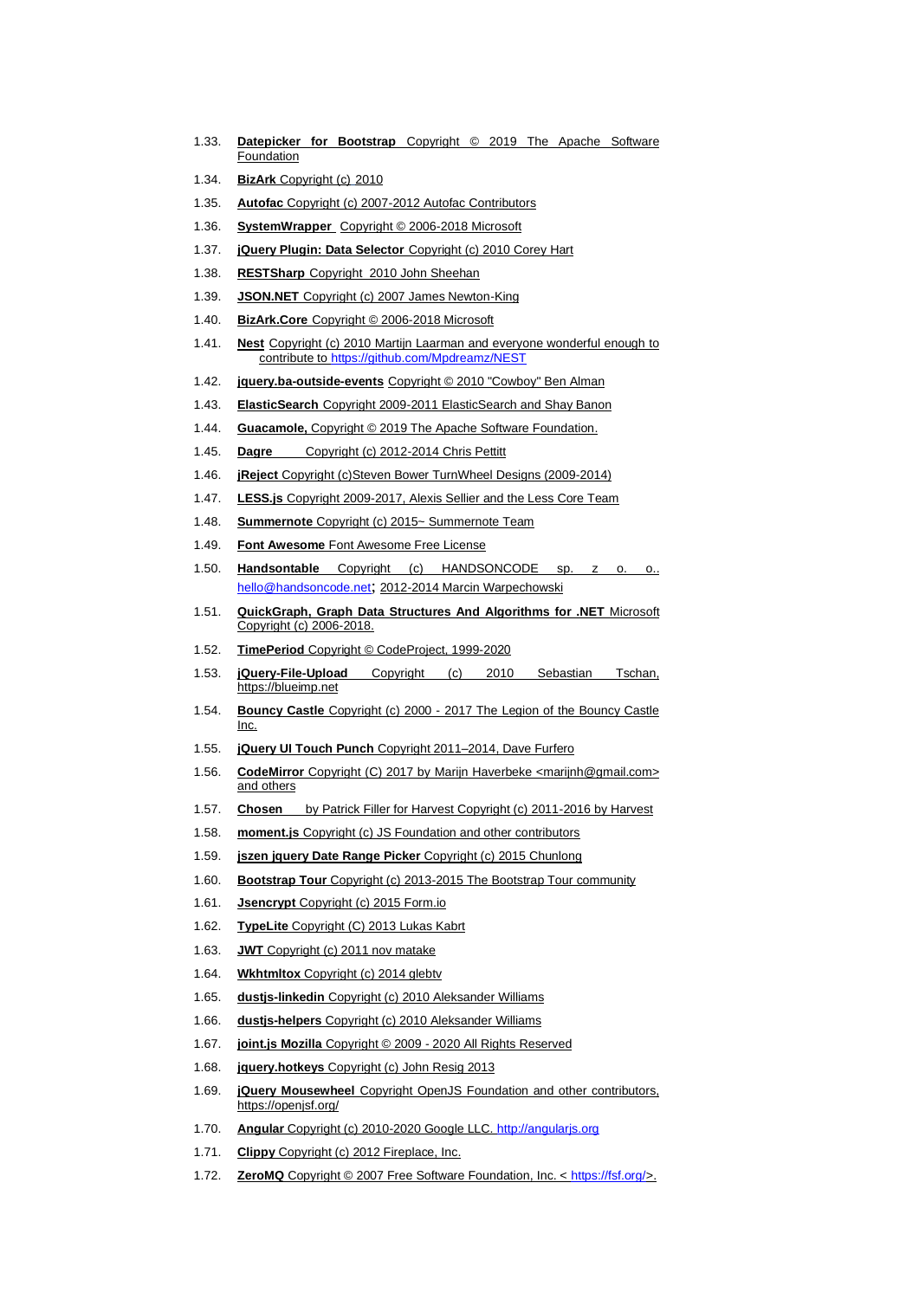- 1.33. **Datepicker for Bootstrap** Copyright © 2019 The Apache Software Foundation
- 1.34. **BizArk** Copyright (c) 2010
- 1.35. **Autofac** Copyright (c) 2007-2012 Autofac Contributors
- 1.36. **SystemWrapper** Copyright © 2006-2018 Microsoft
- 1.37. **jQuery Plugin: Data Selector** Copyright (c) 2010 Corey Hart
- 1.38. **RESTSharp** Copyright 2010 John Sheehan
- 1.39. **JSON.NET** Copyright (c) 2007 James Newton-King
- 1.40. **BizArk.Core** Copyright © 2006-2018 Microsoft
- 1.41. **Nest** Copyright (c) 2010 Martijn Laarman and everyone wonderful enough to contribute t[o https://github.com/Mpdreamz/NEST](https://github.com/Mpdreamz/NEST)
- 1.42. **jquery.ba-outside-events** Copyright © 2010 "Cowboy" Ben Alman
- 1.43. **ElasticSearch** Copyright 2009-2011 ElasticSearch and Shay Banon
- 1.44. **Guacamole,** Copyright © 2019 The Apache Software Foundation.
- 1.45. **Dagre** Copyright (c) 2012-2014 Chris Pettitt
- 1.46. **jReject** Copyright (c)Steven Bower TurnWheel Designs (2009-2014)
- 1.47. **LESS.js** Copyright 2009-2017, Alexis Sellier and the Less Core Team
- 1.48. **Summernote** Copyright (c) 2015~ Summernote Team
- 1.49. **Font Awesome** Font Awesome Free License
- 1.50. **Handsontable** Copyright (c) HANDSONCODE sp. z o. o.. [hello@handsoncode.net](mailto:hello@handsoncode.net); 2012-2014 Marcin Warpechowski
- 1.51. **QuickGraph, Graph Data Structures And Algorithms for .NET** Microsoft Copyright (c) 2006-2018.
- 1.52. **TimePeriod** Copyright © CodeProject, 1999-2020
- 1.53. **jQuery-File-Upload** Copyright (c) 2010 Sebastian Tschan, https://blueimp.net
- 1.54. **Bouncy Castle** Copyright (c) 2000 2017 The Legion of the Bouncy Castle Inc.
- 1.55. **jQuery UI Touch Punch** Copyright 2011–2014, Dave Furfero
- 1.56. **CodeMirror** Copyright (C) 2017 by Marijn Haverbeke <marijnh@gmail.com> and others
- 1.57. **Chosen** by Patrick Filler for Harvest Copyright (c) 2011-2016 by Harvest
- 1.58. **moment.js** Copyright (c) JS Foundation and other contributors
- 1.59. **jszen jquery Date Range Picker** Copyright (c) 2015 Chunlong
- 1.60. **Bootstrap Tour** Copyright (c) 2013-2015 The Bootstrap Tour community
- 1.61. **Jsencrypt** Copyright (c) 2015 Form.io
- 1.62. **TypeLite** Copyright (C) 2013 Lukas Kabrt
- 1.63. **JWT** Copyright (c) 2011 nov matake
- 1.64. **Wkhtmltox** Copyright (c) 2014 glebtv
- 1.65. **dustjs-linkedin** Copyright (c) 2010 Aleksander Williams
- 1.66. **dustjs-helpers** Copyright (c) 2010 Aleksander Williams
- 1.67. **joint.js Mozilla** Copyright © 2009 2020 All Rights Reserved
- 1.68. **jquery.hotkeys** Copyright (c) John Resig 2013
- 1.69. **jQuery Mousewheel** Copyright OpenJS Foundation and other contributors, https://openjsf.org/
- 1.70. **Angular** Copyright (c) 2010-2020 Google LLC. [http://angularjs.org](http://angularjs.org/)
- 1.71. **Clippy** Copyright (c) 2012 Fireplace, Inc.
- 1.72. **ZeroMQ** Copyright © 2007 Free Software Foundation, Inc. < [https://fsf.org/>](https://fsf.org/).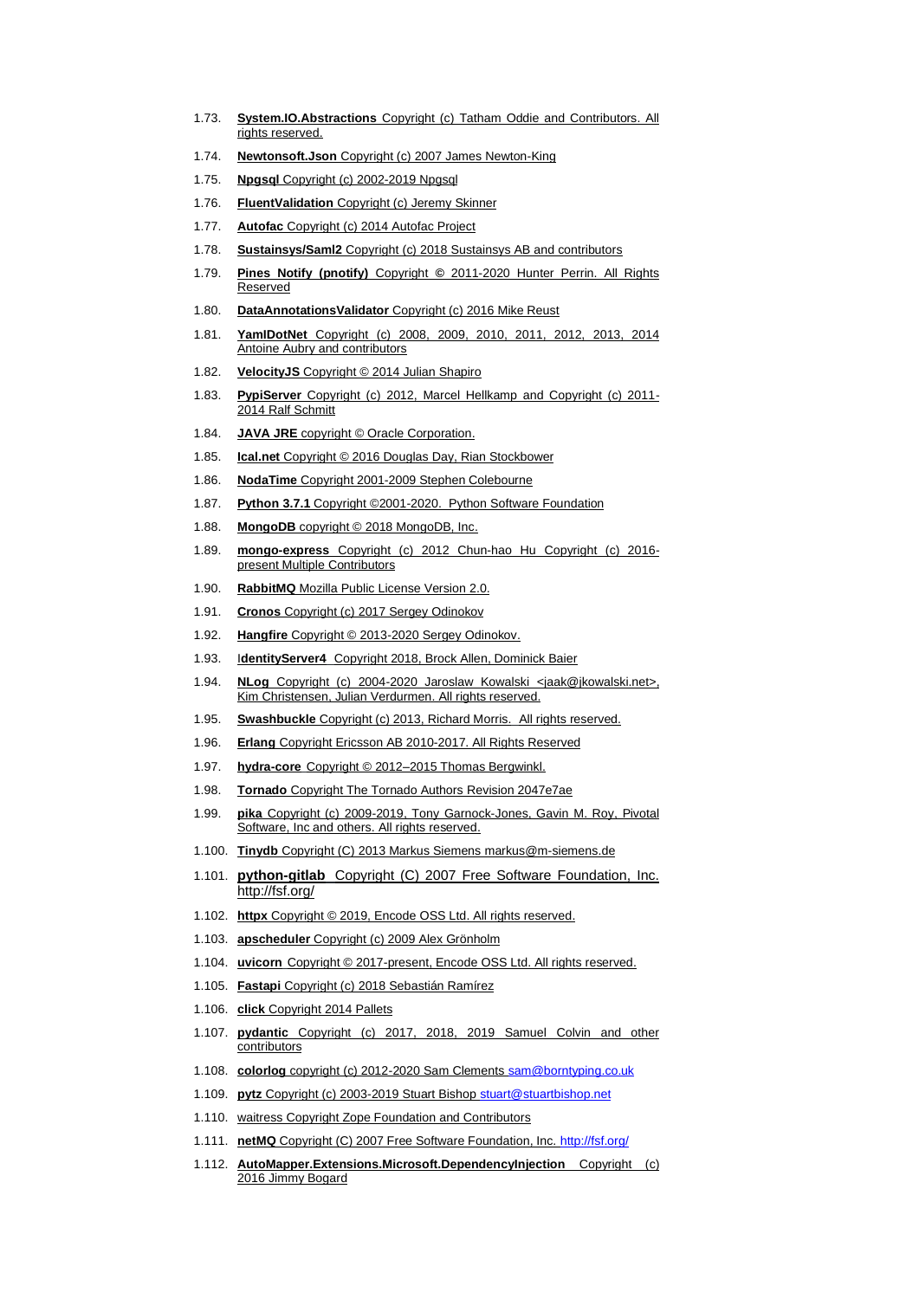- 1.73. **System.IO.Abstractions** Copyright (c) Tatham Oddie and Contributors. All rights reserved.
- 1.74. **Newtonsoft.Json** Copyright (c) 2007 James Newton-King
- 1.75. **Npgsql** Copyright (c) 2002-2019 Npgsql
- 1.76. **FluentValidation** Copyright (c) Jeremy Skinner
- 1.77. **Autofac** Copyright (c) 2014 Autofac Project
- 1.78. **Sustainsys/Saml2** Copyright (c) 2018 Sustainsys AB and contributors
- 1.79. **Pines Notify (pnotify)** Copyright **©** 2011-2020 Hunter Perrin. All Rights Reserved
- 1.80. **DataAnnotationsValidator** Copyright (c) 2016 Mike Reust
- 1.81. **YamIDotNet** Copyright (c) 2008, 2009, 2010, 2011, 2012, 2013, 2014 Antoine Aubry and contributors
- 1.82. **VelocityJS** Copyright © 2014 Julian Shapiro
- 1.83. **PypiServer** Copyright (c) 2012, Marcel Hellkamp and Copyright (c) 2011- 2014 Ralf Schmitt
- 1.84. **JAVA JRE** copyright © Oracle Corporation.
- 1.85. **Ical.net** Copyright © 2016 Douglas Day, Rian Stockbower
- 1.86. **NodaTime** Copyright 2001-2009 Stephen Colebourne
- 1.87. **Python 3.7.1** Copyright ©2001-2020. [Python Software Foundation](https://www.python.org/psf-landing/)
- 1.88. **MongoDB** copyright © 2018 MongoDB, Inc.
- 1.89. **mongo-express** Copyright (c) 2012 Chun-hao Hu Copyright (c) 2016 present Multiple Contributors
- 1.90. **RabbitMQ** Mozilla Public License Version 2.0.
- 1.91. **Cronos** Copyright (c) 2017 Sergey Odinokov
- 1.92. **Hangfire** Copyright © 2013-2020 Sergey Odinokov.
- 1.93. I**dentityServer4** Copyright 2018, Brock Allen, Dominick Baier
- 1.94. **NLog** Copyright (c) 2004-2020 Jaroslaw Kowalski <jaak@jkowalski.net>, Kim Christensen, Julian Verdurmen. All rights reserved.
- 1.95. **Swashbuckle** Copyright (c) 2013, Richard Morris. All rights reserved.
- 1.96. **Erlang** Copyright Ericsson AB 2010-2017. All Rights Reserved
- 1.97. **hydra-core** Copyright © 2012–2015 Thomas Bergwinkl.
- 1.98. **Tornado** Copyright The Tornado Authors Revision 2047e7ae
- 1.99. **pika** Copyright (c) 2009-2019, Tony Garnock-Jones, Gavin M. Roy, Pivotal Software, Inc and others. All rights reserved.
- 1.100. **Tinydb** Copyright (C) 2013 Markus Siemens markus@m-siemens.de
- 1.101. **python-gitlab** Copyright (C) 2007 Free Software Foundation, Inc. http://fsf.org/
- 1.102. **httpx** Copyright © 2019, Encode OSS Ltd. All rights reserved.
- 1.103. **apscheduler** Copyright (c) 2009 Alex Grönholm
- 1.104. **uvicorn** Copyright © 2017-present, Encode OSS Ltd. All rights reserved.
- 1.105. **Fastapi** Copyright (c) 2018 Sebastián Ramírez
- 1.106. **click** Copyright 2014 Pallets
- 1.107. **pydantic** Copyright (c) 2017, 2018, 2019 Samuel Colvin and other contributors
- 1.108. **colorlog** copyright (c) 2012-2020 Sam Clement[s sam@borntyping.co.uk](mailto:sam@borntyping.co.uk)
- 1.109. **pytz** Copyright (c) 2003-2019 Stuart Bishop [stuart@stuartbishop.net](mailto:stuart@stuartbishop.net)
- 1.110. waitress Copyright Zope Foundation and Contributors
- 1.111. **netMQ** Copyright (C) 2007 Free Software Foundation, Inc.<http://fsf.org/>
- 1.112. **AutoMapper.Extensions.Microsoft.DependencyInjection** Copyright (c) 2016 Jimmy Bogard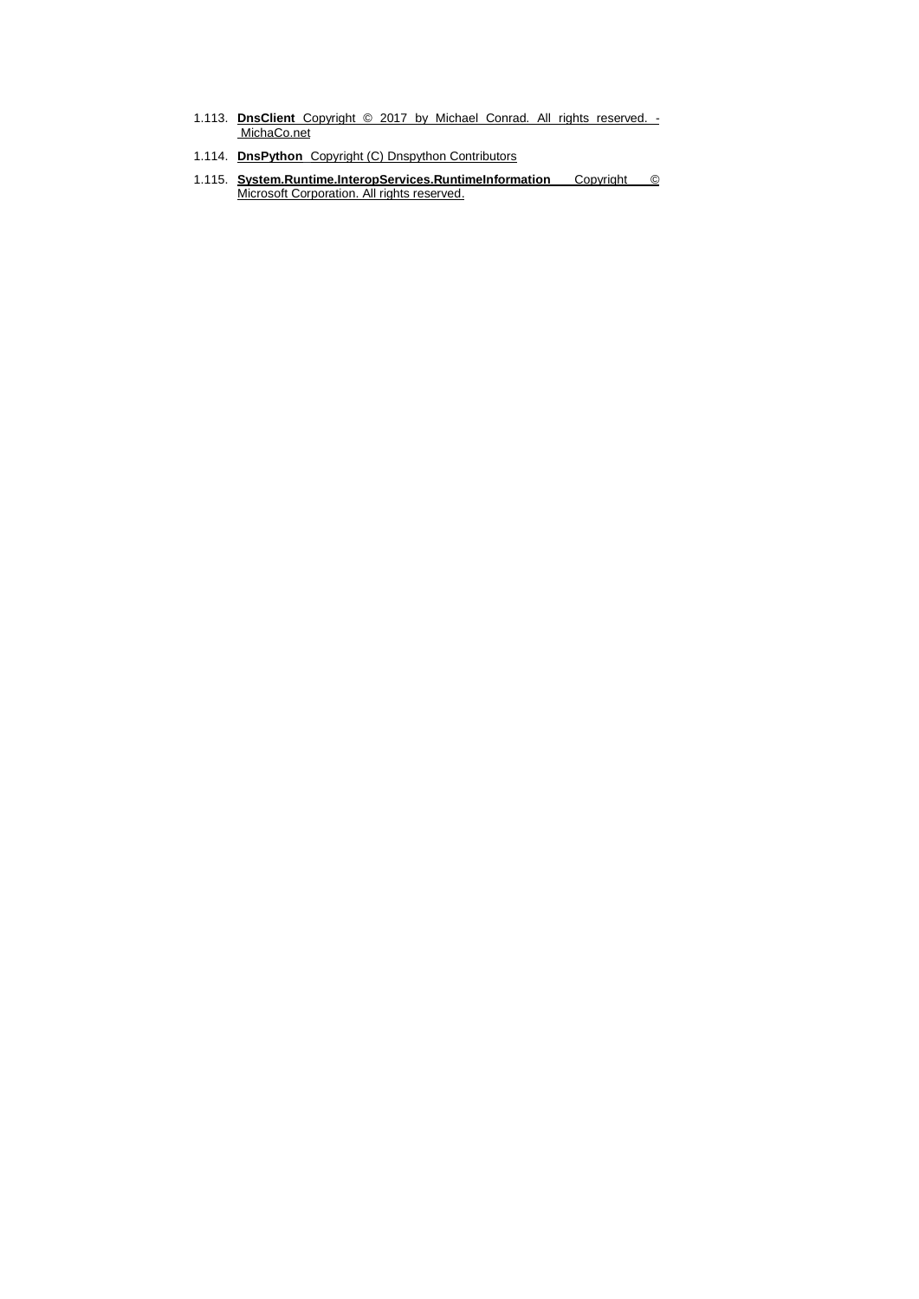- 1.113. **DnsClient** Copyright © 2017 by Michael Conrad. All rights reserved. MichaCo.net
- 1.114. **DnsPython** Copyright (C) Dnspython Contributors
- 1.115. **System.Runtime.InteropServices.RuntimeInformation** Copyright © Microsoft Corporation. All rights reserved.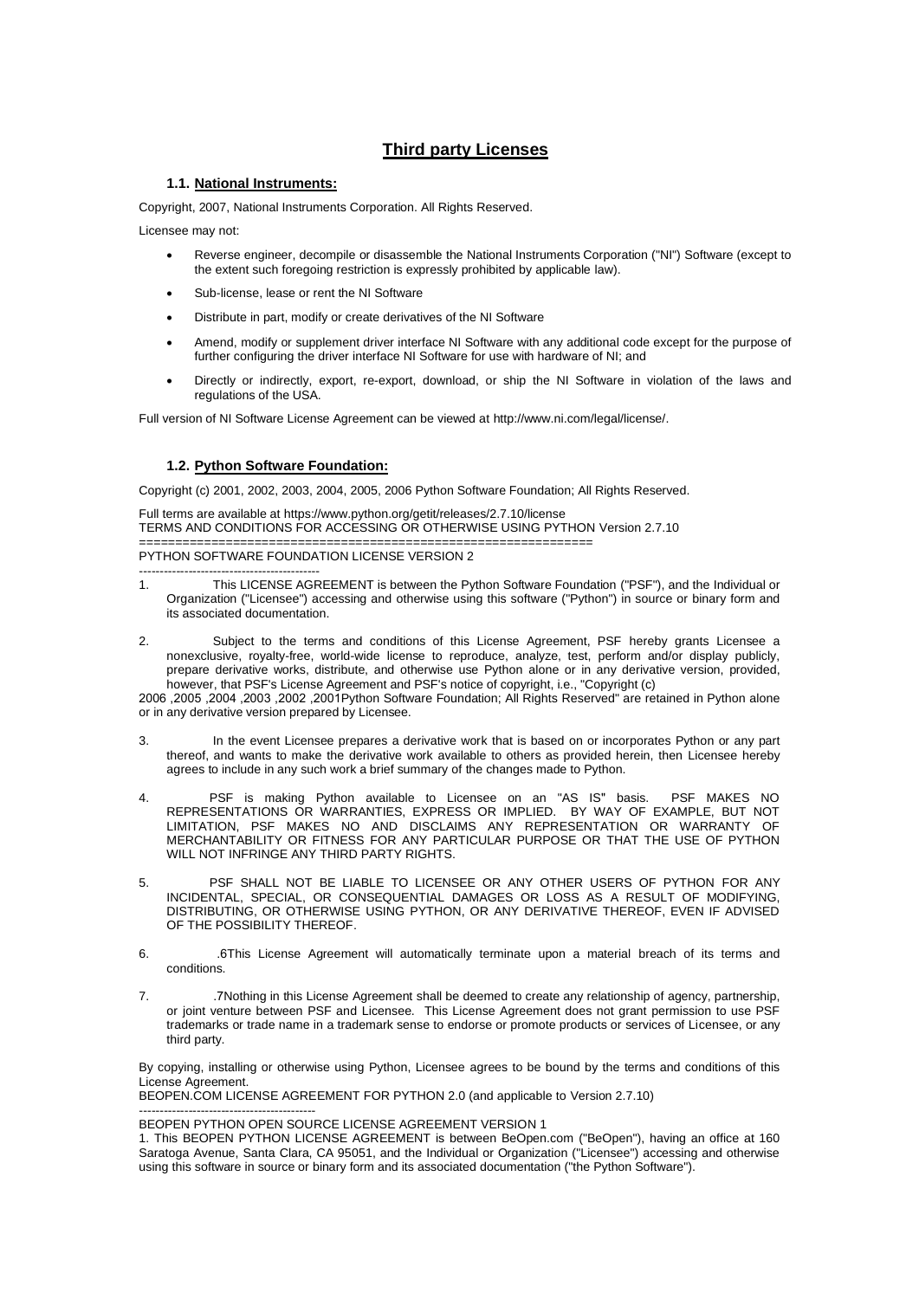# **Third party Licenses**

## **1.1. National Instruments:**

Copyright, 2007, National Instruments Corporation. All Rights Reserved.

Licensee may not:

- Reverse engineer, decompile or disassemble the National Instruments Corporation ("NI") Software (except to the extent such foregoing restriction is expressly prohibited by applicable law).
- Sub-license, lease or rent the NI Software
- Distribute in part, modify or create derivatives of the NI Software
- Amend, modify or supplement driver interface NI Software with any additional code except for the purpose of further configuring the driver interface NI Software for use with hardware of NI; and
- Directly or indirectly, export, re-export, download, or ship the NI Software in violation of the laws and regulations of the USA.

Full version of NI Software License Agreement can be viewed a[t http://www.ni.com/legal/license/.](http://www.ni.com/legal/license/)

## **1.2. Python Software Foundation:**

Copyright (c) 2001, 2002, 2003, 2004, 2005, 2006 Python Software Foundation; All Rights Reserved.

Full terms are available at https://www.python.org/getit/releases/2.7.10/license TERMS AND CONDITIONS FOR ACCESSING OR OTHERWISE USING PYTHON Version 2.7.10 ===============================================================

### PYTHON SOFTWARE FOUNDATION LICENSE VERSION 2

- -------------------------------------------- 1. This LICENSE AGREEMENT is between the Python Software Foundation ("PSF"), and the Individual or Organization ("Licensee") accessing and otherwise using this software ("Python") in source or binary form and its associated documentation.
- 2. Subject to the terms and conditions of this License Agreement, PSF hereby grants Licensee a nonexclusive, royalty-free, world-wide license to reproduce, analyze, test, perform and/or display publicly, prepare derivative works, distribute, and otherwise use Python alone or in any derivative version, provided, however, that PSF's License Agreement and PSF's notice of copyright, i.e., "Copyright (c)

2006 ,2005 ,2004 ,2003 ,2002 ,2001Python Software Foundation; All Rights Reserved" are retained in Python alone or in any derivative version prepared by Licensee .

- 3. In the event Licensee prepares a derivative work that is based on or incorporates Python or any part thereof, and wants to make the derivative work available to others as provided herein, then Licensee hereby agrees to include in any such work a brief summary of the changes made to Python.
- 4. PSF is making Python available to Licensee on an "AS IS" basis. PSF MAKES NO REPRESENTATIONS OR WARRANTIES, EXPRESS OR IMPLIED. BY WAY OF EXAMPLE, BUT NOT LIMITATION, PSF MAKES NO AND DISCLAIMS ANY REPRESENTATION OR WARRANTY OF MERCHANTABILITY OR FITNESS FOR ANY PARTICULAR PURPOSE OR THAT THE USE OF PYTHON WILL NOT INFRINGE ANY THIRD PARTY RIGHTS.
- 5. PSF SHALL NOT BE LIABLE TO LICENSEE OR ANY OTHER USERS OF PYTHON FOR ANY INCIDENTAL, SPECIAL, OR CONSEQUENTIAL DAMAGES OR LOSS AS A RESULT OF MODIFYING, DISTRIBUTING, OR OTHERWISE USING PYTHON, OR ANY DERIVATIVE THEREOF, EVEN IF ADVISED OF THE POSSIBILITY THEREOF.
- 6. .6This License Agreement will automatically terminate upon a material breach of its terms and conditions .
- 7. .7Nothing in this License Agreement shall be deemed to create any relationship of agency, partnership, or joint venture between PSF and Licensee. This License Agreement does not grant permission to use PSF trademarks or trade name in a trademark sense to endorse or promote products or services of Licensee, or any third party.

By copying, installing or otherwise using Python, Licensee agrees to be bound by the terms and conditions of this License Agreement.

BEOPEN.COM LICENSE AGREEMENT FOR PYTHON 2.0 (and applicable to Version 2.7.10)

------------------------------------------- BEOPEN PYTHON OPEN SOURCE LICENSE AGREEMENT VERSION 1

1. This BEOPEN PYTHON LICENSE AGREEMENT is between BeOpen.com ("BeOpen"), having an office at 160 Saratoga Avenue, Santa Clara, CA 95051, and the Individual or Organization ("Licensee") accessing and otherwise using this software in source or binary form and its associated documentation ("the Python Software").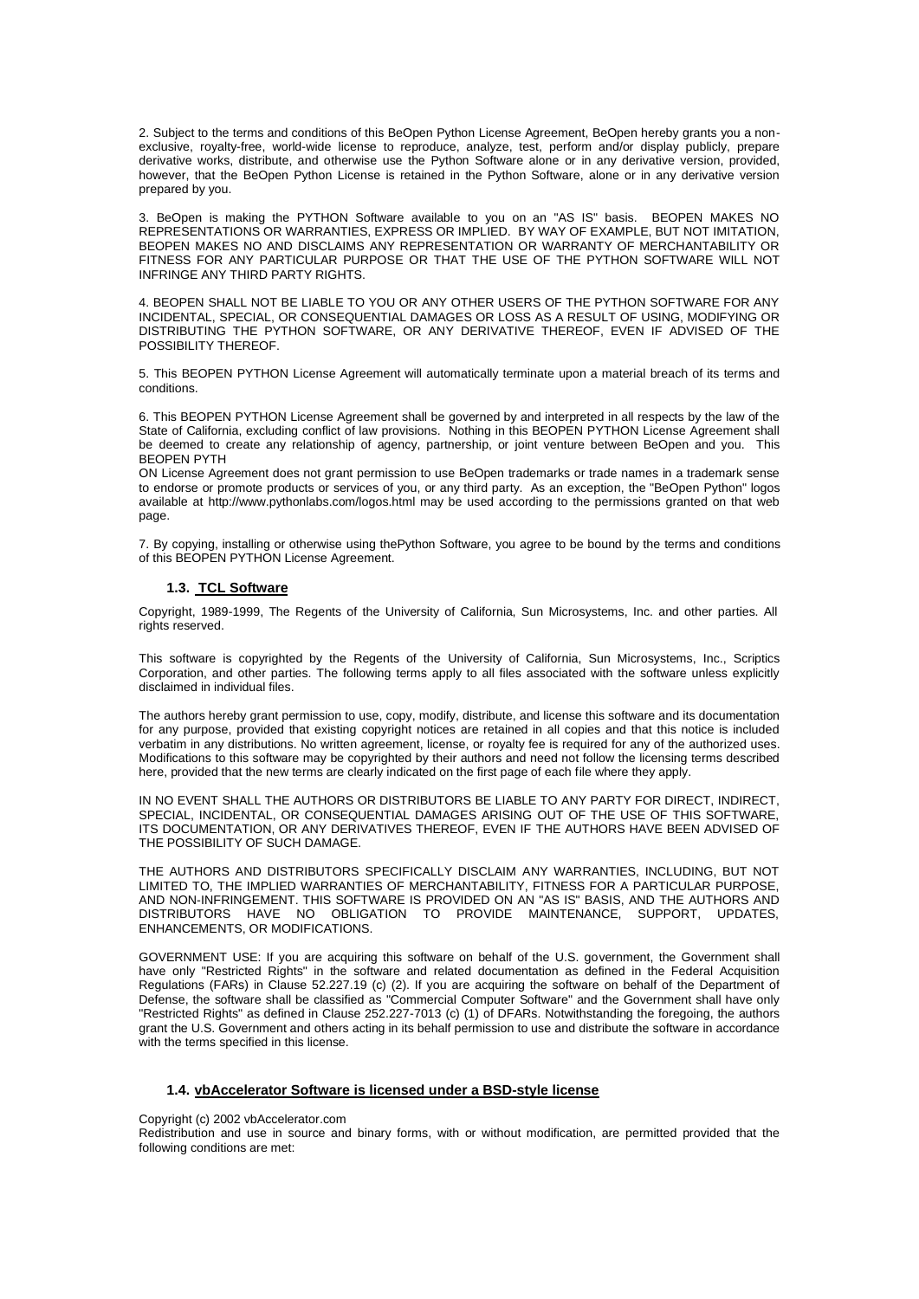2. Subject to the terms and conditions of this BeOpen Python License Agreement, BeOpen hereby grants you a nonexclusive, royalty-free, world-wide license to reproduce, analyze, test, perform and/or display publicly, prepare derivative works, distribute, and otherwise use the Python Software alone or in any derivative version, provided, however, that the BeOpen Python License is retained in the Python Software, alone or in any derivative version prepared by you.

3. BeOpen is making the PYTHON Software available to you on an "AS IS" basis. BEOPEN MAKES NO REPRESENTATIONS OR WARRANTIES, EXPRESS OR IMPLIED. BY WAY OF EXAMPLE, BUT NOT IMITATION, BEOPEN MAKES NO AND DISCLAIMS ANY REPRESENTATION OR WARRANTY OF MERCHANTABILITY OR FITNESS FOR ANY PARTICULAR PURPOSE OR THAT THE USE OF THE PYTHON SOFTWARE WILL NOT INFRINGE ANY THIRD PARTY RIGHTS.

4. BEOPEN SHALL NOT BE LIABLE TO YOU OR ANY OTHER USERS OF THE PYTHON SOFTWARE FOR ANY INCIDENTAL, SPECIAL, OR CONSEQUENTIAL DAMAGES OR LOSS AS A RESULT OF USING, MODIFYING OR DISTRIBUTING THE PYTHON SOFTWARE, OR ANY DERIVATIVE THEREOF, EVEN IF ADVISED OF THE POSSIBILITY THEREOF.

5. This BEOPEN PYTHON License Agreement will automatically terminate upon a material breach of its terms and conditions.

6. This BEOPEN PYTHON License Agreement shall be governed by and interpreted in all respects by the law of the State of California, excluding conflict of law provisions. Nothing in this BEOPEN PYTHON License Agreement shall be deemed to create any relationship of agency, partnership, or joint venture between BeOpen and you. This BEOPEN PYTH

ON License Agreement does not grant permission to use BeOpen trademarks or trade names in a trademark sense to endorse or promote products or services of you, or any third party. As an exception, the "BeOpen Python" logos available at http://www.pythonlabs.com/logos.html may be used according to the permissions granted on that web page.

7. By copying, installing or otherwise using thePython Software, you agree to be bound by the terms and conditions of this BEOPEN PYTHON License Agreement.

### **1.3. TCL Software**

Copyright, 1989-1999, The Regents of the University of California, Sun Microsystems, Inc. and other parties. All rights reserved.

This software is copyrighted by the Regents of the University of California, Sun Microsystems, Inc., Scriptics Corporation, and other parties. The following terms apply to all files associated with the software unless explicitly disclaimed in individual files.

The authors hereby grant permission to use, copy, modify, distribute, and license this software and its documentation for any purpose, provided that existing copyright notices are retained in all copies and that this notice is included verbatim in any distributions. No written agreement, license, or royalty fee is required for any of the authorized uses. Modifications to this software may be copyrighted by their authors and need not follow the licensing terms described here, provided that the new terms are clearly indicated on the first page of each file where they apply.

IN NO EVENT SHALL THE AUTHORS OR DISTRIBUTORS BE LIABLE TO ANY PARTY FOR DIRECT, INDIRECT, SPECIAL, INCIDENTAL, OR CONSEQUENTIAL DAMAGES ARISING OUT OF THE USE OF THIS SOFTWARE, ITS DOCUMENTATION, OR ANY DERIVATIVES THEREOF, EVEN IF THE AUTHORS HAVE BEEN ADVISED OF THE POSSIBILITY OF SUCH DAMAGE.

THE AUTHORS AND DISTRIBUTORS SPECIFICALLY DISCLAIM ANY WARRANTIES, INCLUDING, BUT NOT LIMITED TO, THE IMPLIED WARRANTIES OF MERCHANTABILITY, FITNESS FOR A PARTICULAR PURPOSE, AND NON-INFRINGEMENT. THIS SOFTWARE IS PROVIDED ON AN "AS IS" BASIS, AND THE AUTHORS AND DISTRIBUTORS HAVE NO OBLIGATION TO PROVIDE MAINTENANCE, SUPPORT, UPDATES, ENHANCEMENTS, OR MODIFICATIONS.

GOVERNMENT USE: If you are acquiring this software on behalf of the U.S. government, the Government shall have only "Restricted Rights" in the software and related documentation as defined in the Federal Acquisition Regulations (FARs) in Clause 52.227.19 (c) (2). If you are acquiring the software on behalf of the Department of Defense, the software shall be classified as "Commercial Computer Software" and the Government shall have only "Restricted Rights" as defined in Clause 252.227-7013 (c) (1) of DFARs. Notwithstanding the foregoing, the authors grant the U.S. Government and others acting in its behalf permission to use and distribute the software in accordance with the terms specified in this license.

### **1.4. vbAccelerator Software is licensed under a BSD-style license**

Copyright (c) 2002 vbAccelerator.com

Redistribution and use in source and binary forms, with or without modification, are permitted provided that the following conditions are met: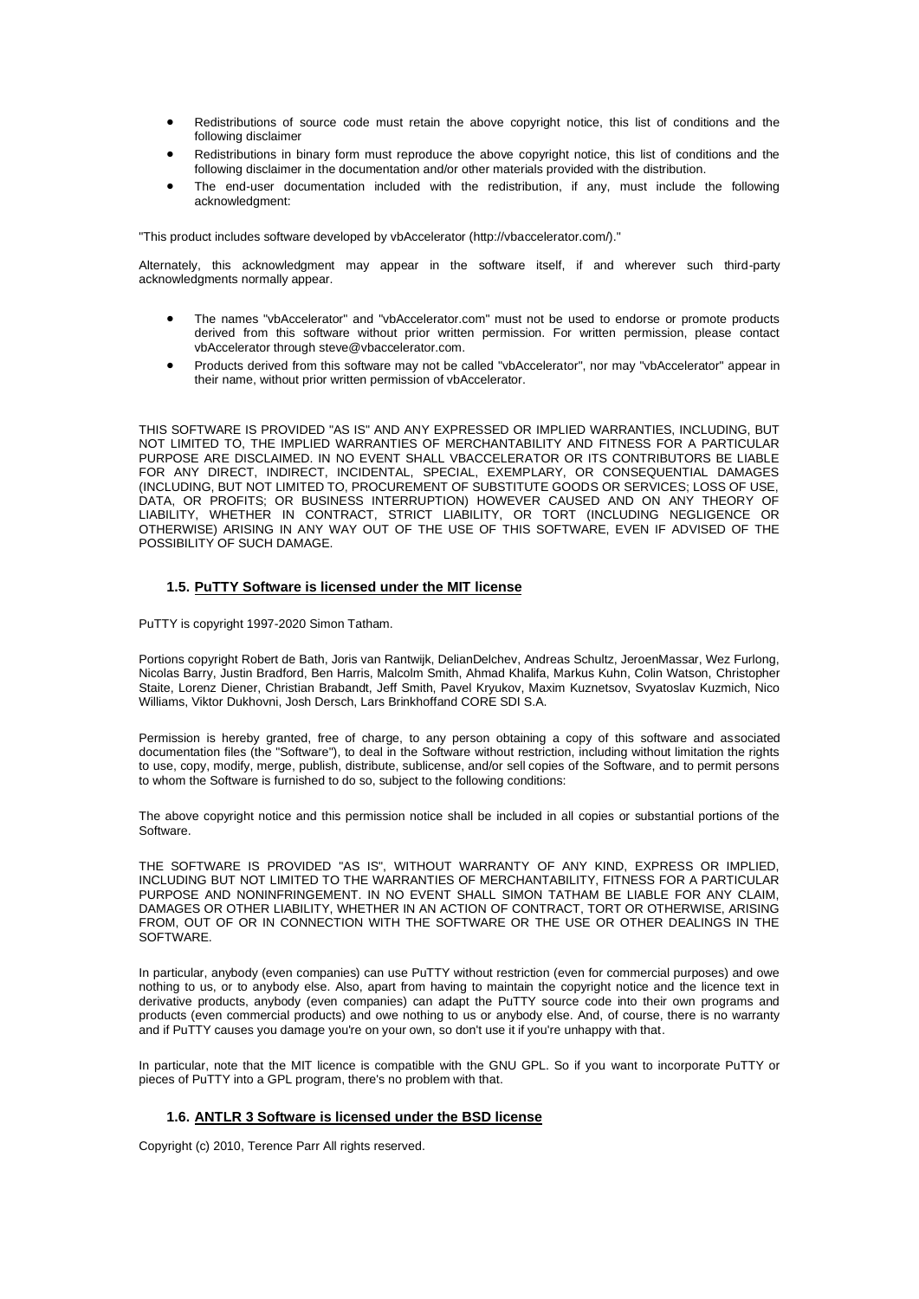- Redistributions of source code must retain the above copyright notice, this list of conditions and the following disclaimer
- Redistributions in binary form must reproduce the above copyright notice, this list of conditions and the following disclaimer in the documentation and/or other materials provided with the distribution.
- The end-user documentation included with the redistribution, if any, must include the following acknowledgment:

"This product includes software developed by vbAccelerator (http://vbaccelerator.com/)."

Alternately, this acknowledgment may appear in the software itself, if and wherever such third-party acknowledgments normally appear.

- The names "vbAccelerator" and "vbAccelerator.com" must not be used to endorse or promote products derived from this software without prior written permission. For written permission, please contact vbAccelerator throug[h steve@vbaccelerator.com.](mailto:steve@vbaccelerator.com)
- Products derived from this software may not be called "vbAccelerator", nor may "vbAccelerator" appear in their name, without prior written permission of vbAccelerator.

THIS SOFTWARE IS PROVIDED "AS IS" AND ANY EXPRESSED OR IMPLIED WARRANTIES, INCLUDING, BUT NOT LIMITED TO, THE IMPLIED WARRANTIES OF MERCHANTABILITY AND FITNESS FOR A PARTICULAR PURPOSE ARE DISCLAIMED. IN NO EVENT SHALL VBACCELERATOR OR ITS CONTRIBUTORS BE LIABLE FOR ANY DIRECT, INDIRECT, INCIDENTAL, SPECIAL, EXEMPLARY, OR CONSEQUENTIAL DAMAGES (INCLUDING, BUT NOT LIMITED TO, PROCUREMENT OF SUBSTITUTE GOODS OR SERVICES; LOSS OF USE, DATA, OR PROFITS; OR BUSINESS INTERRUPTION) HOWEVER CAUSED AND ON ANY THEORY OF LIABILITY, WHETHER IN CONTRACT, STRICT LIABILITY, OR TORT (INCLUDING NEGLIGENCE OR OTHERWISE) ARISING IN ANY WAY OUT OF THE USE OF THIS SOFTWARE, EVEN IF ADVISED OF THE POSSIBILITY OF SUCH DAMAGE.

### **1.5. PuTTY Software is licensed under the MIT license**

PuTTY is copyright 1997-2020 Simon Tatham.

Portions copyright Robert de Bath, Joris van Rantwijk, DelianDelchev, Andreas Schultz, JeroenMassar, Wez Furlong, Nicolas Barry, Justin Bradford, Ben Harris, Malcolm Smith, Ahmad Khalifa, Markus Kuhn, Colin Watson, Christopher Staite, Lorenz Diener, Christian Brabandt, Jeff Smith, Pavel Kryukov, Maxim Kuznetsov, Svyatoslav Kuzmich, Nico Williams, Viktor Dukhovni, Josh Dersch, Lars Brinkhoffand CORE SDI S.A.

Permission is hereby granted, free of charge, to any person obtaining a copy of this software and associated documentation files (the "Software"), to deal in the Software without restriction, including without limitation the rights to use, copy, modify, merge, publish, distribute, sublicense, and/or sell copies of the Software, and to permit persons to whom the Software is furnished to do so, subject to the following conditions:

The above copyright notice and this permission notice shall be included in all copies or substantial portions of the Software.

THE SOFTWARE IS PROVIDED "AS IS", WITHOUT WARRANTY OF ANY KIND, EXPRESS OR IMPLIED, INCLUDING BUT NOT LIMITED TO THE WARRANTIES OF MERCHANTABILITY, FITNESS FOR A PARTICULAR PURPOSE AND NONINFRINGEMENT. IN NO EVENT SHALL SIMON TATHAM BE LIABLE FOR ANY CLAIM, DAMAGES OR OTHER LIABILITY, WHETHER IN AN ACTION OF CONTRACT, TORT OR OTHERWISE, ARISING FROM, OUT OF OR IN CONNECTION WITH THE SOFTWARE OR THE USE OR OTHER DEALINGS IN THE SOFTWARE.

In particular, anybody (even companies) can use PuTTY without restriction (even for commercial purposes) and owe nothing to us, or to anybody else. Also, apart from having to maintain the copyright notice and the licence text in derivative products, anybody (even companies) can adapt the PuTTY source code into their own programs and products (even commercial products) and owe nothing to us or anybody else. And, of course, there is no warranty and if PuTTY causes you damage you're on your own, so don't use it if you're unhappy with that.

In particular, note that the MIT licence is compatible with the GNU GPL. So if you want to incorporate PuTTY or pieces of PuTTY into a GPL program, there's no problem with that.

## **1.6. ANTLR 3 Software is licensed under the BSD license**

Copyright (c) 2010, Terence Parr All rights reserved.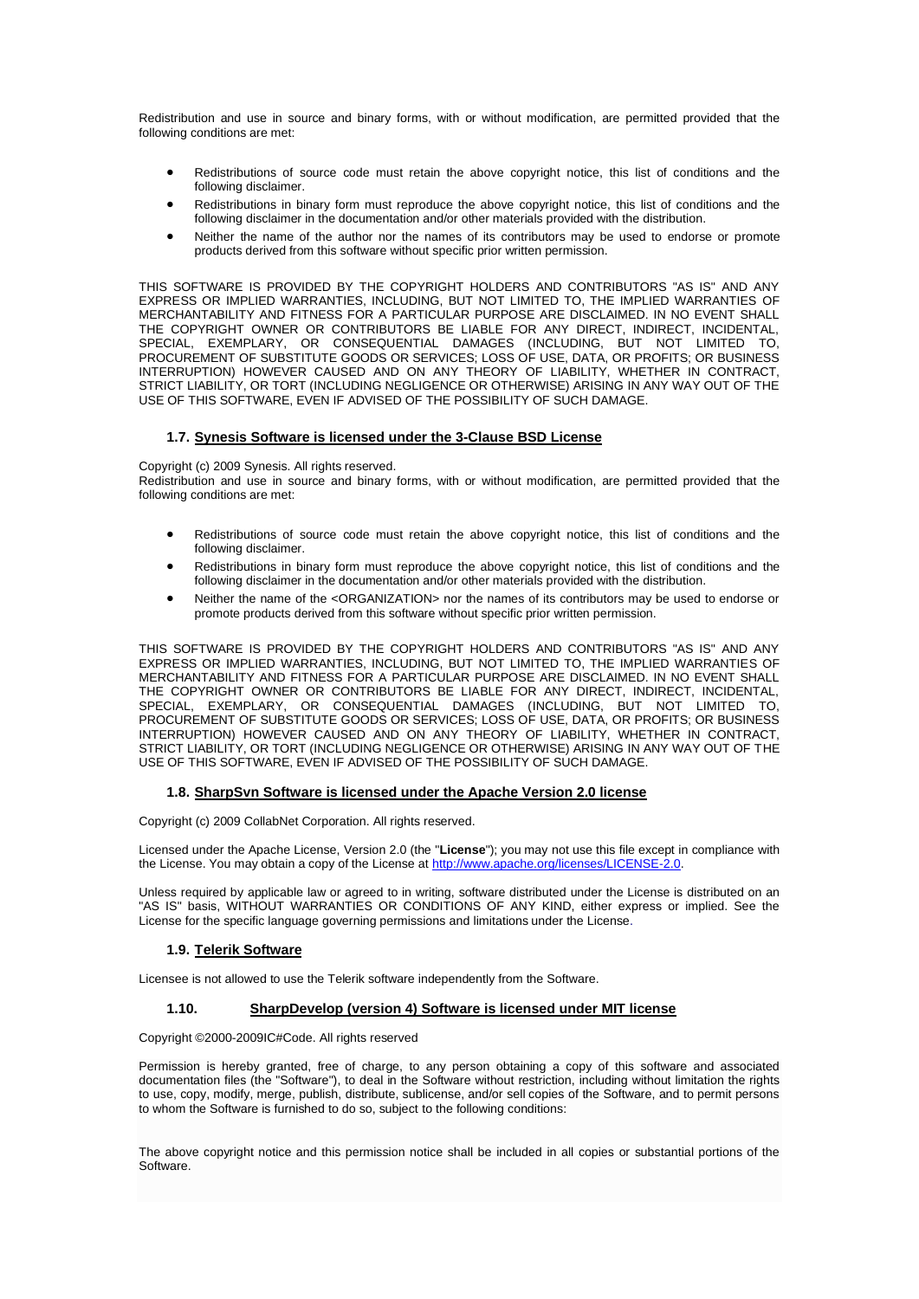Redistribution and use in source and binary forms, with or without modification, are permitted provided that the following conditions are met:

- Redistributions of source code must retain the above copyright notice, this list of conditions and the following disclaimer.
- Redistributions in binary form must reproduce the above copyright notice, this list of conditions and the following disclaimer in the documentation and/or other materials provided with the distribution.
- Neither the name of the author nor the names of its contributors may be used to endorse or promote products derived from this software without specific prior written permission.

THIS SOFTWARE IS PROVIDED BY THE COPYRIGHT HOLDERS AND CONTRIBUTORS "AS IS" AND ANY EXPRESS OR IMPLIED WARRANTIES, INCLUDING, BUT NOT LIMITED TO, THE IMPLIED WARRANTIES OF MERCHANTABILITY AND FITNESS FOR A PARTICULAR PURPOSE ARE DISCLAIMED. IN NO EVENT SHALL THE COPYRIGHT OWNER OR CONTRIBUTORS BE LIABLE FOR ANY DIRECT, INDIRECT, INCIDENTAL, SPECIAL, EXEMPLARY, OR CONSEQUENTIAL DAMAGES (INCLUDING, BUT NOT LIMITED TO, PROCUREMENT OF SUBSTITUTE GOODS OR SERVICES; LOSS OF USE, DATA, OR PROFITS; OR BUSINESS INTERRUPTION) HOWEVER CAUSED AND ON ANY THEORY OF LIABILITY, WHETHER IN CONTRACT, STRICT LIABILITY, OR TORT (INCLUDING NEGLIGENCE OR OTHERWISE) ARISING IN ANY WAY OUT OF THE USE OF THIS SOFTWARE, EVEN IF ADVISED OF THE POSSIBILITY OF SUCH DAMAGE.

### **1.7. Synesis Software is licensed under the 3-Clause BSD License**

Copyright (c) 2009 Synesis. All rights reserved.

Redistribution and use in source and binary forms, with or without modification, are permitted provided that the following conditions are met:

- Redistributions of source code must retain the above copyright notice, this list of conditions and the following disclaimer.
- Redistributions in binary form must reproduce the above copyright notice, this list of conditions and the following disclaimer in the documentation and/or other materials provided with the distribution.
- Neither the name of the <ORGANIZATION> nor the names of its contributors may be used to endorse or promote products derived from this software without specific prior written permission.

THIS SOFTWARE IS PROVIDED BY THE COPYRIGHT HOLDERS AND CONTRIBUTORS "AS IS" AND ANY EXPRESS OR IMPLIED WARRANTIES, INCLUDING, BUT NOT LIMITED TO, THE IMPLIED WARRANTIES OF MERCHANTABILITY AND FITNESS FOR A PARTICULAR PURPOSE ARE DISCLAIMED. IN NO EVENT SHALL THE COPYRIGHT OWNER OR CONTRIBUTORS BE LIABLE FOR ANY DIRECT, INDIRECT, INCIDENTAL, SPECIAL, EXEMPLARY, OR CONSEQUENTIAL DAMAGES (INCLUDING, BUT NOT LIMITED TO, PROCUREMENT OF SUBSTITUTE GOODS OR SERVICES; LOSS OF USE, DATA, OR PROFITS; OR BUSINESS INTERRUPTION) HOWEVER CAUSED AND ON ANY THEORY OF LIABILITY, WHETHER IN CONTRACT, STRICT LIABILITY, OR TORT (INCLUDING NEGLIGENCE OR OTHERWISE) ARISING IN ANY WAY OUT OF THE USE OF THIS SOFTWARE, EVEN IF ADVISED OF THE POSSIBILITY OF SUCH DAMAGE.

### **1.8. SharpSvn Software is licensed under the Apache Version 2.0 license**

Copyright (c) 2009 CollabNet Corporation. All rights reserved.

Licensed under the Apache License, Version 2.0 (the "**License**"); you may not use this file except in compliance with the License. You may obtain a copy of the License at [http://www.apache.org/licenses/LICENSE-2.0.](http://www.apache.org/licenses/LICENSE-2.0)

Unless required by applicable law or agreed to in writing, software distributed under the License is distributed on an "AS IS" basis, WITHOUT WARRANTIES OR CONDITIONS OF ANY KIND, either express or implied. See the License for the specific language governing permissions and limitations under the License.

## **1.9. Telerik Software**

Licensee is not allowed to use the Telerik software independently from the Software.

### **1.10. SharpDevelop (version 4) Software is licensed under MIT license**

Copyright ©2000-200[9IC#Code.](mailto:webmaster%20AT%20icsharpcode%20DOT%20net) All rights reserved

Permission is hereby granted, free of charge, to any person obtaining a copy of this software and associated documentation files (the "Software"), to deal in the Software without restriction, including without limitation the rights to use, copy, modify, merge, publish, distribute, sublicense, and/or sell copies of the Software, and to permit persons to whom the Software is furnished to do so, subject to the following conditions:

The above copyright notice and this permission notice shall be included in all copies or substantial portions of the Software.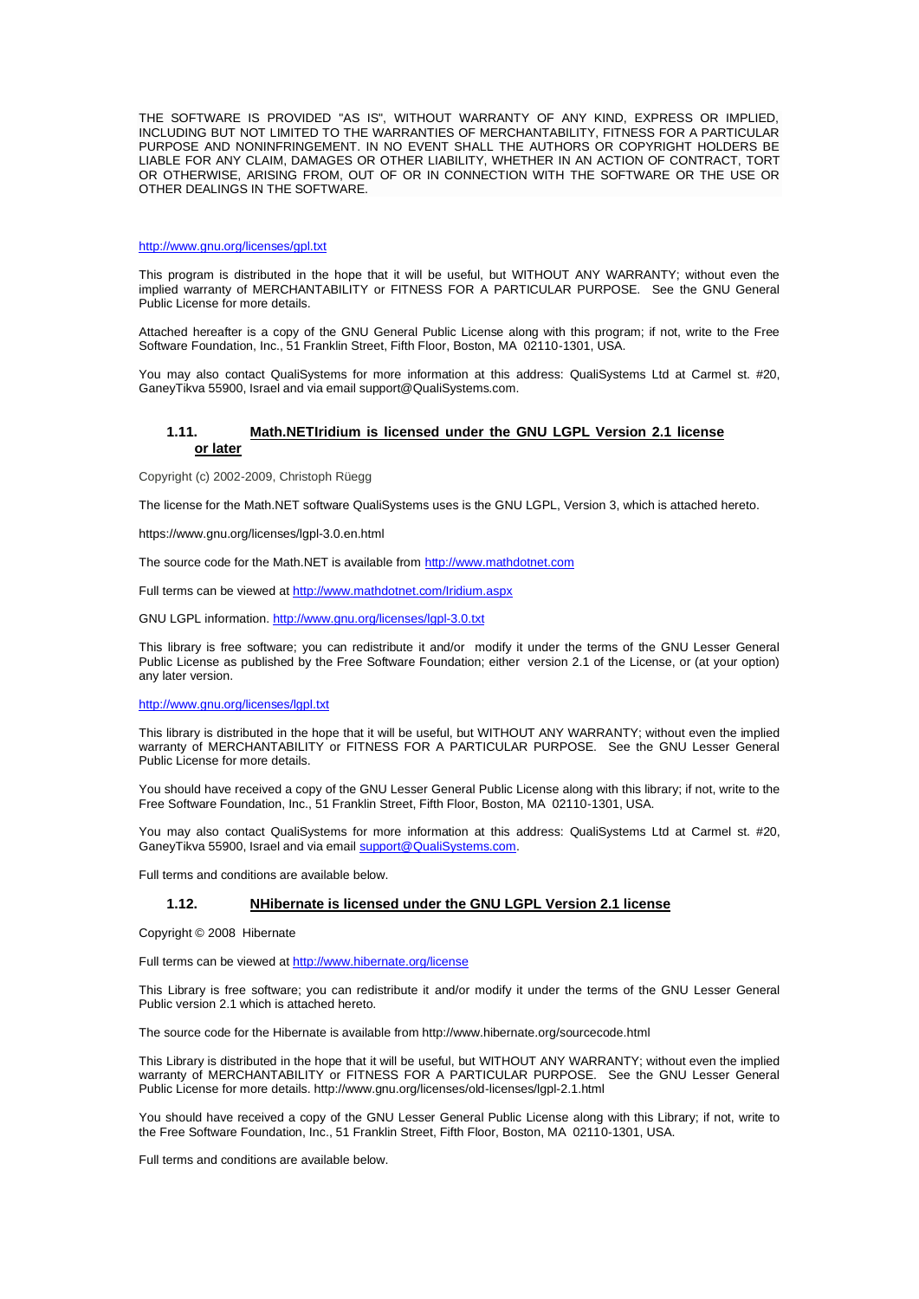THE SOFTWARE IS PROVIDED "AS IS", WITHOUT WARRANTY OF ANY KIND, EXPRESS OR IMPLIED, INCLUDING BUT NOT LIMITED TO THE WARRANTIES OF MERCHANTABILITY, FITNESS FOR A PARTICULAR PURPOSE AND NONINFRINGEMENT. IN NO EVENT SHALL THE AUTHORS OR COPYRIGHT HOLDERS BE LIABLE FOR ANY CLAIM, DAMAGES OR OTHER LIABILITY, WHETHER IN AN ACTION OF CONTRACT, TORT OR OTHERWISE, ARISING FROM, OUT OF OR IN CONNECTION WITH THE SOFTWARE OR THE USE OR OTHER DEALINGS IN THE SOFTWARE.

### <http://www.gnu.org/licenses/gpl.txt>

This program is distributed in the hope that it will be useful, but WITHOUT ANY WARRANTY; without even the implied warranty of MERCHANTABILITY or FITNESS FOR A PARTICULAR PURPOSE. See the GNU General Public License for more details.

Attached hereafter is a copy of the GNU General Public License along with this program; if not, write to the Free Software Foundation, Inc., 51 Franklin Street, Fifth Floor, Boston, MA 02110-1301, USA.

You may also contact QualiSystems for more information at this address: QualiSystems Ltd at Carmel st. #20, GaneyTikva 55900, Israel and via email support@QualiSystems.com.

### **1.11. Math.NETIridium is licensed under the GNU LGPL Version 2.1 license or later**

Copyright (c) 2002-2009, Christoph Rüegg

The license for the Math.NET software QualiSystems uses is the GNU LGPL, Version 3, which is attached hereto.

https://www.gnu.org/licenses/lgpl-3.0.en.html

The source code for the Math.NET is available from [http://www.mathdotnet.com](http://www.mathdotnet.com/)

Full terms can be viewed a[t http://www.mathdotnet.com/Iridium.aspx](http://www.mathdotnet.com/Iridium.aspx)

GNU LGPL information[. http://www.gnu.org/licenses/lgpl-3.0.txt](http://www.gnu.org/licenses/lgpl-3.0.txt)

This library is free software; you can redistribute it and/or modify it under the terms of the GNU Lesser General Public License as published by the Free Software Foundation; either version 2.1 of the License, or (at your option) any later version.

#### <http://www.gnu.org/licenses/lgpl.txt>

This library is distributed in the hope that it will be useful, but WITHOUT ANY WARRANTY; without even the implied warranty of MERCHANTABILITY or FITNESS FOR A PARTICULAR PURPOSE. See the GNU Lesser General Public License for more details.

You should have received a copy of the GNU Lesser General Public License along with this library; if not, write to the Free Software Foundation, Inc., 51 Franklin Street, Fifth Floor, Boston, MA 02110-1301, USA.

You may also contact QualiSystems for more information at this address: QualiSystems Ltd at Carmel st. #20, GaneyTikva 55900, Israel and via emai[l support@QualiSystems.com.](mailto:support@QualiSystems.com)

Full terms and conditions are available below.

### **1.12. NHibernate is licensed under the GNU LGPL Version 2.1 license**

Copyright © 2008 Hibernate

Full terms can be viewed a[t http://www.hibernate.org/license](http://www.hibernate.org/license)

This Library is free software; you can redistribute it and/or modify it under the terms of the GNU Lesser General Public version 2.1 which is attached hereto.

The source code for the Hibernate is available from http://www.hibernate.org/sourcecode.html

This Library is distributed in the hope that it will be useful, but WITHOUT ANY WARRANTY; without even the implied warranty of MERCHANTABILITY or FITNESS FOR A PARTICULAR PURPOSE. See the GNU Lesser General Public License for more details. <http://www.gnu.org/licenses/old-licenses/lgpl-2.1.html>

You should have received a copy of the GNU Lesser General Public License along with this Library; if not, write to the Free Software Foundation, Inc., 51 Franklin Street, Fifth Floor, Boston, MA 02110-1301, USA.

Full terms and conditions are available below.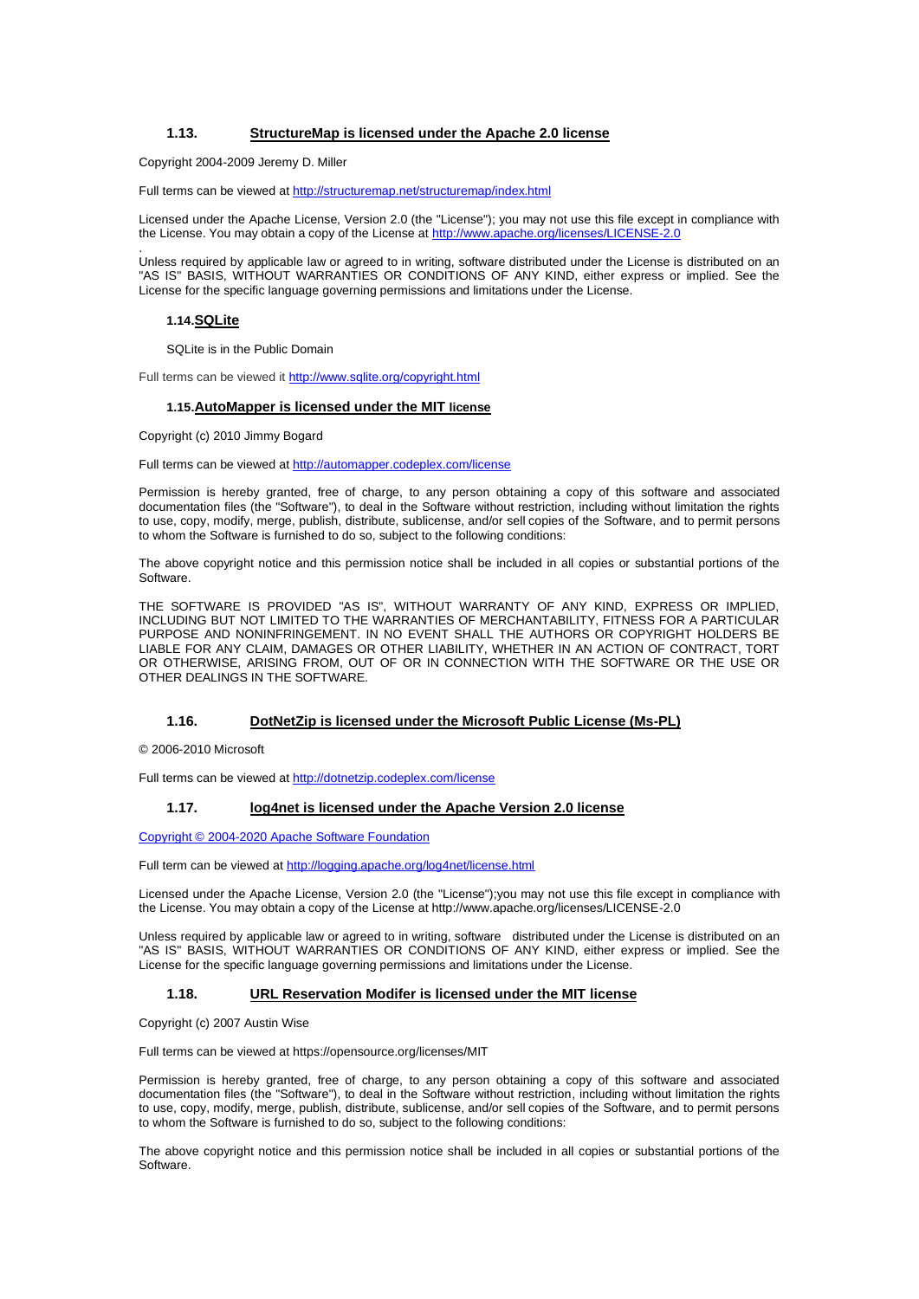## **1.13. StructureMap is licensed under the Apache 2.0 license**

Copyright 2004-2009 Jeremy D. Miller

Full terms can be viewed a[t http://structuremap.net/structuremap/index.html](http://structuremap.net/structuremap/index.html)

Licensed under the Apache License, Version 2.0 (the "License"); you may not use this file except in compliance with the License. You may obtain a copy of the License at<http://www.apache.org/licenses/LICENSE-2.0>

. Unless required by applicable law or agreed to in writing, software distributed under the License is distributed on an "AS IS" BASIS, WITHOUT WARRANTIES OR CONDITIONS OF ANY KIND, either express or implied. See the License for the specific language governing permissions and limitations under the License.

### **1.14.SQLite**

SQLite is in the Public Domain

Full terms can be viewed it <http://www.sqlite.org/copyright.html>

### **1.15.AutoMapper is licensed under the MIT license**

Copyright (c) 2010 Jimmy Bogard

Full terms can be viewed at <http://automapper.codeplex.com/license>

Permission is hereby granted, free of charge, to any person obtaining a copy of this software and associated documentation files (the "Software"), to deal in the Software without restriction, including without limitation the rights to use, copy, modify, merge, publish, distribute, sublicense, and/or sell copies of the Software, and to permit persons to whom the Software is furnished to do so, subject to the following conditions:

The above copyright notice and this permission notice shall be included in all copies or substantial portions of the Software.

THE SOFTWARE IS PROVIDED "AS IS", WITHOUT WARRANTY OF ANY KIND, EXPRESS OR IMPLIED, INCLUDING BUT NOT LIMITED TO THE WARRANTIES OF MERCHANTABILITY, FITNESS FOR A PARTICULAR PURPOSE AND NONINFRINGEMENT. IN NO EVENT SHALL THE AUTHORS OR COPYRIGHT HOLDERS BE LIABLE FOR ANY CLAIM, DAMAGES OR OTHER LIABILITY, WHETHER IN AN ACTION OF CONTRACT, TORT OR OTHERWISE, ARISING FROM, OUT OF OR IN CONNECTION WITH THE SOFTWARE OR THE USE OR OTHER DEALINGS IN THE SOFTWARE.

### **1.16. DotNetZip is licensed under the Microsoft Public License (Ms-PL)**

© 2006-2010 Microsoft

Full terms can be viewed a[t http://dotnetzip.codeplex.com/license](http://dotnetzip.codeplex.com/license)

## **1.17. log4net is licensed under the Apache Version 2.0 license**

Copyright © 2004-2020 Apache Software Foundation

Full term can be viewed at <http://logging.apache.org/log4net/license.html>

Licensed under the Apache License, Version 2.0 (the "License");you may not use this file except in compliance with the License. You may obtain a copy of the License at http://www.apache.org/licenses/LICENSE-2.0

Unless required by applicable law or agreed to in writing, software distributed under the License is distributed on an "AS IS" BASIS, WITHOUT WARRANTIES OR CONDITIONS OF ANY KIND, either express or implied. See the License for the specific language governing permissions and limitations under the License.

### **1.18. URL Reservation Modifer is licensed under the MIT license**

Copyright (c) 2007 Austin Wise

Full terms can be viewed at https://opensource.org/licenses/MIT

Permission is hereby granted, free of charge, to any person obtaining a copy of this software and associated documentation files (the "Software"), to deal in the Software without restriction, including without limitation the rights to use, copy, modify, merge, publish, distribute, sublicense, and/or sell copies of the Software, and to permit persons to whom the Software is furnished to do so, subject to the following conditions:

The above copyright notice and this permission notice shall be included in all copies or substantial portions of the Software.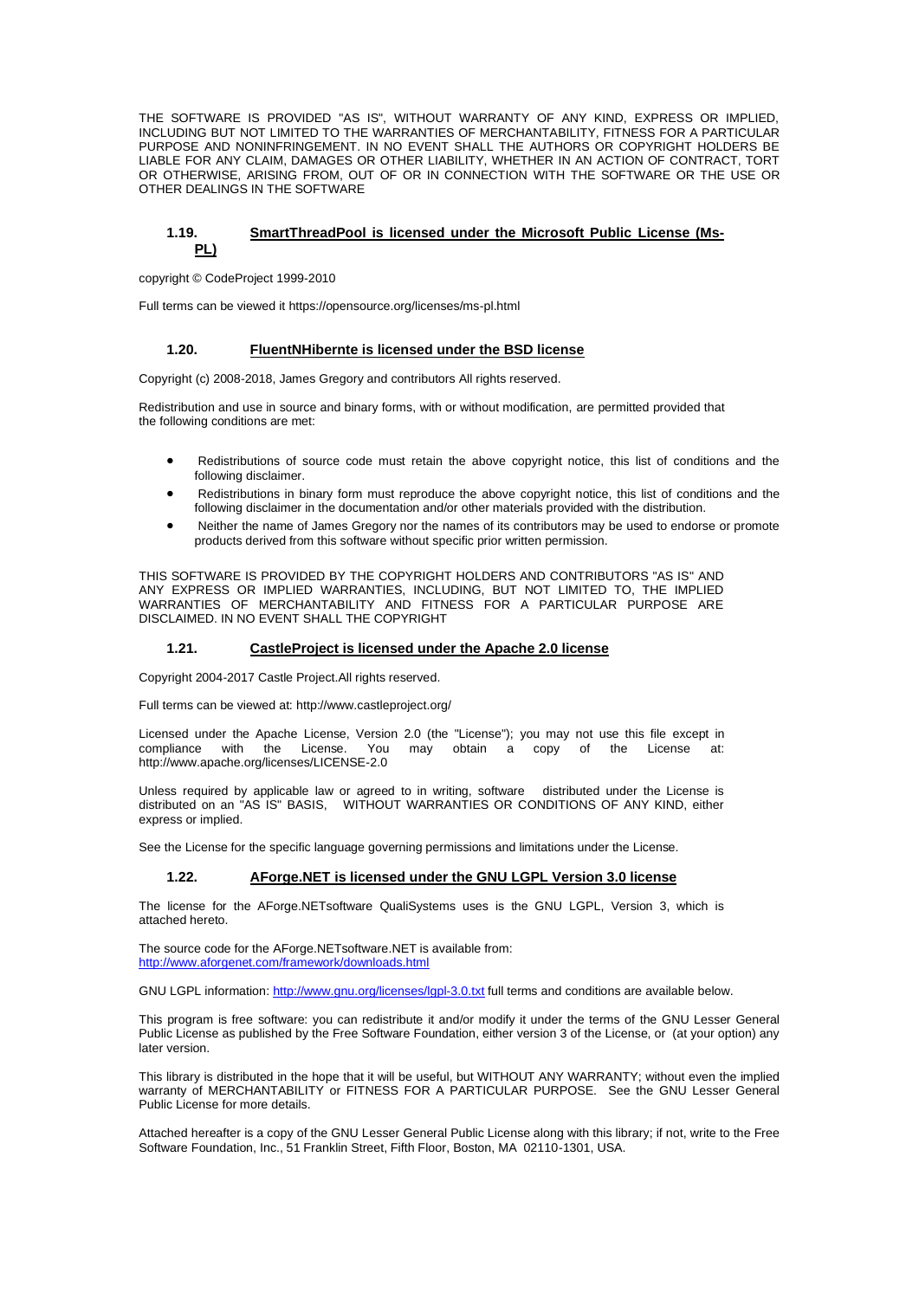THE SOFTWARE IS PROVIDED "AS IS", WITHOUT WARRANTY OF ANY KIND, EXPRESS OR IMPLIED, INCLUDING BUT NOT LIMITED TO THE WARRANTIES OF MERCHANTABILITY, FITNESS FOR A PARTICULAR PURPOSE AND NONINFRINGEMENT. IN NO EVENT SHALL THE AUTHORS OR COPYRIGHT HOLDERS BE LIABLE FOR ANY CLAIM, DAMAGES OR OTHER LIABILITY, WHETHER IN AN ACTION OF CONTRACT, TORT OR OTHERWISE, ARISING FROM, OUT OF OR IN CONNECTION WITH THE SOFTWARE OR THE USE OR OTHER DEALINGS IN THE SOFTWARE

### **1.19. SmartThreadPool is licensed under the Microsoft Public License (Ms-PL)**

copyright © CodeProject 1999-2010

Full terms can be viewed it https://opensource.org/licenses/ms-pl.html

### **1.20. FluentNHibernte is licensed under the BSD license**

Copyright (c) 2008-2018, James Gregory and contributors All rights reserved.

Redistribution and use in source and binary forms, with or without modification, are permitted provided that the following conditions are met:

- Redistributions of source code must retain the above copyright notice, this list of conditions and the following disclaimer.
- Redistributions in binary form must reproduce the above copyright notice, this list of conditions and the following disclaimer in the documentation and/or other materials provided with the distribution.
- Neither the name of James Gregory nor the names of its contributors may be used to endorse or promote products derived from this software without specific prior written permission.

THIS SOFTWARE IS PROVIDED BY THE COPYRIGHT HOLDERS AND CONTRIBUTORS "AS IS" AND ANY EXPRESS OR IMPLIED WARRANTIES, INCLUDING, BUT NOT LIMITED TO, THE IMPLIED WARRANTIES OF MERCHANTABILITY AND FITNESS FOR A PARTICULAR PURPOSE ARE DISCLAIMED. IN NO EVENT SHALL THE COPYRIGHT

### **1.21. CastleProject is licensed under the Apache 2.0 license**

Copyright 2004-2017 Castle Project.All rights reserved.

Full terms can be viewed at:<http://www.castleproject.org/>

Licensed under the Apache License, Version 2.0 (the "License"); you may not use this file except in compliance with the License. You may obtain a copy of the License at: compliance with the License. You may obtain a copy of the License at: http://www.apache.org/licenses/LICENSE-2.0

Unless required by applicable law or agreed to in writing, software distributed under the License is distributed on an "AS IS" BASIS, WITHOUT WARRANTIES OR CONDITIONS OF ANY KIND, either express or implied.

See the License for the specific language governing permissions and limitations under the License.

### **1.22. AForge.NET is licensed under the GNU LGPL Version 3.0 license**

The license for the AForge.NETsoftware QualiSystems uses is the GNU LGPL, Version 3, which is attached hereto.

The source code for the AForge.NETsoftware.NET is available from: <http://www.aforgenet.com/framework/downloads.html>

GNU LGPL information[: http://www.gnu.org/licenses/lgpl-3.0.txt](http://www.gnu.org/licenses/lgpl-3.0.txt) full terms and conditions are available below.

This program is free software: you can redistribute it and/or modify it under the terms of the GNU Lesser General Public License as published by the Free Software Foundation, either version 3 of the License, or (at your option) any later version.

This library is distributed in the hope that it will be useful, but WITHOUT ANY WARRANTY; without even the implied warranty of MERCHANTABILITY or FITNESS FOR A PARTICULAR PURPOSE. See the GNU Lesser General Public License for more details.

Attached hereafter is a copy of the GNU Lesser General Public License along with this library; if not, write to the Free Software Foundation, Inc., 51 Franklin Street, Fifth Floor, Boston, MA 02110-1301, USA.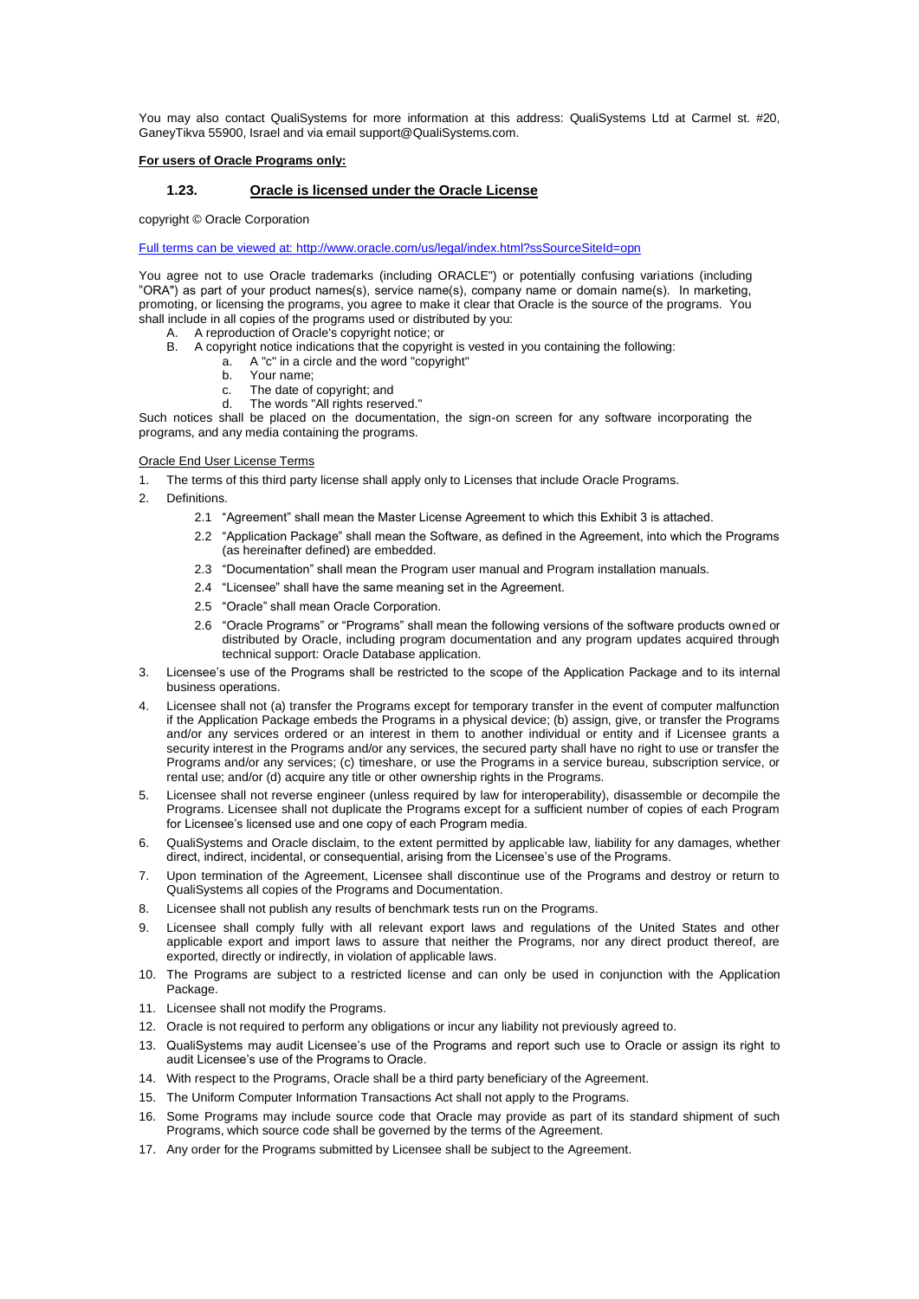You may also contact QualiSystems for more information at this address: QualiSystems Ltd at Carmel st. #20, GaneyTikva 55900, Israel and via email support@QualiSystems.com.

## **For users of Oracle Programs only:**

### **1.23. Oracle is licensed under the Oracle License**

copyright © Oracle Corporation

Full terms can be viewed at:<http://www.oracle.com/us/legal/index.html?ssSourceSiteId=opn>

You agree not to use Oracle trademarks (including ORACLE") or potentially confusing variations (including "ORA") as part of your product names(s), service name(s), company name or domain name(s). In marketing, promoting, or licensing the programs, you agree to make it clear that Oracle is the source of the programs. You shall include in all copies of the programs used or distributed by you:

- A. A reproduction of Oracle's copyright notice; or<br>B. A copyright notice indications that the copyright
	- B. A copyright notice indications that the copyright is vested in you containing the following:
		- a. A "c" in a circle and the word "copyright"
		- b. Your name;
		- c. The date of copyright; and
		- d. The words "All rights reserved."

Such notices shall be placed on the documentation, the sign-on screen for any software incorporating the programs, and any media containing the programs.

### Oracle End User License Terms

1. The terms of this third party license shall apply only to Licenses that include Oracle Programs.

- 2. Definitions.
	- 2.1 "Agreement" shall mean the Master License Agreement to which this Exhibit 3 is attached.
	- 2.2 "Application Package" shall mean the Software, as defined in the Agreement, into which the Programs (as hereinafter defined) are embedded.
	- 2.3 "Documentation" shall mean the Program user manual and Program installation manuals.
	- 2.4 "Licensee" shall have the same meaning set in the Agreement.
	- 2.5 "Oracle" shall mean Oracle Corporation.
	- 2.6 "Oracle Programs" or "Programs" shall mean the following versions of the software products owned or distributed by Oracle, including program documentation and any program updates acquired through technical support: Oracle Database application.
- 3. Licensee's use of the Programs shall be restricted to the scope of the Application Package and to its internal business operations.
- 4. Licensee shall not (a) transfer the Programs except for temporary transfer in the event of computer malfunction if the Application Package embeds the Programs in a physical device; (b) assign, give, or transfer the Programs and/or any services ordered or an interest in them to another individual or entity and if Licensee grants a security interest in the Programs and/or any services, the secured party shall have no right to use or transfer the Programs and/or any services; (c) timeshare, or use the Programs in a service bureau, subscription service, or rental use; and/or (d) acquire any title or other ownership rights in the Programs.
- 5. Licensee shall not reverse engineer (unless required by law for interoperability), disassemble or decompile the Programs. Licensee shall not duplicate the Programs except for a sufficient number of copies of each Program for Licensee's licensed use and one copy of each Program media.
- 6. QualiSystems and Oracle disclaim, to the extent permitted by applicable law, liability for any damages, whether direct, indirect, incidental, or consequential, arising from the Licensee's use of the Programs.
- 7. Upon termination of the Agreement, Licensee shall discontinue use of the Programs and destroy or return to QualiSystems all copies of the Programs and Documentation.
- 8. Licensee shall not publish any results of benchmark tests run on the Programs.
- 9. Licensee shall comply fully with all relevant export laws and regulations of the United States and other applicable export and import laws to assure that neither the Programs, nor any direct product thereof, are exported, directly or indirectly, in violation of applicable laws.
- 10. The Programs are subject to a restricted license and can only be used in conjunction with the Application Package.
- 11. Licensee shall not modify the Programs.
- 12. Oracle is not required to perform any obligations or incur any liability not previously agreed to.
- 13. QualiSystems may audit Licensee's use of the Programs and report such use to Oracle or assign its right to audit Licensee's use of the Programs to Oracle.
- 14. With respect to the Programs, Oracle shall be a third party beneficiary of the Agreement.
- 15. The Uniform Computer Information Transactions Act shall not apply to the Programs.
- 16. Some Programs may include source code that Oracle may provide as part of its standard shipment of such Programs, which source code shall be governed by the terms of the Agreement.
- 17. Any order for the Programs submitted by Licensee shall be subject to the Agreement.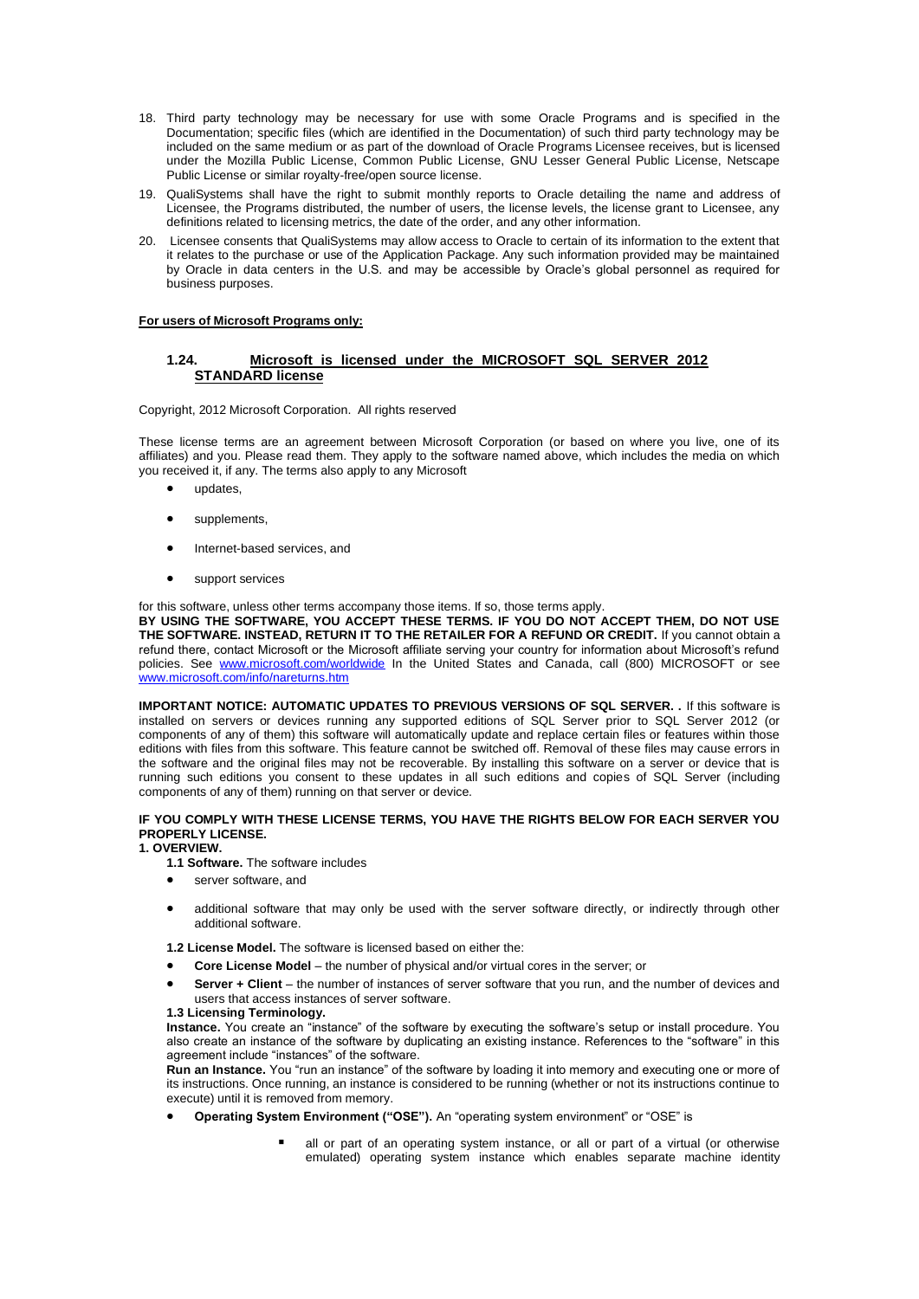- 18. Third party technology may be necessary for use with some Oracle Programs and is specified in the Documentation; specific files (which are identified in the Documentation) of such third party technology may be included on the same medium or as part of the download of Oracle Programs Licensee receives, but is licensed under the Mozilla Public License, Common Public License, GNU Lesser General Public License, Netscape Public License or similar royalty-free/open source license.
- 19. QualiSystems shall have the right to submit monthly reports to Oracle detailing the name and address of Licensee, the Programs distributed, the number of users, the license levels, the license grant to Licensee, any definitions related to licensing metrics, the date of the order, and any other information.
- 20. Licensee consents that QualiSystems may allow access to Oracle to certain of its information to the extent that it relates to the purchase or use of the Application Package. Any such information provided may be maintained by Oracle in data centers in the U.S. and may be accessible by Oracle's global personnel as required for business purposes.

### **For users of Microsoft Programs only:**

### **1.24. Microsoft is licensed under the MICROSOFT SQL SERVER 2012 STANDARD license**

Copyright, 2012 Microsoft Corporation. All rights reserved

These license terms are an agreement between Microsoft Corporation (or based on where you live, one of its affiliates) and you. Please read them. They apply to the software named above, which includes the media on which you received it, if any. The terms also apply to any Microsoft

- updates.
- supplements,
- Internet-based services, and
- support services

for this software, unless other terms accompany those items. If so, those terms apply.

**BY USING THE SOFTWARE, YOU ACCEPT THESE TERMS. IF YOU DO NOT ACCEPT THEM, DO NOT USE THE SOFTWARE. INSTEAD, RETURN IT TO THE RETAILER FOR A REFUND OR CREDIT.** If you cannot obtain a refund there, contact Microsoft or the Microsoft affiliate serving your country for information about Microsoft's refund policies. See [www.microsoft.com/worldwide](http://www.microsoft.com/worldwide) In the United States and Canada, call (800) MICROSOFT or see [www.microsoft.com/info/nareturns.htm](http://www.microsoft.com/info/nareturns.htm)

**IMPORTANT NOTICE: AUTOMATIC UPDATES TO PREVIOUS VERSIONS OF SQL SERVER. .** If this software is installed on servers or devices running any supported editions of SQL Server prior to SQL Server 2012 (or components of any of them) this software will automatically update and replace certain files or features within those editions with files from this software. This feature cannot be switched off. Removal of these files may cause errors in the software and the original files may not be recoverable. By installing this software on a server or device that is running such editions you consent to these updates in all such editions and copies of SQL Server (including components of any of them) running on that server or device.

## **IF YOU COMPLY WITH THESE LICENSE TERMS, YOU HAVE THE RIGHTS BELOW FOR EACH SERVER YOU PROPERLY LICENSE.**

**1. OVERVIEW.** 

- **1.1 Software.** The software includes
	- server software, and
- additional software that may only be used with the server software directly, or indirectly through other additional software.

**1.2 License Model.** The software is licensed based on either the:

- **Core License Model** the number of physical and/or virtual cores in the server; or
- **Server + Client**  the number of instances of server software that you run, and the number of devices and users that access instances of server software.

### **1.3 Licensing Terminology.**

**Instance.** You create an "instance" of the software by executing the software's setup or install procedure. You also create an instance of the software by duplicating an existing instance. References to the "software" in this agreement include "instances" of the software.

**Run an Instance.** You "run an instance" of the software by loading it into memory and executing one or more of its instructions. Once running, an instance is considered to be running (whether or not its instructions continue to execute) until it is removed from memory.

- **Operating System Environment ("OSE").** An "operating system environment" or "OSE" is
	- all or part of an operating system instance, or all or part of a virtual (or otherwise emulated) operating system instance which enables separate machine identity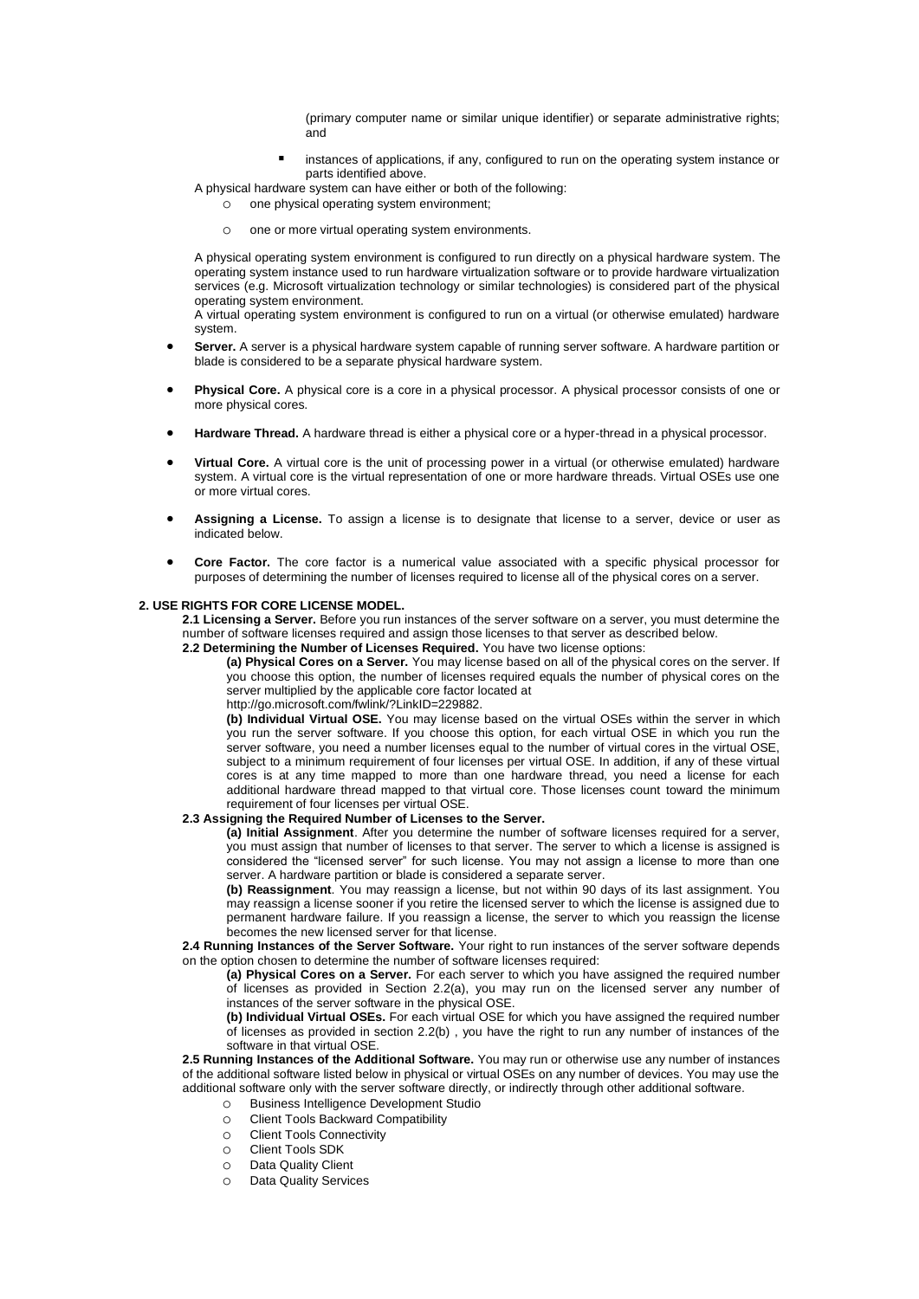(primary computer name or similar unique identifier) or separate administrative rights; and

instances of applications, if any, configured to run on the operating system instance or parts identified above.

- A physical hardware system can have either or both of the following:
	- $\circ$  one physical operating system environment;
		- o one or more virtual operating system environments.

A physical operating system environment is configured to run directly on a physical hardware system. The operating system instance used to run hardware virtualization software or to provide hardware virtualization services (e.g. Microsoft virtualization technology or similar technologies) is considered part of the physical operating system environment.

A virtual operating system environment is configured to run on a virtual (or otherwise emulated) hardware system.

- **Server.** A server is a physical hardware system capable of running server software. A hardware partition or blade is considered to be a separate physical hardware system.
- **Physical Core.** A physical core is a core in a physical processor. A physical processor consists of one or more physical cores.
- **Hardware Thread.** A hardware thread is either a physical core or a hyper-thread in a physical processor.
- **Virtual Core.** A virtual core is the unit of processing power in a virtual (or otherwise emulated) hardware system. A virtual core is the virtual representation of one or more hardware threads. Virtual OSEs use one or more virtual cores.
- **Assigning a License.** To assign a license is to designate that license to a server, device or user as indicated below.
- **Core Factor.** The core factor is a numerical value associated with a specific physical processor for purposes of determining the number of licenses required to license all of the physical cores on a server.

### **2. USE RIGHTS FOR CORE LICENSE MODEL.**

**2.1 Licensing a Server.** Before you run instances of the server software on a server, you must determine the number of software licenses required and assign those licenses to that server as described below.

**2.2 Determining the Number of Licenses Required.** You have two license options:

**(a) Physical Cores on a Server.** You may license based on all of the physical cores on the server. If you choose this option, the number of licenses required equals the number of physical cores on the server multiplied by the applicable core factor located at

http://go.microsoft.com/fwlink/?LinkID=229882.

**(b) Individual Virtual OSE.** You may license based on the virtual OSEs within the server in which you run the server software. If you choose this option, for each virtual OSE in which you run the server software, you need a number licenses equal to the number of virtual cores in the virtual OSE, subject to a minimum requirement of four licenses per virtual OSE. In addition, if any of these virtual cores is at any time mapped to more than one hardware thread, you need a license for each additional hardware thread mapped to that virtual core. Those licenses count toward the minimum requirement of four licenses per virtual OSE.

### **2.3 Assigning the Required Number of Licenses to the Server.**

**(a) Initial Assignment**. After you determine the number of software licenses required for a server, you must assign that number of licenses to that server. The server to which a license is assigned is considered the "licensed server" for such license. You may not assign a license to more than one server. A hardware partition or blade is considered a separate server.

**(b) Reassignment**. You may reassign a license, but not within 90 days of its last assignment. You may reassign a license sooner if you retire the licensed server to which the license is assigned due to permanent hardware failure. If you reassign a license, the server to which you reassign the license becomes the new licensed server for that license.

**2.4 Running Instances of the Server Software.** Your right to run instances of the server software depends on the option chosen to determine the number of software licenses required:

**(a) Physical Cores on a Server.** For each server to which you have assigned the required number of licenses as provided in Section 2.2(a), you may run on the licensed server any number of instances of the server software in the physical OSE.

**(b) Individual Virtual OSEs.** For each virtual OSE for which you have assigned the required number of licenses as provided in section 2.2(b) , you have the right to run any number of instances of the software in that virtual OSE.

**2.5 Running Instances of the Additional Software.** You may run or otherwise use any number of instances of the additional software listed below in physical or virtual OSEs on any number of devices. You may use the additional software only with the server software directly, or indirectly through other additional software.

- o Business Intelligence Development Studio
- o Client Tools Backward Compatibility
- o Client Tools Connectivity
- o Client Tools SDK
- o Data Quality Client
- o Data Quality Services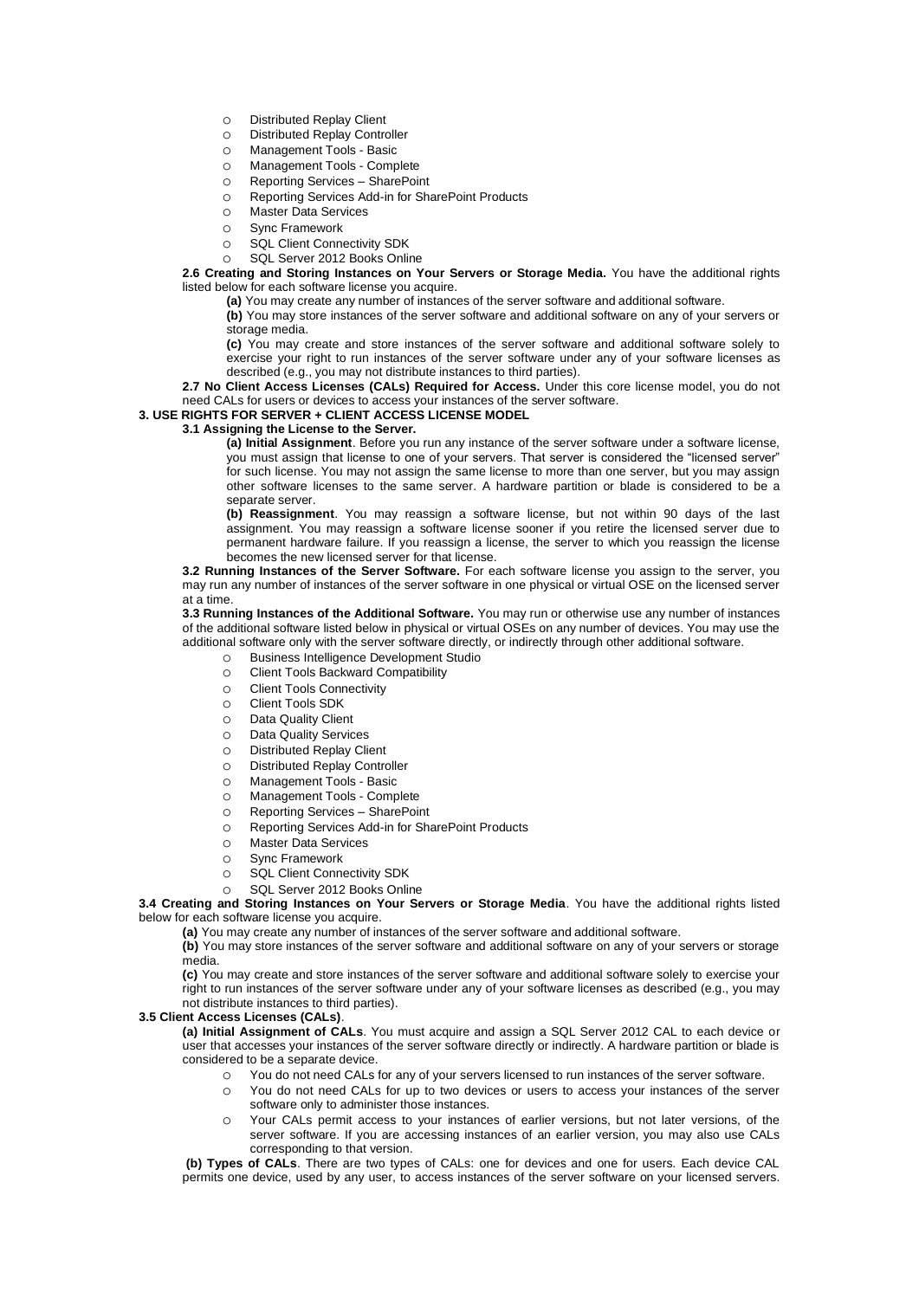- o Distributed Replay Client
- o Distributed Replay Controller
- o Management Tools Basic
- o Management Tools Complete
- o Reporting Services SharePoint
- o Reporting Services Add-in for SharePoint Products
- o Master Data Services
- o Sync Framework
- o SQL Client Connectivity SDK
- o SQL Server 2012 Books Online

#### **2.6 Creating and Storing Instances on Your Servers or Storage Media.** You have the additional rights listed below for each software license you acquire.

**(a)** You may create any number of instances of the server software and additional software.

**(b)** You may store instances of the server software and additional software on any of your servers or storage media.

**(c)** You may create and store instances of the server software and additional software solely to exercise your right to run instances of the server software under any of your software licenses as described (e.g., you may not distribute instances to third parties).

**2.7 No Client Access Licenses (CALs) Required for Access.** Under this core license model, you do not need CALs for users or devices to access your instances of the server software.

### **3. USE RIGHTS FOR SERVER + CLIENT ACCESS LICENSE MODEL**

## **3.1 Assigning the License to the Server.**

**(a) Initial Assignment**. Before you run any instance of the server software under a software license, you must assign that license to one of your servers. That server is considered the "licensed server" for such license. You may not assign the same license to more than one server, but you may assign other software licenses to the same server. A hardware partition or blade is considered to be a separate server.

**(b) Reassignment**. You may reassign a software license, but not within 90 days of the last assignment. You may reassign a software license sooner if you retire the licensed server due to permanent hardware failure. If you reassign a license, the server to which you reassign the license becomes the new licensed server for that license.

#### **3.2 Running Instances of the Server Software.** For each software license you assign to the server, you may run any number of instances of the server software in one physical or virtual OSE on the licensed server at a time.

**3.3 Running Instances of the Additional Software.** You may run or otherwise use any number of instances of the additional software listed below in physical or virtual OSEs on any number of devices. You may use the additional software only with the server software directly, or indirectly through other additional software.

- o Business Intelligence Development Studio
- o Client Tools Backward Compatibility
- o Client Tools Connectivity
- o Client Tools SDK
- o Data Quality Client
- o Data Quality Services
- o Distributed Replay Client
- o Distributed Replay Controller
- o Management Tools Basic
- o Management Tools Complete
- o Reporting Services SharePoint
- o Reporting Services Add-in for SharePoint Products
- o Master Data Services
- o Sync Framework
- o SQL Client Connectivity SDK
- o SQL Server 2012 Books Online

**3.4 Creating and Storing Instances on Your Servers or Storage Media**. You have the additional rights listed below for each software license you acquire.

**(a)** You may create any number of instances of the server software and additional software.

**(b)** You may store instances of the server software and additional software on any of your servers or storage media.

**(c)** You may create and store instances of the server software and additional software solely to exercise your right to run instances of the server software under any of your software licenses as described (e.g., you may not distribute instances to third parties).

#### **3.5 Client Access Licenses (CALs)**.

**(a) Initial Assignment of CALs**. You must acquire and assign a SQL Server 2012 CAL to each device or user that accesses your instances of the server software directly or indirectly. A hardware partition or blade is considered to be a separate device.

- o You do not need CALs for any of your servers licensed to run instances of the server software.
	- o You do not need CALs for up to two devices or users to access your instances of the server software only to administer those instances.
- o Your CALs permit access to your instances of earlier versions, but not later versions, of the server software. If you are accessing instances of an earlier version, you may also use CALs corresponding to that version.

**(b) Types of CALs**. There are two types of CALs: one for devices and one for users. Each device CAL permits one device, used by any user, to access instances of the server software on your licensed servers.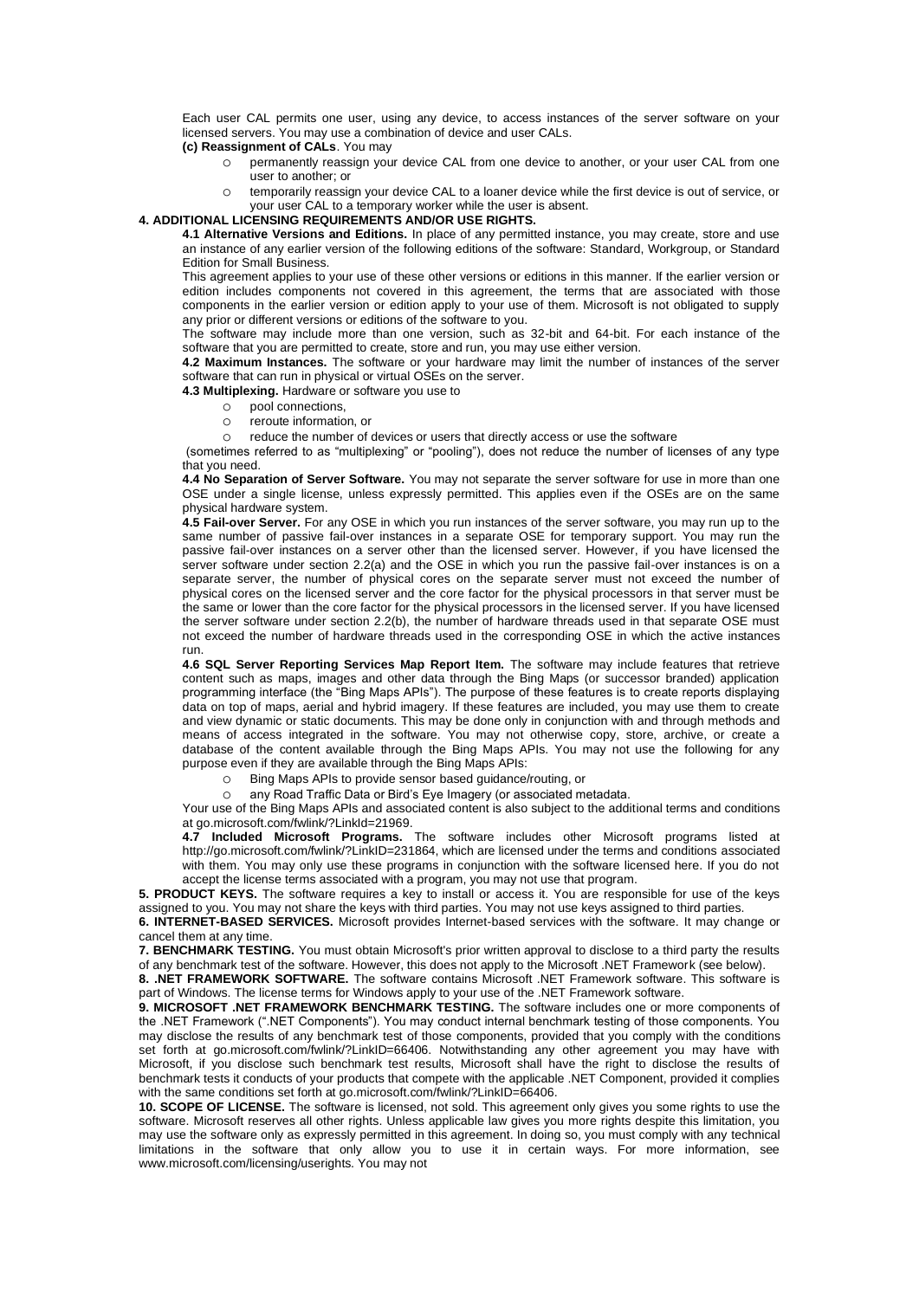Each user CAL permits one user, using any device, to access instances of the server software on your licensed servers. You may use a combination of device and user CALs.

- **(c) Reassignment of CALs**. You may
	- o permanently reassign your device CAL from one device to another, or your user CAL from one user to another; or
	- o temporarily reassign your device CAL to a loaner device while the first device is out of service, or your user CAL to a temporary worker while the user is absent.

# **4. ADDITIONAL LICENSING REQUIREMENTS AND/OR USE RIGHTS.**

**4.1 Alternative Versions and Editions.** In place of any permitted instance, you may create, store and use an instance of any earlier version of the following editions of the software: Standard, Workgroup, or Standard Edition for Small Business.

This agreement applies to your use of these other versions or editions in this manner. If the earlier version or edition includes components not covered in this agreement, the terms that are associated with those components in the earlier version or edition apply to your use of them. Microsoft is not obligated to supply any prior or different versions or editions of the software to you.

The software may include more than one version, such as 32-bit and 64-bit. For each instance of the software that you are permitted to create, store and run, you may use either version.

**4.2 Maximum Instances.** The software or your hardware may limit the number of instances of the server software that can run in physical or virtual OSEs on the server.

## **4.3 Multiplexing.** Hardware or software you use to

- o pool connections,
- o reroute information, or
- o reduce the number of devices or users that directly access or use the software

(sometimes referred to as "multiplexing" or "pooling"), does not reduce the number of licenses of any type that you need.

**4.4 No Separation of Server Software.** You may not separate the server software for use in more than one OSE under a single license, unless expressly permitted. This applies even if the OSEs are on the same physical hardware system.

**4.5 Fail-over Server.** For any OSE in which you run instances of the server software, you may run up to the same number of passive fail-over instances in a separate OSE for temporary support. You may run the passive fail-over instances on a server other than the licensed server. However, if you have licensed the server software under section 2.2(a) and the OSE in which you run the passive fail-over instances is on a separate server, the number of physical cores on the separate server must not exceed the number of physical cores on the licensed server and the core factor for the physical processors in that server must be the same or lower than the core factor for the physical processors in the licensed server. If you have licensed the server software under section 2.2(b), the number of hardware threads used in that separate OSE must not exceed the number of hardware threads used in the corresponding OSE in which the active instances run.

**4.6 SQL Server Reporting Services Map Report Item.** The software may include features that retrieve content such as maps, images and other data through the Bing Maps (or successor branded) application programming interface (the "Bing Maps APIs"). The purpose of these features is to create reports displaying data on top of maps, aerial and hybrid imagery. If these features are included, you may use them to create and view dynamic or static documents. This may be done only in conjunction with and through methods and means of access integrated in the software. You may not otherwise copy, store, archive, or create a database of the content available through the Bing Maps APIs. You may not use the following for any purpose even if they are available through the Bing Maps APIs:

- o Bing Maps APIs to provide sensor based guidance/routing, or
- o any Road Traffic Data or Bird's Eye Imagery (or associated metadata.

Your use of the Bing Maps APIs and associated content is also subject to the additional terms and conditions at go.microsoft.com/fwlink/?LinkId=21969.

**4.7 Included Microsoft Programs.** The software includes other Microsoft programs listed at http://go.microsoft.com/fwlink/?LinkID=231864, which are licensed under the terms and conditions associated with them. You may only use these programs in conjunction with the software licensed here. If you do not accept the license terms associated with a program, you may not use that program.

**5. PRODUCT KEYS.** The software requires a key to install or access it. You are responsible for use of the keys assigned to you. You may not share the keys with third parties. You may not use keys assigned to third parties.

**6. INTERNET-BASED SERVICES.** Microsoft provides Internet-based services with the software. It may change or cancel them at any time.

**7. BENCHMARK TESTING.** You must obtain Microsoft's prior written approval to disclose to a third party the results of any benchmark test of the software. However, this does not apply to the Microsoft .NET Framework (see below).

**8. .NET FRAMEWORK SOFTWARE.** The software contains Microsoft .NET Framework software. This software is part of Windows. The license terms for Windows apply to your use of the .NET Framework software.

**9. MICROSOFT .NET FRAMEWORK BENCHMARK TESTING.** The software includes one or more components of the .NET Framework (".NET Components"). You may conduct internal benchmark testing of those components. You may disclose the results of any benchmark test of those components, provided that you comply with the conditions set forth at go.microsoft.com/fwlink/?LinkID=66406. Notwithstanding any other agreement you may have with Microsoft, if you disclose such benchmark test results, Microsoft shall have the right to disclose the results of benchmark tests it conducts of your products that compete with the applicable .NET Component, provided it complies with the same conditions set forth at go.microsoft.com/fwlink/?LinkID=66406.

**10. SCOPE OF LICENSE.** The software is licensed, not sold. This agreement only gives you some rights to use the software. Microsoft reserves all other rights. Unless applicable law gives you more rights despite this limitation, you may use the software only as expressly permitted in this agreement. In doing so, you must comply with any technical limitations in the software that only allow you to use it in certain ways. For more information, see www.microsoft.com/licensing/userights. You may not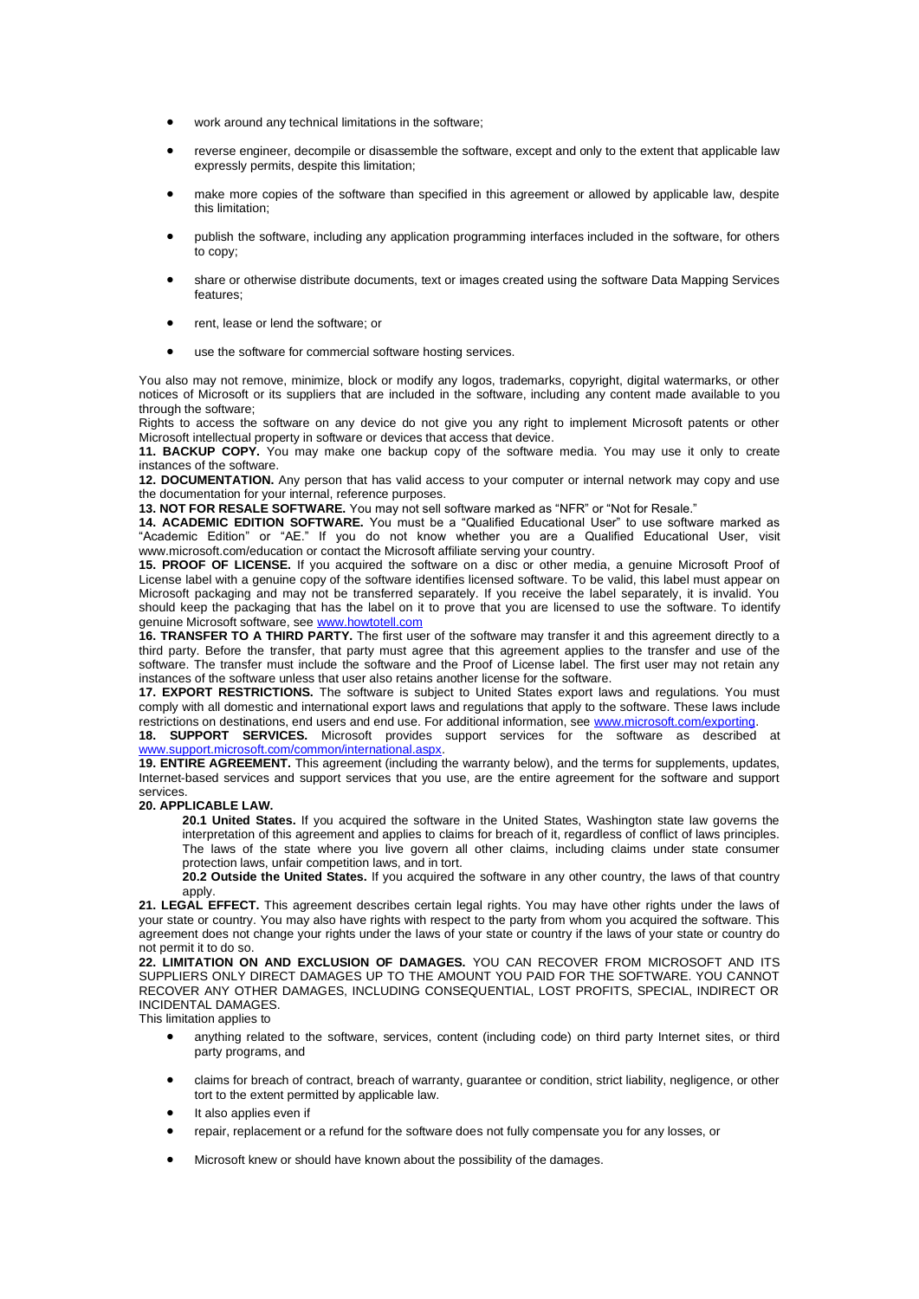- work around any technical limitations in the software;
- reverse engineer, decompile or disassemble the software, except and only to the extent that applicable law expressly permits, despite this limitation;
- make more copies of the software than specified in this agreement or allowed by applicable law, despite this limitation;
- publish the software, including any application programming interfaces included in the software, for others to copy;
- share or otherwise distribute documents, text or images created using the software Data Mapping Services features;
- rent, lease or lend the software; or
- use the software for commercial software hosting services.

You also may not remove, minimize, block or modify any logos, trademarks, copyright, digital watermarks, or other notices of Microsoft or its suppliers that are included in the software, including any content made available to you through the software;

Rights to access the software on any device do not give you any right to implement Microsoft patents or other Microsoft intellectual property in software or devices that access that device.

**11. BACKUP COPY.** You may make one backup copy of the software media. You may use it only to create instances of the software.

**12. DOCUMENTATION.** Any person that has valid access to your computer or internal network may copy and use the documentation for your internal, reference purposes.

**13. NOT FOR RESALE SOFTWARE.** You may not sell software marked as "NFR" or "Not for Resale."

**14. ACADEMIC EDITION SOFTWARE.** You must be a "Qualified Educational User" to use software marked as "Academic Edition" or "AE." If you do not know whether you are a Qualified Educational User, visit www.microsoft.com/education or contact the Microsoft affiliate serving your country.

**15. PROOF OF LICENSE.** If you acquired the software on a disc or other media, a genuine Microsoft Proof of License label with a genuine copy of the software identifies licensed software. To be valid, this label must appear on Microsoft packaging and may not be transferred separately. If you receive the label separately, it is invalid. You should keep the packaging that has the label on it to prove that you are licensed to use the software. To identify genuine Microsoft software, se[e www.howtotell.com](http://www.howtotell.com/)

**16. TRANSFER TO A THIRD PARTY.** The first user of the software may transfer it and this agreement directly to a third party. Before the transfer, that party must agree that this agreement applies to the transfer and use of the software. The transfer must include the software and the Proof of License label. The first user may not retain any instances of the software unless that user also retains another license for the software.

**17. EXPORT RESTRICTIONS.** The software is subject to United States export laws and regulations. You must comply with all domestic and international export laws and regulations that apply to the software. These laws include restrictions on destinations, end users and end use. For additional information, see www.microsoft.com/exporting

**18. SUPPORT SERVICES.** Microsoft provides support services for the software as described at [www.support.microsoft.com/common/international.aspx.](http://www.support.microsoft.com/common/international.aspx)

**19. ENTIRE AGREEMENT.** This agreement (including the warranty below), and the terms for supplements, updates, Internet-based services and support services that you use, are the entire agreement for the software and support services.

### **20. APPLICABLE LAW.**

**20.1 United States.** If you acquired the software in the United States, Washington state law governs the interpretation of this agreement and applies to claims for breach of it, regardless of conflict of laws principles. The laws of the state where you live govern all other claims, including claims under state consumer protection laws, unfair competition laws, and in tort.

**20.2 Outside the United States.** If you acquired the software in any other country, the laws of that country apply.

**21. LEGAL EFFECT.** This agreement describes certain legal rights. You may have other rights under the laws of your state or country. You may also have rights with respect to the party from whom you acquired the software. This agreement does not change your rights under the laws of your state or country if the laws of your state or country do not permit it to do so.

**22. LIMITATION ON AND EXCLUSION OF DAMAGES.** YOU CAN RECOVER FROM MICROSOFT AND ITS SUPPLIERS ONLY DIRECT DAMAGES UP TO THE AMOUNT YOU PAID FOR THE SOFTWARE. YOU CANNOT RECOVER ANY OTHER DAMAGES, INCLUDING CONSEQUENTIAL, LOST PROFITS, SPECIAL, INDIRECT OR INCIDENTAL DAMAGES.

This limitation applies to

- anything related to the software, services, content (including code) on third party Internet sites, or third party programs, and
- claims for breach of contract, breach of warranty, guarantee or condition, strict liability, negligence, or other tort to the extent permitted by applicable law.
- It also applies even if
- repair, replacement or a refund for the software does not fully compensate you for any losses, or
- Microsoft knew or should have known about the possibility of the damages.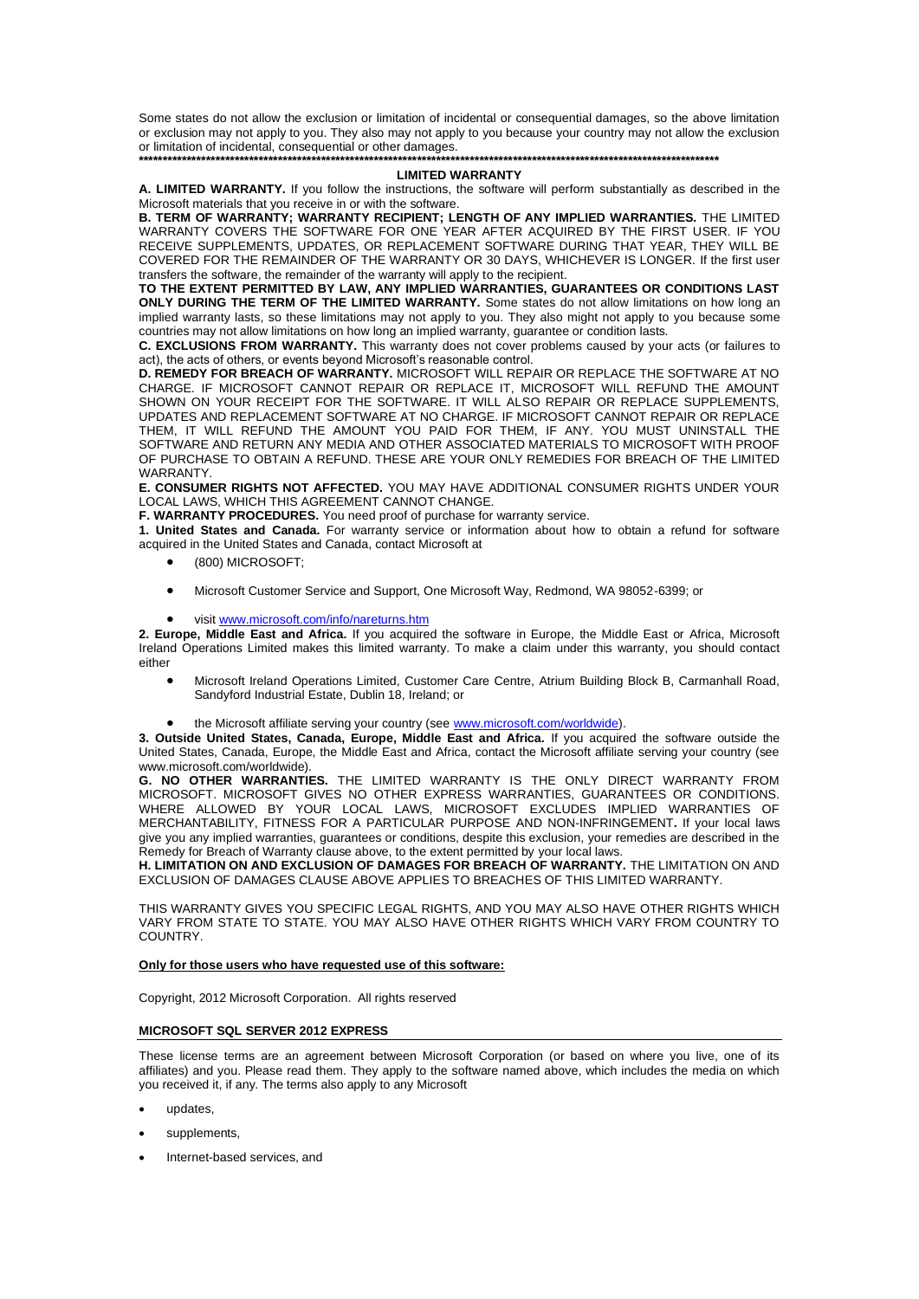Some states do not allow the exclusion or limitation of incidental or consequential damages, so the above limitation or exclusion may not apply to you. They also may not apply to you because your country may not allow the exclusion or limitation of incidental, consequential or other damages. **\*\*\*\*\*\*\*\*\*\*\*\*\*\*\*\*\*\*\*\*\*\*\*\*\*\*\*\*\*\*\*\*\*\*\*\*\*\*\*\*\*\*\*\*\*\*\*\*\*\*\*\*\*\*\*\*\*\*\*\*\*\*\*\*\*\*\*\*\*\*\*\*\*\*\*\*\*\*\*\*\*\*\*\*\*\*\*\*\*\*\*\*\*\*\*\*\*\*\*\*\*\*\*\*\*\*\*\*\*\*\*\*\*\*\*\*\*\*\*\*\*** 

#### **LIMITED WARRANTY**

**A. LIMITED WARRANTY.** If you follow the instructions, the software will perform substantially as described in the Microsoft materials that you receive in or with the software.

**B. TERM OF WARRANTY; WARRANTY RECIPIENT; LENGTH OF ANY IMPLIED WARRANTIES.** THE LIMITED WARRANTY COVERS THE SOFTWARE FOR ONE YEAR AFTER ACQUIRED BY THE FIRST USER. IF YOU RECEIVE SUPPLEMENTS, UPDATES, OR REPLACEMENT SOFTWARE DURING THAT YEAR, THEY WILL BE COVERED FOR THE REMAINDER OF THE WARRANTY OR 30 DAYS, WHICHEVER IS LONGER. If the first user transfers the software, the remainder of the warranty will apply to the recipient.

**TO THE EXTENT PERMITTED BY LAW, ANY IMPLIED WARRANTIES, GUARANTEES OR CONDITIONS LAST ONLY DURING THE TERM OF THE LIMITED WARRANTY.** Some states do not allow limitations on how long an implied warranty lasts, so these limitations may not apply to you. They also might not apply to you because some countries may not allow limitations on how long an implied warranty, guarantee or condition lasts.

**C. EXCLUSIONS FROM WARRANTY.** This warranty does not cover problems caused by your acts (or failures to act), the acts of others, or events beyond Microsoft's reasonable control.

**D. REMEDY FOR BREACH OF WARRANTY.** MICROSOFT WILL REPAIR OR REPLACE THE SOFTWARE AT NO CHARGE. IF MICROSOFT CANNOT REPAIR OR REPLACE IT, MICROSOFT WILL REFUND THE AMOUNT SHOWN ON YOUR RECEIPT FOR THE SOFTWARE. IT WILL ALSO REPAIR OR REPLACE SUPPLEMENTS, UPDATES AND REPLACEMENT SOFTWARE AT NO CHARGE. IF MICROSOFT CANNOT REPAIR OR REPLACE THEM, IT WILL REFUND THE AMOUNT YOU PAID FOR THEM, IF ANY. YOU MUST UNINSTALL THE SOFTWARE AND RETURN ANY MEDIA AND OTHER ASSOCIATED MATERIALS TO MICROSOFT WITH PROOF OF PURCHASE TO OBTAIN A REFUND. THESE ARE YOUR ONLY REMEDIES FOR BREACH OF THE LIMITED **WARRANTY** 

**E. CONSUMER RIGHTS NOT AFFECTED.** YOU MAY HAVE ADDITIONAL CONSUMER RIGHTS UNDER YOUR LOCAL LAWS, WHICH THIS AGREEMENT CANNOT CHANGE.

**F. WARRANTY PROCEDURES.** You need proof of purchase for warranty service.

**1. United States and Canada.** For warranty service or information about how to obtain a refund for software acquired in the United States and Canada, contact Microsoft at

- (800) MICROSOFT;
- Microsoft Customer Service and Support, One Microsoft Way, Redmond, WA 98052-6399; or
- visit [www.microsoft.com/info/nareturns.htm](http://www.microsoft.com/info/nareturns.htm)

**2. Europe, Middle East and Africa.** If you acquired the software in Europe, the Middle East or Africa, Microsoft Ireland Operations Limited makes this limited warranty. To make a claim under this warranty, you should contact either

- Microsoft Ireland Operations Limited, Customer Care Centre, Atrium Building Block B, Carmanhall Road, Sandyford Industrial Estate, Dublin 18, Ireland; or
- the Microsoft affiliate serving your country (se[e www.microsoft.com/worldwide\)](http://www.microsoft.com/worldwide).

**3. Outside United States, Canada, Europe, Middle East and Africa.** If you acquired the software outside the United States, Canada, Europe, the Middle East and Africa, contact the Microsoft affiliate serving your country (see www.microsoft.com/worldwide).

**G. NO OTHER WARRANTIES.** THE LIMITED WARRANTY IS THE ONLY DIRECT WARRANTY FROM MICROSOFT. MICROSOFT GIVES NO OTHER EXPRESS WARRANTIES, GUARANTEES OR CONDITIONS. WHERE ALLOWED BY YOUR LOCAL LAWS, MICROSOFT EXCLUDES IMPLIED WARRANTIES OF MERCHANTABILITY, FITNESS FOR A PARTICULAR PURPOSE AND NON-INFRINGEMENT**.** If your local laws give you any implied warranties, guarantees or conditions, despite this exclusion, your remedies are described in the Remedy for Breach of Warranty clause above, to the extent permitted by your local laws.

**H. LIMITATION ON AND EXCLUSION OF DAMAGES FOR BREACH OF WARRANTY.** THE LIMITATION ON AND EXCLUSION OF DAMAGES CLAUSE ABOVE APPLIES TO BREACHES OF THIS LIMITED WARRANTY.

THIS WARRANTY GIVES YOU SPECIFIC LEGAL RIGHTS, AND YOU MAY ALSO HAVE OTHER RIGHTS WHICH VARY FROM STATE TO STATE. YOU MAY ALSO HAVE OTHER RIGHTS WHICH VARY FROM COUNTRY TO COUNTRY.

#### **Only for those users who have requested use of this software:**

Copyright, 2012 Microsoft Corporation. All rights reserved

#### **MICROSOFT SQL SERVER 2012 EXPRESS**

These license terms are an agreement between Microsoft Corporation (or based on where you live, one of its affiliates) and you. Please read them. They apply to the software named above, which includes the media on which you received it, if any. The terms also apply to any Microsoft

- updates,
- supplements.
- Internet-based services, and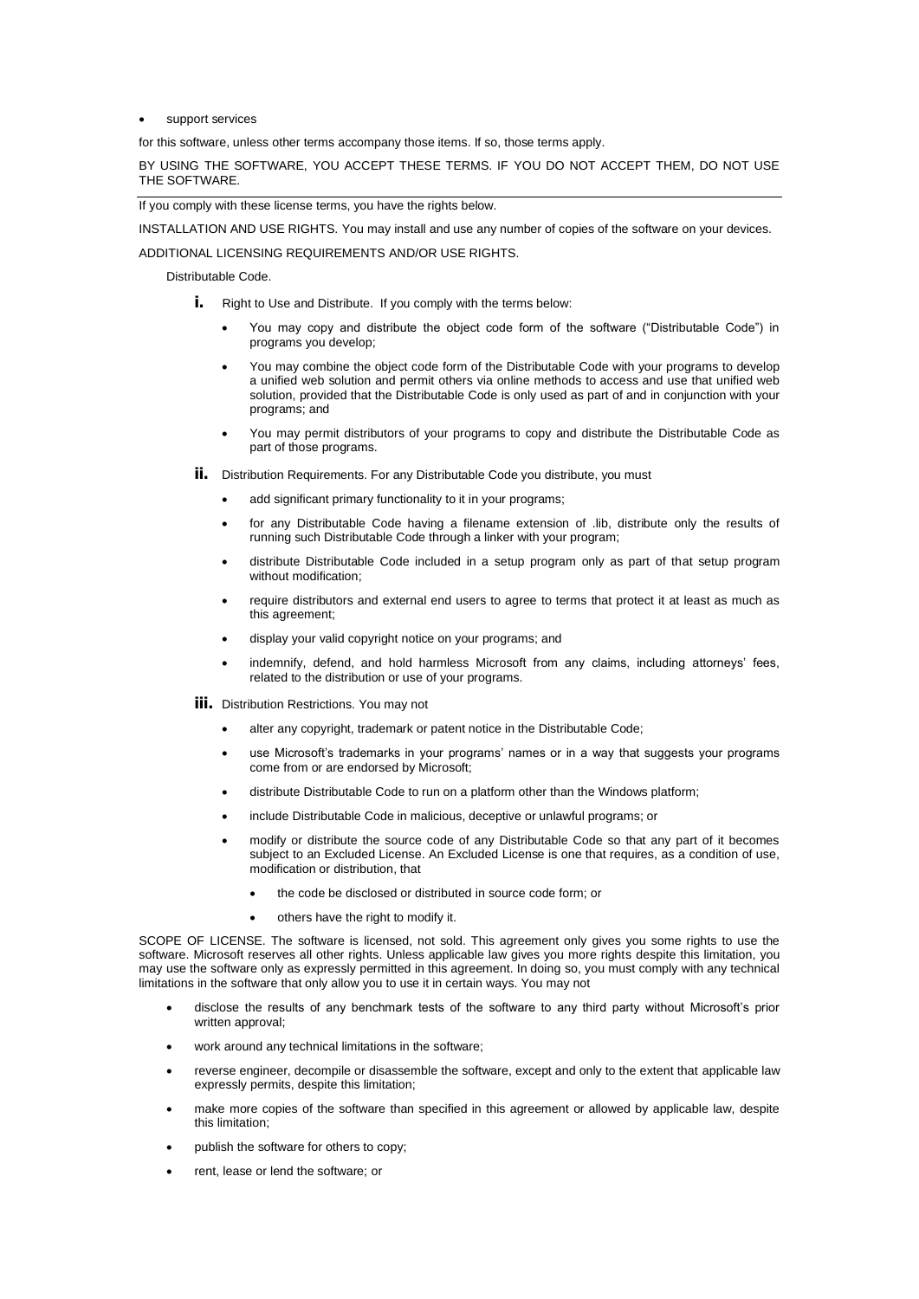#### • support services

for this software, unless other terms accompany those items. If so, those terms apply.

BY USING THE SOFTWARE, YOU ACCEPT THESE TERMS. IF YOU DO NOT ACCEPT THEM, DO NOT USE THE SOFTWARE.

If you comply with these license terms, you have the rights below.

INSTALLATION AND USE RIGHTS. You may install and use any number of copies of the software on your devices.

### ADDITIONAL LICENSING REQUIREMENTS AND/OR USE RIGHTS.

Distributable Code.

- **i.** Right to Use and Distribute. If you comply with the terms below:
	- You may copy and distribute the object code form of the software ("Distributable Code") in programs you develop;
	- You may combine the object code form of the Distributable Code with your programs to develop a unified web solution and permit others via online methods to access and use that unified web solution, provided that the Distributable Code is only used as part of and in conjunction with your programs; and
	- You may permit distributors of your programs to copy and distribute the Distributable Code as part of those programs.
- **ii.** Distribution Requirements. For any Distributable Code you distribute, you must
	- add significant primary functionality to it in your programs;
	- for any Distributable Code having a filename extension of .lib, distribute only the results of running such Distributable Code through a linker with your program;
	- distribute Distributable Code included in a setup program only as part of that setup program without modification;
	- require distributors and external end users to agree to terms that protect it at least as much as this agreement;
	- display your valid copyright notice on your programs; and
	- indemnify, defend, and hold harmless Microsoft from any claims, including attorneys' fees, related to the distribution or use of your programs.

**iii.** Distribution Restrictions. You may not

- alter any copyright, trademark or patent notice in the Distributable Code;
- use Microsoft's trademarks in your programs' names or in a way that suggests your programs come from or are endorsed by Microsoft;
- distribute Distributable Code to run on a platform other than the Windows platform;
- include Distributable Code in malicious, deceptive or unlawful programs; or
- modify or distribute the source code of any Distributable Code so that any part of it becomes subject to an Excluded License. An Excluded License is one that requires, as a condition of use, modification or distribution, that
	- the code be disclosed or distributed in source code form; or
	- others have the right to modify it.

SCOPE OF LICENSE. The software is licensed, not sold. This agreement only gives you some rights to use the software. Microsoft reserves all other rights. Unless applicable law gives you more rights despite this limitation, you may use the software only as expressly permitted in this agreement. In doing so, you must comply with any technical limitations in the software that only allow you to use it in certain ways. You may not

- disclose the results of any benchmark tests of the software to any third party without Microsoft's prior written approval;
- work around any technical limitations in the software;
- reverse engineer, decompile or disassemble the software, except and only to the extent that applicable law expressly permits, despite this limitation;
- make more copies of the software than specified in this agreement or allowed by applicable law, despite this limitation;
- publish the software for others to copy;
- rent, lease or lend the software; or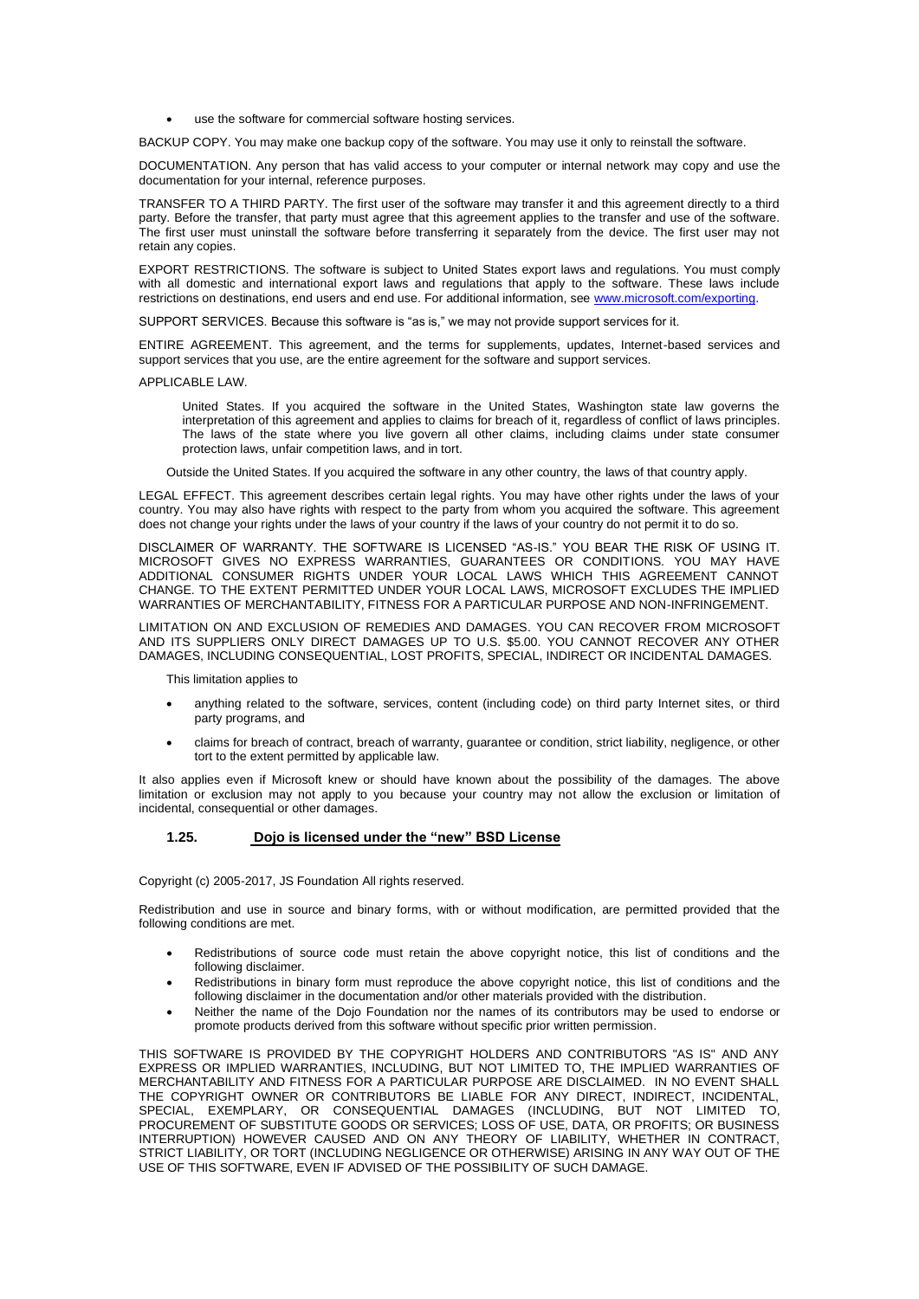use the software for commercial software hosting services.

BACKUP COPY. You may make one backup copy of the software. You may use it only to reinstall the software.

DOCUMENTATION. Any person that has valid access to your computer or internal network may copy and use the documentation for your internal, reference purposes.

TRANSFER TO A THIRD PARTY. The first user of the software may transfer it and this agreement directly to a third party. Before the transfer, that party must agree that this agreement applies to the transfer and use of the software. The first user must uninstall the software before transferring it separately from the device. The first user may not retain any copies.

EXPORT RESTRICTIONS. The software is subject to United States export laws and regulations. You must comply with all domestic and international export laws and regulations that apply to the software. These laws include restrictions on destinations, end users and end use. For additional information, see www.microsoft.com/exporting.

SUPPORT SERVICES. Because this software is "as is," we may not provide support services for it.

ENTIRE AGREEMENT. This agreement, and the terms for supplements, updates, Internet-based services and support services that you use, are the entire agreement for the software and support services.

#### APPLICABLE LAW.

United States. If you acquired the software in the United States, Washington state law governs the interpretation of this agreement and applies to claims for breach of it, regardless of conflict of laws principles. The laws of the state where you live govern all other claims, including claims under state consumer protection laws, unfair competition laws, and in tort.

Outside the United States. If you acquired the software in any other country, the laws of that country apply.

LEGAL EFFECT. This agreement describes certain legal rights. You may have other rights under the laws of your country. You may also have rights with respect to the party from whom you acquired the software. This agreement does not change your rights under the laws of your country if the laws of your country do not permit it to do so.

DISCLAIMER OF WARRANTY. THE SOFTWARE IS LICENSED "AS-IS." YOU BEAR THE RISK OF USING IT. MICROSOFT GIVES NO EXPRESS WARRANTIES, GUARANTEES OR CONDITIONS. YOU MAY HAVE ADDITIONAL CONSUMER RIGHTS UNDER YOUR LOCAL LAWS WHICH THIS AGREEMENT CANNOT CHANGE. TO THE EXTENT PERMITTED UNDER YOUR LOCAL LAWS, MICROSOFT EXCLUDES THE IMPLIED WARRANTIES OF MERCHANTABILITY, FITNESS FOR A PARTICULAR PURPOSE AND NON-INFRINGEMENT.

LIMITATION ON AND EXCLUSION OF REMEDIES AND DAMAGES. YOU CAN RECOVER FROM MICROSOFT AND ITS SUPPLIERS ONLY DIRECT DAMAGES UP TO U.S. \$5.00. YOU CANNOT RECOVER ANY OTHER DAMAGES, INCLUDING CONSEQUENTIAL, LOST PROFITS, SPECIAL, INDIRECT OR INCIDENTAL DAMAGES.

This limitation applies to

- anything related to the software, services, content (including code) on third party Internet sites, or third party programs, and
- claims for breach of contract, breach of warranty, guarantee or condition, strict liability, negligence, or other tort to the extent permitted by applicable law.

It also applies even if Microsoft knew or should have known about the possibility of the damages. The above limitation or exclusion may not apply to you because your country may not allow the exclusion or limitation of incidental, consequential or other damages.

## **1.25. Dojo is licensed under the "new" BSD License**

Copyright (c) 2005-2017, JS Foundation All rights reserved .

Redistribution and use in source and binary forms, with or without modification, are permitted provided that the following conditions are met.

- Redistributions of source code must retain the above copyright notice, this list of conditions and the following disclaimer.
- Redistributions in binary form must reproduce the above copyright notice, this list of conditions and the following disclaimer in the documentation and/or other materials provided with the distribution .
- Neither the name of the Dojo Foundation nor the names of its contributors may be used to endorse or promote products derived from this software without specific prior written permission .

THIS SOFTWARE IS PROVIDED BY THE COPYRIGHT HOLDERS AND CONTRIBUTORS "AS IS" AND ANY EXPRESS OR IMPLIED WARRANTIES, INCLUDING, BUT NOT LIMITED TO, THE IMPLIED WARRANTIES OF MERCHANTABILITY AND FITNESS FOR A PARTICULAR PURPOSE ARE DISCLAIMED. IN NO EVENT SHALL THE COPYRIGHT OWNER OR CONTRIBUTORS BE LIABLE FOR ANY DIRECT, INDIRECT, INCIDENTAL, SPECIAL, EXEMPLARY, OR CONSEQUENTIAL DAMAGES (INCLUDING, BUT NOT LIMITED TO, PROCUREMENT OF SUBSTITUTE GOODS OR SERVICES; LOSS OF USE, DATA, OR PROFITS; OR BUSINESS INTERRUPTION) HOWEVER CAUSED AND ON ANY THEORY OF LIABILITY, WHETHER IN CONTRACT, STRICT LIABILITY, OR TORT (INCLUDING NEGLIGENCE OR OTHERWISE) ARISING IN ANY WAY OUT OF THE USE OF THIS SOFTWARE, EVEN IF ADVISED OF THE POSSIBILITY OF SUCH DAMAGE.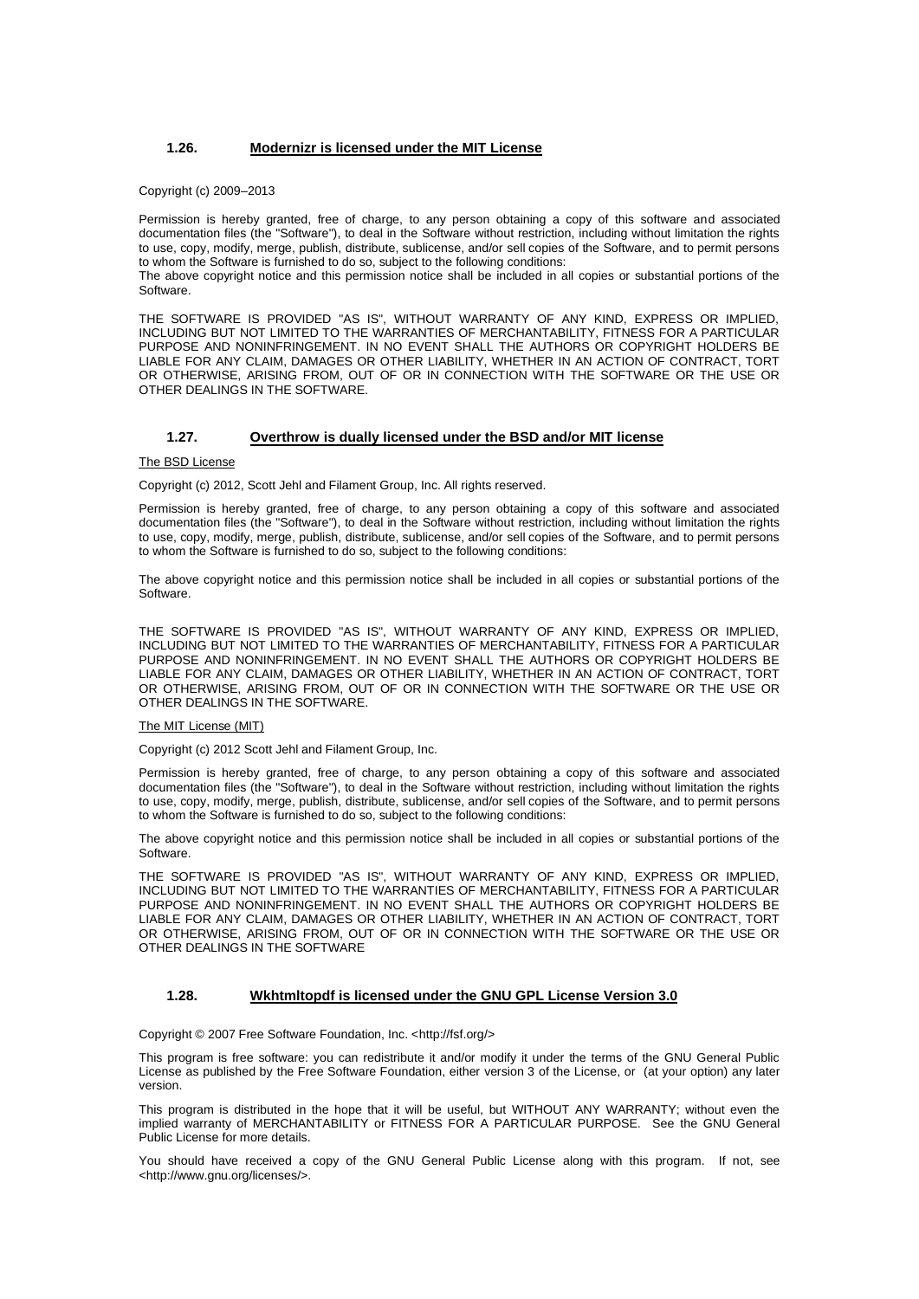### **1.26. Modernizr is licensed under the MIT License**

#### Copyright (c) 2009–2013

Permission is hereby granted, free of charge, to any person obtaining a copy of this software and associated documentation files (the "Software"), to deal in the Software without restriction, including without limitation the rights to use, copy, modify, merge, publish, distribute, sublicense, and/or sell copies of the Software, and to permit persons to whom the Software is furnished to do so, subject to the following conditions:

The above copyright notice and this permission notice shall be included in all copies or substantial portions of the Software.

THE SOFTWARE IS PROVIDED "AS IS", WITHOUT WARRANTY OF ANY KIND, EXPRESS OR IMPLIED, INCLUDING BUT NOT LIMITED TO THE WARRANTIES OF MERCHANTABILITY, FITNESS FOR A PARTICULAR PURPOSE AND NONINFRINGEMENT. IN NO EVENT SHALL THE AUTHORS OR COPYRIGHT HOLDERS BE LIABLE FOR ANY CLAIM, DAMAGES OR OTHER LIABILITY, WHETHER IN AN ACTION OF CONTRACT, TORT OR OTHERWISE, ARISING FROM, OUT OF OR IN CONNECTION WITH THE SOFTWARE OR THE USE OR OTHER DEALINGS IN THE SOFTWARE.

### **1.27. Overthrow is dually licensed under the BSD and/or MIT license**

#### The BSD License

Copyright (c) 2012, Scott Jehl and Filament Group, Inc. All rights reserved.

Permission is hereby granted, free of charge, to any person obtaining a copy of this software and associated documentation files (the "Software"), to deal in the Software without restriction, including without limitation the rights to use, copy, modify, merge, publish, distribute, sublicense, and/or sell copies of the Software, and to permit persons to whom the Software is furnished to do so, subject to the following conditions:

The above copyright notice and this permission notice shall be included in all copies or substantial portions of the Software.

THE SOFTWARE IS PROVIDED "AS IS", WITHOUT WARRANTY OF ANY KIND, EXPRESS OR IMPLIED, INCLUDING BUT NOT LIMITED TO THE WARRANTIES OF MERCHANTABILITY, FITNESS FOR A PARTICULAR PURPOSE AND NONINFRINGEMENT. IN NO EVENT SHALL THE AUTHORS OR COPYRIGHT HOLDERS BE LIABLE FOR ANY CLAIM, DAMAGES OR OTHER LIABILITY, WHETHER IN AN ACTION OF CONTRACT, TORT OR OTHERWISE, ARISING FROM, OUT OF OR IN CONNECTION WITH THE SOFTWARE OR THE USE OR OTHER DEALINGS IN THE SOFTWARE.

#### The MIT License (MIT)

Copyright (c) 2012 Scott Jehl and Filament Group, Inc.

Permission is hereby granted, free of charge, to any person obtaining a copy of this software and associated documentation files (the "Software"), to deal in the Software without restriction, including without limitation the rights to use, copy, modify, merge, publish, distribute, sublicense, and/or sell copies of the Software, and to permit persons to whom the Software is furnished to do so, subject to the following conditions:

The above copyright notice and this permission notice shall be included in all copies or substantial portions of the Software.

THE SOFTWARE IS PROVIDED "AS IS", WITHOUT WARRANTY OF ANY KIND, EXPRESS OR IMPLIED, INCLUDING BUT NOT LIMITED TO THE WARRANTIES OF MERCHANTABILITY, FITNESS FOR A PARTICULAR PURPOSE AND NONINFRINGEMENT. IN NO EVENT SHALL THE AUTHORS OR COPYRIGHT HOLDERS BE LIABLE FOR ANY CLAIM, DAMAGES OR OTHER LIABILITY, WHETHER IN AN ACTION OF CONTRACT, TORT OR OTHERWISE, ARISING FROM, OUT OF OR IN CONNECTION WITH THE SOFTWARE OR THE USE OR OTHER DEALINGS IN THE SOFTWARE

### **1.28. Wkhtmltopdf is licensed under the GNU GPL License Version 3.0**

Copyright © 2007 Free Software Foundation, Inc. [<http://fsf.org/>](http://fsf.org/)

This program is free software: you can redistribute it and/or modify it under the terms of the GNU General Public License as published by the Free Software Foundation, either version 3 of the License, or (at your option) any later version.

This program is distributed in the hope that it will be useful, but WITHOUT ANY WARRANTY; without even the implied warranty of MERCHANTABILITY or FITNESS FOR A PARTICULAR PURPOSE. See the GNU General Public License for more details.

You should have received a copy of the GNU General Public License along with this program. If not, see <http://www.gnu.org/licenses/>.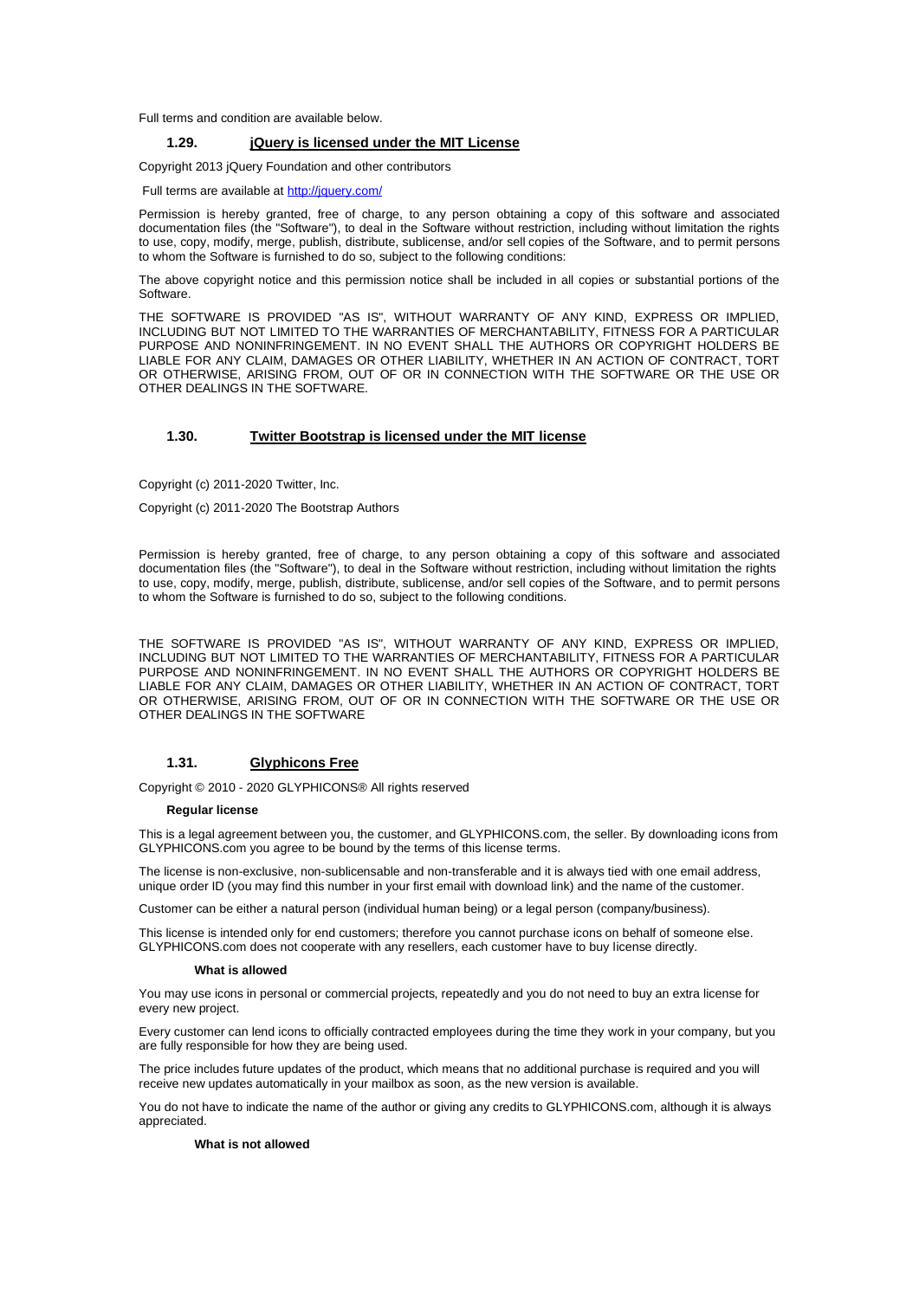Full terms and condition are available below.

### **1.29. jQuery is licensed under the MIT License**

Copyright 2013 jQuery Foundation and other contributors

Full terms are available at<http://jquery.com/>

Permission is hereby granted, free of charge, to any person obtaining a copy of this software and associated documentation files (the "Software"), to deal in the Software without restriction, including without limitation the rights to use, copy, modify, merge, publish, distribute, sublicense, and/or sell copies of the Software, and to permit persons to whom the Software is furnished to do so, subject to the following conditions:

The above copyright notice and this permission notice shall be included in all copies or substantial portions of the Software.

THE SOFTWARE IS PROVIDED "AS IS", WITHOUT WARRANTY OF ANY KIND, EXPRESS OR IMPLIED, INCLUDING BUT NOT LIMITED TO THE WARRANTIES OF MERCHANTABILITY, FITNESS FOR A PARTICULAR PURPOSE AND NONINFRINGEMENT. IN NO EVENT SHALL THE AUTHORS OR COPYRIGHT HOLDERS BE LIABLE FOR ANY CLAIM, DAMAGES OR OTHER LIABILITY, WHETHER IN AN ACTION OF CONTRACT, TORT OR OTHERWISE, ARISING FROM, OUT OF OR IN CONNECTION WITH THE SOFTWARE OR THE USE OR OTHER DEALINGS IN THE SOFTWARE.

### **1.30. Twitter Bootstrap is licensed under the MIT license**

Copyright (c) 2011-2020 Twitter, Inc.

Copyright (c) 2011-2020 The Bootstrap Authors

Permission is hereby granted, free of charge, to any person obtaining a copy of this software and associated documentation files (the "Software"), to deal in the Software without restriction, including without limitation the rights to use, copy, modify, merge, publish, distribute, sublicense, and/or sell copies of the Software, and to permit persons to whom the Software is furnished to do so, subject to the following conditions.

THE SOFTWARE IS PROVIDED "AS IS", WITHOUT WARRANTY OF ANY KIND, EXPRESS OR IMPLIED, INCLUDING BUT NOT LIMITED TO THE WARRANTIES OF MERCHANTABILITY, FITNESS FOR A PARTICULAR PURPOSE AND NONINFRINGEMENT. IN NO EVENT SHALL THE AUTHORS OR COPYRIGHT HOLDERS BE LIABLE FOR ANY CLAIM, DAMAGES OR OTHER LIABILITY, WHETHER IN AN ACTION OF CONTRACT, TORT OR OTHERWISE, ARISING FROM, OUT OF OR IN CONNECTION WITH THE SOFTWARE OR THE USE OR OTHER DEALINGS IN THE SOFTWARE

### **1.31. Glyphicons Free**

Copyright © 2010 - 2020 GLYPHICONS® All rights reserved

#### **Regular license**

This is a legal agreement between you, the customer, and GLYPHICONS.com, the seller. By downloading icons from GLYPHICONS.com you agree to be bound by the terms of this license terms.

The license is non-exclusive, non-sublicensable and non-transferable and it is always tied with one email address, unique order ID (you may find this number in your first email with download link) and the name of the customer.

Customer can be either a natural person (individual human being) or a legal person (company/business).

This license is intended only for end customers; therefore you cannot purchase icons on behalf of someone else. GLYPHICONS.com does not cooperate with any resellers, each customer have to buy license directly.

#### **What is allowed**

You may use icons in personal or commercial projects, repeatedly and you do not need to buy an extra license for every new project.

Every customer can lend icons to officially contracted employees during the time they work in your company, but you are fully responsible for how they are being used.

The price includes future updates of the product, which means that no additional purchase is required and you will receive new updates automatically in your mailbox as soon, as the new version is available.

You do not have to indicate the name of the author or giving any credits to GLYPHICONS.com, although it is always appreciated.

#### **What is not allowed**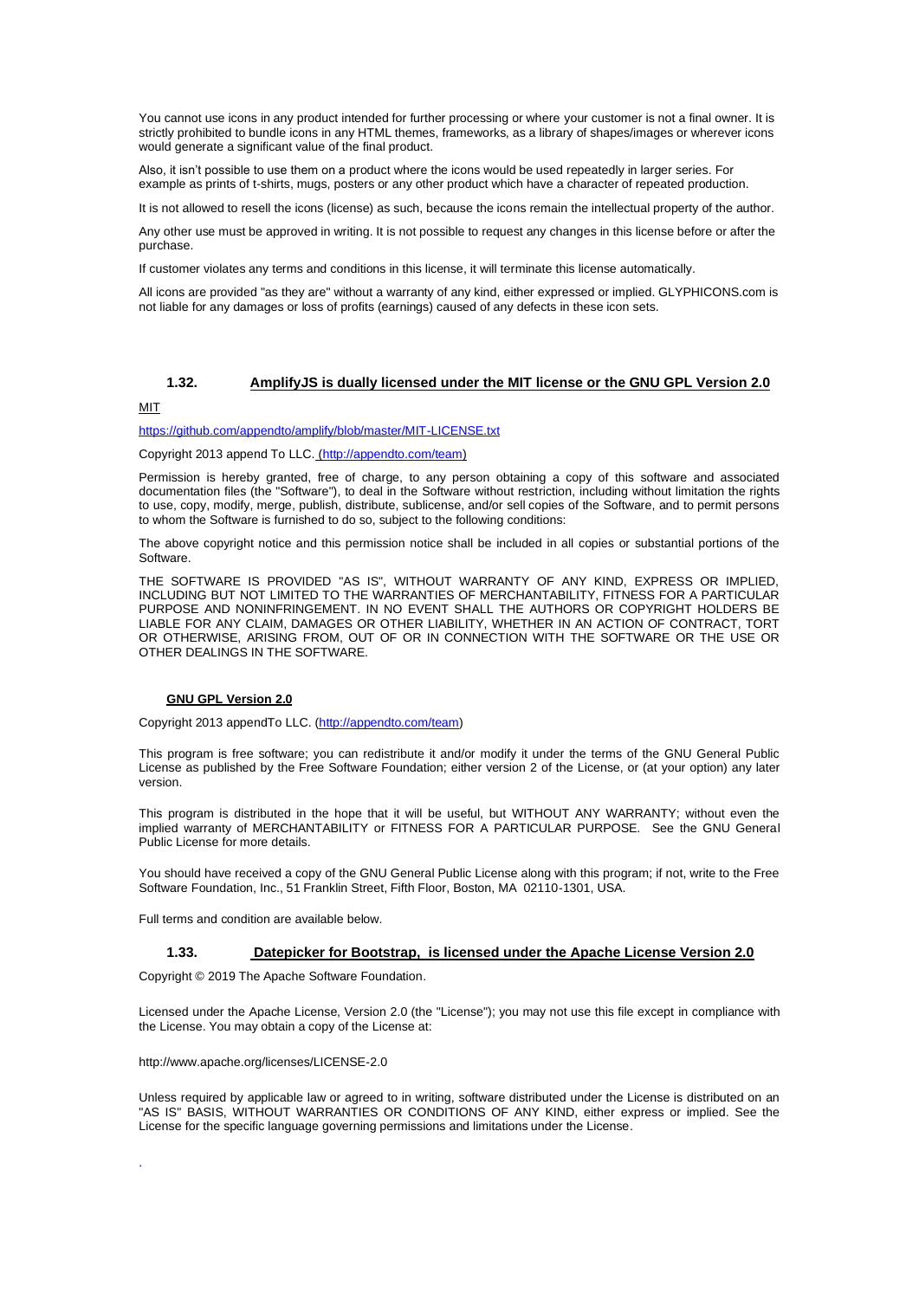You cannot use icons in any product intended for further processing or where your customer is not a final owner. It is strictly prohibited to bundle icons in any HTML themes, frameworks, as a library of shapes/images or wherever icons would generate a significant value of the final product.

Also, it isn't possible to use them on a product where the icons would be used repeatedly in larger series. For example as prints of t-shirts, mugs, posters or any other product which have a character of repeated production.

It is not allowed to resell the icons (license) as such, because the icons remain the intellectual property of the author.

Any other use must be approved in writing. It is not possible to request any changes in this license before or after the purchase.

If customer violates any terms and conditions in this license, it will terminate this license automatically.

All icons are provided "as they are" without a warranty of any kind, either expressed or implied. GLYPHICONS.com is not liable for any damages or loss of profits (earnings) caused of any defects in these icon sets.

# **1.32. AmplifyJS is dually licensed under the MIT license or the GNU GPL Version 2.0**

### MIT

### <https://github.com/appendto/amplify/blob/master/MIT-LICENSE.txt>

Copyright 2013 append To LLC. [\(http://appendto.com/team\)](http://appendto.com/team)

Permission is hereby granted, free of charge, to any person obtaining a copy of this software and associated documentation files (the "Software"), to deal in the Software without restriction, including without limitation the rights to use, copy, modify, merge, publish, distribute, sublicense, and/or sell copies of the Software, and to permit persons to whom the Software is furnished to do so, subject to the following conditions:

The above copyright notice and this permission notice shall be included in all copies or substantial portions of the Software.

THE SOFTWARE IS PROVIDED "AS IS", WITHOUT WARRANTY OF ANY KIND, EXPRESS OR IMPLIED, INCLUDING BUT NOT LIMITED TO THE WARRANTIES OF MERCHANTABILITY, FITNESS FOR A PARTICULAR PURPOSE AND NONINFRINGEMENT. IN NO EVENT SHALL THE AUTHORS OR COPYRIGHT HOLDERS BE LIABLE FOR ANY CLAIM, DAMAGES OR OTHER LIABILITY, WHETHER IN AN ACTION OF CONTRACT, TORT OR OTHERWISE, ARISING FROM, OUT OF OR IN CONNECTION WITH THE SOFTWARE OR THE USE OR OTHER DEALINGS IN THE SOFTWARE.

## **GNU GPL Version 2.0**

Copyright 2013 appendTo LLC. [\(http://appendto.com/team\)](http://appendto.com/team)

This program is free software; you can redistribute it and/or modify it under the terms of the GNU General Public License as published by the Free Software Foundation; either version 2 of the License, or (at your option) any later version.

This program is distributed in the hope that it will be useful, but WITHOUT ANY WARRANTY; without even the implied warranty of MERCHANTABILITY or FITNESS FOR A PARTICULAR PURPOSE. See the GNU General Public License for more details.

You should have received a copy of the GNU General Public License along with this program; if not, write to the Free Software Foundation, Inc., 51 Franklin Street, Fifth Floor, Boston, MA 02110-1301, USA.

Full terms and condition are available below.

### **1.33. Datepicker for Bootstrap, is licensed under the Apache License Version 2.0**

Copyright © 2019 The Apache Software Foundation.

Licensed under the Apache License, Version 2.0 (the "License"); you may not use this file except in compliance with the License. You may obtain a copy of the License at:

http://www.apache.org/licenses/LICENSE-2.0

.

Unless required by applicable law or agreed to in writing, software distributed under the License is distributed on an "AS IS" BASIS, WITHOUT WARRANTIES OR CONDITIONS OF ANY KIND, either express or implied. See the License for the specific language governing permissions and limitations under the License.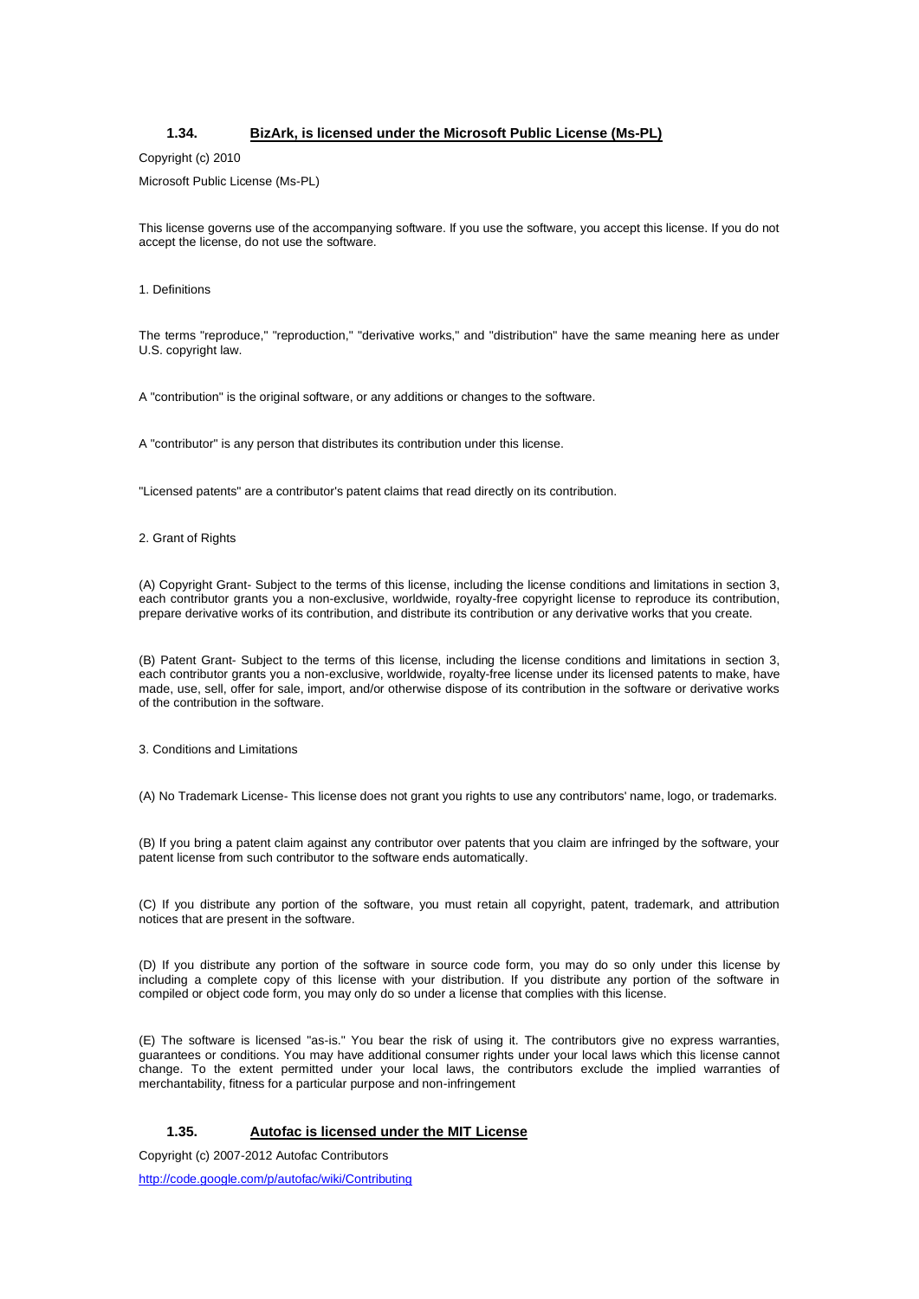## **1.34. BizArk, is licensed under the Microsoft Public License (Ms-PL)**

Copyright (c) 2010

Microsoft Public License (Ms-PL)

This license governs use of the accompanying software. If you use the software, you accept this license. If you do not accept the license, do not use the software.

1. Definitions

The terms "reproduce," "reproduction," "derivative works," and "distribution" have the same meaning here as under U.S. copyright law.

A "contribution" is the original software, or any additions or changes to the software.

A "contributor" is any person that distributes its contribution under this license.

"Licensed patents" are a contributor's patent claims that read directly on its contribution.

2. Grant of Rights

(A) Copyright Grant- Subject to the terms of this license, including the license conditions and limitations in section 3, each contributor grants you a non-exclusive, worldwide, royalty-free copyright license to reproduce its contribution, prepare derivative works of its contribution, and distribute its contribution or any derivative works that you create.

(B) Patent Grant- Subject to the terms of this license, including the license conditions and limitations in section 3, each contributor grants you a non-exclusive, worldwide, royalty-free license under its licensed patents to make, have made, use, sell, offer for sale, import, and/or otherwise dispose of its contribution in the software or derivative works of the contribution in the software.

3. Conditions and Limitations

(A) No Trademark License- This license does not grant you rights to use any contributors' name, logo, or trademarks.

(B) If you bring a patent claim against any contributor over patents that you claim are infringed by the software, your patent license from such contributor to the software ends automatically.

(C) If you distribute any portion of the software, you must retain all copyright, patent, trademark, and attribution notices that are present in the software.

(D) If you distribute any portion of the software in source code form, you may do so only under this license by including a complete copy of this license with your distribution. If you distribute any portion of the software in compiled or object code form, you may only do so under a license that complies with this license.

(E) The software is licensed "as-is." You bear the risk of using it. The contributors give no express warranties, guarantees or conditions. You may have additional consumer rights under your local laws which this license cannot change. To the extent permitted under your local laws, the contributors exclude the implied warranties of merchantability, fitness for a particular purpose and non-infringement

### **1.35. Autofac is licensed under the MIT License**

Copyright (c) 2007-2012 Autofac Contributors

<http://code.google.com/p/autofac/wiki/Contributing>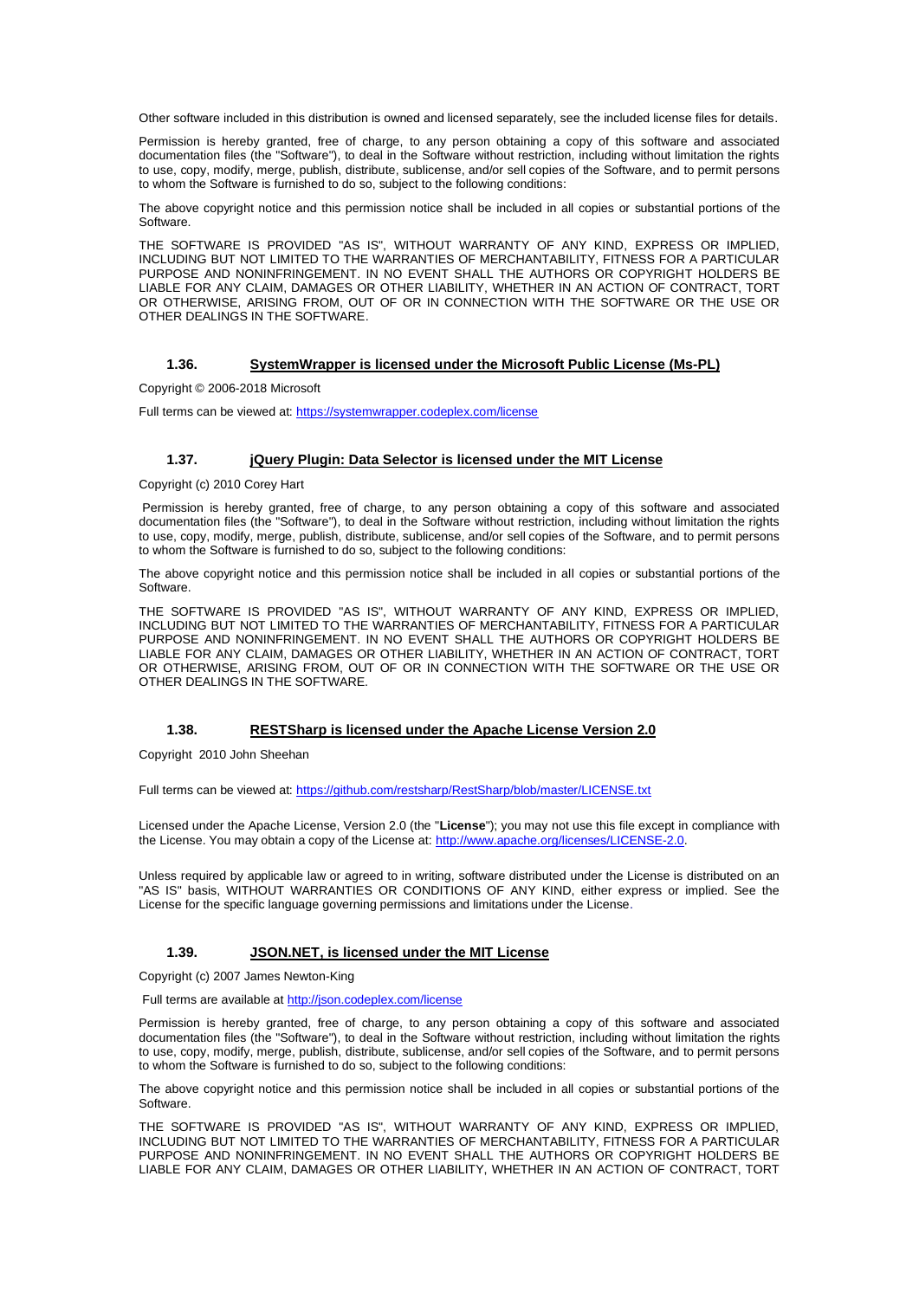Other software included in this distribution is owned and licensed separately, see the included license files for details .

Permission is hereby granted, free of charge, to any person obtaining a copy of this software and associated documentation files (the "Software"), to deal in the Software without restriction, including without limitation the rights to use, copy, modify, merge, publish, distribute, sublicense, and/or sell copies of the Software, and to permit persons to whom the Software is furnished to do so, subject to the following conditions :

The above copyright notice and this permission notice shall be included in all copies or substantial portions of the Software .

THE SOFTWARE IS PROVIDED "AS IS", WITHOUT WARRANTY OF ANY KIND, EXPRESS OR IMPLIED, INCLUDING BUT NOT LIMITED TO THE WARRANTIES OF MERCHANTABILITY, FITNESS FOR A PARTICULAR PURPOSE AND NONINFRINGEMENT. IN NO EVENT SHALL THE AUTHORS OR COPYRIGHT HOLDERS BE LIABLE FOR ANY CLAIM, DAMAGES OR OTHER LIABILITY, WHETHER IN AN ACTION OF CONTRACT, TORT OR OTHERWISE, ARISING FROM, OUT OF OR IN CONNECTION WITH THE SOFTWARE OR THE USE OR OTHER DEALINGS IN THE SOFTWARE .

### **1.36. SystemWrapper is licensed under the Microsoft Public License (Ms-PL)**

Copyright © 2006-2018 Microsoft

Full terms can be viewed at:<https://systemwrapper.codeplex.com/license>

### **1.37. jQuery Plugin: Data Selector is licensed under the MIT License**

Copyright (c) 2010 Corey Hart

Permission is hereby granted, free of charge, to any person obtaining a copy of this software and associated documentation files (the "Software"), to deal in the Software without restriction, including without limitation the rights to use, copy, modify, merge, publish, distribute, sublicense, and/or sell copies of the Software, and to permit persons to whom the Software is furnished to do so, subject to the following conditions:

The above copyright notice and this permission notice shall be included in all copies or substantial portions of the Software.

THE SOFTWARE IS PROVIDED "AS IS", WITHOUT WARRANTY OF ANY KIND, EXPRESS OR IMPLIED, INCLUDING BUT NOT LIMITED TO THE WARRANTIES OF MERCHANTABILITY, FITNESS FOR A PARTICULAR PURPOSE AND NONINFRINGEMENT. IN NO EVENT SHALL THE AUTHORS OR COPYRIGHT HOLDERS BE LIABLE FOR ANY CLAIM, DAMAGES OR OTHER LIABILITY, WHETHER IN AN ACTION OF CONTRACT, TORT OR OTHERWISE, ARISING FROM, OUT OF OR IN CONNECTION WITH THE SOFTWARE OR THE USE OR OTHER DEALINGS IN THE SOFTWARE.

### **1.38. RESTSharp is licensed under the Apache License Version 2.0**

Copyright 2010 John Sheehan

Full terms can be viewed at:<https://github.com/restsharp/RestSharp/blob/master/LICENSE.txt>

Licensed under the Apache License, Version 2.0 (the "**License**"); you may not use this file except in compliance with the License. You may obtain a copy of the License at[: http://www.apache.org/licenses/LICENSE-2.0.](http://www.apache.org/licenses/LICENSE-2.0)

Unless required by applicable law or agreed to in writing, software distributed under the License is distributed on an "AS IS" basis, WITHOUT WARRANTIES OR CONDITIONS OF ANY KIND, either express or implied. See the License for the specific language governing permissions and limitations under the License.

### **1.39. JSON.NET, is licensed under the MIT License**

Copyright (c) 2007 James Newton-King

Full terms are available at<http://json.codeplex.com/license>

Permission is hereby granted, free of charge, to any person obtaining a copy of this software and associated documentation files (the "Software"), to deal in the Software without restriction, including without limitation the rights to use, copy, modify, merge, publish, distribute, sublicense, and/or sell copies of the Software, and to permit persons to whom the Software is furnished to do so, subject to the following conditions:

The above copyright notice and this permission notice shall be included in all copies or substantial portions of the Software.

THE SOFTWARE IS PROVIDED "AS IS", WITHOUT WARRANTY OF ANY KIND, EXPRESS OR IMPLIED, INCLUDING BUT NOT LIMITED TO THE WARRANTIES OF MERCHANTABILITY, FITNESS FOR A PARTICULAR PURPOSE AND NONINFRINGEMENT. IN NO EVENT SHALL THE AUTHORS OR COPYRIGHT HOLDERS BE LIABLE FOR ANY CLAIM, DAMAGES OR OTHER LIABILITY, WHETHER IN AN ACTION OF CONTRACT, TORT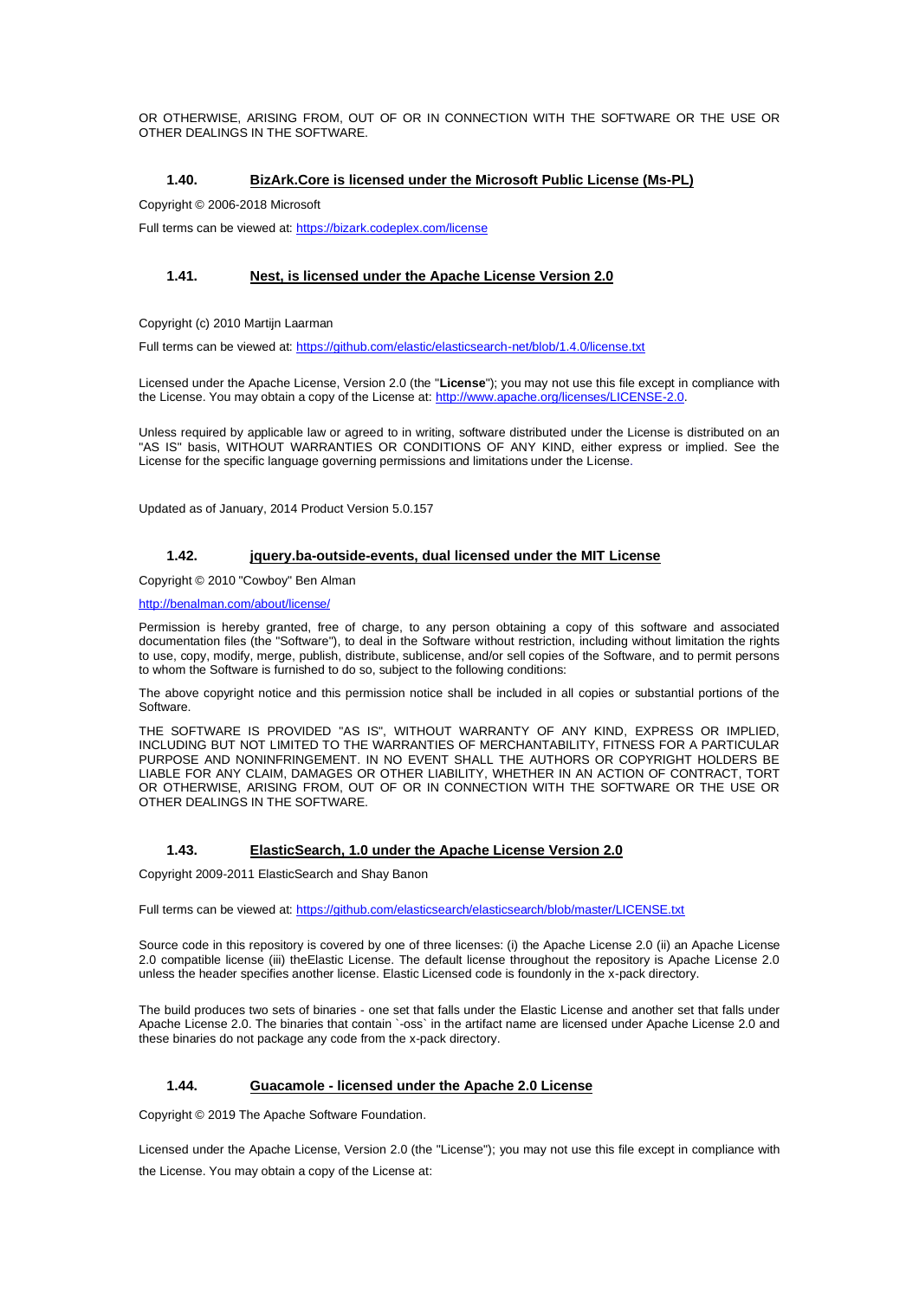OR OTHERWISE, ARISING FROM, OUT OF OR IN CONNECTION WITH THE SOFTWARE OR THE USE OR OTHER DEALINGS IN THE SOFTWARE.

### **1.40. BizArk.Core is licensed under the Microsoft Public License (Ms-PL)**

Copyright © 2006-2018 Microsoft

Full terms can be viewed at:<https://bizark.codeplex.com/license>

### **1.41. Nest, is licensed under the Apache License Version 2.0**

Copyright (c) 2010 Martijn Laarman

Full terms can be viewed at:<https://github.com/elastic/elasticsearch-net/blob/1.4.0/license.txt>

Licensed under the Apache License, Version 2.0 (the "**License**"); you may not use this file except in compliance with the License. You may obtain a copy of the License at[: http://www.apache.org/licenses/LICENSE-2.0.](http://www.apache.org/licenses/LICENSE-2.0)

Unless required by applicable law or agreed to in writing, software distributed under the License is distributed on an "AS IS" basis, WITHOUT WARRANTIES OR CONDITIONS OF ANY KIND, either express or implied. See the License for the specific language governing permissions and limitations under the License.

Updated as of January, 2014 Product Version 5.0.157

### **1.42. jquery.ba-outside-events, dual licensed under the MIT License**

Copyright © 2010 "Cowboy" Ben Alman

<http://benalman.com/about/license/>

Permission is hereby granted, free of charge, to any person obtaining a copy of this software and associated documentation files (the "Software"), to deal in the Software without restriction, including without limitation the rights to use, copy, modify, merge, publish, distribute, sublicense, and/or sell copies of the Software, and to permit persons to whom the Software is furnished to do so, subject to the following conditions :

The above copyright notice and this permission notice shall be included in all copies or substantial portions of the Software .

THE SOFTWARE IS PROVIDED "AS IS", WITHOUT WARRANTY OF ANY KIND, EXPRESS OR IMPLIED, INCLUDING BUT NOT LIMITED TO THE WARRANTIES OF MERCHANTABILITY, FITNESS FOR A PARTICULAR PURPOSE AND NONINFRINGEMENT. IN NO EVENT SHALL THE AUTHORS OR COPYRIGHT HOLDERS BE LIABLE FOR ANY CLAIM, DAMAGES OR OTHER LIABILITY, WHETHER IN AN ACTION OF CONTRACT, TORT OR OTHERWISE, ARISING FROM, OUT OF OR IN CONNECTION WITH THE SOFTWARE OR THE USE OR OTHER DEALINGS IN THE SOFTWARE.

### **1.43. ElasticSearch, 1.0 under the Apache License Version 2.0**

Copyright 2009-2011 ElasticSearch and Shay Banon

Full terms can be viewed at:<https://github.com/elasticsearch/elasticsearch/blob/master/LICENSE.txt>

Source code in this repository is covered by one of three licenses: (i) the Apache License 2.0 (ii) an Apache License 2.0 compatible license (iii) theElastic License. The default license throughout the repository is Apache License 2.0 unless the header specifies another license. Elastic Licensed code is foundonly in the x-pack directory.

The build produces two sets of binaries - one set that falls under the Elastic License and another set that falls under Apache License 2.0. The binaries that contain `-oss` in the artifact name are licensed under Apache License 2.0 and these binaries do not package any code from the x-pack directory.

### **1.44. Guacamole - licensed under the Apache 2.0 License**

Copyright © 2019 The Apache Software Foundation.

Licensed under the Apache License, Version 2.0 (the "License"); you may not use this file except in compliance with the License. You may obtain a copy of the License at: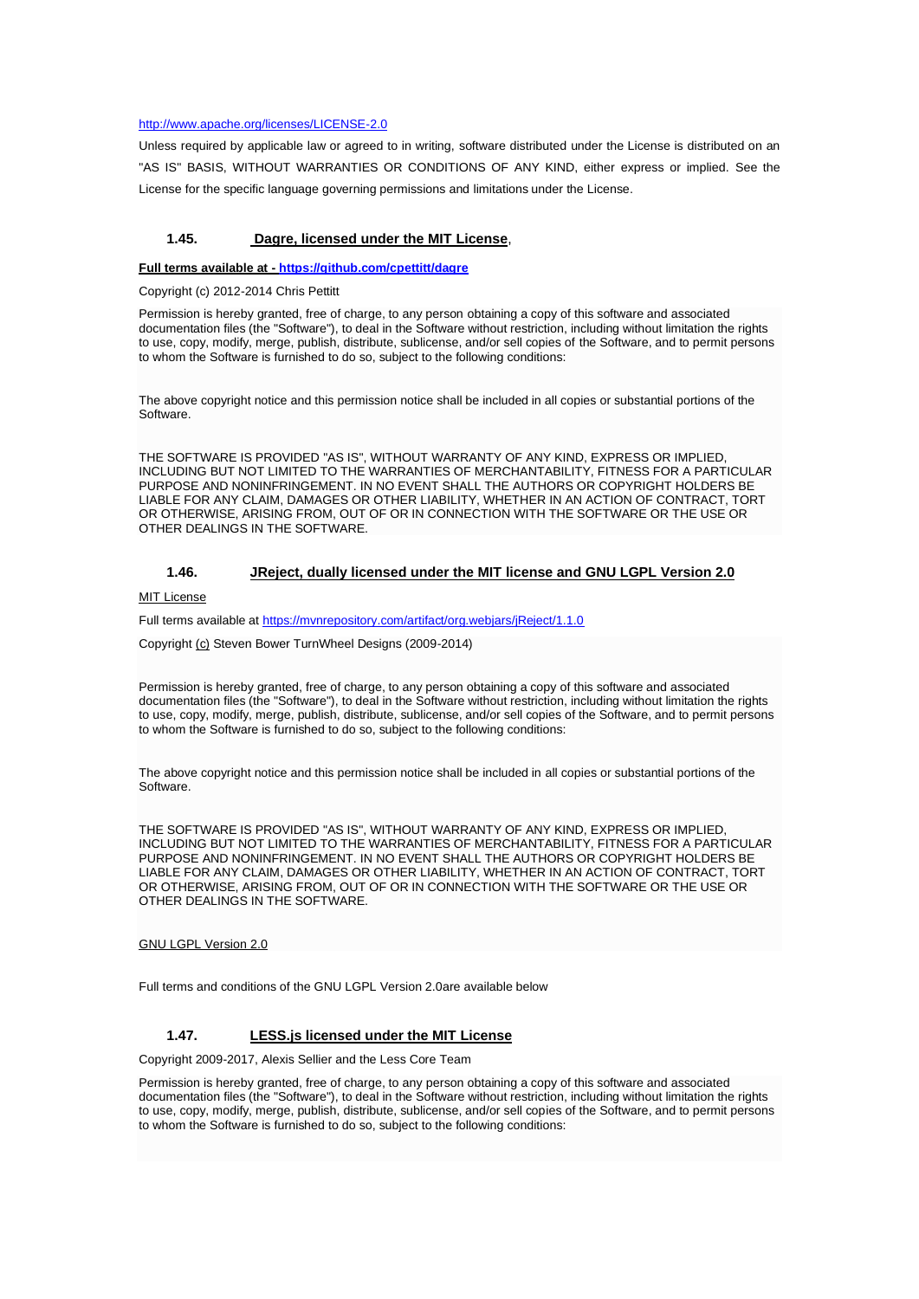#### <http://www.apache.org/licenses/LICENSE-2.0>

Unless required by applicable law or agreed to in writing, software distributed under the License is distributed on an "AS IS" BASIS, WITHOUT WARRANTIES OR CONDITIONS OF ANY KIND, either express or implied. See the License for the specific language governing permissions and limitations under the License.

### **1.45. Dagre, licensed under the MIT License**,

#### **Full terms available at - <https://github.com/cpettitt/dagre>**

Copyright (c) 2012-2014 Chris Pettitt

Permission is hereby granted, free of charge, to any person obtaining a copy of this software and associated documentation files (the "Software"), to deal in the Software without restriction, including without limitation the rights to use, copy, modify, merge, publish, distribute, sublicense, and/or sell copies of the Software, and to permit persons to whom the Software is furnished to do so, subject to the following conditions:

The above copyright notice and this permission notice shall be included in all copies or substantial portions of the Software.

THE SOFTWARE IS PROVIDED "AS IS", WITHOUT WARRANTY OF ANY KIND, EXPRESS OR IMPLIED, INCLUDING BUT NOT LIMITED TO THE WARRANTIES OF MERCHANTABILITY, FITNESS FOR A PARTICULAR PURPOSE AND NONINFRINGEMENT. IN NO EVENT SHALL THE AUTHORS OR COPYRIGHT HOLDERS BE LIABLE FOR ANY CLAIM, DAMAGES OR OTHER LIABILITY, WHETHER IN AN ACTION OF CONTRACT, TORT OR OTHERWISE, ARISING FROM, OUT OF OR IN CONNECTION WITH THE SOFTWARE OR THE USE OR OTHER DEALINGS IN THE SOFTWARE.

### **1.46. JReject, dually licensed under the MIT license and GNU LGPL Version 2.0**

**MIT License** 

Full terms available at<https://mvnrepository.com/artifact/org.webjars/jReject/1.1.0>

Copyright (c) Steven Bower TurnWheel Designs (2009-2014)

Permission is hereby granted, free of charge, to any person obtaining a copy of this software and associated documentation files (the "Software"), to deal in the Software without restriction, including without limitation the rights to use, copy, modify, merge, publish, distribute, sublicense, and/or sell copies of the Software, and to permit persons to whom the Software is furnished to do so, subject to the following conditions:

The above copyright notice and this permission notice shall be included in all copies or substantial portions of the Software.

THE SOFTWARE IS PROVIDED "AS IS", WITHOUT WARRANTY OF ANY KIND, EXPRESS OR IMPLIED, INCLUDING BUT NOT LIMITED TO THE WARRANTIES OF MERCHANTABILITY, FITNESS FOR A PARTICULAR PURPOSE AND NONINFRINGEMENT. IN NO EVENT SHALL THE AUTHORS OR COPYRIGHT HOLDERS BE LIABLE FOR ANY CLAIM, DAMAGES OR OTHER LIABILITY, WHETHER IN AN ACTION OF CONTRACT, TORT OR OTHERWISE, ARISING FROM, OUT OF OR IN CONNECTION WITH THE SOFTWARE OR THE USE OR OTHER DEALINGS IN THE SOFTWARE.

GNU LGPL Version 2.0

Full terms and conditions of the GNU LGPL Version 2.0are available below

### **1.47. LESS.js licensed under the MIT License**

Copyright 2009-2017, Alexis Sellier and the Less Core Team

Permission is hereby granted, free of charge, to any person obtaining a copy of this software and associated documentation files (the "Software"), to deal in the Software without restriction, including without limitation the rights to use, copy, modify, merge, publish, distribute, sublicense, and/or sell copies of the Software, and to permit persons to whom the Software is furnished to do so, subject to the following conditions: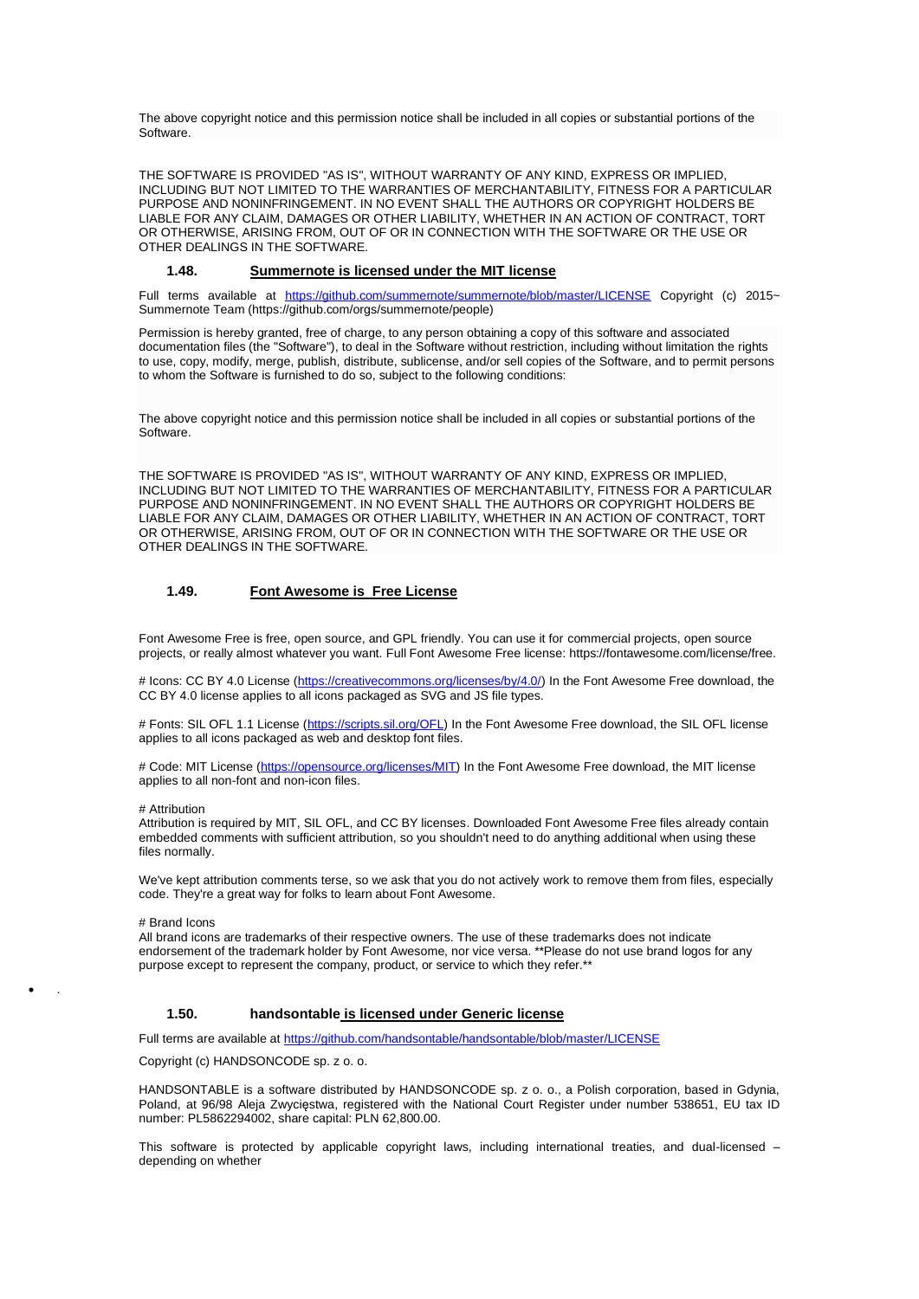The above copyright notice and this permission notice shall be included in all copies or substantial portions of the Software.

THE SOFTWARE IS PROVIDED "AS IS", WITHOUT WARRANTY OF ANY KIND, EXPRESS OR IMPLIED, INCLUDING BUT NOT LIMITED TO THE WARRANTIES OF MERCHANTABILITY, FITNESS FOR A PARTICULAR PURPOSE AND NONINFRINGEMENT. IN NO EVENT SHALL THE AUTHORS OR COPYRIGHT HOLDERS BE LIABLE FOR ANY CLAIM, DAMAGES OR OTHER LIABILITY, WHETHER IN AN ACTION OF CONTRACT, TORT OR OTHERWISE, ARISING FROM, OUT OF OR IN CONNECTION WITH THE SOFTWARE OR THE USE OR OTHER DEALINGS IN THE SOFTWARE.

### **1.48. Summernote is licensed under the MIT license**

Full terms available at <https://github.com/summernote/summernote/blob/master/LICENSE> Copyright (c) 2015~ Summernote Team (https://github.com/orgs/summernote/people)

Permission is hereby granted, free of charge, to any person obtaining a copy of this software and associated documentation files (the "Software"), to deal in the Software without restriction, including without limitation the rights to use, copy, modify, merge, publish, distribute, sublicense, and/or sell copies of the Software, and to permit persons to whom the Software is furnished to do so, subject to the following conditions:

The above copyright notice and this permission notice shall be included in all copies or substantial portions of the Software.

THE SOFTWARE IS PROVIDED "AS IS", WITHOUT WARRANTY OF ANY KIND, EXPRESS OR IMPLIED, INCLUDING BUT NOT LIMITED TO THE WARRANTIES OF MERCHANTABILITY, FITNESS FOR A PARTICULAR PURPOSE AND NONINFRINGEMENT. IN NO EVENT SHALL THE AUTHORS OR COPYRIGHT HOLDERS BE LIABLE FOR ANY CLAIM, DAMAGES OR OTHER LIABILITY, WHETHER IN AN ACTION OF CONTRACT, TORT OR OTHERWISE, ARISING FROM, OUT OF OR IN CONNECTION WITH THE SOFTWARE OR THE USE OR OTHER DEALINGS IN THE SOFTWARE.

## **1.49. Font Awesome is Free License**

Font Awesome Free is free, open source, and GPL friendly. You can use it for commercial projects, open source projects, or really almost whatever you want. Full Font Awesome Free license: https://fontawesome.com/license/free.

# Icons: CC BY 4.0 License [\(https://creativecommons.org/licenses/by/4.0/\)](https://creativecommons.org/licenses/by/4.0/) In the Font Awesome Free download, the CC BY 4.0 license applies to all icons packaged as SVG and JS file types.

# Fonts: SIL OFL 1.1 License [\(https://scripts.sil.org/OFL\)](https://scripts.sil.org/OFL) In the Font Awesome Free download, the SIL OFL license applies to all icons packaged as web and desktop font files.

# Code: MIT License [\(https://opensource.org/licenses/MIT\)](https://opensource.org/licenses/MIT) In the Font Awesome Free download, the MIT license applies to all non-font and non-icon files.

#### # Attribution

Attribution is required by MIT, SIL OFL, and CC BY licenses. Downloaded Font Awesome Free files already contain embedded comments with sufficient attribution, so you shouldn't need to do anything additional when using these files normally.

We've kept attribution comments terse, so we ask that you do not actively work to remove them from files, especially code. They're a great way for folks to learn about Font Awesome.

# Brand Icons

• .

All brand icons are trademarks of their respective owners. The use of these trademarks does not indicate endorsement of the trademark holder by Font Awesome, nor vice versa. \*\*Please do not use brand logos for any purpose except to represent the company, product, or service to which they refer.\*\*

## **1.50. [handsontable](https://github.com/handsontable/handsontable) is licensed under Generic license**

Full terms are available at<https://github.com/handsontable/handsontable/blob/master/LICENSE>

Copyright (c) HANDSONCODE sp. z o. o.

HANDSONTABLE is a software distributed by HANDSONCODE sp. z o. o., a Polish corporation, based in Gdynia, Poland, at 96/98 Aleja Zwycięstwa, registered with the National Court Register under number 538651, EU tax ID number: PL5862294002, share capital: PLN 62,800.00.

This software is protected by applicable copyright laws, including international treaties, and dual-licensed – depending on whether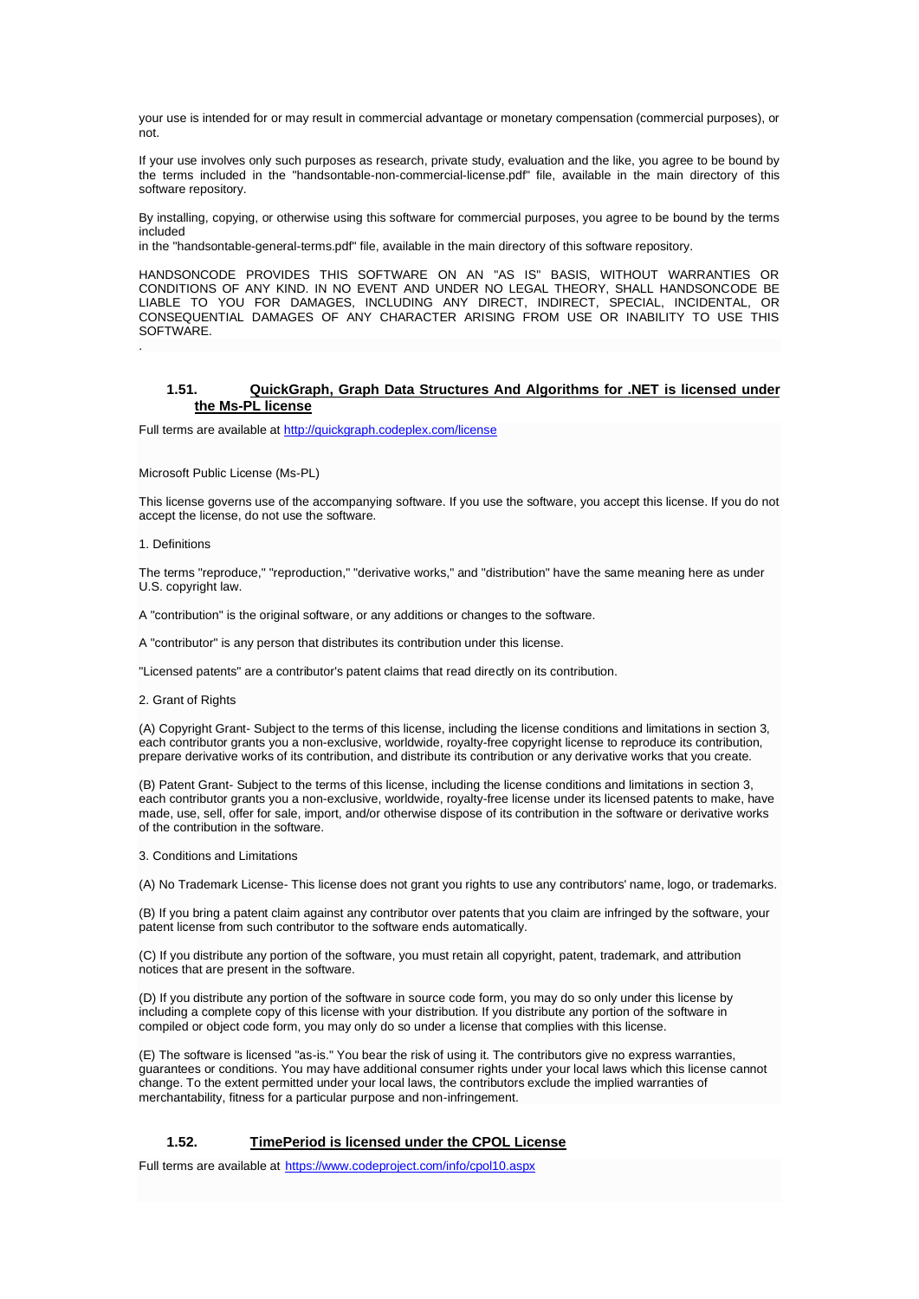your use is intended for or may result in commercial advantage or monetary compensation (commercial purposes), or not.

If your use involves only such purposes as research, private study, evaluation and the like, you agree to be bound by the terms included in the "handsontable-non-commercial-license.pdf" file, available in the main directory of this software repository.

By installing, copying, or otherwise using this software for commercial purposes, you agree to be bound by the terms included

in the "handsontable-general-terms.pdf" file, available in the main directory of this software repository.

HANDSONCODE PROVIDES THIS SOFTWARE ON AN "AS IS" BASIS, WITHOUT WARRANTIES OR CONDITIONS OF ANY KIND. IN NO EVENT AND UNDER NO LEGAL THEORY, SHALL HANDSONCODE BE LIABLE TO YOU FOR DAMAGES, INCLUDING ANY DIRECT, INDIRECT, SPECIAL, INCIDENTAL, OR CONSEQUENTIAL DAMAGES OF ANY CHARACTER ARISING FROM USE OR INABILITY TO USE THIS SOFTWARE.

# .

### **1.51. QuickGraph, Graph Data Structures And Algorithms for .NET is licensed under the Ms-PL license**

Full terms are available at<http://quickgraph.codeplex.com/license>

#### Microsoft Public License (Ms-PL)

This license governs use of the accompanying software. If you use the software, you accept this license. If you do not accept the license, do not use the software.

1. Definitions

The terms "reproduce," "reproduction," "derivative works," and "distribution" have the same meaning here as under U.S. copyright law.

A "contribution" is the original software, or any additions or changes to the software.

A "contributor" is any person that distributes its contribution under this license.

"Licensed patents" are a contributor's patent claims that read directly on its contribution.

2. Grant of Rights

(A) Copyright Grant- Subject to the terms of this license, including the license conditions and limitations in section 3, each contributor grants you a non-exclusive, worldwide, royalty-free copyright license to reproduce its contribution, prepare derivative works of its contribution, and distribute its contribution or any derivative works that you create.

(B) Patent Grant- Subject to the terms of this license, including the license conditions and limitations in section 3, each contributor grants you a non-exclusive, worldwide, royalty-free license under its licensed patents to make, have made, use, sell, offer for sale, import, and/or otherwise dispose of its contribution in the software or derivative works of the contribution in the software.

3. Conditions and Limitations

(A) No Trademark License- This license does not grant you rights to use any contributors' name, logo, or trademarks.

(B) If you bring a patent claim against any contributor over patents that you claim are infringed by the software, your patent license from such contributor to the software ends automatically.

(C) If you distribute any portion of the software, you must retain all copyright, patent, trademark, and attribution notices that are present in the software.

(D) If you distribute any portion of the software in source code form, you may do so only under this license by including a complete copy of this license with your distribution. If you distribute any portion of the software in compiled or object code form, you may only do so under a license that complies with this license.

(E) The software is licensed "as-is." You bear the risk of using it. The contributors give no express warranties, guarantees or conditions. You may have additional consumer rights under your local laws which this license cannot change. To the extent permitted under your local laws, the contributors exclude the implied warranties of merchantability, fitness for a particular purpose and non-infringement.

### **1.52. TimePeriod is licensed under the CPOL License**

Full terms are available at <https://www.codeproject.com/info/cpol10.aspx>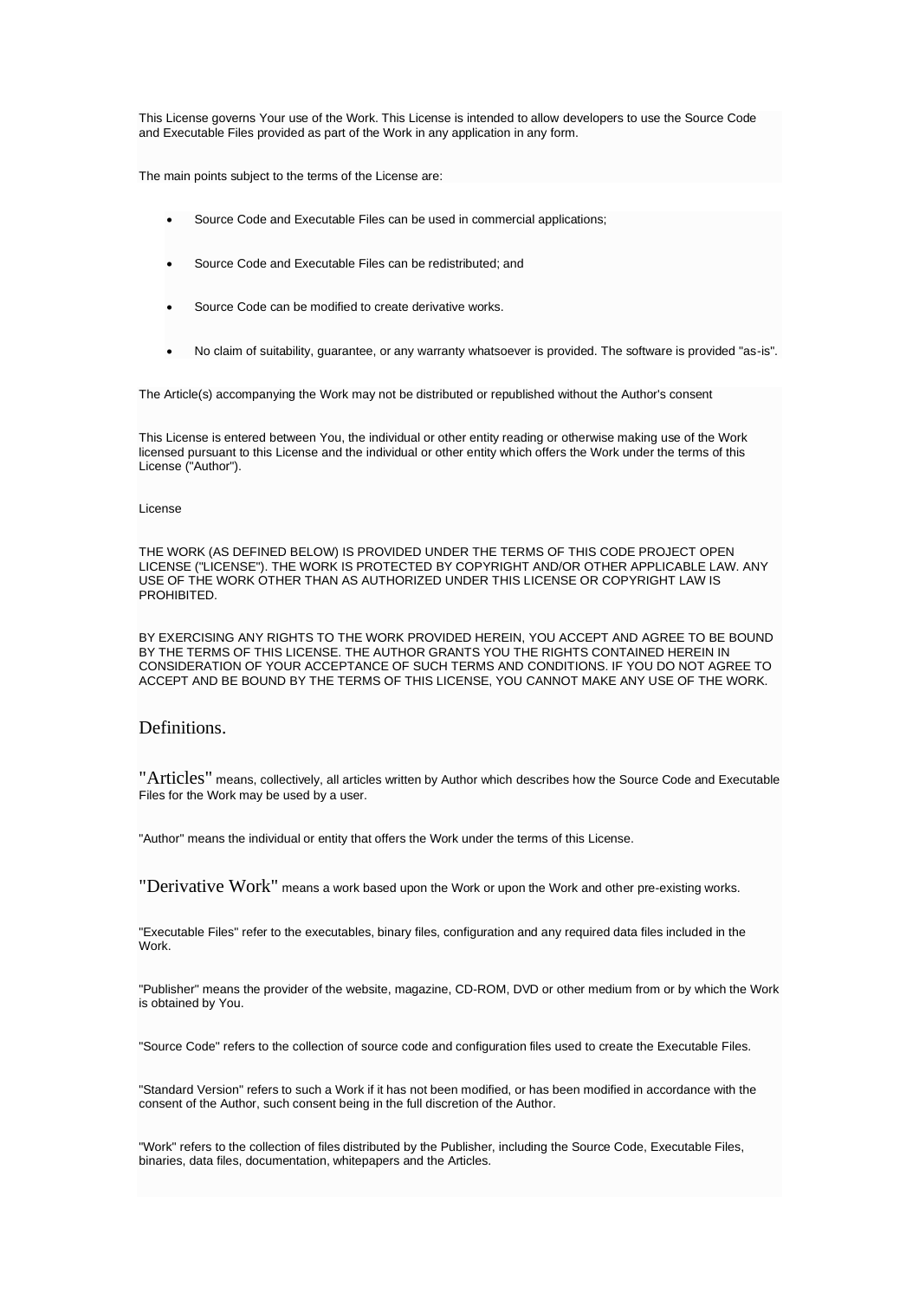This License governs Your use of the Work. This License is intended to allow developers to use the Source Code and Executable Files provided as part of the Work in any application in any form.

The main points subject to the terms of the License are:

- Source Code and Executable Files can be used in commercial applications;
- Source Code and Executable Files can be redistributed; and
- Source Code can be modified to create derivative works.
- No claim of suitability, guarantee, or any warranty whatsoever is provided. The software is provided "as-is".

The Article(s) accompanying the Work may not be distributed or republished without the Author's consent

This License is entered between You, the individual or other entity reading or otherwise making use of the Work licensed pursuant to this License and the individual or other entity which offers the Work under the terms of this License ("Author").

#### License

THE WORK (AS DEFINED BELOW) IS PROVIDED UNDER THE TERMS OF THIS CODE PROJECT OPEN LICENSE ("LICENSE"). THE WORK IS PROTECTED BY COPYRIGHT AND/OR OTHER APPLICABLE LAW. ANY USE OF THE WORK OTHER THAN AS AUTHORIZED UNDER THIS LICENSE OR COPYRIGHT LAW IS PROHIBITED.

BY EXERCISING ANY RIGHTS TO THE WORK PROVIDED HEREIN, YOU ACCEPT AND AGREE TO BE BOUND BY THE TERMS OF THIS LICENSE. THE AUTHOR GRANTS YOU THE RIGHTS CONTAINED HEREIN IN CONSIDERATION OF YOUR ACCEPTANCE OF SUCH TERMS AND CONDITIONS. IF YOU DO NOT AGREE TO ACCEPT AND BE BOUND BY THE TERMS OF THIS LICENSE, YOU CANNOT MAKE ANY USE OF THE WORK.

## Definitions.

"Articles" means, collectively, all articles written by Author which describes how the Source Code and Executable Files for the Work may be used by a user.

"Author" means the individual or entity that offers the Work under the terms of this License.

"Derivative Work" means a work based upon the Work or upon the Work and other pre-existing works.

"Executable Files" refer to the executables, binary files, configuration and any required data files included in the **Work** 

"Publisher" means the provider of the website, magazine, CD-ROM, DVD or other medium from or by which the Work is obtained by You.

"Source Code" refers to the collection of source code and configuration files used to create the Executable Files.

"Standard Version" refers to such a Work if it has not been modified, or has been modified in accordance with the consent of the Author, such consent being in the full discretion of the Author.

"Work" refers to the collection of files distributed by the Publisher, including the Source Code, Executable Files, binaries, data files, documentation, whitepapers and the Articles.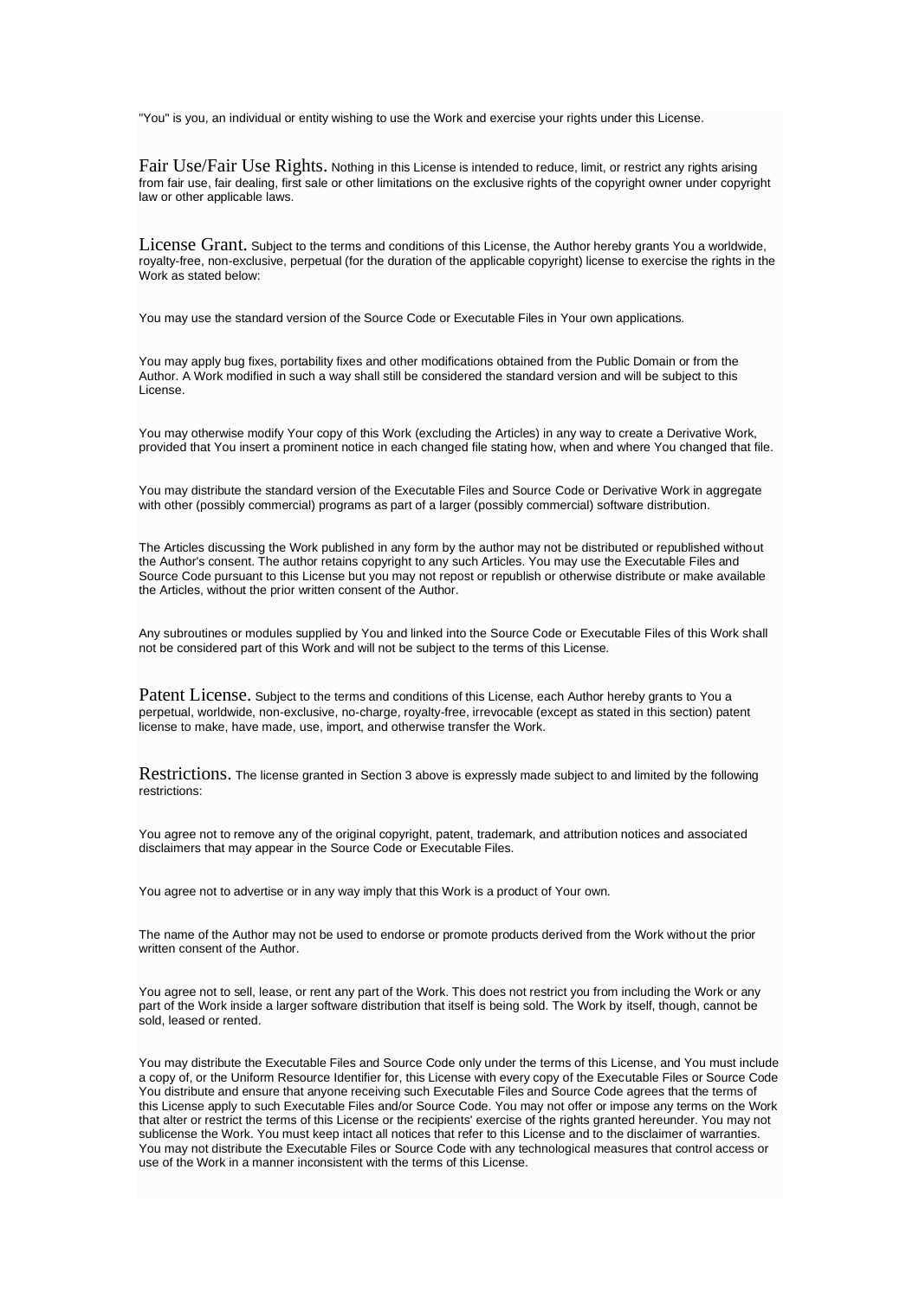"You" is you, an individual or entity wishing to use the Work and exercise your rights under this License.

Fair Use/Fair Use Rights. Nothing in this License is intended to reduce, limit, or restrict any rights arising from fair use, fair dealing, first sale or other limitations on the exclusive rights of the copyright owner under copyright law or other applicable laws.

License Grant. Subject to the terms and conditions of this License, the Author hereby grants You a worldwide, royalty-free, non-exclusive, perpetual (for the duration of the applicable copyright) license to exercise the rights in the Work as stated below:

You may use the standard version of the Source Code or Executable Files in Your own applications.

You may apply bug fixes, portability fixes and other modifications obtained from the Public Domain or from the Author. A Work modified in such a way shall still be considered the standard version and will be subject to this License.

You may otherwise modify Your copy of this Work (excluding the Articles) in any way to create a Derivative Work, provided that You insert a prominent notice in each changed file stating how, when and where You changed that file.

You may distribute the standard version of the Executable Files and Source Code or Derivative Work in aggregate with other (possibly commercial) programs as part of a larger (possibly commercial) software distribution.

The Articles discussing the Work published in any form by the author may not be distributed or republished without the Author's consent. The author retains copyright to any such Articles. You may use the Executable Files and Source Code pursuant to this License but you may not repost or republish or otherwise distribute or make available the Articles, without the prior written consent of the Author.

Any subroutines or modules supplied by You and linked into the Source Code or Executable Files of this Work shall not be considered part of this Work and will not be subject to the terms of this License.

Patent License. Subject to the terms and conditions of this License, each Author hereby grants to You a perpetual, worldwide, non-exclusive, no-charge, royalty-free, irrevocable (except as stated in this section) patent license to make, have made, use, import, and otherwise transfer the Work.

Restrictions. The license granted in Section 3 above is expressly made subject to and limited by the following restrictions:

You agree not to remove any of the original copyright, patent, trademark, and attribution notices and associated disclaimers that may appear in the Source Code or Executable Files.

You agree not to advertise or in any way imply that this Work is a product of Your own.

The name of the Author may not be used to endorse or promote products derived from the Work without the prior written consent of the Author.

You agree not to sell, lease, or rent any part of the Work. This does not restrict you from including the Work or any part of the Work inside a larger software distribution that itself is being sold. The Work by itself, though, cannot be sold, leased or rented.

You may distribute the Executable Files and Source Code only under the terms of this License, and You must include a copy of, or the Uniform Resource Identifier for, this License with every copy of the Executable Files or Source Code You distribute and ensure that anyone receiving such Executable Files and Source Code agrees that the terms of this License apply to such Executable Files and/or Source Code. You may not offer or impose any terms on the Work that alter or restrict the terms of this License or the recipients' exercise of the rights granted hereunder. You may not sublicense the Work. You must keep intact all notices that refer to this License and to the disclaimer of warranties. You may not distribute the Executable Files or Source Code with any technological measures that control access or use of the Work in a manner inconsistent with the terms of this License.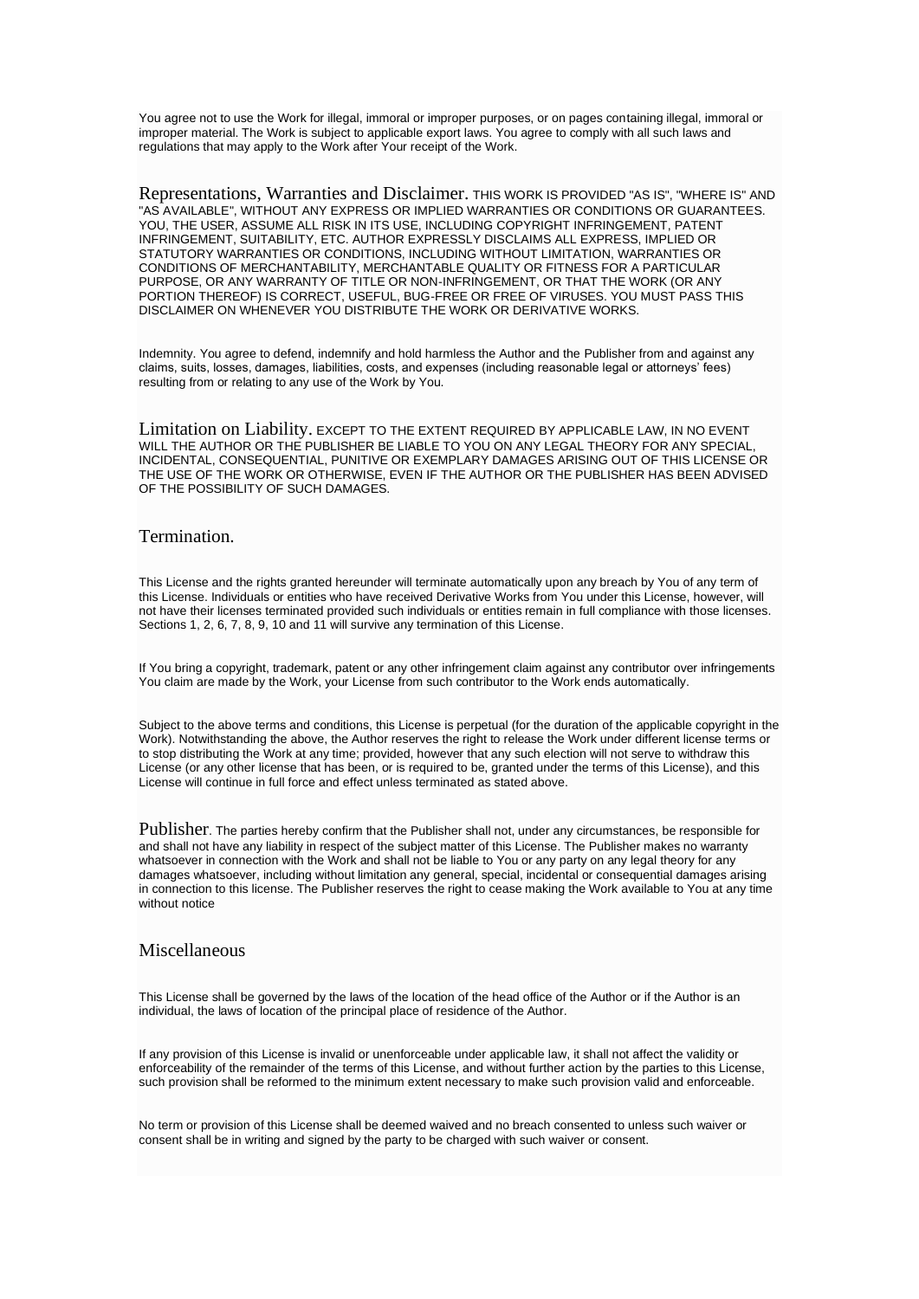You agree not to use the Work for illegal, immoral or improper purposes, or on pages containing illegal, immoral or improper material. The Work is subject to applicable export laws. You agree to comply with all such laws and regulations that may apply to the Work after Your receipt of the Work.

Representations, Warranties and Disclaimer. THIS WORK IS PROVIDED "AS IS", "WHERE IS" AND "AS AVAILABLE", WITHOUT ANY EXPRESS OR IMPLIED WARRANTIES OR CONDITIONS OR GUARANTEES. YOU, THE USER, ASSUME ALL RISK IN ITS USE, INCLUDING COPYRIGHT INFRINGEMENT, PATENT INFRINGEMENT, SUITABILITY, ETC. AUTHOR EXPRESSLY DISCLAIMS ALL EXPRESS, IMPLIED OR STATUTORY WARRANTIES OR CONDITIONS, INCLUDING WITHOUT LIMITATION, WARRANTIES OR CONDITIONS OF MERCHANTABILITY, MERCHANTABLE QUALITY OR FITNESS FOR A PARTICULAR PURPOSE, OR ANY WARRANTY OF TITLE OR NON-INFRINGEMENT, OR THAT THE WORK (OR ANY PORTION THEREOF) IS CORRECT, USEFUL, BUG-FREE OR FREE OF VIRUSES. YOU MUST PASS THIS DISCLAIMER ON WHENEVER YOU DISTRIBUTE THE WORK OR DERIVATIVE WORKS.

Indemnity. You agree to defend, indemnify and hold harmless the Author and the Publisher from and against any claims, suits, losses, damages, liabilities, costs, and expenses (including reasonable legal or attorneys' fees) resulting from or relating to any use of the Work by You.

Limitation on Liability. EXCEPT TO THE EXTENT REQUIRED BY APPLICABLE LAW, IN NO EVENT WILL THE AUTHOR OR THE PUBLISHER BE LIABLE TO YOU ON ANY LEGAL THEORY FOR ANY SPECIAL, INCIDENTAL, CONSEQUENTIAL, PUNITIVE OR EXEMPLARY DAMAGES ARISING OUT OF THIS LICENSE OR THE USE OF THE WORK OR OTHERWISE, EVEN IF THE AUTHOR OR THE PUBLISHER HAS BEEN ADVISED OF THE POSSIBILITY OF SUCH DAMAGES.

# Termination.

This License and the rights granted hereunder will terminate automatically upon any breach by You of any term of this License. Individuals or entities who have received Derivative Works from You under this License, however, will not have their licenses terminated provided such individuals or entities remain in full compliance with those licenses. Sections 1, 2, 6, 7, 8, 9, 10 and 11 will survive any termination of this License.

If You bring a copyright, trademark, patent or any other infringement claim against any contributor over infringements You claim are made by the Work, your License from such contributor to the Work ends automatically.

Subject to the above terms and conditions, this License is perpetual (for the duration of the applicable copyright in the Work). Notwithstanding the above, the Author reserves the right to release the Work under different license terms or to stop distributing the Work at any time; provided, however that any such election will not serve to withdraw this License (or any other license that has been, or is required to be, granted under the terms of this License), and this License will continue in full force and effect unless terminated as stated above.

Publisher. The parties hereby confirm that the Publisher shall not, under any circumstances, be responsible for and shall not have any liability in respect of the subject matter of this License. The Publisher makes no warranty whatsoever in connection with the Work and shall not be liable to You or any party on any legal theory for any damages whatsoever, including without limitation any general, special, incidental or consequential damages arising in connection to this license. The Publisher reserves the right to cease making the Work available to You at any time without notice

# Miscellaneous

This License shall be governed by the laws of the location of the head office of the Author or if the Author is an individual, the laws of location of the principal place of residence of the Author.

If any provision of this License is invalid or unenforceable under applicable law, it shall not affect the validity or enforceability of the remainder of the terms of this License, and without further action by the parties to this License, such provision shall be reformed to the minimum extent necessary to make such provision valid and enforceable.

No term or provision of this License shall be deemed waived and no breach consented to unless such waiver or consent shall be in writing and signed by the party to be charged with such waiver or consent.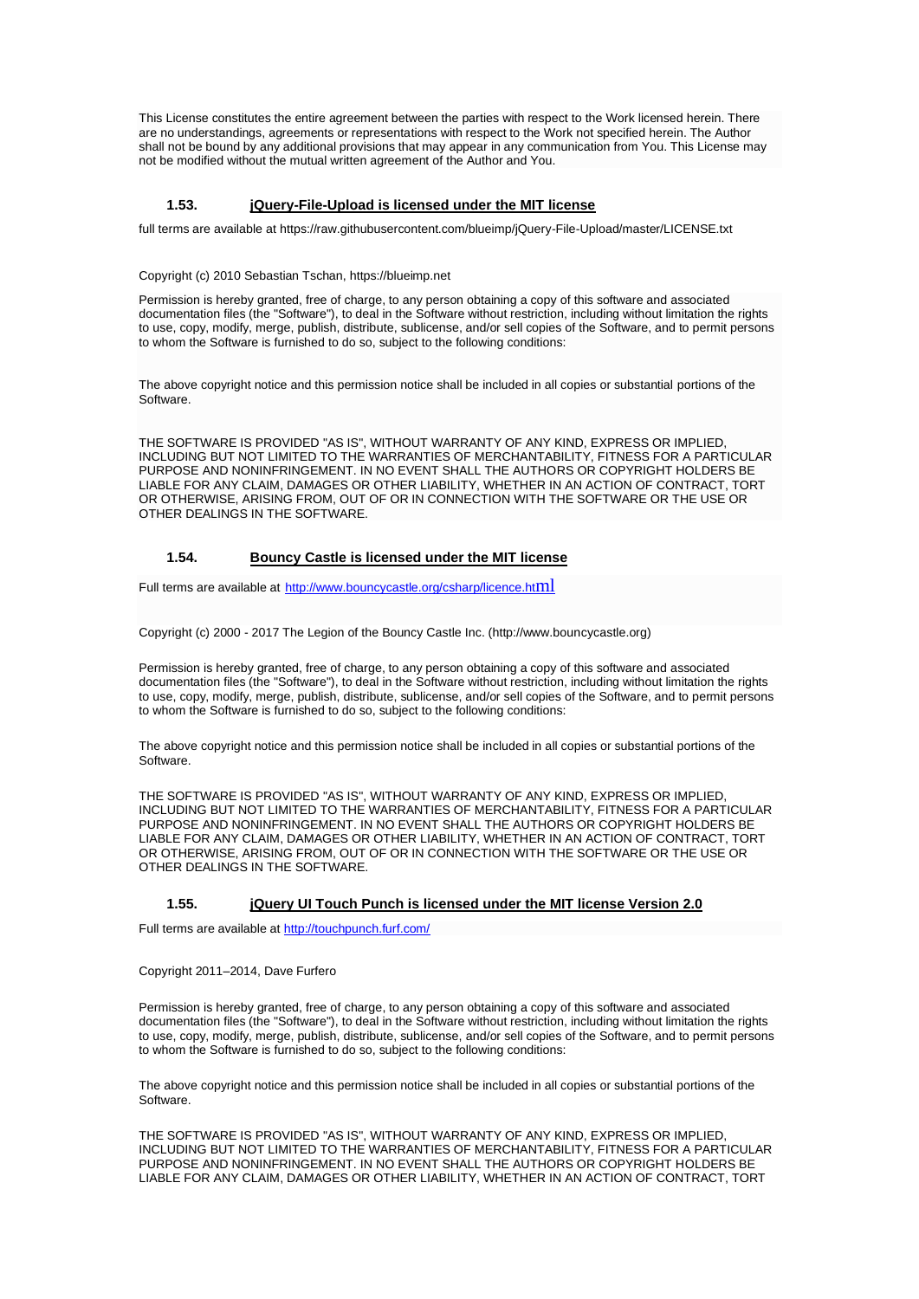This License constitutes the entire agreement between the parties with respect to the Work licensed herein. There are no understandings, agreements or representations with respect to the Work not specified herein. The Author shall not be bound by any additional provisions that may appear in any communication from You. This License may not be modified without the mutual written agreement of the Author and You.

### **1.53. jQuery-File-Upload is licensed under the MIT license**

full terms are available at https://raw.githubusercontent.com/blueimp/jQuery-File-Upload/master/LICENSE.txt

#### Copyright (c) 2010 Sebastian Tschan, https://blueimp.net

Permission is hereby granted, free of charge, to any person obtaining a copy of this software and associated documentation files (the "Software"), to deal in the Software without restriction, including without limitation the rights to use, copy, modify, merge, publish, distribute, sublicense, and/or sell copies of the Software, and to permit persons to whom the Software is furnished to do so, subject to the following conditions:

The above copyright notice and this permission notice shall be included in all copies or substantial portions of the Software.

THE SOFTWARE IS PROVIDED "AS IS", WITHOUT WARRANTY OF ANY KIND, EXPRESS OR IMPLIED, INCLUDING BUT NOT LIMITED TO THE WARRANTIES OF MERCHANTABILITY, FITNESS FOR A PARTICULAR PURPOSE AND NONINFRINGEMENT. IN NO EVENT SHALL THE AUTHORS OR COPYRIGHT HOLDERS BE LIABLE FOR ANY CLAIM, DAMAGES OR OTHER LIABILITY, WHETHER IN AN ACTION OF CONTRACT, TORT OR OTHERWISE, ARISING FROM, OUT OF OR IN CONNECTION WITH THE SOFTWARE OR THE USE OR OTHER DEALINGS IN THE SOFTWARE.

### **1.54. Bouncy Castle is licensed under the MIT license**

Full terms are available at [http://www.bouncycastle.org/csharp/licence.ht](http://www.bouncycastle.org/csharp/licence.html)[ml](http://www.bouncycastle.org/csharp/licence.html)

Copyright (c) 2000 - 2017 The Legion of the Bouncy Castle Inc. (http://www.bouncycastle.org)

Permission is hereby granted, free of charge, to any person obtaining a copy of this software and associated documentation files (the "Software"), to deal in the Software without restriction, including without limitation the rights to use, copy, modify, merge, publish, distribute, sublicense, and/or sell copies of the Software, and to permit persons to whom the Software is furnished to do so, subject to the following conditions:

The above copyright notice and this permission notice shall be included in all copies or substantial portions of the Software.

THE SOFTWARE IS PROVIDED "AS IS", WITHOUT WARRANTY OF ANY KIND, EXPRESS OR IMPLIED, INCLUDING BUT NOT LIMITED TO THE WARRANTIES OF MERCHANTABILITY, FITNESS FOR A PARTICULAR PURPOSE AND NONINFRINGEMENT. IN NO EVENT SHALL THE AUTHORS OR COPYRIGHT HOLDERS BE LIABLE FOR ANY CLAIM, DAMAGES OR OTHER LIABILITY, WHETHER IN AN ACTION OF CONTRACT, TORT OR OTHERWISE, ARISING FROM, OUT OF OR IN CONNECTION WITH THE SOFTWARE OR THE USE OR OTHER DEALINGS IN THE SOFTWARE.

### **1.55. jQuery UI Touch Punch is licensed under the MIT license Version 2.0**

Full terms are available at<http://touchpunch.furf.com/>

Copyright 2011–2014, Dave Furfero

Permission is hereby granted, free of charge, to any person obtaining a copy of this software and associated documentation files (the "Software"), to deal in the Software without restriction, including without limitation the rights to use, copy, modify, merge, publish, distribute, sublicense, and/or sell copies of the Software, and to permit persons to whom the Software is furnished to do so, subject to the following conditions:

The above copyright notice and this permission notice shall be included in all copies or substantial portions of the Software.

THE SOFTWARE IS PROVIDED "AS IS", WITHOUT WARRANTY OF ANY KIND, EXPRESS OR IMPLIED, INCLUDING BUT NOT LIMITED TO THE WARRANTIES OF MERCHANTABILITY, FITNESS FOR A PARTICULAR PURPOSE AND NONINFRINGEMENT. IN NO EVENT SHALL THE AUTHORS OR COPYRIGHT HOLDERS BE LIABLE FOR ANY CLAIM, DAMAGES OR OTHER LIABILITY, WHETHER IN AN ACTION OF CONTRACT, TORT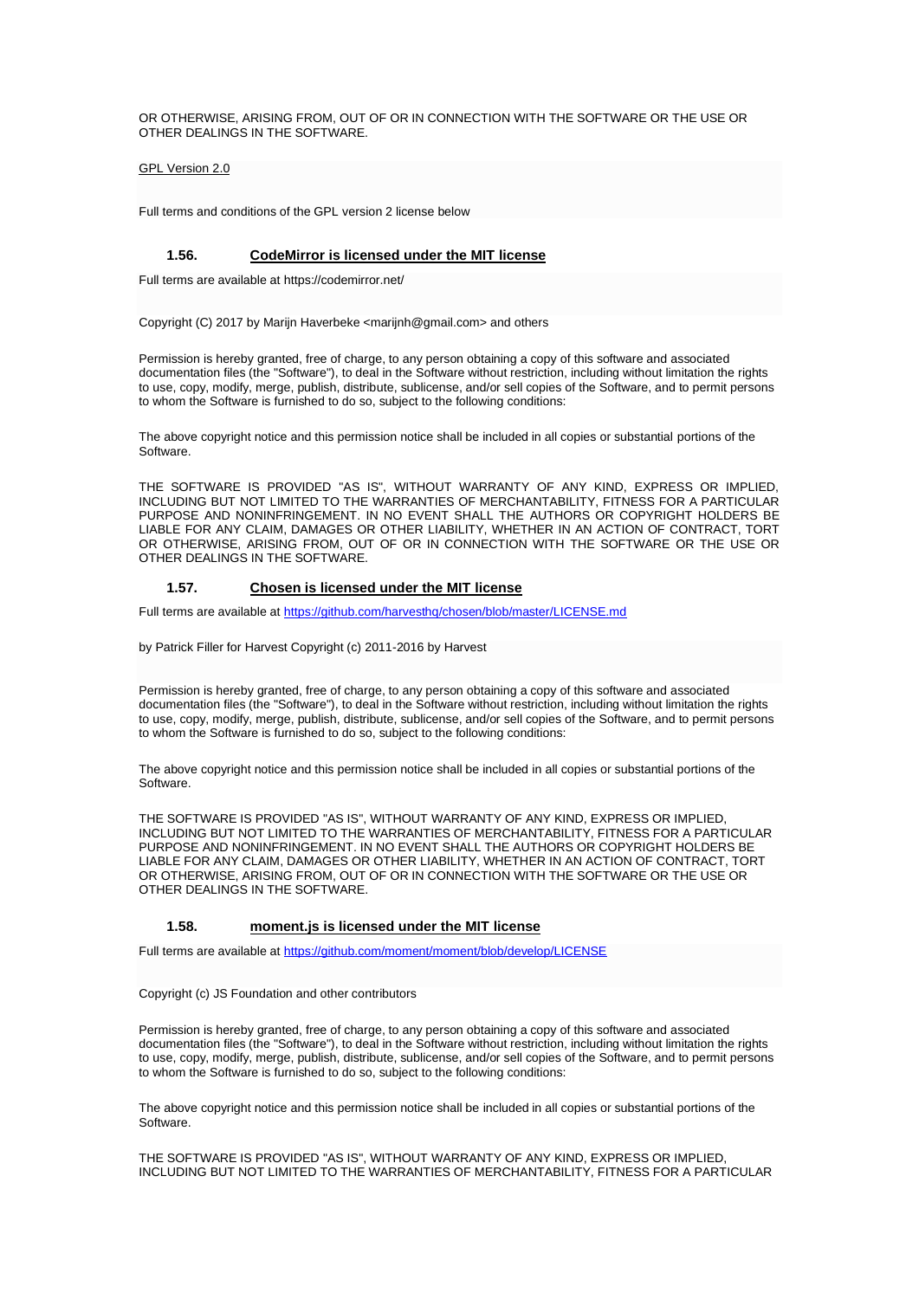OR OTHERWISE, ARISING FROM, OUT OF OR IN CONNECTION WITH THE SOFTWARE OR THE USE OR OTHER DEALINGS IN THE SOFTWARE.

GPL Version 2.0

Full terms and conditions of the GPL version 2 license below

### **1.56. CodeMirror is licensed under the MIT license**

Full terms are available at https://codemirror.net/

Copyright (C) 2017 by Marijn Haverbeke <marijnh@gmail.com> and others

Permission is hereby granted, free of charge, to any person obtaining a copy of this software and associated documentation files (the "Software"), to deal in the Software without restriction, including without limitation the rights to use, copy, modify, merge, publish, distribute, sublicense, and/or sell copies of the Software, and to permit persons to whom the Software is furnished to do so, subject to the following conditions:

The above copyright notice and this permission notice shall be included in all copies or substantial portions of the Software.

THE SOFTWARE IS PROVIDED "AS IS", WITHOUT WARRANTY OF ANY KIND, EXPRESS OR IMPLIED, INCLUDING BUT NOT LIMITED TO THE WARRANTIES OF MERCHANTABILITY, FITNESS FOR A PARTICULAR PURPOSE AND NONINFRINGEMENT. IN NO EVENT SHALL THE AUTHORS OR COPYRIGHT HOLDERS BE LIABLE FOR ANY CLAIM, DAMAGES OR OTHER LIABILITY, WHETHER IN AN ACTION OF CONTRACT, TORT OR OTHERWISE, ARISING FROM, OUT OF OR IN CONNECTION WITH THE SOFTWARE OR THE USE OR OTHER DEALINGS IN THE SOFTWARE.

#### **1.57. Chosen is licensed under the MIT license**

Full terms are available at <https://github.com/harvesthq/chosen/blob/master/LICENSE.md>

by Patrick Filler for Harvest Copyright (c) 2011-2016 by Harvest

Permission is hereby granted, free of charge, to any person obtaining a copy of this software and associated documentation files (the "Software"), to deal in the Software without restriction, including without limitation the rights to use, copy, modify, merge, publish, distribute, sublicense, and/or sell copies of the Software, and to permit persons to whom the Software is furnished to do so, subject to the following conditions:

The above copyright notice and this permission notice shall be included in all copies or substantial portions of the Software.

THE SOFTWARE IS PROVIDED "AS IS", WITHOUT WARRANTY OF ANY KIND, EXPRESS OR IMPLIED, INCLUDING BUT NOT LIMITED TO THE WARRANTIES OF MERCHANTABILITY, FITNESS FOR A PARTICULAR PURPOSE AND NONINFRINGEMENT. IN NO EVENT SHALL THE AUTHORS OR COPYRIGHT HOLDERS BE LIABLE FOR ANY CLAIM, DAMAGES OR OTHER LIABILITY, WHETHER IN AN ACTION OF CONTRACT, TORT OR OTHERWISE, ARISING FROM, OUT OF OR IN CONNECTION WITH THE SOFTWARE OR THE USE OR OTHER DEALINGS IN THE SOFTWARE.

#### **1.58. moment.js is licensed under the MIT license**

Full terms are available at <https://github.com/moment/moment/blob/develop/LICENSE>

Copyright (c) JS Foundation and other contributors

Permission is hereby granted, free of charge, to any person obtaining a copy of this software and associated documentation files (the "Software"), to deal in the Software without restriction, including without limitation the rights to use, copy, modify, merge, publish, distribute, sublicense, and/or sell copies of the Software, and to permit persons to whom the Software is furnished to do so, subject to the following conditions:

The above copyright notice and this permission notice shall be included in all copies or substantial portions of the Software.

THE SOFTWARE IS PROVIDED "AS IS", WITHOUT WARRANTY OF ANY KIND, EXPRESS OR IMPLIED, INCLUDING BUT NOT LIMITED TO THE WARRANTIES OF MERCHANTABILITY, FITNESS FOR A PARTICULAR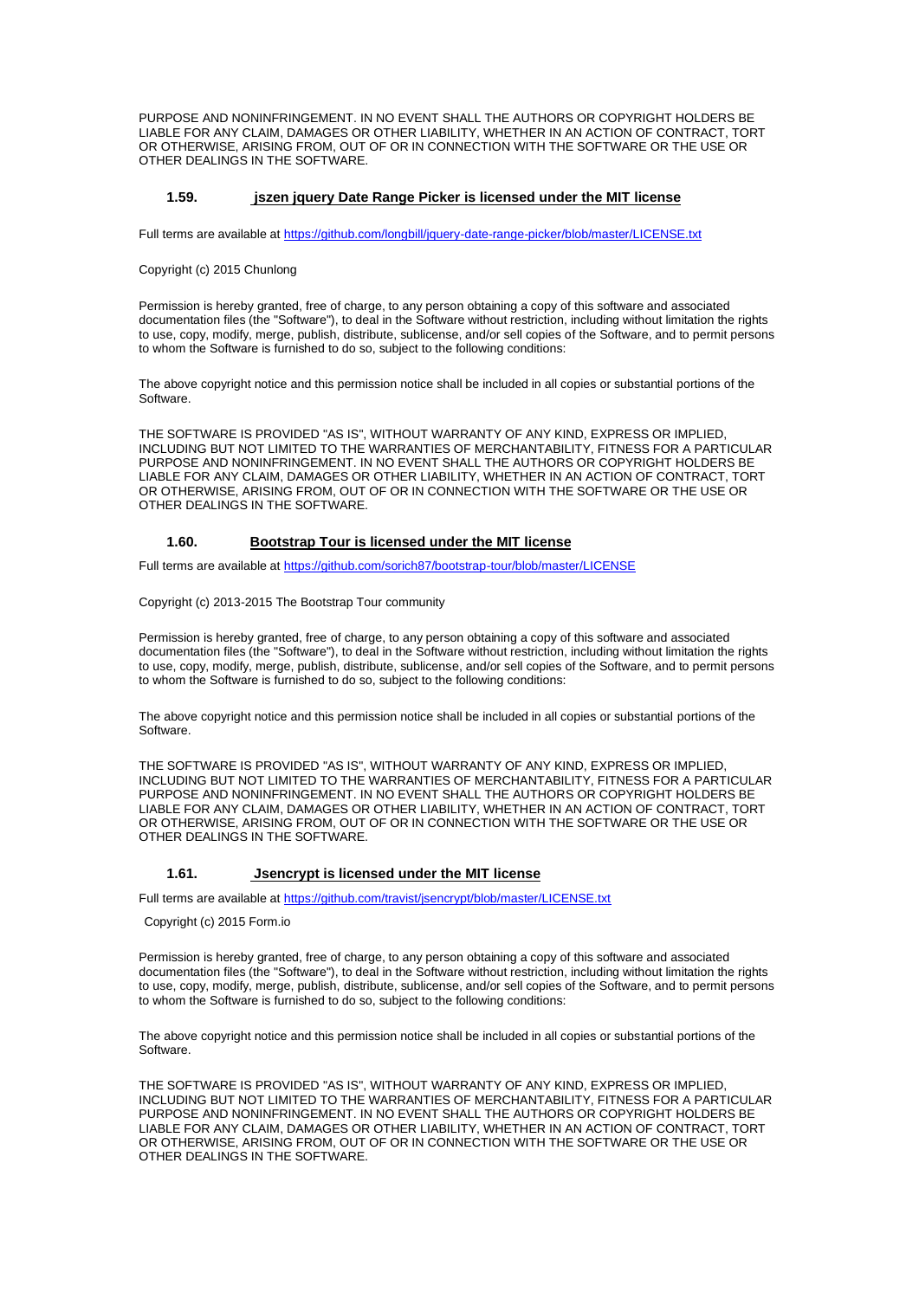PURPOSE AND NONINFRINGEMENT. IN NO EVENT SHALL THE AUTHORS OR COPYRIGHT HOLDERS BE LIABLE FOR ANY CLAIM, DAMAGES OR OTHER LIABILITY, WHETHER IN AN ACTION OF CONTRACT, TORT OR OTHERWISE, ARISING FROM, OUT OF OR IN CONNECTION WITH THE SOFTWARE OR THE USE OR OTHER DEALINGS IN THE SOFTWARE.

### **1.59. jszen jquery Date Range Picker is licensed under the MIT license**

Full terms are available at <https://github.com/longbill/jquery-date-range-picker/blob/master/LICENSE.txt>

#### Copyright (c) 2015 Chunlong

Permission is hereby granted, free of charge, to any person obtaining a copy of this software and associated documentation files (the "Software"), to deal in the Software without restriction, including without limitation the rights to use, copy, modify, merge, publish, distribute, sublicense, and/or sell copies of the Software, and to permit persons to whom the Software is furnished to do so, subject to the following conditions:

The above copyright notice and this permission notice shall be included in all copies or substantial portions of the Software.

THE SOFTWARE IS PROVIDED "AS IS", WITHOUT WARRANTY OF ANY KIND, EXPRESS OR IMPLIED, INCLUDING BUT NOT LIMITED TO THE WARRANTIES OF MERCHANTABILITY, FITNESS FOR A PARTICULAR PURPOSE AND NONINFRINGEMENT. IN NO EVENT SHALL THE AUTHORS OR COPYRIGHT HOLDERS BE LIABLE FOR ANY CLAIM, DAMAGES OR OTHER LIABILITY, WHETHER IN AN ACTION OF CONTRACT, TORT OR OTHERWISE, ARISING FROM, OUT OF OR IN CONNECTION WITH THE SOFTWARE OR THE USE OR OTHER DEALINGS IN THE SOFTWARE.

### **1.60. Bootstrap Tour is licensed under the MIT license**

Full terms are available at <https://github.com/sorich87/bootstrap-tour/blob/master/LICENSE>

Copyright (c) 2013-2015 The Bootstrap Tour community

Permission is hereby granted, free of charge, to any person obtaining a copy of this software and associated documentation files (the "Software"), to deal in the Software without restriction, including without limitation the rights to use, copy, modify, merge, publish, distribute, sublicense, and/or sell copies of the Software, and to permit persons to whom the Software is furnished to do so, subject to the following conditions:

The above copyright notice and this permission notice shall be included in all copies or substantial portions of the Software.

THE SOFTWARE IS PROVIDED "AS IS", WITHOUT WARRANTY OF ANY KIND, EXPRESS OR IMPLIED, INCLUDING BUT NOT LIMITED TO THE WARRANTIES OF MERCHANTABILITY, FITNESS FOR A PARTICULAR PURPOSE AND NONINFRINGEMENT. IN NO EVENT SHALL THE AUTHORS OR COPYRIGHT HOLDERS BE LIABLE FOR ANY CLAIM, DAMAGES OR OTHER LIABILITY, WHETHER IN AN ACTION OF CONTRACT, TORT OR OTHERWISE, ARISING FROM, OUT OF OR IN CONNECTION WITH THE SOFTWARE OR THE USE OR OTHER DEALINGS IN THE SOFTWARE.

## **1.61. Jsencrypt is licensed under the MIT license**

Full terms are available at<https://github.com/travist/jsencrypt/blob/master/LICENSE.txt>

Copyright (c) 2015 Form.io

Permission is hereby granted, free of charge, to any person obtaining a copy of this software and associated documentation files (the "Software"), to deal in the Software without restriction, including without limitation the rights to use, copy, modify, merge, publish, distribute, sublicense, and/or sell copies of the Software, and to permit persons to whom the Software is furnished to do so, subject to the following conditions:

The above copyright notice and this permission notice shall be included in all copies or substantial portions of the Software.

THE SOFTWARE IS PROVIDED "AS IS", WITHOUT WARRANTY OF ANY KIND, EXPRESS OR IMPLIED, INCLUDING BUT NOT LIMITED TO THE WARRANTIES OF MERCHANTABILITY, FITNESS FOR A PARTICULAR PURPOSE AND NONINFRINGEMENT. IN NO EVENT SHALL THE AUTHORS OR COPYRIGHT HOLDERS BE LIABLE FOR ANY CLAIM, DAMAGES OR OTHER LIABILITY, WHETHER IN AN ACTION OF CONTRACT, TORT OR OTHERWISE, ARISING FROM, OUT OF OR IN CONNECTION WITH THE SOFTWARE OR THE USE OR OTHER DEALINGS IN THE SOFTWARE.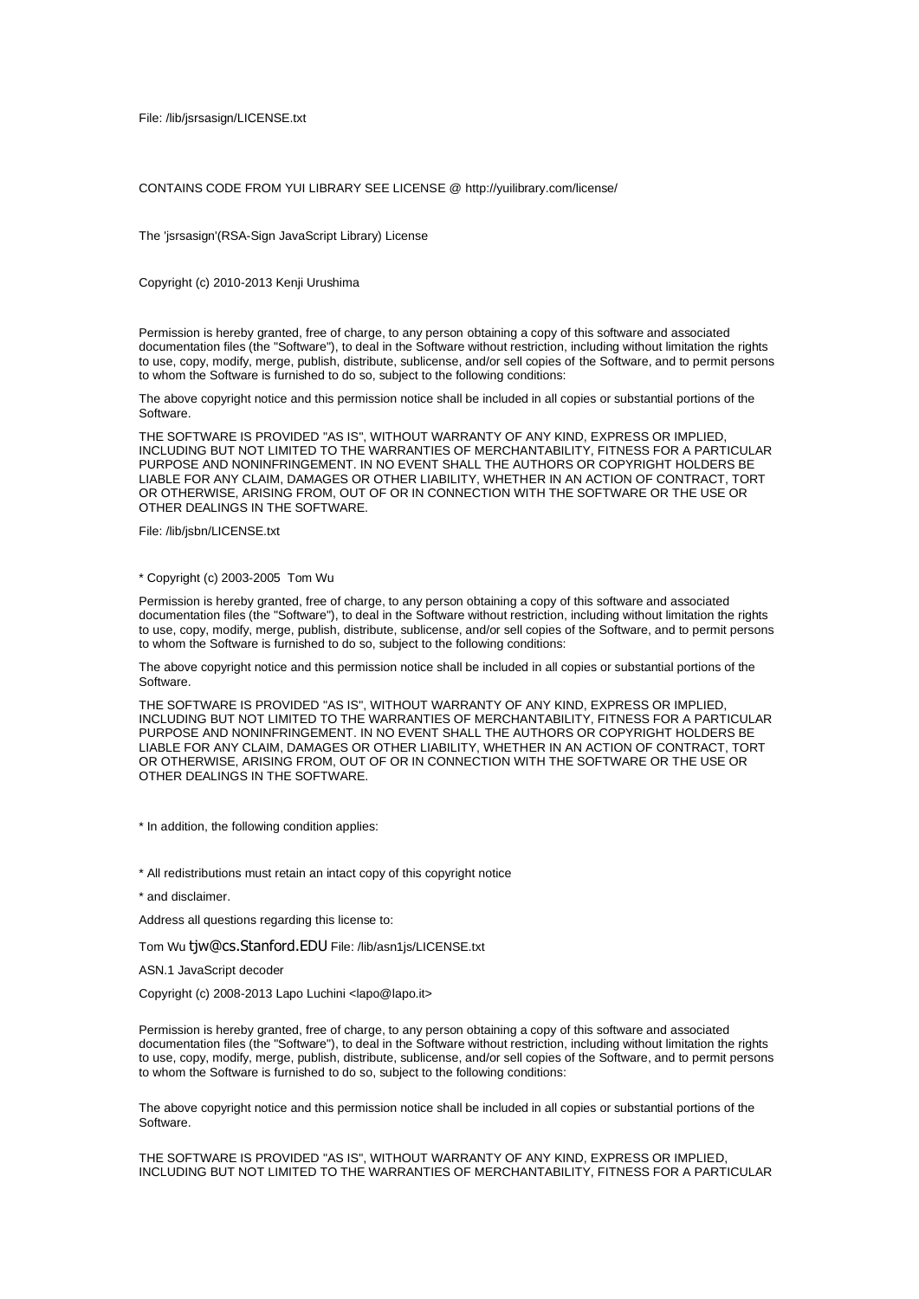File: /lib/jsrsasign/LICENSE.txt

#### CONTAINS CODE FROM YUI LIBRARY SEE LICENSE @ http://yuilibrary.com/license/

The 'isrsasign'(RSA-Sign JavaScript Library) License

Copyright (c) 2010-2013 Kenji Urushima

Permission is hereby granted, free of charge, to any person obtaining a copy of this software and associated documentation files (the "Software"), to deal in the Software without restriction, including without limitation the rights to use, copy, modify, merge, publish, distribute, sublicense, and/or sell copies of the Software, and to permit persons to whom the Software is furnished to do so, subject to the following conditions:

The above copyright notice and this permission notice shall be included in all copies or substantial portions of the Software.

THE SOFTWARE IS PROVIDED "AS IS", WITHOUT WARRANTY OF ANY KIND, EXPRESS OR IMPLIED, INCLUDING BUT NOT LIMITED TO THE WARRANTIES OF MERCHANTABILITY, FITNESS FOR A PARTICULAR PURPOSE AND NONINFRINGEMENT. IN NO EVENT SHALL THE AUTHORS OR COPYRIGHT HOLDERS BE LIABLE FOR ANY CLAIM, DAMAGES OR OTHER LIABILITY, WHETHER IN AN ACTION OF CONTRACT, TORT OR OTHERWISE, ARISING FROM, OUT OF OR IN CONNECTION WITH THE SOFTWARE OR THE USE OR OTHER DEALINGS IN THE SOFTWARE.

File: /lib/jsbn/LICENSE.txt

\* Copyright (c) 2003-2005 Tom Wu

Permission is hereby granted, free of charge, to any person obtaining a copy of this software and associated documentation files (the "Software"), to deal in the Software without restriction, including without limitation the rights to use, copy, modify, merge, publish, distribute, sublicense, and/or sell copies of the Software, and to permit persons to whom the Software is furnished to do so, subject to the following conditions:

The above copyright notice and this permission notice shall be included in all copies or substantial portions of the Software.

THE SOFTWARE IS PROVIDED "AS IS", WITHOUT WARRANTY OF ANY KIND, EXPRESS OR IMPLIED, INCLUDING BUT NOT LIMITED TO THE WARRANTIES OF MERCHANTABILITY, FITNESS FOR A PARTICULAR PURPOSE AND NONINFRINGEMENT. IN NO EVENT SHALL THE AUTHORS OR COPYRIGHT HOLDERS BE LIABLE FOR ANY CLAIM, DAMAGES OR OTHER LIABILITY, WHETHER IN AN ACTION OF CONTRACT, TORT OR OTHERWISE, ARISING FROM, OUT OF OR IN CONNECTION WITH THE SOFTWARE OR THE USE OR OTHER DEALINGS IN THE SOFTWARE.

\* In addition, the following condition applies:

\* All redistributions must retain an intact copy of this copyright notice

\* and disclaimer.

Address all questions regarding this license to:

Tom Wu [tjw@cs.Stanford.EDU](mailto:tjw@cs.Stanford.EDU) File: /lib/asn1js/LICENSE.txt

ASN.1 JavaScript decoder

Copyright (c) 2008-2013 Lapo Luchini <lapo@lapo.it>

Permission is hereby granted, free of charge, to any person obtaining a copy of this software and associated documentation files (the "Software"), to deal in the Software without restriction, including without limitation the rights to use, copy, modify, merge, publish, distribute, sublicense, and/or sell copies of the Software, and to permit persons to whom the Software is furnished to do so, subject to the following conditions:

The above copyright notice and this permission notice shall be included in all copies or substantial portions of the Software.

THE SOFTWARE IS PROVIDED "AS IS", WITHOUT WARRANTY OF ANY KIND, EXPRESS OR IMPLIED, INCLUDING BUT NOT LIMITED TO THE WARRANTIES OF MERCHANTABILITY, FITNESS FOR A PARTICULAR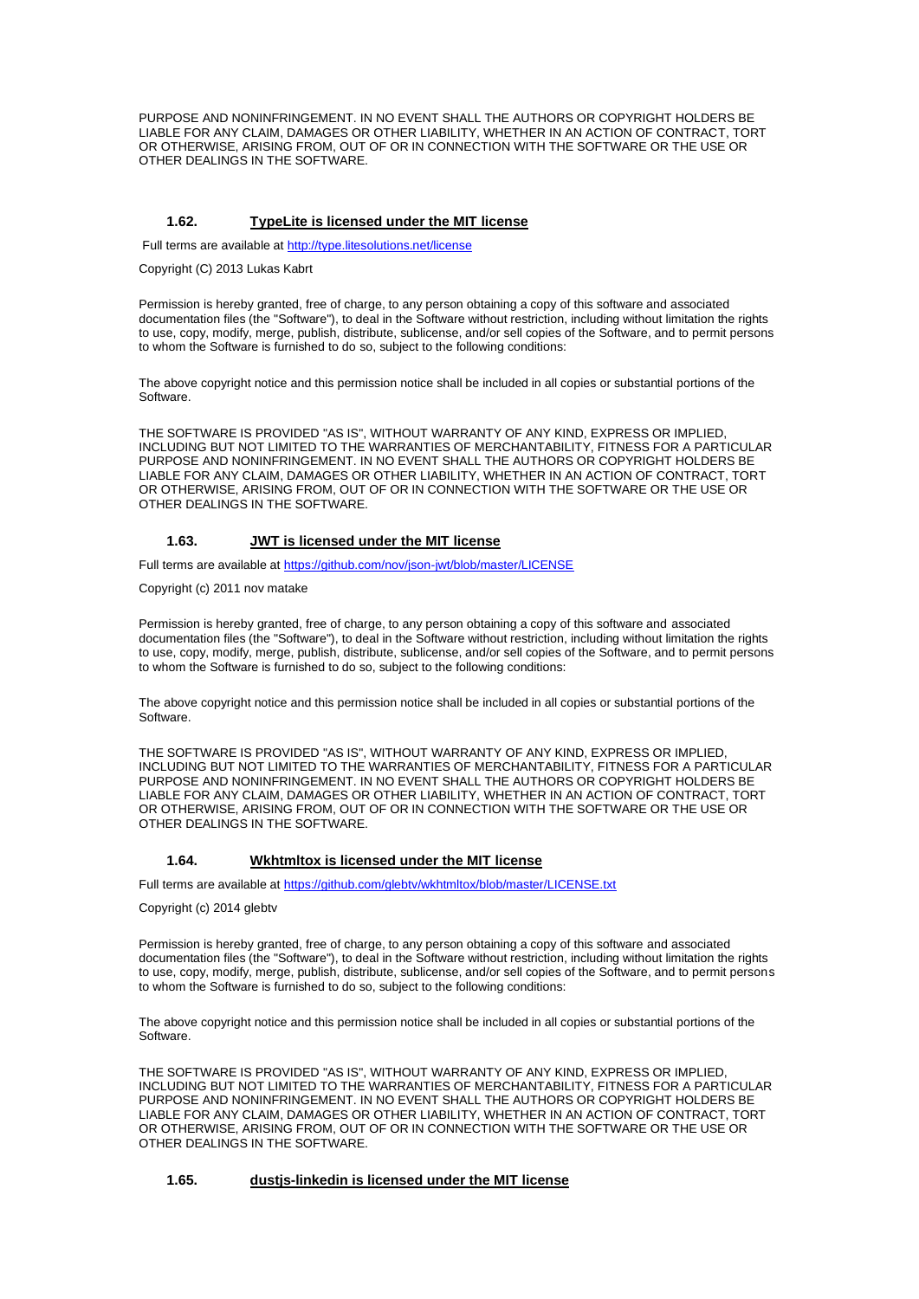PURPOSE AND NONINFRINGEMENT. IN NO EVENT SHALL THE AUTHORS OR COPYRIGHT HOLDERS BE LIABLE FOR ANY CLAIM, DAMAGES OR OTHER LIABILITY, WHETHER IN AN ACTION OF CONTRACT, TORT OR OTHERWISE, ARISING FROM, OUT OF OR IN CONNECTION WITH THE SOFTWARE OR THE USE OR OTHER DEALINGS IN THE SOFTWARE.

## **1.62. TypeLite is licensed under the MIT license**

Full terms are available at<http://type.litesolutions.net/license>

Copyright (C) 2013 Lukas Kabrt

Permission is hereby granted, free of charge, to any person obtaining a copy of this software and associated documentation files (the "Software"), to deal in the Software without restriction, including without limitation the rights to use, copy, modify, merge, publish, distribute, sublicense, and/or sell copies of the Software, and to permit persons to whom the Software is furnished to do so, subject to the following conditions:

The above copyright notice and this permission notice shall be included in all copies or substantial portions of the Software.

THE SOFTWARE IS PROVIDED "AS IS", WITHOUT WARRANTY OF ANY KIND, EXPRESS OR IMPLIED, INCLUDING BUT NOT LIMITED TO THE WARRANTIES OF MERCHANTABILITY, FITNESS FOR A PARTICULAR PURPOSE AND NONINFRINGEMENT. IN NO EVENT SHALL THE AUTHORS OR COPYRIGHT HOLDERS BE LIABLE FOR ANY CLAIM, DAMAGES OR OTHER LIABILITY, WHETHER IN AN ACTION OF CONTRACT, TORT OR OTHERWISE, ARISING FROM, OUT OF OR IN CONNECTION WITH THE SOFTWARE OR THE USE OR OTHER DEALINGS IN THE SOFTWARE.

## **1.63. JWT is licensed under the MIT license**

Full terms are available at<https://github.com/nov/json-jwt/blob/master/LICENSE>

Copyright (c) 2011 nov matake

Permission is hereby granted, free of charge, to any person obtaining a copy of this software and associated documentation files (the "Software"), to deal in the Software without restriction, including without limitation the rights to use, copy, modify, merge, publish, distribute, sublicense, and/or sell copies of the Software, and to permit persons to whom the Software is furnished to do so, subject to the following conditions:

The above copyright notice and this permission notice shall be included in all copies or substantial portions of the Software.

THE SOFTWARE IS PROVIDED "AS IS", WITHOUT WARRANTY OF ANY KIND, EXPRESS OR IMPLIED, INCLUDING BUT NOT LIMITED TO THE WARRANTIES OF MERCHANTABILITY, FITNESS FOR A PARTICULAR PURPOSE AND NONINFRINGEMENT. IN NO EVENT SHALL THE AUTHORS OR COPYRIGHT HOLDERS BE LIABLE FOR ANY CLAIM, DAMAGES OR OTHER LIABILITY, WHETHER IN AN ACTION OF CONTRACT, TORT OR OTHERWISE, ARISING FROM, OUT OF OR IN CONNECTION WITH THE SOFTWARE OR THE USE OR OTHER DEALINGS IN THE SOFTWARE.

### **1.64. Wkhtmltox is licensed under the MIT license**

Full terms are available at https://github.com/glebty/wkhtmltox/blob/master/LICENSE.txt

Copyright (c) 2014 glebtv

Permission is hereby granted, free of charge, to any person obtaining a copy of this software and associated documentation files (the "Software"), to deal in the Software without restriction, including without limitation the rights to use, copy, modify, merge, publish, distribute, sublicense, and/or sell copies of the Software, and to permit persons to whom the Software is furnished to do so, subject to the following conditions:

The above copyright notice and this permission notice shall be included in all copies or substantial portions of the Software.

THE SOFTWARE IS PROVIDED "AS IS", WITHOUT WARRANTY OF ANY KIND, EXPRESS OR IMPLIED, INCLUDING BUT NOT LIMITED TO THE WARRANTIES OF MERCHANTABILITY, FITNESS FOR A PARTICULAR PURPOSE AND NONINFRINGEMENT. IN NO EVENT SHALL THE AUTHORS OR COPYRIGHT HOLDERS BE LIABLE FOR ANY CLAIM, DAMAGES OR OTHER LIABILITY, WHETHER IN AN ACTION OF CONTRACT, TORT OR OTHERWISE, ARISING FROM, OUT OF OR IN CONNECTION WITH THE SOFTWARE OR THE USE OR OTHER DEALINGS IN THE SOFTWARE.

## **1.65. dustjs-linkedin is licensed under the MIT license**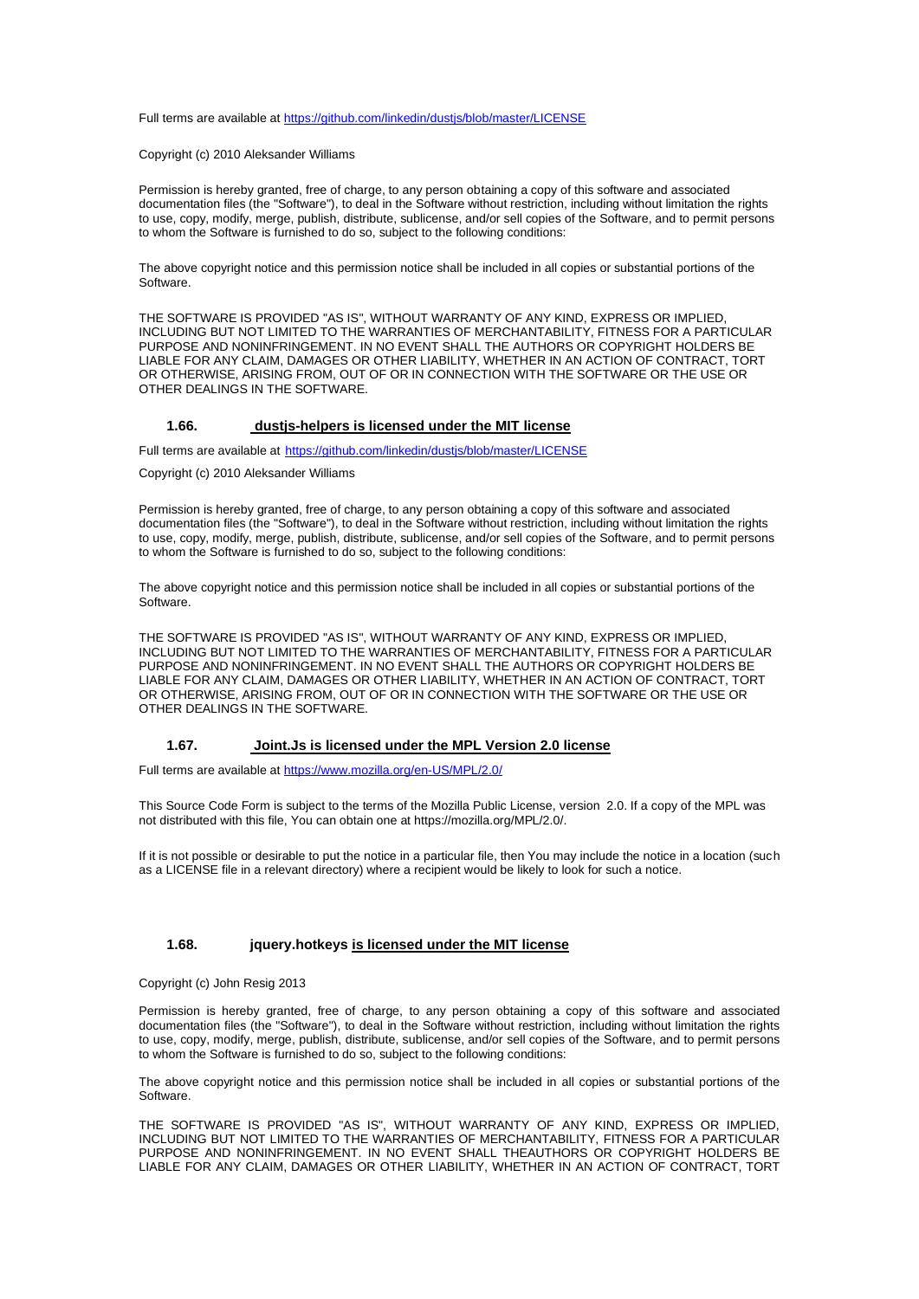Full terms are available at<https://github.com/linkedin/dustjs/blob/master/LICENSE>

#### Copyright (c) 2010 Aleksander Williams

Permission is hereby granted, free of charge, to any person obtaining a copy of this software and associated documentation files (the "Software"), to deal in the Software without restriction, including without limitation the rights to use, copy, modify, merge, publish, distribute, sublicense, and/or sell copies of the Software, and to permit persons to whom the Software is furnished to do so, subject to the following conditions:

The above copyright notice and this permission notice shall be included in all copies or substantial portions of the Software.

THE SOFTWARE IS PROVIDED "AS IS", WITHOUT WARRANTY OF ANY KIND, EXPRESS OR IMPLIED, INCLUDING BUT NOT LIMITED TO THE WARRANTIES OF MERCHANTABILITY, FITNESS FOR A PARTICULAR PURPOSE AND NONINFRINGEMENT. IN NO EVENT SHALL THE AUTHORS OR COPYRIGHT HOLDERS BE LIABLE FOR ANY CLAIM, DAMAGES OR OTHER LIABILITY, WHETHER IN AN ACTION OF CONTRACT, TORT OR OTHERWISE, ARISING FROM, OUT OF OR IN CONNECTION WITH THE SOFTWARE OR THE USE OR OTHER DEALINGS IN THE SOFTWARE.

### **1.66. dustjs-helpers is licensed under the MIT license**

Full terms are available at <https://github.com/linkedin/dustjs/blob/master/LICENSE>

Copyright (c) 2010 Aleksander Williams

Permission is hereby granted, free of charge, to any person obtaining a copy of this software and associated documentation files (the "Software"), to deal in the Software without restriction, including without limitation the rights to use, copy, modify, merge, publish, distribute, sublicense, and/or sell copies of the Software, and to permit persons to whom the Software is furnished to do so, subject to the following conditions:

The above copyright notice and this permission notice shall be included in all copies or substantial portions of the Software.

THE SOFTWARE IS PROVIDED "AS IS", WITHOUT WARRANTY OF ANY KIND, EXPRESS OR IMPLIED, INCLUDING BUT NOT LIMITED TO THE WARRANTIES OF MERCHANTABILITY, FITNESS FOR A PARTICULAR PURPOSE AND NONINFRINGEMENT. IN NO EVENT SHALL THE AUTHORS OR COPYRIGHT HOLDERS BE LIABLE FOR ANY CLAIM, DAMAGES OR OTHER LIABILITY, WHETHER IN AN ACTION OF CONTRACT, TORT OR OTHERWISE, ARISING FROM, OUT OF OR IN CONNECTION WITH THE SOFTWARE OR THE USE OR OTHER DEALINGS IN THE SOFTWARE.

### **1.67. Joint.Js is licensed under the MPL Version 2.0 license**

Full terms are available at<https://www.mozilla.org/en-US/MPL/2.0/>

This Source Code Form is subject to the terms of the Mozilla Public License, version 2.0. If a copy of the MPL was not distributed with this file, You can obtain one at https://mozilla.org/MPL/2.0/.

If it is not possible or desirable to put the notice in a particular file, then You may include the notice in a location (such as a LICENSE file in a relevant directory) where a recipient would be likely to look for such a notice.

### **1.68. jquery.hotkeys is licensed under the MIT license**

#### Copyright (c) John Resig 2013

Permission is hereby granted, free of charge, to any person obtaining a copy of this software and associated documentation files (the "Software"), to deal in the Software without restriction, including without limitation the rights to use, copy, modify, merge, publish, distribute, sublicense, and/or sell copies of the Software, and to permit persons to whom the Software is furnished to do so, subject to the following conditions:

The above copyright notice and this permission notice shall be included in all copies or substantial portions of the Software.

THE SOFTWARE IS PROVIDED "AS IS", WITHOUT WARRANTY OF ANY KIND, EXPRESS OR IMPLIED, INCLUDING BUT NOT LIMITED TO THE WARRANTIES OF MERCHANTABILITY, FITNESS FOR A PARTICULAR PURPOSE AND NONINFRINGEMENT. IN NO EVENT SHALL THEAUTHORS OR COPYRIGHT HOLDERS BE LIABLE FOR ANY CLAIM, DAMAGES OR OTHER LIABILITY, WHETHER IN AN ACTION OF CONTRACT, TORT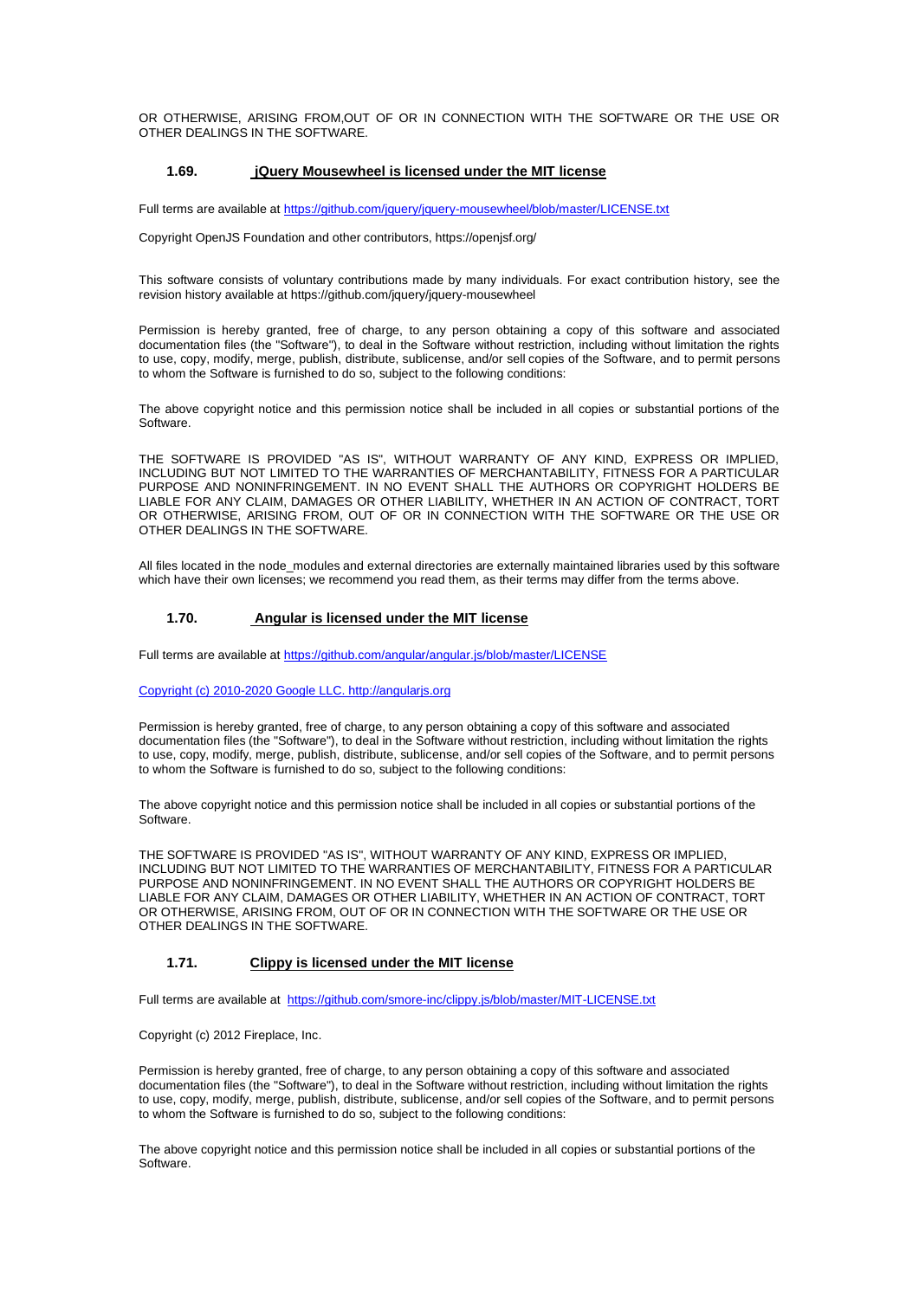OR OTHERWISE, ARISING FROM,OUT OF OR IN CONNECTION WITH THE SOFTWARE OR THE USE OR OTHER DEALINGS IN THE SOFTWARE.

### **1.69. jQuery Mousewheel is licensed under the MIT license**

Full terms are available at<https://github.com/jquery/jquery-mousewheel/blob/master/LICENSE.txt>

Copyright OpenJS Foundation and other contributors, https://openjsf.org/

This software consists of voluntary contributions made by many individuals. For exact contribution history, see the revision history available at https://github.com/jquery/jquery-mousewheel

Permission is hereby granted, free of charge, to any person obtaining a copy of this software and associated documentation files (the "Software"), to deal in the Software without restriction, including without limitation the rights to use, copy, modify, merge, publish, distribute, sublicense, and/or sell copies of the Software, and to permit persons to whom the Software is furnished to do so, subject to the following conditions:

The above copyright notice and this permission notice shall be included in all copies or substantial portions of the Software.

THE SOFTWARE IS PROVIDED "AS IS", WITHOUT WARRANTY OF ANY KIND, EXPRESS OR IMPLIED, INCLUDING BUT NOT LIMITED TO THE WARRANTIES OF MERCHANTABILITY, FITNESS FOR A PARTICULAR PURPOSE AND NONINFRINGEMENT. IN NO EVENT SHALL THE AUTHORS OR COPYRIGHT HOLDERS BE LIABLE FOR ANY CLAIM, DAMAGES OR OTHER LIABILITY, WHETHER IN AN ACTION OF CONTRACT, TORT OR OTHERWISE, ARISING FROM, OUT OF OR IN CONNECTION WITH THE SOFTWARE OR THE USE OR OTHER DEALINGS IN THE SOFTWARE.

All files located in the node\_modules and external directories are externally maintained libraries used by this software which have their own licenses; we recommend you read them, as their terms may differ from the terms above.

## **1.70. Angular is licensed under the MIT license**

Full terms are available at <https://github.com/angular/angular.js/blob/master/LICENSE>

Copyright (c) 2010-2020 Google LLC[. http://angularjs.org](http://angularjs.org/)

Permission is hereby granted, free of charge, to any person obtaining a copy of this software and associated documentation files (the "Software"), to deal in the Software without restriction, including without limitation the rights to use, copy, modify, merge, publish, distribute, sublicense, and/or sell copies of the Software, and to permit persons to whom the Software is furnished to do so, subject to the following conditions:

The above copyright notice and this permission notice shall be included in all copies or substantial portions of the Software.

THE SOFTWARE IS PROVIDED "AS IS", WITHOUT WARRANTY OF ANY KIND, EXPRESS OR IMPLIED, INCLUDING BUT NOT LIMITED TO THE WARRANTIES OF MERCHANTABILITY, FITNESS FOR A PARTICULAR PURPOSE AND NONINFRINGEMENT. IN NO EVENT SHALL THE AUTHORS OR COPYRIGHT HOLDERS BE LIABLE FOR ANY CLAIM, DAMAGES OR OTHER LIABILITY, WHETHER IN AN ACTION OF CONTRACT, TORT OR OTHERWISE, ARISING FROM, OUT OF OR IN CONNECTION WITH THE SOFTWARE OR THE USE OR OTHER DEALINGS IN THE SOFTWARE.

# **1.71. Clippy is licensed under the MIT license**

Full terms are available at <https://github.com/smore-inc/clippy.js/blob/master/MIT-LICENSE.txt>

Copyright (c) 2012 Fireplace, Inc.

Permission is hereby granted, free of charge, to any person obtaining a copy of this software and associated documentation files (the "Software"), to deal in the Software without restriction, including without limitation the rights to use, copy, modify, merge, publish, distribute, sublicense, and/or sell copies of the Software, and to permit persons to whom the Software is furnished to do so, subject to the following conditions:

The above copyright notice and this permission notice shall be included in all copies or substantial portions of the Software.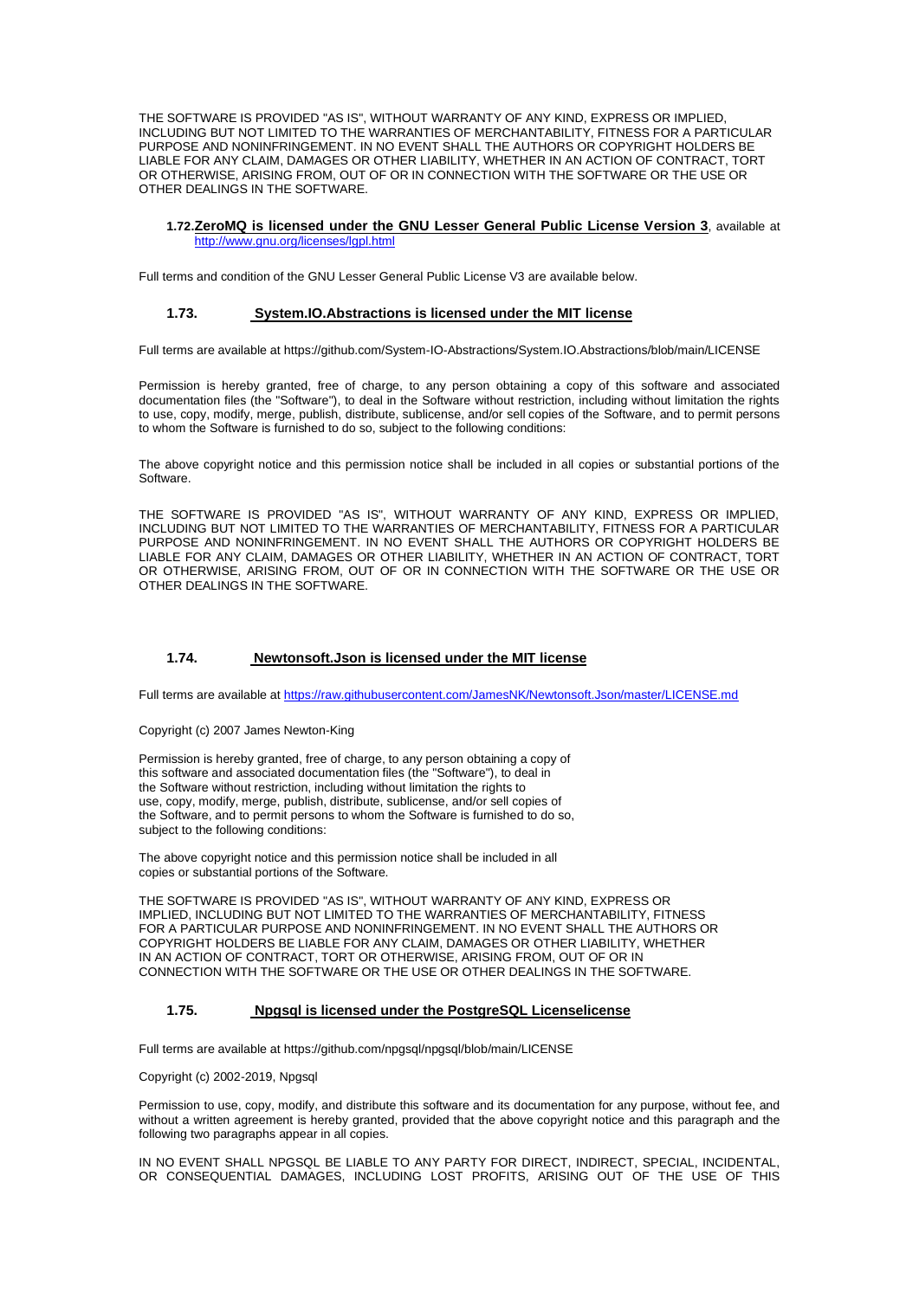THE SOFTWARE IS PROVIDED "AS IS", WITHOUT WARRANTY OF ANY KIND, EXPRESS OR IMPLIED, INCLUDING BUT NOT LIMITED TO THE WARRANTIES OF MERCHANTABILITY, FITNESS FOR A PARTICULAR PURPOSE AND NONINFRINGEMENT. IN NO EVENT SHALL THE AUTHORS OR COPYRIGHT HOLDERS BE LIABLE FOR ANY CLAIM, DAMAGES OR OTHER LIABILITY, WHETHER IN AN ACTION OF CONTRACT, TORT OR OTHERWISE, ARISING FROM, OUT OF OR IN CONNECTION WITH THE SOFTWARE OR THE USE OR OTHER DEALINGS IN THE SOFTWARE.

### **1.72.ZeroMQ is licensed under the GNU Lesser General Public License Version 3**, available at <http://www.gnu.org/licenses/lgpl.html>

Full terms and condition of the GNU Lesser General Public License V3 are available below.

### **1.73. System.IO.Abstractions is licensed under the MIT license**

Full terms are available at https://github.com/System-IO-Abstractions/System.IO.Abstractions/blob/main/LICENSE

Permission is hereby granted, free of charge, to any person obtaining a copy of this software and associated documentation files (the "Software"), to deal in the Software without restriction, including without limitation the rights to use, copy, modify, merge, publish, distribute, sublicense, and/or sell copies of the Software, and to permit persons to whom the Software is furnished to do so, subject to the following conditions:

The above copyright notice and this permission notice shall be included in all copies or substantial portions of the Software.

THE SOFTWARE IS PROVIDED "AS IS", WITHOUT WARRANTY OF ANY KIND, EXPRESS OR IMPLIED, INCLUDING BUT NOT LIMITED TO THE WARRANTIES OF MERCHANTABILITY, FITNESS FOR A PARTICULAR PURPOSE AND NONINFRINGEMENT. IN NO EVENT SHALL THE AUTHORS OR COPYRIGHT HOLDERS BE LIABLE FOR ANY CLAIM, DAMAGES OR OTHER LIABILITY, WHETHER IN AN ACTION OF CONTRACT, TORT OR OTHERWISE, ARISING FROM, OUT OF OR IN CONNECTION WITH THE SOFTWARE OR THE USE OR OTHER DEALINGS IN THE SOFTWARE.

### **1.74. Newtonsoft.Json is licensed under the MIT license**

Full terms are available at<https://raw.githubusercontent.com/JamesNK/Newtonsoft.Json/master/LICENSE.md>

#### Copyright (c) 2007 James Newton-King

Permission is hereby granted, free of charge, to any person obtaining a copy of this software and associated documentation files (the "Software"), to deal in the Software without restriction, including without limitation the rights to use, copy, modify, merge, publish, distribute, sublicense, and/or sell copies of the Software, and to permit persons to whom the Software is furnished to do so, subject to the following conditions:

The above copyright notice and this permission notice shall be included in all copies or substantial portions of the Software.

THE SOFTWARE IS PROVIDED "AS IS", WITHOUT WARRANTY OF ANY KIND, EXPRESS OR IMPLIED, INCLUDING BUT NOT LIMITED TO THE WARRANTIES OF MERCHANTABILITY, FITNESS FOR A PARTICULAR PURPOSE AND NONINFRINGEMENT. IN NO EVENT SHALL THE AUTHORS OR COPYRIGHT HOLDERS BE LIABLE FOR ANY CLAIM, DAMAGES OR OTHER LIABILITY, WHETHER IN AN ACTION OF CONTRACT, TORT OR OTHERWISE, ARISING FROM, OUT OF OR IN CONNECTION WITH THE SOFTWARE OR THE USE OR OTHER DEALINGS IN THE SOFTWARE.

## **1.75. Npgsql is licensed under the PostgreSQL Licenselicense**

Full terms are available at https://github.com/npgsql/npgsql/blob/main/LICENSE

Copyright (c) 2002-2019, Npgsql

Permission to use, copy, modify, and distribute this software and its documentation for any purpose, without fee, and without a written agreement is hereby granted, provided that the above copyright notice and this paragraph and the following two paragraphs appear in all copies.

IN NO EVENT SHALL NPGSQL BE LIABLE TO ANY PARTY FOR DIRECT, INDIRECT, SPECIAL, INCIDENTAL, OR CONSEQUENTIAL DAMAGES, INCLUDING LOST PROFITS , ARISING OUT OF THE USE OF THIS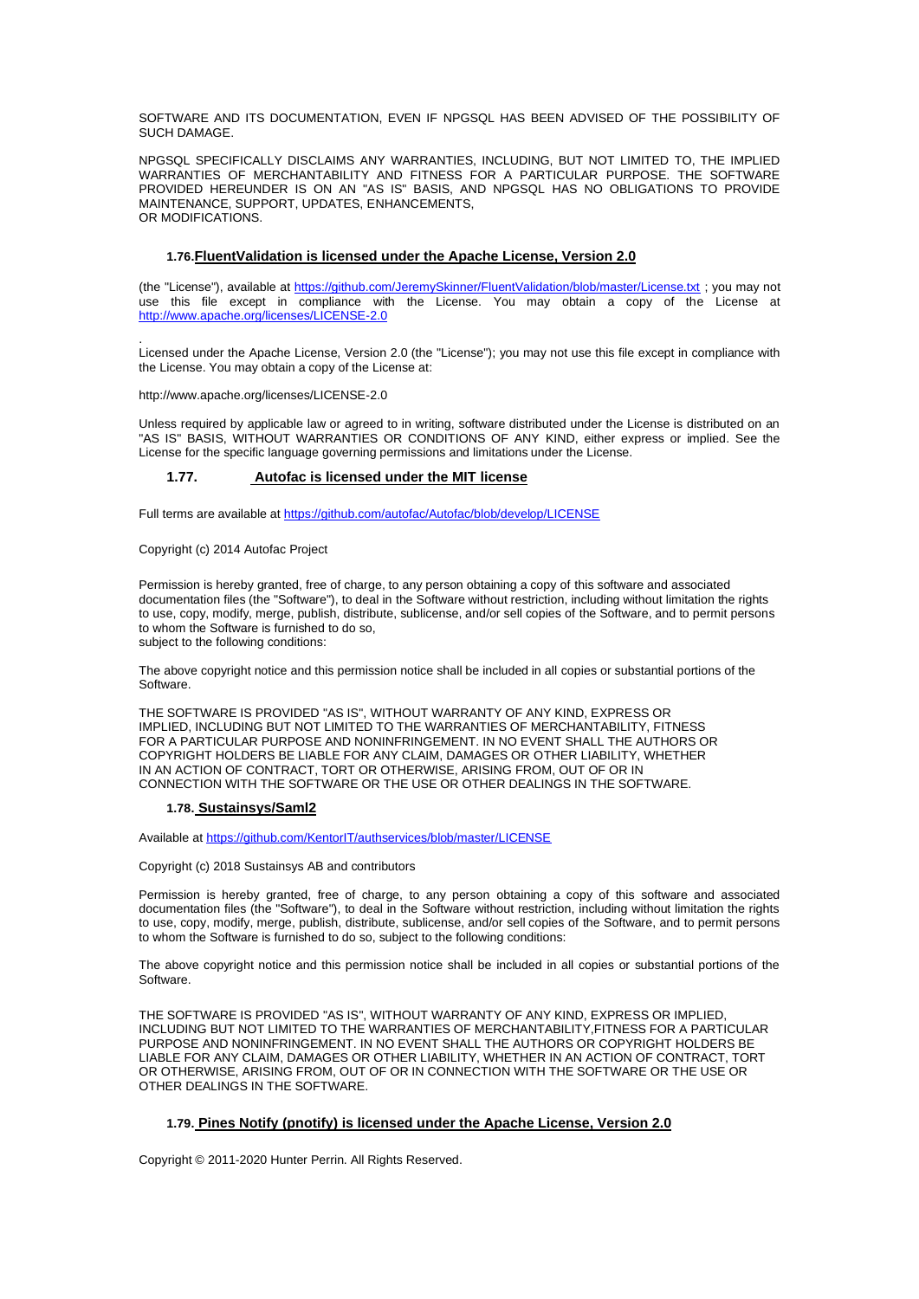SOFTWARE AND ITS DOCUMENTATION, EVEN IF NPGSQL HAS BEEN ADVISED OF THE POSSIBILITY OF SUCH DAMAGE

NPGSQL SPECIFICALLY DISCLAIMS ANY WARRANTIES, INCLUDING, BUT NOT LIMITED TO, THE IMPLIED WARRANTIES OF MERCHANTABILITY AND FITNESS FOR A PARTICULAR PURPOSE. THE SOFTWARE PROVIDED HEREUNDER IS ON AN "AS IS" BASIS, AND NPGSQL HAS NO OBLIGATIONS TO PROVIDE MAINTENANCE, SUPPORT, UPDATES, ENHANCEMENTS, OR MODIFICATIONS.

### **1.76.FluentValidation is licensed under the Apache License, Version 2.0**

(the "License"), available a[t https://github.com/JeremySkinner/FluentValidation/blob/master/License.txt](https://github.com/JeremySkinner/FluentValidation/blob/master/License.txt) ; you may not use this file except in compliance with the License. You may obtain a copy of the License at <http://www.apache.org/licenses/LICENSE-2.0>

. Licensed under the Apache License, Version 2.0 (the "License"); you may not use this file except in compliance with the License. You may obtain a copy of the License at:

http://www.apache.org/licenses/LICENSE-2.0

Unless required by applicable law or agreed to in writing, software distributed under the License is distributed on an "AS IS" BASIS, WITHOUT WARRANTIES OR CONDITIONS OF ANY KIND, either express or implied. See the License for the specific language governing permissions and limitations under the License.

### **1.77. Autofac is licensed under the MIT license**

Full terms are available at<https://github.com/autofac/Autofac/blob/develop/LICENSE>

Copyright (c) 2014 Autofac Project

Permission is hereby granted, free of charge, to any person obtaining a copy of this software and associated documentation files (the "Software"), to deal in the Software without restriction, including without limitation the rights to use, copy, modify, merge, publish, distribute, sublicense, and/or sell copies of the Software, and to permit persons to whom the Software is furnished to do so,

subject to the following conditions:

The above copyright notice and this permission notice shall be included in all copies or substantial portions of the Software.

THE SOFTWARE IS PROVIDED "AS IS", WITHOUT WARRANTY OF ANY KIND, EXPRESS OR IMPLIED, INCLUDING BUT NOT LIMITED TO THE WARRANTIES OF MERCHANTABILITY, FITNESS FOR A PARTICULAR PURPOSE AND NONINFRINGEMENT. IN NO EVENT SHALL THE AUTHORS OR COPYRIGHT HOLDERS BE LIABLE FOR ANY CLAIM, DAMAGES OR OTHER LIABILITY, WHETHER IN AN ACTION OF CONTRACT, TORT OR OTHERWISE, ARISING FROM, OUT OF OR IN CONNECTION WITH THE SOFTWARE OR THE USE OR OTHER DEALINGS IN THE SOFTWARE.

### **1.78. Sustainsys/Saml2**

Available a[t https://github.com/KentorIT/authservices/blob/master/LICENSE](https://github.com/KentorIT/authservices/blob/master/LICENSE)

Copyright (c) 2018 Sustainsys AB and contributors

Permission is hereby granted, free of charge, to any person obtaining a copy of this software and associated documentation files (the "Software"), to deal in the Software without restriction, including without limitation the rights to use, copy, modify, merge, publish, distribute, sublicense, and/or sell copies of the Software, and to permit persons to whom the Software is furnished to do so, subject to the following conditions:

The above copyright notice and this permission notice shall be included in all copies or substantial portions of the Software.

THE SOFTWARE IS PROVIDED "AS IS", WITHOUT WARRANTY OF ANY KIND, EXPRESS OR IMPLIED, INCLUDING BUT NOT LIMITED TO THE WARRANTIES OF MERCHANTABILITY,FITNESS FOR A PARTICULAR PURPOSE AND NONINFRINGEMENT. IN NO EVENT SHALL THE AUTHORS OR COPYRIGHT HOLDERS BE LIABLE FOR ANY CLAIM, DAMAGES OR OTHER LIABILITY, WHETHER IN AN ACTION OF CONTRACT, TORT OR OTHERWISE, ARISING FROM, OUT OF OR IN CONNECTION WITH THE SOFTWARE OR THE USE OR OTHER DEALINGS IN THE SOFTWARE.

## **1.79. Pines Notify (pnotify) is licensed under the Apache License, Version 2.0**

Copyright © 2011-2020 Hunter Perrin. All Rights Reserved.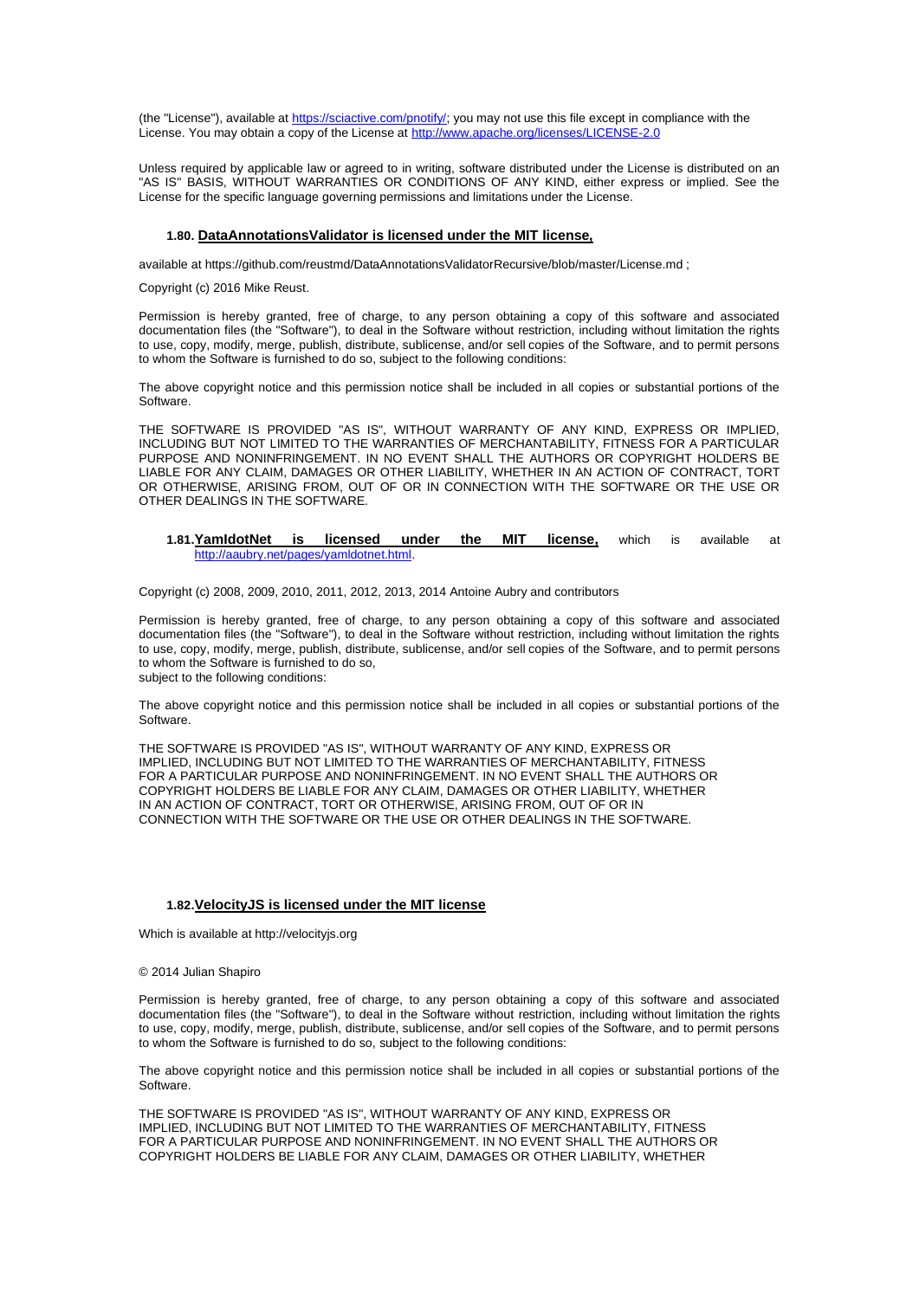(the "License"), available a[t https://sciactive.com/pnotify/;](https://sciactive.com/pnotify/) you may not use this file except in compliance with the License. You may obtain a copy of the License a[t http://www.apache.org/licenses/LICENSE-2.0](http://www.apache.org/licenses/LICENSE-2.0)

Unless required by applicable law or agreed to in writing, software distributed under the License is distributed on an "AS IS" BASIS, WITHOUT WARRANTIES OR CONDITIONS OF ANY KIND, either express or implied. See the License for the specific language governing permissions and limitations under the License.

#### **1.80. DataAnnotationsValidator is licensed under the MIT license,**

available at https://github.com/reustmd/DataAnnotationsValidatorRecursive/blob/master/License.md ;

Copyright (c) 2016 Mike Reust.

Permission is hereby granted, free of charge, to any person obtaining a copy of this software and associated documentation files (the "Software"), to deal in the Software without restriction, including without limitation the rights to use, copy, modify, merge, publish, distribute, sublicense, and/or sell copies of the Software, and to permit persons to whom the Software is furnished to do so, subject to the following conditions:

The above copyright notice and this permission notice shall be included in all copies or substantial portions of the Software.

THE SOFTWARE IS PROVIDED "AS IS", WITHOUT WARRANTY OF ANY KIND, EXPRESS OR IMPLIED, INCLUDING BUT NOT LIMITED TO THE WARRANTIES OF MERCHANTABILITY, FITNESS FOR A PARTICULAR PURPOSE AND NONINFRINGEMENT. IN NO EVENT SHALL THE AUTHORS OR COPYRIGHT HOLDERS BE LIABLE FOR ANY CLAIM, DAMAGES OR OTHER LIABILITY, WHETHER IN AN ACTION OF CONTRACT, TORT OR OTHERWISE, ARISING FROM, OUT OF OR IN CONNECTION WITH THE SOFTWARE OR THE USE OR OTHER DEALINGS IN THE SOFTWARE.

| 1.81.YamIdotNet is licensed under the MIT license. |  |  |  |  |  |  | which is available | at |
|----------------------------------------------------|--|--|--|--|--|--|--------------------|----|
| http://aaubry.net/pages/yamldotnet.html.           |  |  |  |  |  |  |                    |    |

Copyright (c) 2008, 2009, 2010, 2011, 2012, 2013, 2014 Antoine Aubry and contributors

Permission is hereby granted, free of charge, to any person obtaining a copy of this software and associated documentation files (the "Software"), to deal in the Software without restriction, including without limitation the rights to use, copy, modify, merge, publish, distribute, sublicense, and/or sell copies of the Software, and to permit persons to whom the Software is furnished to do so, subject to the following conditions:

The above copyright notice and this permission notice shall be included in all copies or substantial portions of the Software.

THE SOFTWARE IS PROVIDED "AS IS", WITHOUT WARRANTY OF ANY KIND, EXPRESS OR IMPLIED, INCLUDING BUT NOT LIMITED TO THE WARRANTIES OF MERCHANTABILITY, FITNESS FOR A PARTICULAR PURPOSE AND NONINFRINGEMENT. IN NO EVENT SHALL THE AUTHORS OR COPYRIGHT HOLDERS BE LIABLE FOR ANY CLAIM, DAMAGES OR OTHER LIABILITY, WHETHER IN AN ACTION OF CONTRACT, TORT OR OTHERWISE, ARISING FROM, OUT OF OR IN CONNECTION WITH THE SOFTWARE OR THE USE OR OTHER DEALINGS IN THE SOFTWARE.

### **1.82.VelocityJS is licensed under the MIT license**

Which is available at http://velocityjs.org

#### © 2014 Julian Shapiro

Permission is hereby granted, free of charge, to any person obtaining a copy of this software and associated documentation files (the "Software"), to deal in the Software without restriction, including without limitation the rights to use, copy, modify, merge, publish, distribute, sublicense, and/or sell copies of the Software, and to permit persons to whom the Software is furnished to do so, subject to the following conditions:

The above copyright notice and this permission notice shall be included in all copies or substantial portions of the Software.

THE SOFTWARE IS PROVIDED "AS IS", WITHOUT WARRANTY OF ANY KIND, EXPRESS OR IMPLIED, INCLUDING BUT NOT LIMITED TO THE WARRANTIES OF MERCHANTABILITY, FITNESS FOR A PARTICULAR PURPOSE AND NONINFRINGEMENT. IN NO EVENT SHALL THE AUTHORS OR COPYRIGHT HOLDERS BE LIABLE FOR ANY CLAIM, DAMAGES OR OTHER LIABILITY, WHETHER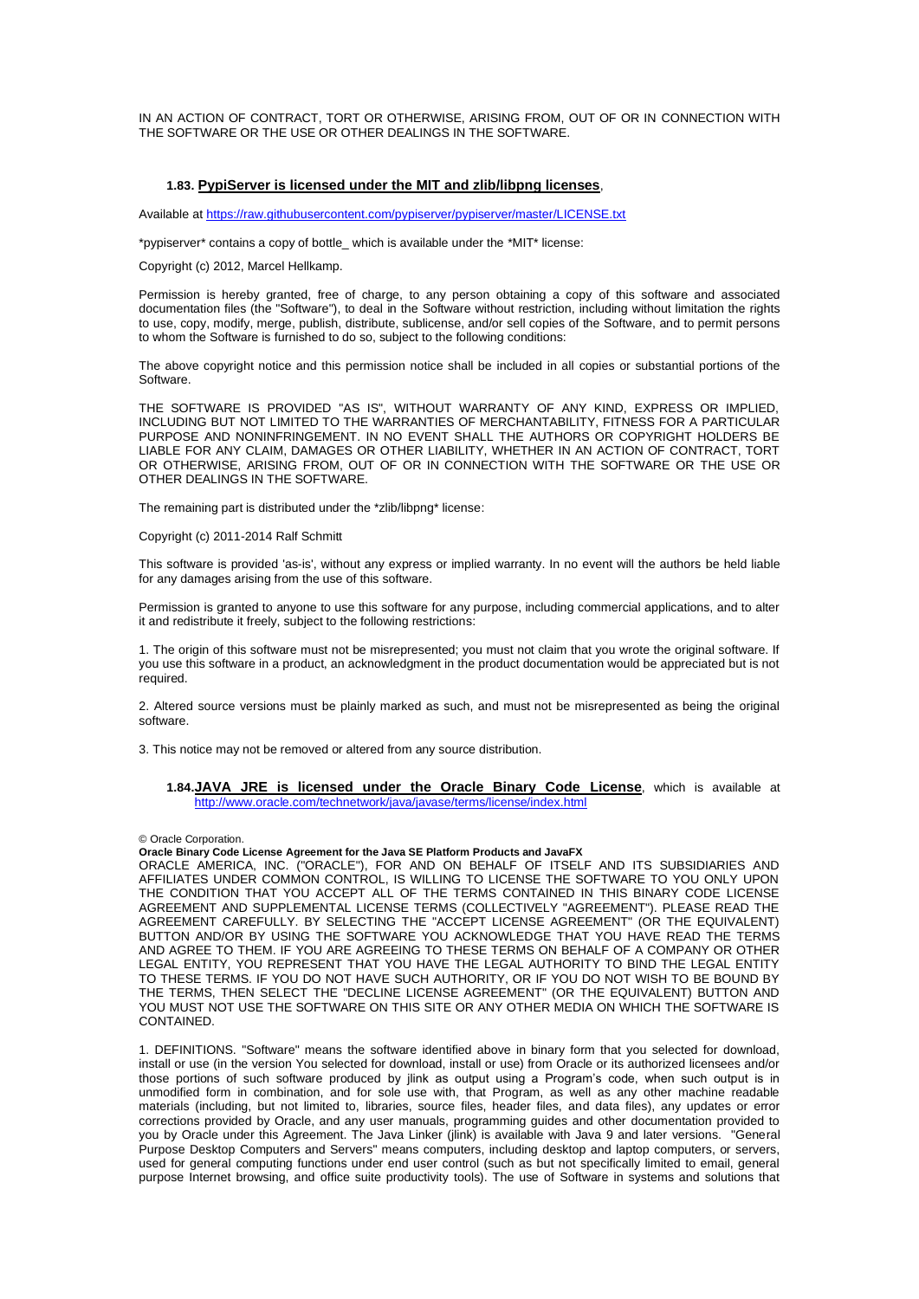IN AN ACTION OF CONTRACT, TORT OR OTHERWISE, ARISING FROM, OUT OF OR IN CONNECTION WITH THE SOFTWARE OR THE USE OR OTHER DEALINGS IN THE SOFTWARE.

#### **1.83. PypiServer is licensed under the MIT and zlib/libpng licenses**,

Available a[t https://raw.githubusercontent.com/pypiserver/pypiserver/master/LICENSE.txt](https://raw.githubusercontent.com/pypiserver/pypiserver/master/LICENSE.txt)

\*pypiserver\* contains a copy of bottle\_ which is available under the \*MIT\* license:

Copyright (c) 2012, Marcel Hellkamp.

Permission is hereby granted, free of charge, to any person obtaining a copy of this software and associated documentation files (the "Software"), to deal in the Software without restriction, including without limitation the rights to use, copy, modify, merge, publish, distribute, sublicense, and/or sell copies of the Software, and to permit persons to whom the Software is furnished to do so, subject to the following conditions:

The above copyright notice and this permission notice shall be included in all copies or substantial portions of the Software.

THE SOFTWARE IS PROVIDED "AS IS", WITHOUT WARRANTY OF ANY KIND, EXPRESS OR IMPLIED, INCLUDING BUT NOT LIMITED TO THE WARRANTIES OF MERCHANTABILITY, FITNESS FOR A PARTICULAR PURPOSE AND NONINFRINGEMENT. IN NO EVENT SHALL THE AUTHORS OR COPYRIGHT HOLDERS BE LIABLE FOR ANY CLAIM, DAMAGES OR OTHER LIABILITY, WHETHER IN AN ACTION OF CONTRACT, TORT OR OTHERWISE, ARISING FROM, OUT OF OR IN CONNECTION WITH THE SOFTWARE OR THE USE OR OTHER DEALINGS IN THE SOFTWARE.

The remaining part is distributed under the \*zlib/libpng\* license:

Copyright (c) 2011-2014 Ralf Schmitt

This software is provided 'as-is', without any express or implied warranty. In no event will the authors be held liable for any damages arising from the use of this software.

Permission is granted to anyone to use this software for any purpose, including commercial applications, and to alter it and redistribute it freely, subject to the following restrictions:

1. The origin of this software must not be misrepresented; you must not claim that you wrote the original software. If you use this software in a product, an acknowledgment in the product documentation would be appreciated but is not required.

2. Altered source versions must be plainly marked as such, and must not be misrepresented as being the original software.

3. This notice may not be removed or altered from any source distribution.

### **1.84.JAVA JRE is licensed under the Oracle Binary Code License**, which is available at <http://www.oracle.com/technetwork/java/javase/terms/license/index.html>

© Oracle Corporation.

**Oracle Binary Code License Agreement for the Java SE Platform Products and JavaFX**

ORACLE AMERICA, INC. ("ORACLE"), FOR AND ON BEHALF OF ITSELF AND ITS SUBSIDIARIES AND AFFILIATES UNDER COMMON CONTROL, IS WILLING TO LICENSE THE SOFTWARE TO YOU ONLY UPON THE CONDITION THAT YOU ACCEPT ALL OF THE TERMS CONTAINED IN THIS BINARY CODE LICENSE AGREEMENT AND SUPPLEMENTAL LICENSE TERMS (COLLECTIVELY "AGREEMENT"). PLEASE READ THE AGREEMENT CAREFULLY. BY SELECTING THE "ACCEPT LICENSE AGREEMENT" (OR THE EQUIVALENT) BUTTON AND/OR BY USING THE SOFTWARE YOU ACKNOWLEDGE THAT YOU HAVE READ THE TERMS AND AGREE TO THEM. IF YOU ARE AGREEING TO THESE TERMS ON BEHALF OF A COMPANY OR OTHER LEGAL ENTITY, YOU REPRESENT THAT YOU HAVE THE LEGAL AUTHORITY TO BIND THE LEGAL ENTITY TO THESE TERMS. IF YOU DO NOT HAVE SUCH AUTHORITY, OR IF YOU DO NOT WISH TO BE BOUND BY THE TERMS, THEN SELECT THE "DECLINE LICENSE AGREEMENT" (OR THE EQUIVALENT) BUTTON AND YOU MUST NOT USE THE SOFTWARE ON THIS SITE OR ANY OTHER MEDIA ON WHICH THE SOFTWARE IS CONTAINED.

1. DEFINITIONS. "Software" means the software identified above in binary form that you selected for download, install or use (in the version You selected for download, install or use) from Oracle or its authorized licensees and/or those portions of such software produced by jlink as output using a Program's code, when such output is in unmodified form in combination, and for sole use with, that Program, as well as any other machine readable materials (including, but not limited to, libraries, source files, header files, and data files), any updates or error corrections provided by Oracle, and any user manuals, programming guides and other documentation provided to you by Oracle under this Agreement. The Java Linker (jlink) is available with Java 9 and later versions. "General Purpose Desktop Computers and Servers" means computers, including desktop and laptop computers, or servers, used for general computing functions under end user control (such as but not specifically limited to email, general purpose Internet browsing, and office suite productivity tools). The use of Software in systems and solutions that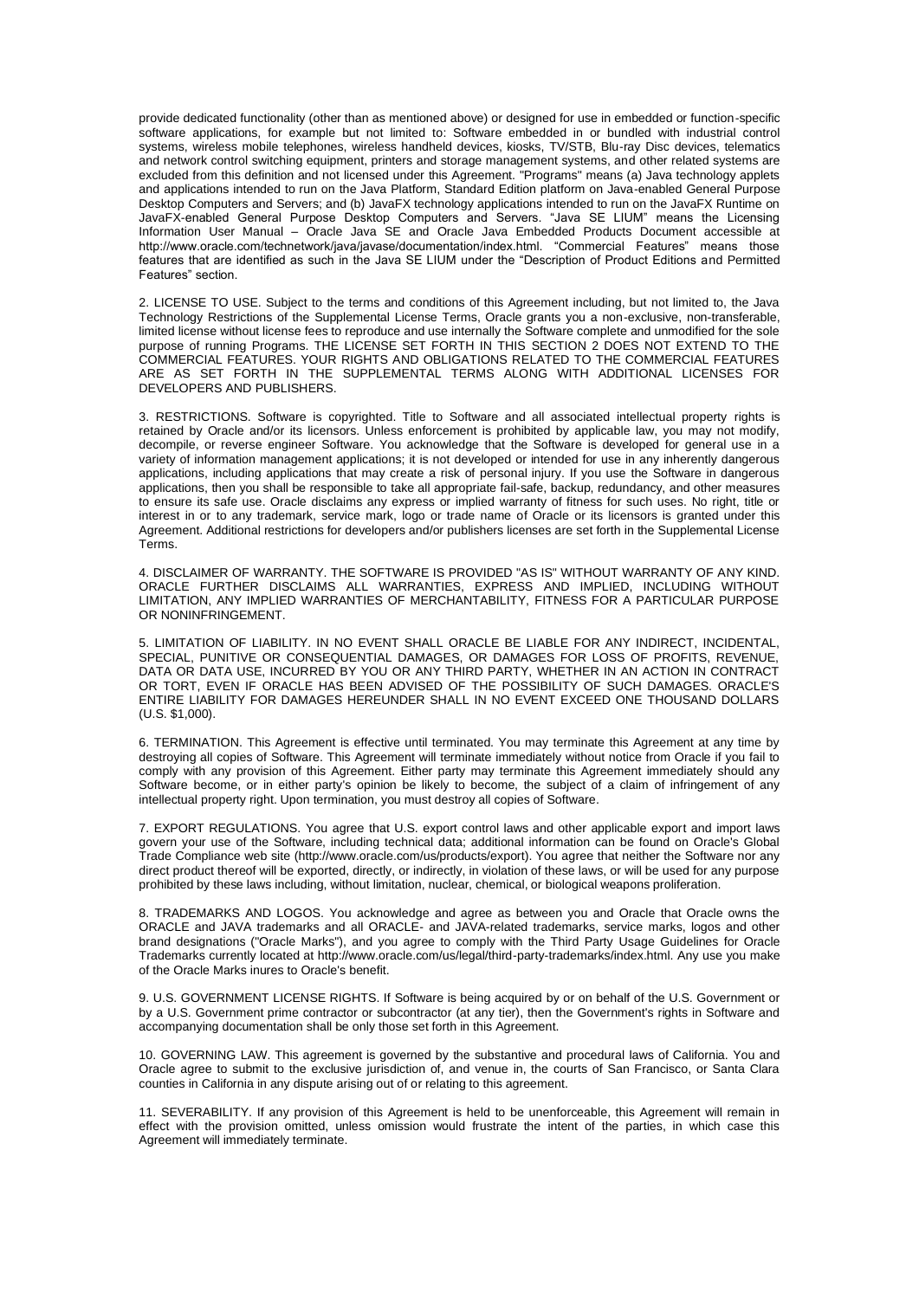provide dedicated functionality (other than as mentioned above) or designed for use in embedded or function-specific software applications, for example but not limited to: Software embedded in or bundled with industrial control systems, wireless mobile telephones, wireless handheld devices, kiosks, TV/STB, Blu-ray Disc devices, telematics and network control switching equipment, printers and storage management systems, and other related systems are excluded from this definition and not licensed under this Agreement. "Programs" means (a) Java technology applets and applications intended to run on the Java Platform, Standard Edition platform on Java-enabled General Purpose Desktop Computers and Servers; and (b) JavaFX technology applications intended to run on the JavaFX Runtime on JavaFX-enabled General Purpose Desktop Computers and Servers. "Java SE LIUM" means the Licensing Information User Manual – Oracle Java SE and Oracle Java Embedded Products Document accessible at http://www.oracle.com/technetwork/java/javase/documentation/index.html. "Commercial Features" means those features that are identified as such in the Java SE LIUM under the "Description of Product Editions and Permitted Features" section.

2. LICENSE TO USE. Subject to the terms and conditions of this Agreement including, but not limited to, the Java Technology Restrictions of the Supplemental License Terms, Oracle grants you a non-exclusive, non-transferable, limited license without license fees to reproduce and use internally the Software complete and unmodified for the sole purpose of running Programs. THE LICENSE SET FORTH IN THIS SECTION 2 DOES NOT EXTEND TO THE COMMERCIAL FEATURES. YOUR RIGHTS AND OBLIGATIONS RELATED TO THE COMMERCIAL FEATURES ARE AS SET FORTH IN THE SUPPLEMENTAL TERMS ALONG WITH ADDITIONAL LICENSES FOR DEVELOPERS AND PUBLISHERS.

3. RESTRICTIONS. Software is copyrighted. Title to Software and all associated intellectual property rights is retained by Oracle and/or its licensors. Unless enforcement is prohibited by applicable law, you may not modify, decompile, or reverse engineer Software. You acknowledge that the Software is developed for general use in a variety of information management applications; it is not developed or intended for use in any inherently dangerous applications, including applications that may create a risk of personal injury. If you use the Software in dangerous applications, then you shall be responsible to take all appropriate fail-safe, backup, redundancy, and other measures to ensure its safe use. Oracle disclaims any express or implied warranty of fitness for such uses. No right, title or interest in or to any trademark, service mark, logo or trade name of Oracle or its licensors is granted under this Agreement. Additional restrictions for developers and/or publishers licenses are set forth in the Supplemental License Terms.

4. DISCLAIMER OF WARRANTY. THE SOFTWARE IS PROVIDED "AS IS" WITHOUT WARRANTY OF ANY KIND. ORACLE FURTHER DISCLAIMS ALL WARRANTIES, EXPRESS AND IMPLIED, INCLUDING WITHOUT LIMITATION, ANY IMPLIED WARRANTIES OF MERCHANTABILITY, FITNESS FOR A PARTICULAR PURPOSE OR NONINFRINGEMENT.

5. LIMITATION OF LIABILITY. IN NO EVENT SHALL ORACLE BE LIABLE FOR ANY INDIRECT, INCIDENTAL, SPECIAL, PUNITIVE OR CONSEQUENTIAL DAMAGES, OR DAMAGES FOR LOSS OF PROFITS, REVENUE, DATA OR DATA USE, INCURRED BY YOU OR ANY THIRD PARTY, WHETHER IN AN ACTION IN CONTRACT OR TORT, EVEN IF ORACLE HAS BEEN ADVISED OF THE POSSIBILITY OF SUCH DAMAGES. ORACLE'S ENTIRE LIABILITY FOR DAMAGES HEREUNDER SHALL IN NO EVENT EXCEED ONE THOUSAND DOLLARS (U.S. \$1,000).

6. TERMINATION. This Agreement is effective until terminated. You may terminate this Agreement at any time by destroying all copies of Software. This Agreement will terminate immediately without notice from Oracle if you fail to comply with any provision of this Agreement. Either party may terminate this Agreement immediately should any Software become, or in either party's opinion be likely to become, the subject of a claim of infringement of any intellectual property right. Upon termination, you must destroy all copies of Software.

7. EXPORT REGULATIONS. You agree that U.S. export control laws and other applicable export and import laws govern your use of the Software, including technical data; additional information can be found on Oracle's Global Trade Compliance web site (http://www.oracle.com/us/products/export). You agree that neither the Software nor any direct product thereof will be exported, directly, or indirectly, in violation of these laws, or will be used for any purpose prohibited by these laws including, without limitation, nuclear, chemical, or biological weapons proliferation.

8. TRADEMARKS AND LOGOS. You acknowledge and agree as between you and Oracle that Oracle owns the ORACLE and JAVA trademarks and all ORACLE- and JAVA-related trademarks, service marks, logos and other brand designations ("Oracle Marks"), and you agree to comply with the Third Party Usage Guidelines for Oracle Trademarks currently located at http://www.oracle.com/us/legal/third-party-trademarks/index.html. Any use you make of the Oracle Marks inures to Oracle's benefit.

9. U.S. GOVERNMENT LICENSE RIGHTS. If Software is being acquired by or on behalf of the U.S. Government or by a U.S. Government prime contractor or subcontractor (at any tier), then the Government's rights in Software and accompanying documentation shall be only those set forth in this Agreement.

10. GOVERNING LAW. This agreement is governed by the substantive and procedural laws of California. You and Oracle agree to submit to the exclusive jurisdiction of, and venue in, the courts of San Francisco, or Santa Clara counties in California in any dispute arising out of or relating to this agreement.

11. SEVERABILITY. If any provision of this Agreement is held to be unenforceable, this Agreement will remain in effect with the provision omitted, unless omission would frustrate the intent of the parties, in which case this Agreement will immediately terminate.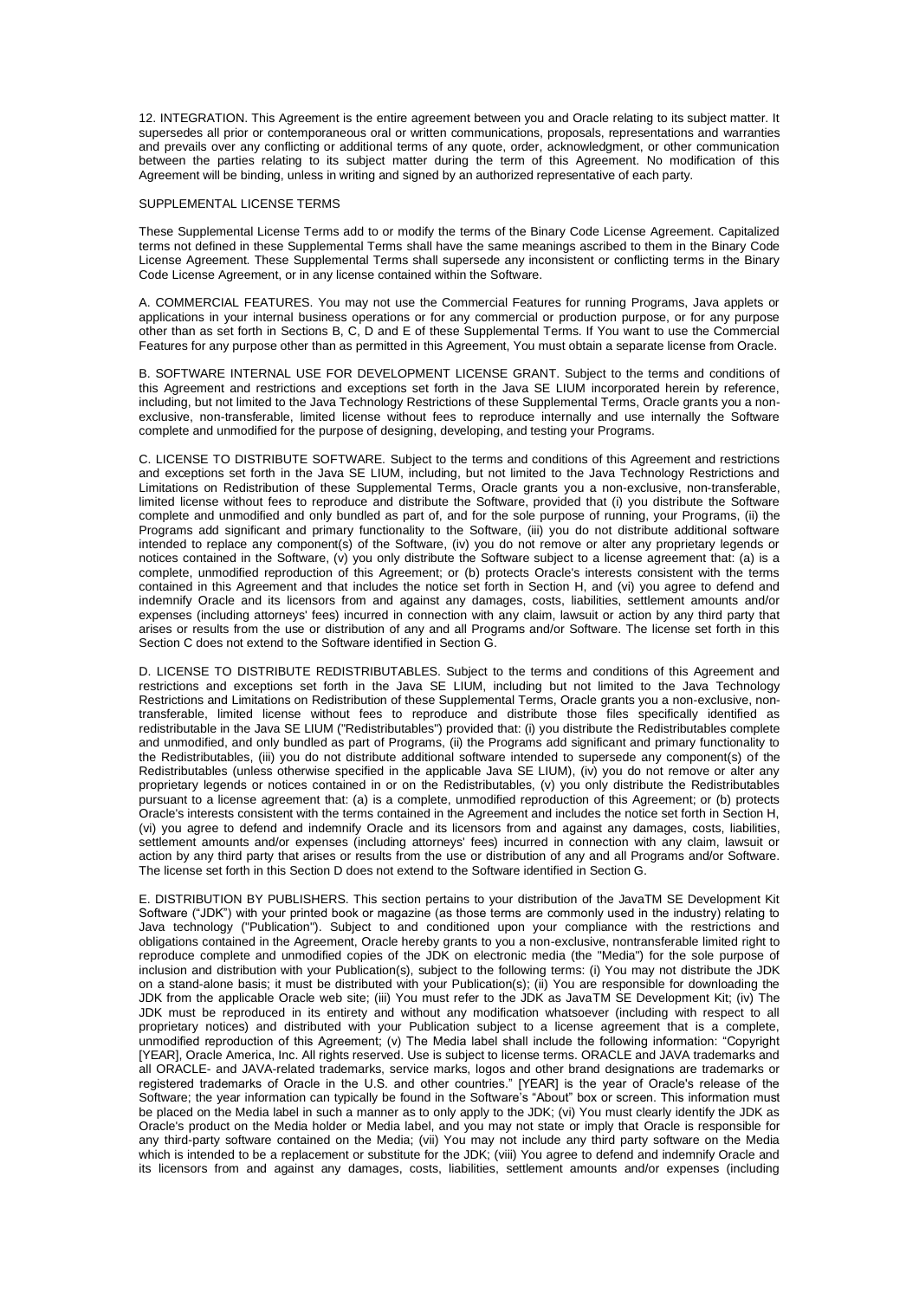12. INTEGRATION. This Agreement is the entire agreement between you and Oracle relating to its subject matter. It supersedes all prior or contemporaneous oral or written communications, proposals, representations and warranties and prevails over any conflicting or additional terms of any quote, order, acknowledgment, or other communication between the parties relating to its subject matter during the term of this Agreement. No modification of this Agreement will be binding, unless in writing and signed by an authorized representative of each party.

#### SUPPLEMENTAL LICENSE TERMS

These Supplemental License Terms add to or modify the terms of the Binary Code License Agreement. Capitalized terms not defined in these Supplemental Terms shall have the same meanings ascribed to them in the Binary Code License Agreement. These Supplemental Terms shall supersede any inconsistent or conflicting terms in the Binary Code License Agreement, or in any license contained within the Software.

A. COMMERCIAL FEATURES. You may not use the Commercial Features for running Programs, Java applets or applications in your internal business operations or for any commercial or production purpose, or for any purpose other than as set forth in Sections B, C, D and E of these Supplemental Terms. If You want to use the Commercial Features for any purpose other than as permitted in this Agreement, You must obtain a separate license from Oracle.

B. SOFTWARE INTERNAL USE FOR DEVELOPMENT LICENSE GRANT. Subject to the terms and conditions of this Agreement and restrictions and exceptions set forth in the Java SE LIUM incorporated herein by reference, including, but not limited to the Java Technology Restrictions of these Supplemental Terms, Oracle grants you a nonexclusive, non-transferable, limited license without fees to reproduce internally and use internally the Software complete and unmodified for the purpose of designing, developing, and testing your Programs.

C. LICENSE TO DISTRIBUTE SOFTWARE. Subject to the terms and conditions of this Agreement and restrictions and exceptions set forth in the Java SE LIUM, including, but not limited to the Java Technology Restrictions and Limitations on Redistribution of these Supplemental Terms, Oracle grants you a non-exclusive, non-transferable, limited license without fees to reproduce and distribute the Software, provided that (i) you distribute the Software complete and unmodified and only bundled as part of, and for the sole purpose of running, your Programs, (ii) the Programs add significant and primary functionality to the Software, (iii) you do not distribute additional software intended to replace any component(s) of the Software, (iv) you do not remove or alter any proprietary legends or notices contained in the Software, (v) you only distribute the Software subject to a license agreement that: (a) is a complete, unmodified reproduction of this Agreement; or (b) protects Oracle's interests consistent with the terms contained in this Agreement and that includes the notice set forth in Section H, and (vi) you agree to defend and indemnify Oracle and its licensors from and against any damages, costs, liabilities, settlement amounts and/or expenses (including attorneys' fees) incurred in connection with any claim, lawsuit or action by any third party that arises or results from the use or distribution of any and all Programs and/or Software. The license set forth in this Section C does not extend to the Software identified in Section G.

D. LICENSE TO DISTRIBUTE REDISTRIBUTABLES. Subject to the terms and conditions of this Agreement and restrictions and exceptions set forth in the Java SE LIUM, including but not limited to the Java Technology Restrictions and Limitations on Redistribution of these Supplemental Terms, Oracle grants you a non-exclusive, nontransferable, limited license without fees to reproduce and distribute those files specifically identified as redistributable in the Java SE LIUM ("Redistributables") provided that: (i) you distribute the Redistributables complete and unmodified, and only bundled as part of Programs, (ii) the Programs add significant and primary functionality to the Redistributables, (iii) you do not distribute additional software intended to supersede any component(s) of the Redistributables (unless otherwise specified in the applicable Java SE LIUM), (iv) you do not remove or alter any proprietary legends or notices contained in or on the Redistributables, (v) you only distribute the Redistributables pursuant to a license agreement that: (a) is a complete, unmodified reproduction of this Agreement; or (b) protects Oracle's interests consistent with the terms contained in the Agreement and includes the notice set forth in Section H, (vi) you agree to defend and indemnify Oracle and its licensors from and against any damages, costs, liabilities, settlement amounts and/or expenses (including attorneys' fees) incurred in connection with any claim, lawsuit or action by any third party that arises or results from the use or distribution of any and all Programs and/or Software. The license set forth in this Section D does not extend to the Software identified in Section G.

E. DISTRIBUTION BY PUBLISHERS. This section pertains to your distribution of the JavaTM SE Development Kit Software ("JDK") with your printed book or magazine (as those terms are commonly used in the industry) relating to Java technology ("Publication"). Subject to and conditioned upon your compliance with the restrictions and obligations contained in the Agreement, Oracle hereby grants to you a non-exclusive, nontransferable limited right to reproduce complete and unmodified copies of the JDK on electronic media (the "Media") for the sole purpose of inclusion and distribution with your Publication(s), subject to the following terms: (i) You may not distribute the JDK on a stand-alone basis; it must be distributed with your Publication(s); (ii) You are responsible for downloading the JDK from the applicable Oracle web site; (iii) You must refer to the JDK as JavaTM SE Development Kit; (iv) The JDK must be reproduced in its entirety and without any modification whatsoever (including with respect to all proprietary notices) and distributed with your Publication subject to a license agreement that is a complete, unmodified reproduction of this Agreement; (v) The Media label shall include the following information: "Copyright [YEAR], Oracle America, Inc. All rights reserved. Use is subject to license terms. ORACLE and JAVA trademarks and all ORACLE- and JAVA-related trademarks, service marks, logos and other brand designations are trademarks or registered trademarks of Oracle in the U.S. and other countries." [YEAR] is the year of Oracle's release of the Software; the year information can typically be found in the Software's "About" box or screen. This information must be placed on the Media label in such a manner as to only apply to the JDK; (vi) You must clearly identify the JDK as Oracle's product on the Media holder or Media label, and you may not state or imply that Oracle is responsible for any third-party software contained on the Media; (vii) You may not include any third party software on the Media which is intended to be a replacement or substitute for the JDK; (viii) You agree to defend and indemnify Oracle and its licensors from and against any damages, costs, liabilities, settlement amounts and/or expenses (including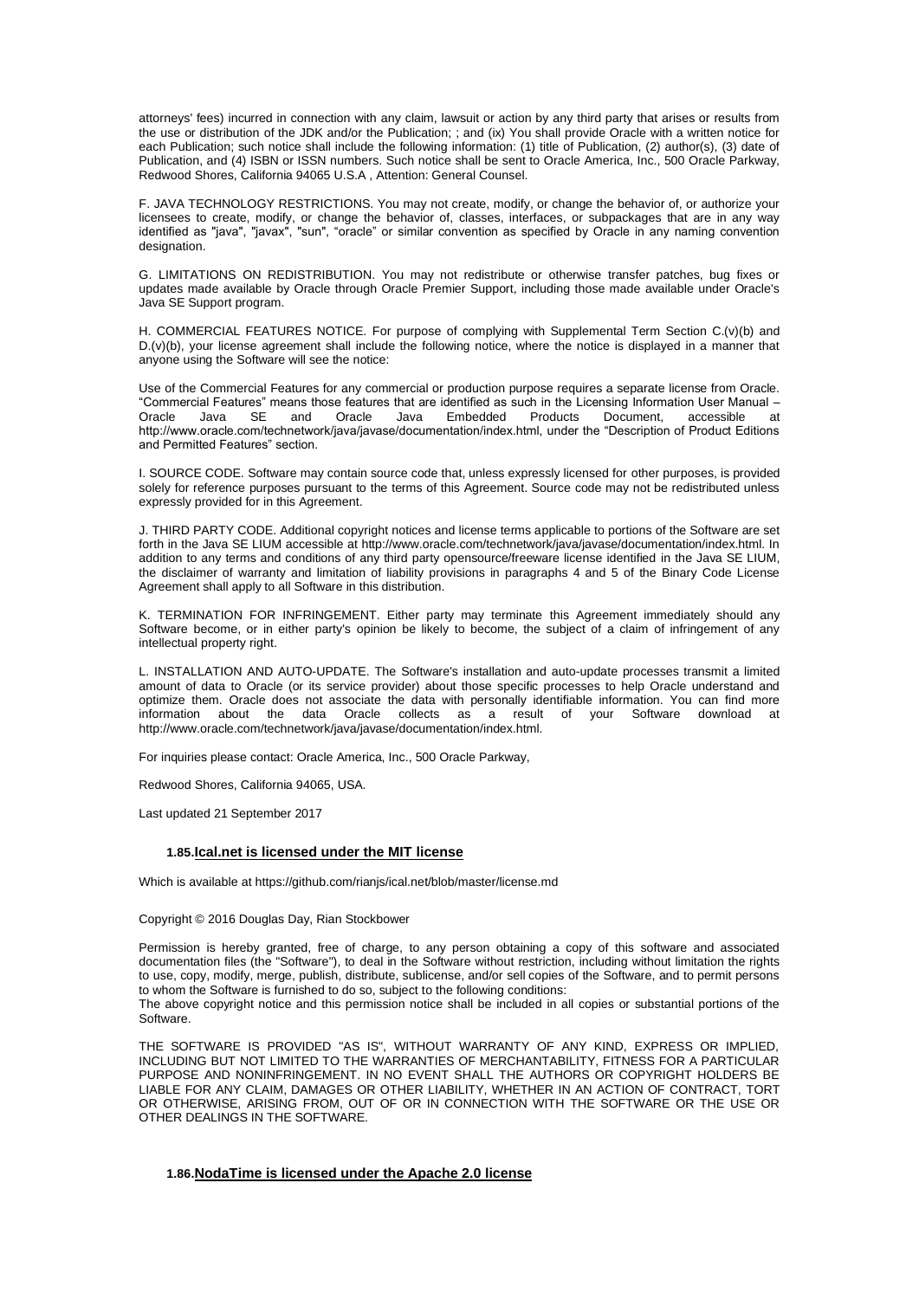attorneys' fees) incurred in connection with any claim, lawsuit or action by any third party that arises or results from the use or distribution of the JDK and/or the Publication; ; and (ix) You shall provide Oracle with a written notice for each Publication; such notice shall include the following information: (1) title of Publication, (2) author(s), (3) date of Publication, and (4) ISBN or ISSN numbers. Such notice shall be sent to Oracle America, Inc., 500 Oracle Parkway, Redwood Shores, California 94065 U.S.A , Attention: General Counsel.

F. JAVA TECHNOLOGY RESTRICTIONS. You may not create, modify, or change the behavior of, or authorize your licensees to create, modify, or change the behavior of, classes, interfaces, or subpackages that are in any way identified as "java", "javax", "sun", "oracle" or similar convention as specified by Oracle in any naming convention designation.

G. LIMITATIONS ON REDISTRIBUTION. You may not redistribute or otherwise transfer patches, bug fixes or updates made available by Oracle through Oracle Premier Support, including those made available under Oracle's Java SE Support program.

H. COMMERCIAL FEATURES NOTICE. For purpose of complying with Supplemental Term Section C.(v)(b) and D.(v)(b), your license agreement shall include the following notice, where the notice is displayed in a manner that anyone using the Software will see the notice:

Use of the Commercial Features for any commercial or production purpose requires a separate license from Oracle. "Commercial Features" means those features that are identified as such in the Licensing Information User Manual – Oracle Java SE and Oracle Java Embedded Products Document, accessible at http://www.oracle.com/technetwork/java/javase/documentation/index.html, under the "Description of Product Editions and Permitted Features" section.

I. SOURCE CODE. Software may contain source code that, unless expressly licensed for other purposes, is provided solely for reference purposes pursuant to the terms of this Agreement. Source code may not be redistributed unless expressly provided for in this Agreement.

J. THIRD PARTY CODE. Additional copyright notices and license terms applicable to portions of the Software are set forth in the Java SE LIUM accessible at http://www.oracle.com/technetwork/java/javase/documentation/index.html. In addition to any terms and conditions of any third party opensource/freeware license identified in the Java SE LIUM, the disclaimer of warranty and limitation of liability provisions in paragraphs 4 and 5 of the Binary Code License Agreement shall apply to all Software in this distribution.

K. TERMINATION FOR INFRINGEMENT. Either party may terminate this Agreement immediately should any Software become, or in either party's opinion be likely to become, the subject of a claim of infringement of any intellectual property right.

L. INSTALLATION AND AUTO-UPDATE. The Software's installation and auto-update processes transmit a limited amount of data to Oracle (or its service provider) about those specific processes to help Oracle understand and optimize them. Oracle does not associate the data with personally identifiable information. You can find more  $information$  about the data Oracle collects as a result of your Software download http://www.oracle.com/technetwork/java/javase/documentation/index.html.

For inquiries please contact: Oracle America, Inc., 500 Oracle Parkway,

Redwood Shores, California 94065, USA.

Last updated 21 September 2017

### **1.85.Ical.net is licensed under the MIT license**

Which is available a[t https://github.com/rianjs/ical.net/blob/master/license.md](https://github.com/rianjs/ical.net/blob/master/license.md)

Copyright © 2016 Douglas Day, Rian Stockbower

Permission is hereby granted, free of charge, to any person obtaining a copy of this software and associated documentation files (the "Software"), to deal in the Software without restriction, including without limitation the rights to use, copy, modify, merge, publish, distribute, sublicense, and/or sell copies of the Software, and to permit persons to whom the Software is furnished to do so, subject to the following conditions:

The above copyright notice and this permission notice shall be included in all copies or substantial portions of the Software.

THE SOFTWARE IS PROVIDED "AS IS", WITHOUT WARRANTY OF ANY KIND, EXPRESS OR IMPLIED, INCLUDING BUT NOT LIMITED TO THE WARRANTIES OF MERCHANTABILITY, FITNESS FOR A PARTICULAR PURPOSE AND NONINFRINGEMENT. IN NO EVENT SHALL THE AUTHORS OR COPYRIGHT HOLDERS BE LIABLE FOR ANY CLAIM, DAMAGES OR OTHER LIABILITY, WHETHER IN AN ACTION OF CONTRACT, TORT OR OTHERWISE, ARISING FROM, OUT OF OR IN CONNECTION WITH THE SOFTWARE OR THE USE OR OTHER DEALINGS IN THE SOFTWARE.

### **1.86.NodaTime is licensed under the Apache 2.0 license**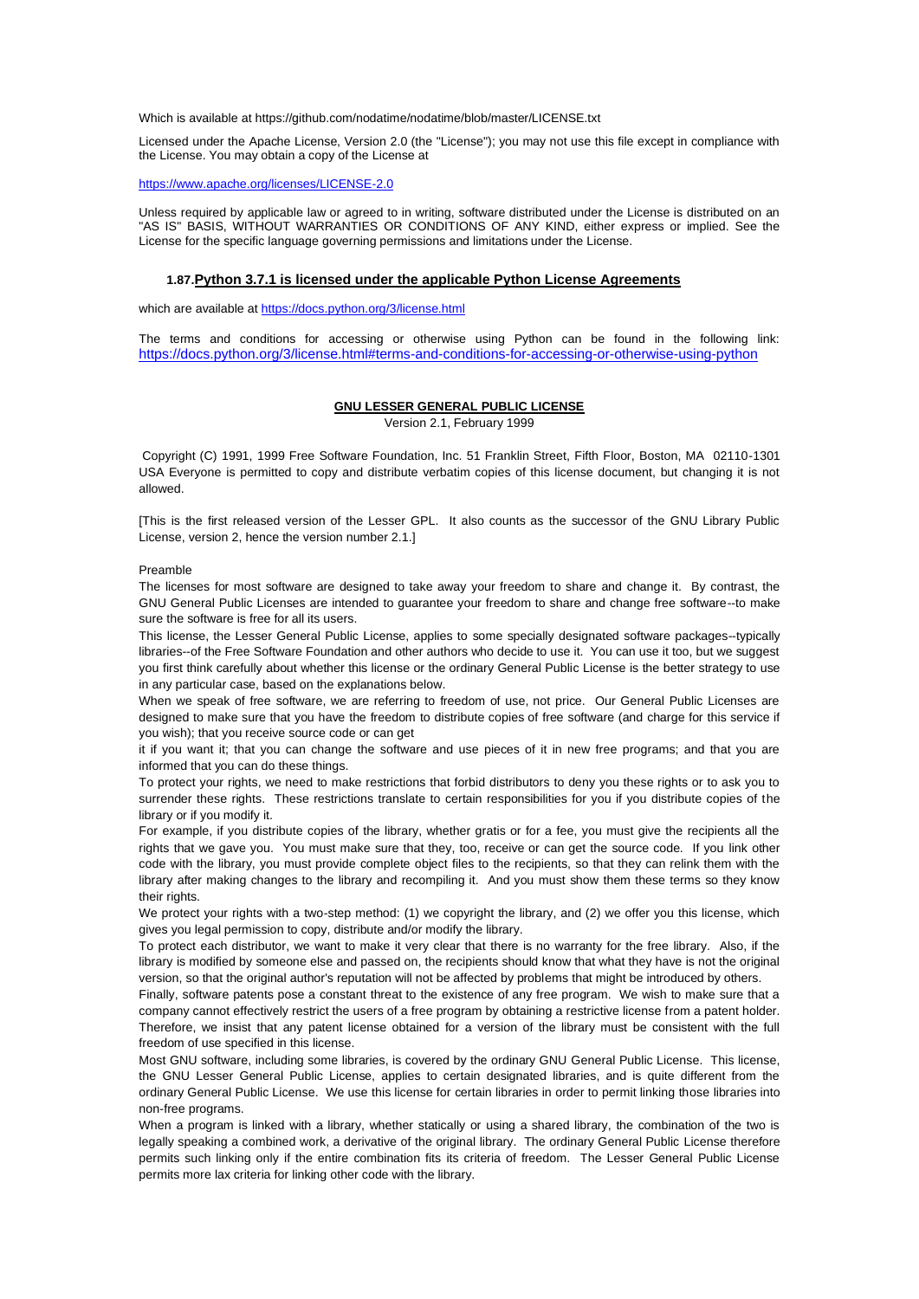Which is available a[t https://github.com/nodatime/nodatime/blob/master/LICENSE.txt](https://github.com/nodatime/nodatime/blob/master/LICENSE.txt)

Licensed under the Apache License, Version 2.0 (the "License"); you may not use this file except in compliance with the License. You may obtain a copy of the License at

<https://www.apache.org/licenses/LICENSE-2.0>

Unless required by applicable law or agreed to in writing, software distributed under the License is distributed on an "AS IS" BASIS, WITHOUT WARRANTIES OR CONDITIONS OF ANY KIND, either express or implied. See the License for the specific language governing permissions and limitations under the License.

#### **1.87.Python 3.7.1 is licensed under the applicable Python License Agreements**

which are available a[t https://docs.python.org/3/license.html](https://docs.python.org/3/license.html)

The terms and conditions for accessing or otherwise using Python can be found in the following link: <https://docs.python.org/3/license.html#terms-and-conditions-for-accessing-or-otherwise-using-python>

### **GNU LESSER GENERAL PUBLIC LICENSE**

Version 2.1, February 1999

Copyright (C) 1991, 1999 Free Software Foundation, Inc. 51 Franklin Street, Fifth Floor, Boston, MA 02110-1301 USA Everyone is permitted to copy and distribute verbatim copies of this license document, but changing it is not allowed.

[This is the first released version of the Lesser GPL. It also counts as the successor of the GNU Library Public License, version 2, hence the version number 2.1.]

#### Preamble

The licenses for most software are designed to take away your freedom to share and change it. By contrast, the GNU General Public Licenses are intended to guarantee your freedom to share and change free software--to make sure the software is free for all its users.

This license, the Lesser General Public License, applies to some specially designated software packages--typically libraries--of the Free Software Foundation and other authors who decide to use it. You can use it too, but we suggest you first think carefully about whether this license or the ordinary General Public License is the better strategy to use in any particular case, based on the explanations below.

When we speak of free software, we are referring to freedom of use, not price. Our General Public Licenses are designed to make sure that you have the freedom to distribute copies of free software (and charge for this service if you wish); that you receive source code or can get

it if you want it; that you can change the software and use pieces of it in new free programs; and that you are informed that you can do these things.

To protect your rights, we need to make restrictions that forbid distributors to deny you these rights or to ask you to surrender these rights. These restrictions translate to certain responsibilities for you if you distribute copies of the library or if you modify it.

For example, if you distribute copies of the library, whether gratis or for a fee, you must give the recipients all the rights that we gave you. You must make sure that they, too, receive or can get the source code. If you link other code with the library, you must provide complete object files to the recipients, so that they can relink them with the library after making changes to the library and recompiling it. And you must show them these terms so they know their rights.

We protect your rights with a two-step method: (1) we copyright the library, and (2) we offer you this license, which gives you legal permission to copy, distribute and/or modify the library.

To protect each distributor, we want to make it very clear that there is no warranty for the free library. Also, if the library is modified by someone else and passed on, the recipients should know that what they have is not the original version, so that the original author's reputation will not be affected by problems that might be introduced by others.

Finally, software patents pose a constant threat to the existence of any free program. We wish to make sure that a company cannot effectively restrict the users of a free program by obtaining a restrictive license from a patent holder. Therefore, we insist that any patent license obtained for a version of the library must be consistent with the full freedom of use specified in this license.

Most GNU software, including some libraries, is covered by the ordinary GNU General Public License. This license, the GNU Lesser General Public License, applies to certain designated libraries, and is quite different from the ordinary General Public License. We use this license for certain libraries in order to permit linking those libraries into non-free programs.

When a program is linked with a library, whether statically or using a shared library, the combination of the two is legally speaking a combined work, a derivative of the original library. The ordinary General Public License therefore permits such linking only if the entire combination fits its criteria of freedom. The Lesser General Public License permits more lax criteria for linking other code with the library.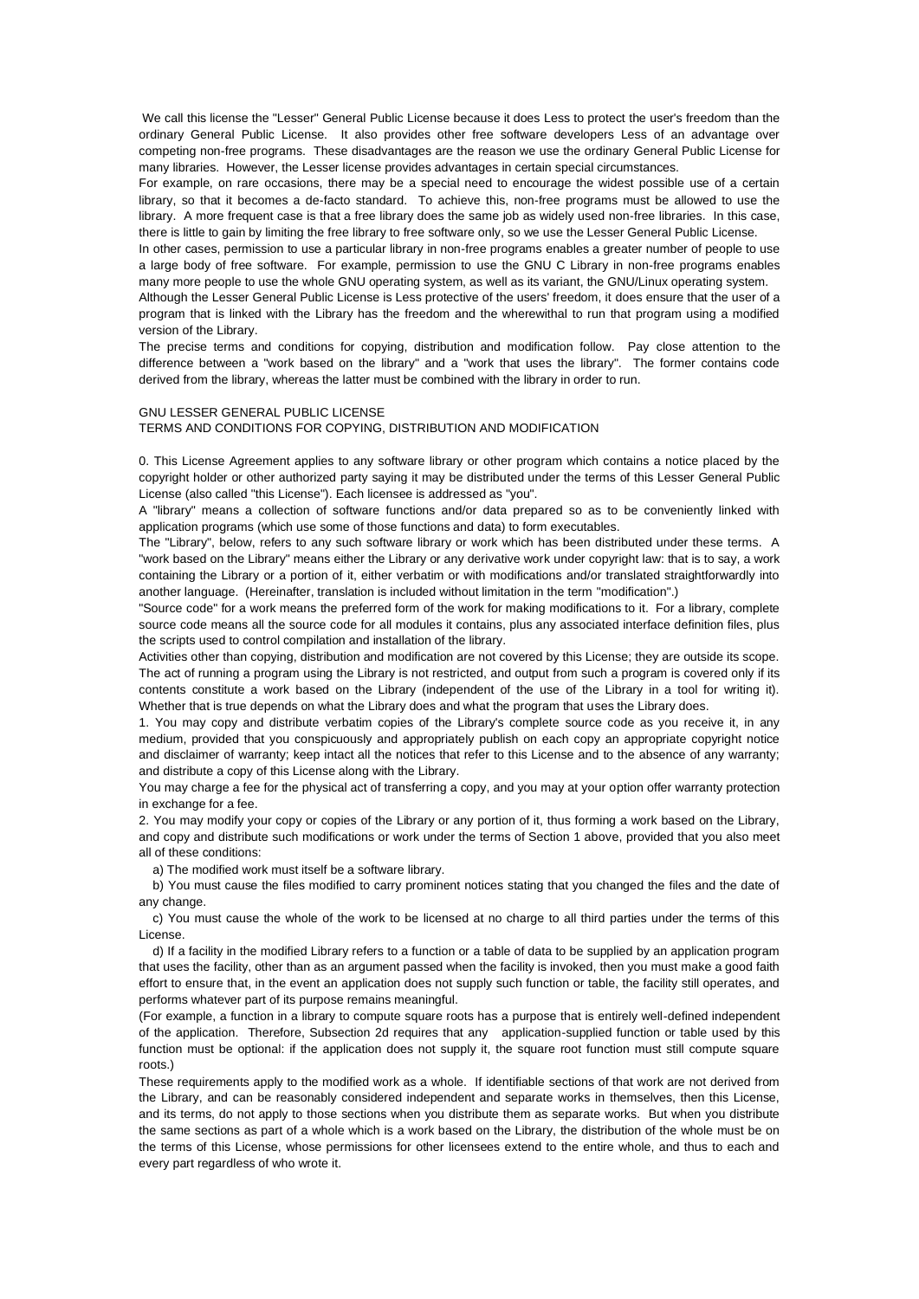We call this license the "Lesser" General Public License because it does Less to protect the user's freedom than the ordinary General Public License. It also provides other free software developers Less of an advantage over competing non-free programs. These disadvantages are the reason we use the ordinary General Public License for many libraries. However, the Lesser license provides advantages in certain special circumstances.

For example, on rare occasions, there may be a special need to encourage the widest possible use of a certain library, so that it becomes a de-facto standard. To achieve this, non-free programs must be allowed to use the library. A more frequent case is that a free library does the same job as widely used non-free libraries. In this case, there is little to gain by limiting the free library to free software only, so we use the Lesser General Public License.

In other cases, permission to use a particular library in non-free programs enables a greater number of people to use a large body of free software. For example, permission to use the GNU C Library in non-free programs enables many more people to use the whole GNU operating system, as well as its variant, the GNU/Linux operating system.

Although the Lesser General Public License is Less protective of the users' freedom, it does ensure that the user of a program that is linked with the Library has the freedom and the wherewithal to run that program using a modified version of the Library.

The precise terms and conditions for copying, distribution and modification follow. Pay close attention to the difference between a "work based on the library" and a "work that uses the library". The former contains code derived from the library, whereas the latter must be combined with the library in order to run.

### GNU LESSER GENERAL PUBLIC LICENSE

### TERMS AND CONDITIONS FOR COPYING, DISTRIBUTION AND MODIFICATION

0. This License Agreement applies to any software library or other program which contains a notice placed by the copyright holder or other authorized party saying it may be distributed under the terms of this Lesser General Public License (also called "this License"). Each licensee is addressed as "you".

A "library" means a collection of software functions and/or data prepared so as to be conveniently linked with application programs (which use some of those functions and data) to form executables.

The "Library", below, refers to any such software library or work which has been distributed under these terms. A "work based on the Library" means either the Library or any derivative work under copyright law: that is to say, a work containing the Library or a portion of it, either verbatim or with modifications and/or translated straightforwardly into another language. (Hereinafter, translation is included without limitation in the term "modification".)

"Source code" for a work means the preferred form of the work for making modifications to it. For a library, complete source code means all the source code for all modules it contains, plus any associated interface definition files, plus the scripts used to control compilation and installation of the library.

Activities other than copying, distribution and modification are not covered by this License; they are outside its scope. The act of running a program using the Library is not restricted, and output from such a program is covered only if its contents constitute a work based on the Library (independent of the use of the Library in a tool for writing it). Whether that is true depends on what the Library does and what the program that uses the Library does.

1. You may copy and distribute verbatim copies of the Library's complete source code as you receive it, in any medium, provided that you conspicuously and appropriately publish on each copy an appropriate copyright notice and disclaimer of warranty; keep intact all the notices that refer to this License and to the absence of any warranty; and distribute a copy of this License along with the Library.

You may charge a fee for the physical act of transferring a copy, and you may at your option offer warranty protection in exchange for a fee.

2. You may modify your copy or copies of the Library or any portion of it, thus forming a work based on the Library, and copy and distribute such modifications or work under the terms of Section 1 above, provided that you also meet all of these conditions:

a) The modified work must itself be a software library.

 b) You must cause the files modified to carry prominent notices stating that you changed the files and the date of any change.

 c) You must cause the whole of the work to be licensed at no charge to all third parties under the terms of this License.

 d) If a facility in the modified Library refers to a function or a table of data to be supplied by an application program that uses the facility, other than as an argument passed when the facility is invoked, then you must make a good faith effort to ensure that, in the event an application does not supply such function or table, the facility still operates, and performs whatever part of its purpose remains meaningful.

(For example, a function in a library to compute square roots has a purpose that is entirely well-defined independent of the application. Therefore, Subsection 2d requires that any application-supplied function or table used by this function must be optional: if the application does not supply it, the square root function must still compute square roots.)

These requirements apply to the modified work as a whole. If identifiable sections of that work are not derived from the Library, and can be reasonably considered independent and separate works in themselves, then this License, and its terms, do not apply to those sections when you distribute them as separate works. But when you distribute the same sections as part of a whole which is a work based on the Library, the distribution of the whole must be on the terms of this License, whose permissions for other licensees extend to the entire whole, and thus to each and every part regardless of who wrote it.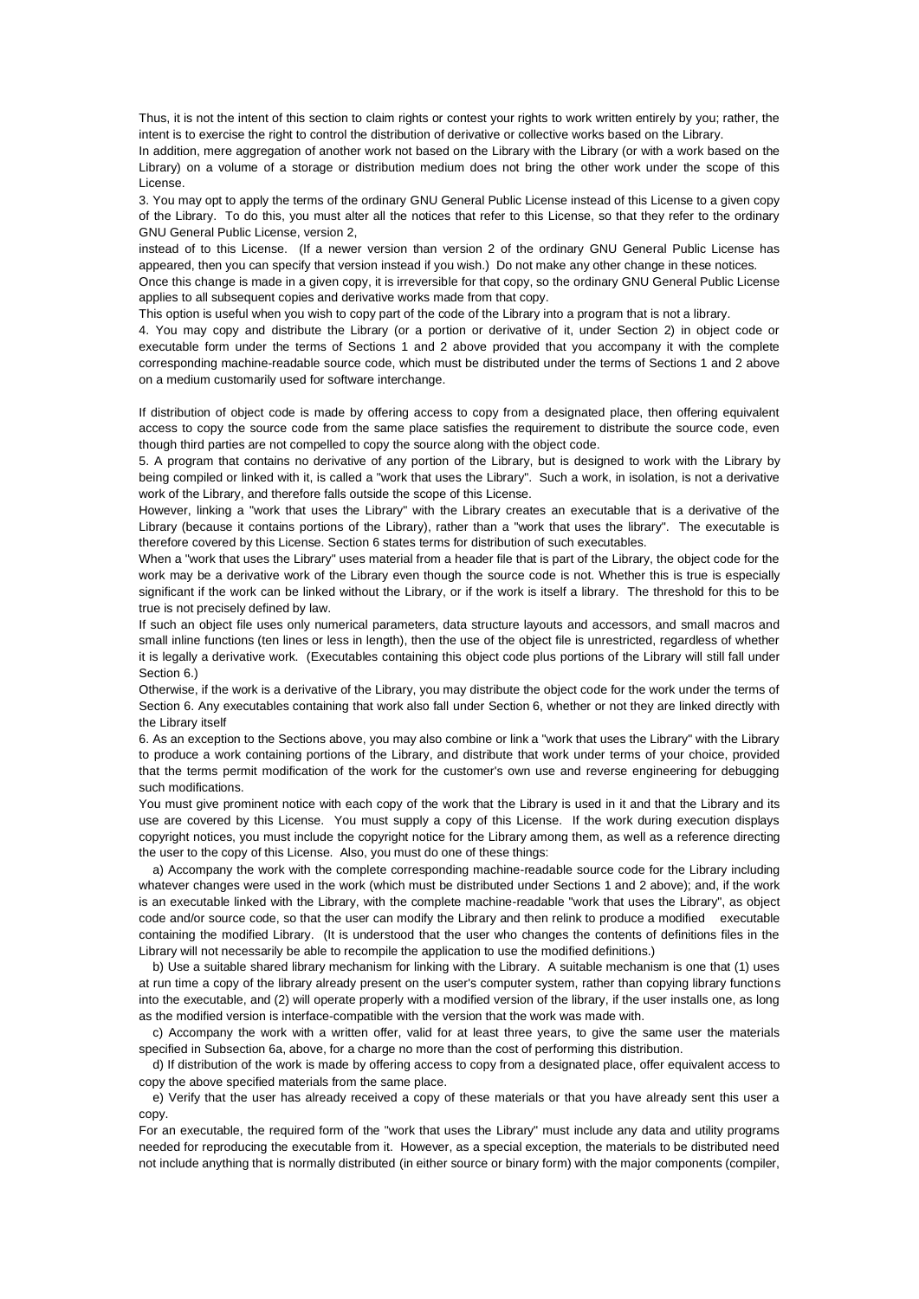Thus, it is not the intent of this section to claim rights or contest your rights to work written entirely by you; rather, the intent is to exercise the right to control the distribution of derivative or collective works based on the Library.

In addition, mere aggregation of another work not based on the Library with the Library (or with a work based on the Library) on a volume of a storage or distribution medium does not bring the other work under the scope of this License.

3. You may opt to apply the terms of the ordinary GNU General Public License instead of this License to a given copy of the Library. To do this, you must alter all the notices that refer to this License, so that they refer to the ordinary GNU General Public License, version 2,

instead of to this License. (If a newer version than version 2 of the ordinary GNU General Public License has appeared, then you can specify that version instead if you wish.) Do not make any other change in these notices.

Once this change is made in a given copy, it is irreversible for that copy, so the ordinary GNU General Public License applies to all subsequent copies and derivative works made from that copy.

This option is useful when you wish to copy part of the code of the Library into a program that is not a library.

4. You may copy and distribute the Library (or a portion or derivative of it, under Section 2) in object code or executable form under the terms of Sections 1 and 2 above provided that you accompany it with the complete corresponding machine-readable source code, which must be distributed under the terms of Sections 1 and 2 above on a medium customarily used for software interchange.

If distribution of object code is made by offering access to copy from a designated place, then offering equivalent access to copy the source code from the same place satisfies the requirement to distribute the source code, even though third parties are not compelled to copy the source along with the object code.

5. A program that contains no derivative of any portion of the Library, but is designed to work with the Library by being compiled or linked with it, is called a "work that uses the Library". Such a work, in isolation, is not a derivative work of the Library, and therefore falls outside the scope of this License.

However, linking a "work that uses the Library" with the Library creates an executable that is a derivative of the Library (because it contains portions of the Library), rather than a "work that uses the library". The executable is therefore covered by this License. Section 6 states terms for distribution of such executables.

When a "work that uses the Library" uses material from a header file that is part of the Library, the object code for the work may be a derivative work of the Library even though the source code is not. Whether this is true is especially significant if the work can be linked without the Library, or if the work is itself a library. The threshold for this to be true is not precisely defined by law.

If such an object file uses only numerical parameters, data structure layouts and accessors, and small macros and small inline functions (ten lines or less in length), then the use of the object file is unrestricted, regardless of whether it is legally a derivative work. (Executables containing this object code plus portions of the Library will still fall under Section 6.)

Otherwise, if the work is a derivative of the Library, you may distribute the object code for the work under the terms of Section 6. Any executables containing that work also fall under Section 6, whether or not they are linked directly with the Library itself

6. As an exception to the Sections above, you may also combine or link a "work that uses the Library" with the Library to produce a work containing portions of the Library, and distribute that work under terms of your choice, provided that the terms permit modification of the work for the customer's own use and reverse engineering for debugging such modifications.

You must give prominent notice with each copy of the work that the Library is used in it and that the Library and its use are covered by this License. You must supply a copy of this License. If the work during execution displays copyright notices, you must include the copyright notice for the Library among them, as well as a reference directing the user to the copy of this License. Also, you must do one of these things:

 a) Accompany the work with the complete corresponding machine-readable source code for the Library including whatever changes were used in the work (which must be distributed under Sections 1 and 2 above); and, if the work is an executable linked with the Library, with the complete machine-readable "work that uses the Library", as object code and/or source code, so that the user can modify the Library and then relink to produce a modified executable containing the modified Library. (It is understood that the user who changes the contents of definitions files in the Library will not necessarily be able to recompile the application to use the modified definitions.)

 b) Use a suitable shared library mechanism for linking with the Library. A suitable mechanism is one that (1) uses at run time a copy of the library already present on the user's computer system, rather than copying library functions into the executable, and (2) will operate properly with a modified version of the library, if the user installs one, as long as the modified version is interface-compatible with the version that the work was made with.

 c) Accompany the work with a written offer, valid for at least three years, to give the same user the materials specified in Subsection 6a, above, for a charge no more than the cost of performing this distribution.

 d) If distribution of the work is made by offering access to copy from a designated place, offer equivalent access to copy the above specified materials from the same place.

 e) Verify that the user has already received a copy of these materials or that you have already sent this user a copy.

For an executable, the required form of the "work that uses the Library" must include any data and utility programs needed for reproducing the executable from it. However, as a special exception, the materials to be distributed need not include anything that is normally distributed (in either source or binary form) with the major components (compiler,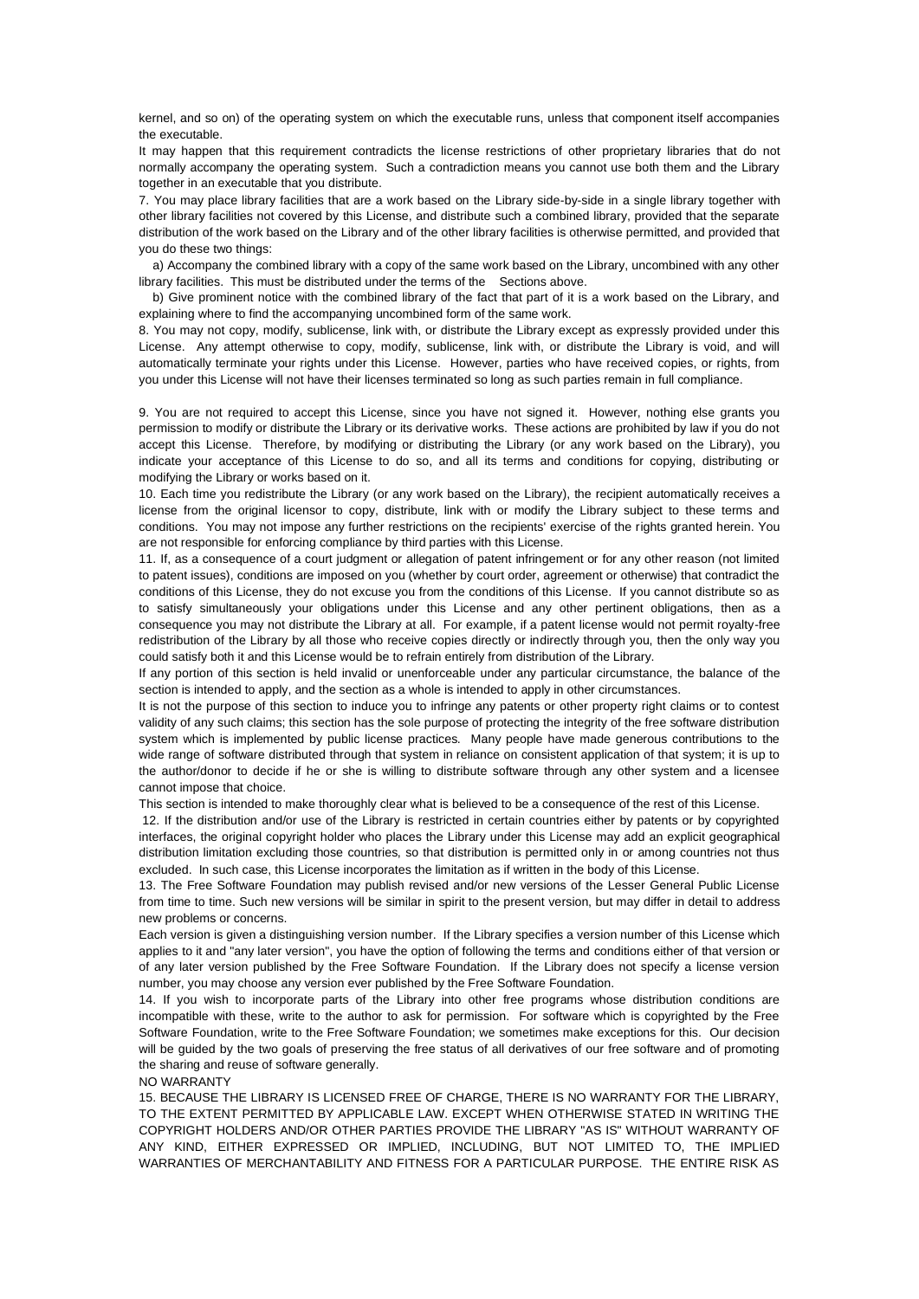kernel, and so on) of the operating system on which the executable runs, unless that component itself accompanies the executable.

It may happen that this requirement contradicts the license restrictions of other proprietary libraries that do not normally accompany the operating system. Such a contradiction means you cannot use both them and the Library together in an executable that you distribute.

7. You may place library facilities that are a work based on the Library side-by-side in a single library together with other library facilities not covered by this License, and distribute such a combined library, provided that the separate distribution of the work based on the Library and of the other library facilities is otherwise permitted, and provided that you do these two things:

 a) Accompany the combined library with a copy of the same work based on the Library, uncombined with any other library facilities. This must be distributed under the terms of the Sections above.

 b) Give prominent notice with the combined library of the fact that part of it is a work based on the Library, and explaining where to find the accompanying uncombined form of the same work.

8. You may not copy, modify, sublicense, link with, or distribute the Library except as expressly provided under this License. Any attempt otherwise to copy, modify, sublicense, link with, or distribute the Library is void, and will automatically terminate your rights under this License. However, parties who have received copies, or rights, from you under this License will not have their licenses terminated so long as such parties remain in full compliance.

9. You are not required to accept this License, since you have not signed it. However, nothing else grants you permission to modify or distribute the Library or its derivative works. These actions are prohibited by law if you do not accept this License. Therefore, by modifying or distributing the Library (or any work based on the Library), you indicate your acceptance of this License to do so, and all its terms and conditions for copying, distributing or modifying the Library or works based on it.

10. Each time you redistribute the Library (or any work based on the Library), the recipient automatically receives a license from the original licensor to copy, distribute, link with or modify the Library subject to these terms and conditions. You may not impose any further restrictions on the recipients' exercise of the rights granted herein. You are not responsible for enforcing compliance by third parties with this License.

11. If, as a consequence of a court judgment or allegation of patent infringement or for any other reason (not limited to patent issues), conditions are imposed on you (whether by court order, agreement or otherwise) that contradict the conditions of this License, they do not excuse you from the conditions of this License. If you cannot distribute so as to satisfy simultaneously your obligations under this License and any other pertinent obligations, then as a consequence you may not distribute the Library at all. For example, if a patent license would not permit royalty-free redistribution of the Library by all those who receive copies directly or indirectly through you, then the only way you could satisfy both it and this License would be to refrain entirely from distribution of the Library.

If any portion of this section is held invalid or unenforceable under any particular circumstance, the balance of the section is intended to apply, and the section as a whole is intended to apply in other circumstances.

It is not the purpose of this section to induce you to infringe any patents or other property right claims or to contest validity of any such claims; this section has the sole purpose of protecting the integrity of the free software distribution system which is implemented by public license practices. Many people have made generous contributions to the wide range of software distributed through that system in reliance on consistent application of that system; it is up to the author/donor to decide if he or she is willing to distribute software through any other system and a licensee cannot impose that choice.

This section is intended to make thoroughly clear what is believed to be a consequence of the rest of this License.

12. If the distribution and/or use of the Library is restricted in certain countries either by patents or by copyrighted interfaces, the original copyright holder who places the Library under this License may add an explicit geographical distribution limitation excluding those countries, so that distribution is permitted only in or among countries not thus excluded. In such case, this License incorporates the limitation as if written in the body of this License.

13. The Free Software Foundation may publish revised and/or new versions of the Lesser General Public License from time to time. Such new versions will be similar in spirit to the present version, but may differ in detail to address new problems or concerns.

Each version is given a distinguishing version number. If the Library specifies a version number of this License which applies to it and "any later version", you have the option of following the terms and conditions either of that version or of any later version published by the Free Software Foundation. If the Library does not specify a license version number, you may choose any version ever published by the Free Software Foundation.

14. If you wish to incorporate parts of the Library into other free programs whose distribution conditions are incompatible with these, write to the author to ask for permission. For software which is copyrighted by the Free Software Foundation, write to the Free Software Foundation; we sometimes make exceptions for this. Our decision will be guided by the two goals of preserving the free status of all derivatives of our free software and of promoting the sharing and reuse of software generally.

NO WARRANTY

15. BECAUSE THE LIBRARY IS LICENSED FREE OF CHARGE, THERE IS NO WARRANTY FOR THE LIBRARY, TO THE EXTENT PERMITTED BY APPLICABLE LAW. EXCEPT WHEN OTHERWISE STATED IN WRITING THE COPYRIGHT HOLDERS AND/OR OTHER PARTIES PROVIDE THE LIBRARY "AS IS" WITHOUT WARRANTY OF ANY KIND, EITHER EXPRESSED OR IMPLIED, INCLUDING, BUT NOT LIMITED TO, THE IMPLIED WARRANTIES OF MERCHANTABILITY AND FITNESS FOR A PARTICULAR PURPOSE. THE ENTIRE RISK AS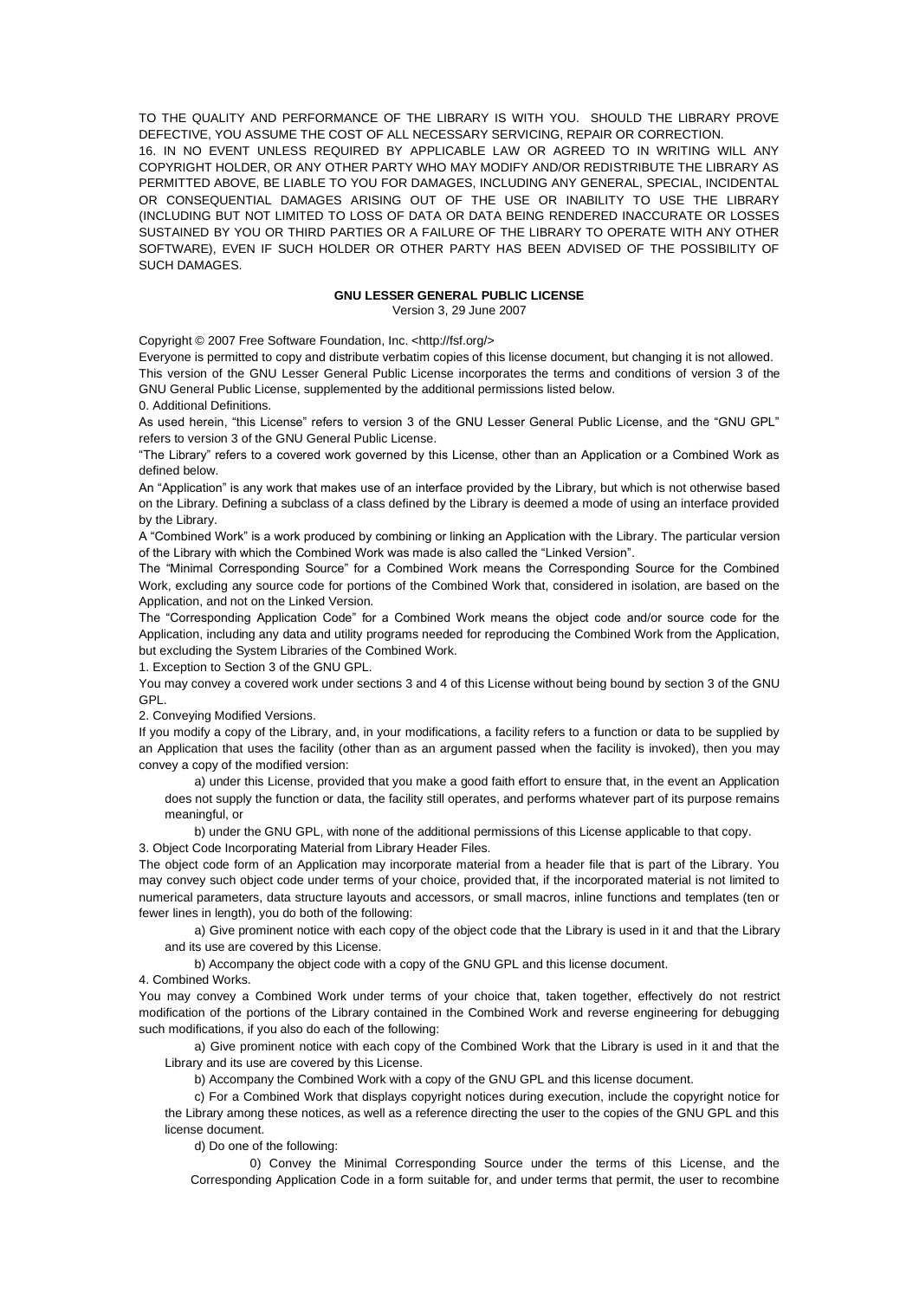TO THE QUALITY AND PERFORMANCE OF THE LIBRARY IS WITH YOU. SHOULD THE LIBRARY PROVE DEFECTIVE, YOU ASSUME THE COST OF ALL NECESSARY SERVICING, REPAIR OR CORRECTION. 16. IN NO EVENT UNLESS REQUIRED BY APPLICABLE LAW OR AGREED TO IN WRITING WILL ANY COPYRIGHT HOLDER, OR ANY OTHER PARTY WHO MAY MODIFY AND/OR REDISTRIBUTE THE LIBRARY AS PERMITTED ABOVE, BE LIABLE TO YOU FOR DAMAGES, INCLUDING ANY GENERAL, SPECIAL, INCIDENTAL OR CONSEQUENTIAL DAMAGES ARISING OUT OF THE USE OR INABILITY TO USE THE LIBRARY (INCLUDING BUT NOT LIMITED TO LOSS OF DATA OR DATA BEING RENDERED INACCURATE OR LOSSES SUSTAINED BY YOU OR THIRD PARTIES OR A FAILURE OF THE LIBRARY TO OPERATE WITH ANY OTHER SOFTWARE), EVEN IF SUCH HOLDER OR OTHER PARTY HAS BEEN ADVISED OF THE POSSIBILITY OF SUCH DAMAGES.

### **GNU LESSER GENERAL PUBLIC LICENSE** Version 3, 29 June 2007

Copyright © 2007 Free Software Foundation, Inc. <http://fsf.org/>

Everyone is permitted to copy and distribute verbatim copies of this license document, but changing it is not allowed. This version of the GNU Lesser General Public License incorporates the terms and conditions of version 3 of the

GNU General Public License, supplemented by the additional permissions listed below. 0. Additional Definitions.

As used herein, "this License" refers to version 3 of the GNU Lesser General Public License, and the "GNU GPL" refers to version 3 of the GNU General Public License.

"The Library" refers to a covered work governed by this License, other than an Application or a Combined Work as defined below.

An "Application" is any work that makes use of an interface provided by the Library, but which is not otherwise based on the Library. Defining a subclass of a class defined by the Library is deemed a mode of using an interface provided by the Library.

A "Combined Work" is a work produced by combining or linking an Application with the Library. The particular version of the Library with which the Combined Work was made is also called the "Linked Version".

The "Minimal Corresponding Source" for a Combined Work means the Corresponding Source for the Combined Work, excluding any source code for portions of the Combined Work that, considered in isolation, are based on the Application, and not on the Linked Version.

The "Corresponding Application Code" for a Combined Work means the object code and/or source code for the Application, including any data and utility programs needed for reproducing the Combined Work from the Application, but excluding the System Libraries of the Combined Work.

1. Exception to Section 3 of the GNU GPL.

You may convey a covered work under sections 3 and 4 of this License without being bound by section 3 of the GNU GPL.

2. Conveying Modified Versions.

If you modify a copy of the Library, and, in your modifications, a facility refers to a function or data to be supplied by an Application that uses the facility (other than as an argument passed when the facility is invoked), then you may convey a copy of the modified version:

a) under this License, provided that you make a good faith effort to ensure that, in the event an Application does not supply the function or data, the facility still operates, and performs whatever part of its purpose remains meaningful, or

b) under the GNU GPL, with none of the additional permissions of this License applicable to that copy. 3. Object Code Incorporating Material from Library Header Files.

The object code form of an Application may incorporate material from a header file that is part of the Library. You may convey such object code under terms of your choice, provided that, if the incorporated material is not limited to numerical parameters, data structure layouts and accessors, or small macros, inline functions and templates (ten or fewer lines in length), you do both of the following:

a) Give prominent notice with each copy of the object code that the Library is used in it and that the Library and its use are covered by this License.

b) Accompany the object code with a copy of the GNU GPL and this license document.

4. Combined Works.

You may convey a Combined Work under terms of your choice that, taken together, effectively do not restrict modification of the portions of the Library contained in the Combined Work and reverse engineering for debugging such modifications, if you also do each of the following:

a) Give prominent notice with each copy of the Combined Work that the Library is used in it and that the Library and its use are covered by this License.

b) Accompany the Combined Work with a copy of the GNU GPL and this license document.

c) For a Combined Work that displays copyright notices during execution, include the copyright notice for the Library among these notices, as well as a reference directing the user to the copies of the GNU GPL and this license document.

d) Do one of the following:

0) Convey the Minimal Corresponding Source under the terms of this License, and the Corresponding Application Code in a form suitable for, and under terms that permit, the user to recombine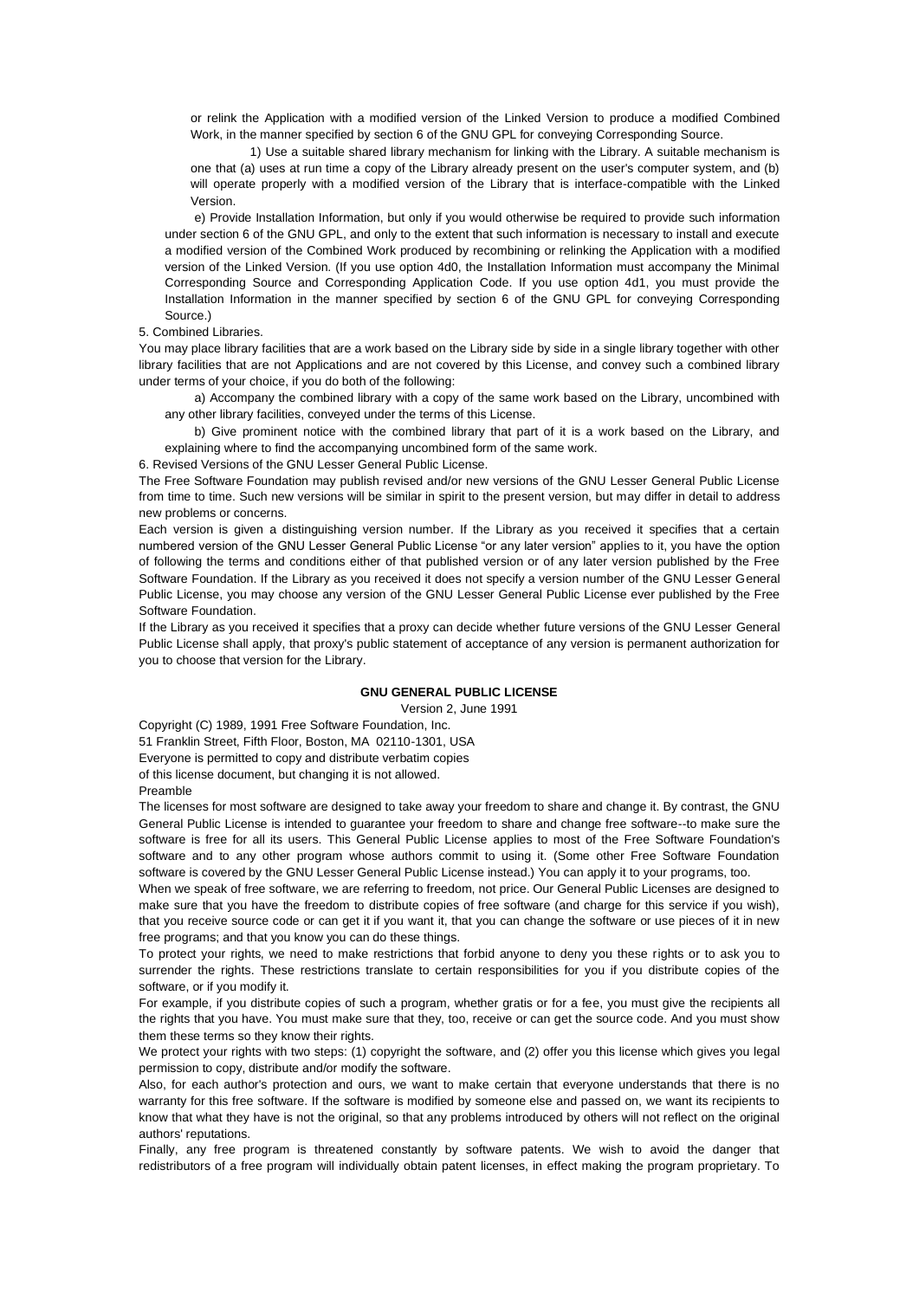or relink the Application with a modified version of the Linked Version to produce a modified Combined Work, in the manner specified by section 6 of the GNU GPL for conveying Corresponding Source.

1) Use a suitable shared library mechanism for linking with the Library. A suitable mechanism is one that (a) uses at run time a copy of the Library already present on the user's computer system, and (b) will operate properly with a modified version of the Library that is interface-compatible with the Linked Version.

e) Provide Installation Information, but only if you would otherwise be required to provide such information under section 6 of the GNU GPL, and only to the extent that such information is necessary to install and execute a modified version of the Combined Work produced by recombining or relinking the Application with a modified version of the Linked Version. (If you use option 4d0, the Installation Information must accompany the Minimal Corresponding Source and Corresponding Application Code. If you use option 4d1, you must provide the Installation Information in the manner specified by section 6 of the GNU GPL for conveying Corresponding Source.)

### 5. Combined Libraries.

You may place library facilities that are a work based on the Library side by side in a single library together with other library facilities that are not Applications and are not covered by this License, and convey such a combined library under terms of your choice, if you do both of the following:

a) Accompany the combined library with a copy of the same work based on the Library, uncombined with any other library facilities, conveyed under the terms of this License.

b) Give prominent notice with the combined library that part of it is a work based on the Library, and explaining where to find the accompanying uncombined form of the same work.

6. Revised Versions of the GNU Lesser General Public License.

The Free Software Foundation may publish revised and/or new versions of the GNU Lesser General Public License from time to time. Such new versions will be similar in spirit to the present version, but may differ in detail to address new problems or concerns.

Each version is given a distinguishing version number. If the Library as you received it specifies that a certain numbered version of the GNU Lesser General Public License "or any later version" applies to it, you have the option of following the terms and conditions either of that published version or of any later version published by the Free Software Foundation. If the Library as you received it does not specify a version number of the GNU Lesser General Public License, you may choose any version of the GNU Lesser General Public License ever published by the Free Software Foundation.

If the Library as you received it specifies that a proxy can decide whether future versions of the GNU Lesser General Public License shall apply, that proxy's public statement of acceptance of any version is permanent authorization for you to choose that version for the Library.

### **GNU GENERAL PUBLIC LICENSE**

Version 2, June 1991

Copyright (C) 1989, 1991 Free Software Foundation, Inc.

51 Franklin Street, Fifth Floor, Boston, MA 02110-1301, USA

Everyone is permitted to copy and distribute verbatim copies

of this license document, but changing it is not allowed.

Preamble

The licenses for most software are designed to take away your freedom to share and change it. By contrast, the GNU General Public License is intended to guarantee your freedom to share and change free software--to make sure the software is free for all its users. This General Public License applies to most of the Free Software Foundation's software and to any other program whose authors commit to using it. (Some other Free Software Foundation software is covered by the GNU Lesser General Public License instead.) You can apply it to your programs, too.

When we speak of free software, we are referring to freedom, not price. Our General Public Licenses are designed to make sure that you have the freedom to distribute copies of free software (and charge for this service if you wish), that you receive source code or can get it if you want it, that you can change the software or use pieces of it in new free programs; and that you know you can do these things.

To protect your rights, we need to make restrictions that forbid anyone to deny you these rights or to ask you to surrender the rights. These restrictions translate to certain responsibilities for you if you distribute copies of the software, or if you modify it.

For example, if you distribute copies of such a program, whether gratis or for a fee, you must give the recipients all the rights that you have. You must make sure that they, too, receive or can get the source code. And you must show them these terms so they know their rights.

We protect your rights with two steps: (1) copyright the software, and (2) offer you this license which gives you legal permission to copy, distribute and/or modify the software.

Also, for each author's protection and ours, we want to make certain that everyone understands that there is no warranty for this free software. If the software is modified by someone else and passed on, we want its recipients to know that what they have is not the original, so that any problems introduced by others will not reflect on the original authors' reputations.

Finally, any free program is threatened constantly by software patents. We wish to avoid the danger that redistributors of a free program will individually obtain patent licenses, in effect making the program proprietary. To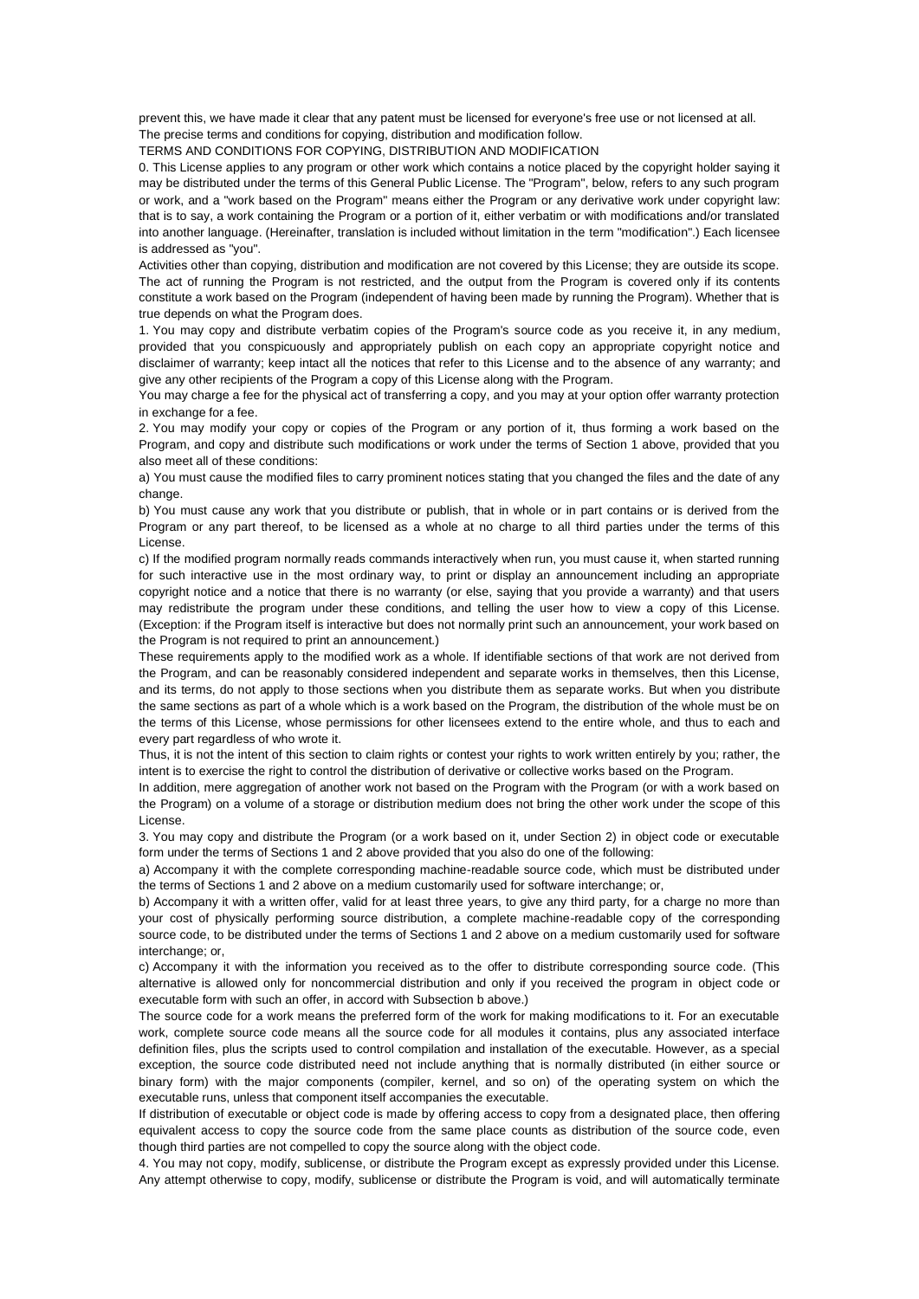prevent this, we have made it clear that any patent must be licensed for everyone's free use or not licensed at all. The precise terms and conditions for copying, distribution and modification follow.

TERMS AND CONDITIONS FOR COPYING, DISTRIBUTION AND MODIFICATION

0. This License applies to any program or other work which contains a notice placed by the copyright holder saying it may be distributed under the terms of this General Public License. The "Program", below, refers to any such program or work, and a "work based on the Program" means either the Program or any derivative work under copyright law: that is to say, a work containing the Program or a portion of it, either verbatim or with modifications and/or translated into another language. (Hereinafter, translation is included without limitation in the term "modification".) Each licensee is addressed as "you".

Activities other than copying, distribution and modification are not covered by this License; they are outside its scope. The act of running the Program is not restricted, and the output from the Program is covered only if its contents constitute a work based on the Program (independent of having been made by running the Program). Whether that is true depends on what the Program does.

1. You may copy and distribute verbatim copies of the Program's source code as you receive it, in any medium, provided that you conspicuously and appropriately publish on each copy an appropriate copyright notice and disclaimer of warranty; keep intact all the notices that refer to this License and to the absence of any warranty; and give any other recipients of the Program a copy of this License along with the Program.

You may charge a fee for the physical act of transferring a copy, and you may at your option offer warranty protection in exchange for a fee.

2. You may modify your copy or copies of the Program or any portion of it, thus forming a work based on the Program, and copy and distribute such modifications or work under the terms of Section 1 above, provided that you also meet all of these conditions:

a) You must cause the modified files to carry prominent notices stating that you changed the files and the date of any change.

b) You must cause any work that you distribute or publish, that in whole or in part contains or is derived from the Program or any part thereof, to be licensed as a whole at no charge to all third parties under the terms of this License.

c) If the modified program normally reads commands interactively when run, you must cause it, when started running for such interactive use in the most ordinary way, to print or display an announcement including an appropriate copyright notice and a notice that there is no warranty (or else, saying that you provide a warranty) and that users may redistribute the program under these conditions, and telling the user how to view a copy of this License. (Exception: if the Program itself is interactive but does not normally print such an announcement, your work based on the Program is not required to print an announcement.)

These requirements apply to the modified work as a whole. If identifiable sections of that work are not derived from the Program, and can be reasonably considered independent and separate works in themselves, then this License, and its terms, do not apply to those sections when you distribute them as separate works. But when you distribute the same sections as part of a whole which is a work based on the Program, the distribution of the whole must be on the terms of this License, whose permissions for other licensees extend to the entire whole, and thus to each and every part regardless of who wrote it.

Thus, it is not the intent of this section to claim rights or contest your rights to work written entirely by you; rather, the intent is to exercise the right to control the distribution of derivative or collective works based on the Program.

In addition, mere aggregation of another work not based on the Program with the Program (or with a work based on the Program) on a volume of a storage or distribution medium does not bring the other work under the scope of this License.

3. You may copy and distribute the Program (or a work based on it, under Section 2) in object code or executable form under the terms of Sections 1 and 2 above provided that you also do one of the following:

a) Accompany it with the complete corresponding machine-readable source code, which must be distributed under the terms of Sections 1 and 2 above on a medium customarily used for software interchange; or,

b) Accompany it with a written offer, valid for at least three years, to give any third party, for a charge no more than your cost of physically performing source distribution, a complete machine-readable copy of the corresponding source code, to be distributed under the terms of Sections 1 and 2 above on a medium customarily used for software interchange; or,

c) Accompany it with the information you received as to the offer to distribute corresponding source code. (This alternative is allowed only for noncommercial distribution and only if you received the program in object code or executable form with such an offer, in accord with Subsection b above.)

The source code for a work means the preferred form of the work for making modifications to it. For an executable work, complete source code means all the source code for all modules it contains, plus any associated interface definition files, plus the scripts used to control compilation and installation of the executable. However, as a special exception, the source code distributed need not include anything that is normally distributed (in either source or binary form) with the major components (compiler, kernel, and so on) of the operating system on which the executable runs, unless that component itself accompanies the executable.

If distribution of executable or object code is made by offering access to copy from a designated place, then offering equivalent access to copy the source code from the same place counts as distribution of the source code, even though third parties are not compelled to copy the source along with the object code.

4. You may not copy, modify, sublicense, or distribute the Program except as expressly provided under this License. Any attempt otherwise to copy, modify, sublicense or distribute the Program is void, and will automatically terminate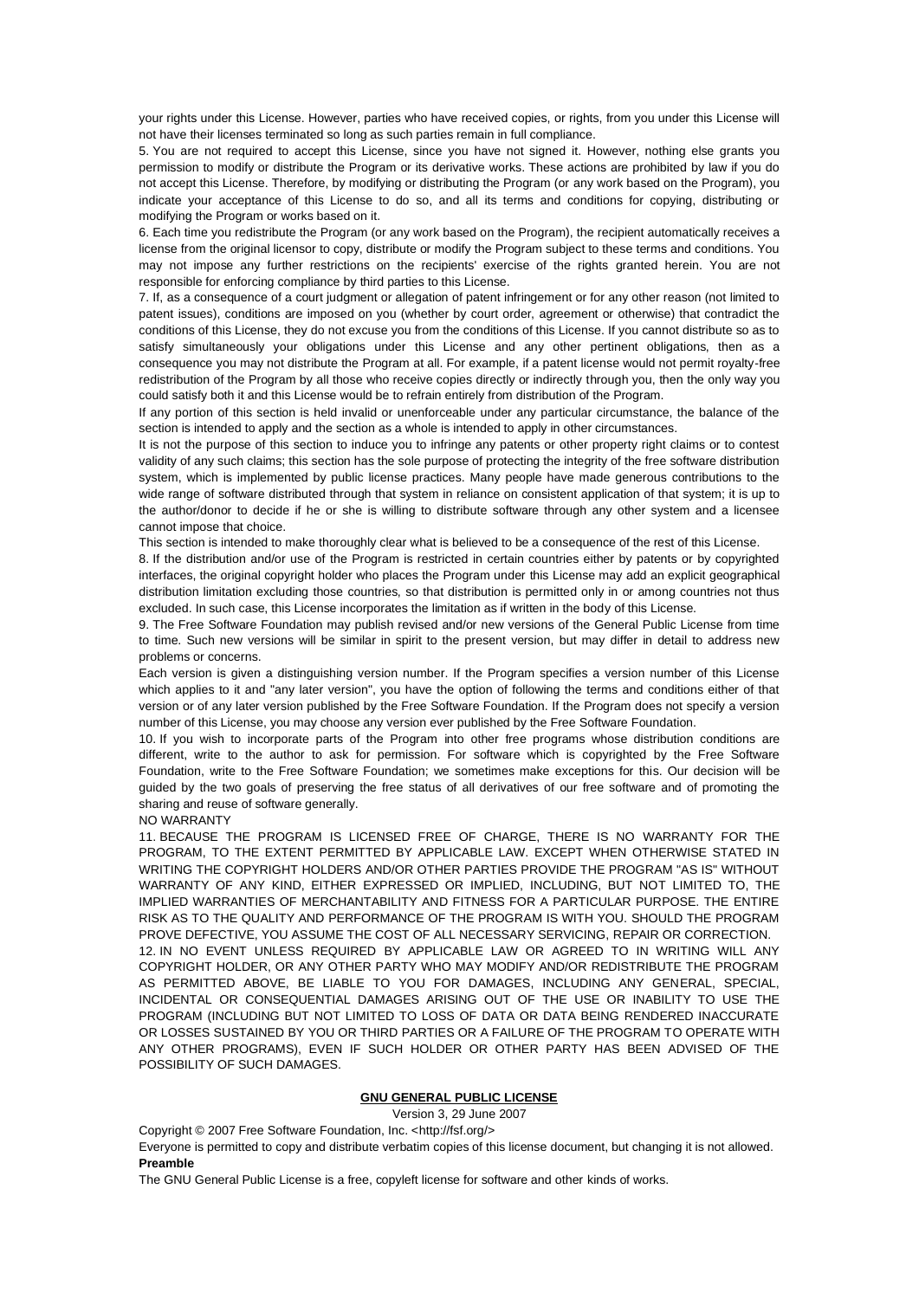your rights under this License. However, parties who have received copies, or rights, from you under this License will not have their licenses terminated so long as such parties remain in full compliance.

5. You are not required to accept this License, since you have not signed it. However, nothing else grants you permission to modify or distribute the Program or its derivative works. These actions are prohibited by law if you do not accept this License. Therefore, by modifying or distributing the Program (or any work based on the Program), you indicate your acceptance of this License to do so, and all its terms and conditions for copying, distributing or modifying the Program or works based on it.

6. Each time you redistribute the Program (or any work based on the Program), the recipient automatically receives a license from the original licensor to copy, distribute or modify the Program subject to these terms and conditions. You may not impose any further restrictions on the recipients' exercise of the rights granted herein. You are not responsible for enforcing compliance by third parties to this License.

7. If, as a consequence of a court judgment or allegation of patent infringement or for any other reason (not limited to patent issues), conditions are imposed on you (whether by court order, agreement or otherwise) that contradict the conditions of this License, they do not excuse you from the conditions of this License. If you cannot distribute so as to satisfy simultaneously your obligations under this License and any other pertinent obligations, then as a consequence you may not distribute the Program at all. For example, if a patent license would not permit royalty-free redistribution of the Program by all those who receive copies directly or indirectly through you, then the only way you could satisfy both it and this License would be to refrain entirely from distribution of the Program.

If any portion of this section is held invalid or unenforceable under any particular circumstance, the balance of the section is intended to apply and the section as a whole is intended to apply in other circumstances.

It is not the purpose of this section to induce you to infringe any patents or other property right claims or to contest validity of any such claims; this section has the sole purpose of protecting the integrity of the free software distribution system, which is implemented by public license practices. Many people have made generous contributions to the wide range of software distributed through that system in reliance on consistent application of that system; it is up to the author/donor to decide if he or she is willing to distribute software through any other system and a licensee cannot impose that choice.

This section is intended to make thoroughly clear what is believed to be a consequence of the rest of this License.

8. If the distribution and/or use of the Program is restricted in certain countries either by patents or by copyrighted interfaces, the original copyright holder who places the Program under this License may add an explicit geographical distribution limitation excluding those countries, so that distribution is permitted only in or among countries not thus excluded. In such case, this License incorporates the limitation as if written in the body of this License.

9. The Free Software Foundation may publish revised and/or new versions of the General Public License from time to time. Such new versions will be similar in spirit to the present version, but may differ in detail to address new problems or concerns.

Each version is given a distinguishing version number. If the Program specifies a version number of this License which applies to it and "any later version", you have the option of following the terms and conditions either of that version or of any later version published by the Free Software Foundation. If the Program does not specify a version number of this License, you may choose any version ever published by the Free Software Foundation.

10. If you wish to incorporate parts of the Program into other free programs whose distribution conditions are different, write to the author to ask for permission. For software which is copyrighted by the Free Software Foundation, write to the Free Software Foundation; we sometimes make exceptions for this. Our decision will be guided by the two goals of preserving the free status of all derivatives of our free software and of promoting the sharing and reuse of software generally.

NO WARRANTY

11. BECAUSE THE PROGRAM IS LICENSED FREE OF CHARGE, THERE IS NO WARRANTY FOR THE PROGRAM, TO THE EXTENT PERMITTED BY APPLICABLE LAW. EXCEPT WHEN OTHERWISE STATED IN WRITING THE COPYRIGHT HOLDERS AND/OR OTHER PARTIES PROVIDE THE PROGRAM "AS IS" WITHOUT WARRANTY OF ANY KIND, EITHER EXPRESSED OR IMPLIED, INCLUDING, BUT NOT LIMITED TO, THE IMPLIED WARRANTIES OF MERCHANTABILITY AND FITNESS FOR A PARTICULAR PURPOSE. THE ENTIRE RISK AS TO THE QUALITY AND PERFORMANCE OF THE PROGRAM IS WITH YOU. SHOULD THE PROGRAM PROVE DEFECTIVE, YOU ASSUME THE COST OF ALL NECESSARY SERVICING, REPAIR OR CORRECTION. 12. IN NO EVENT UNLESS REQUIRED BY APPLICABLE LAW OR AGREED TO IN WRITING WILL ANY COPYRIGHT HOLDER, OR ANY OTHER PARTY WHO MAY MODIFY AND/OR REDISTRIBUTE THE PROGRAM AS PERMITTED ABOVE, BE LIABLE TO YOU FOR DAMAGES, INCLUDING ANY GENERAL, SPECIAL, INCIDENTAL OR CONSEQUENTIAL DAMAGES ARISING OUT OF THE USE OR INABILITY TO USE THE PROGRAM (INCLUDING BUT NOT LIMITED TO LOSS OF DATA OR DATA BEING RENDERED INACCURATE OR LOSSES SUSTAINED BY YOU OR THIRD PARTIES OR A FAILURE OF THE PROGRAM TO OPERATE WITH ANY OTHER PROGRAMS), EVEN IF SUCH HOLDER OR OTHER PARTY HAS BEEN ADVISED OF THE

#### **GNU GENERAL PUBLIC LICENSE**

Version 3, 29 June 2007

Copyright © 2007 Free Software Foundation, Inc. [<http://fsf.org/>](http://fsf.org/)

POSSIBILITY OF SUCH DAMAGES.

Everyone is permitted to copy and distribute verbatim copies of this license document, but changing it is not allowed. **Preamble**

The GNU General Public License is a free, copyleft license for software and other kinds of works.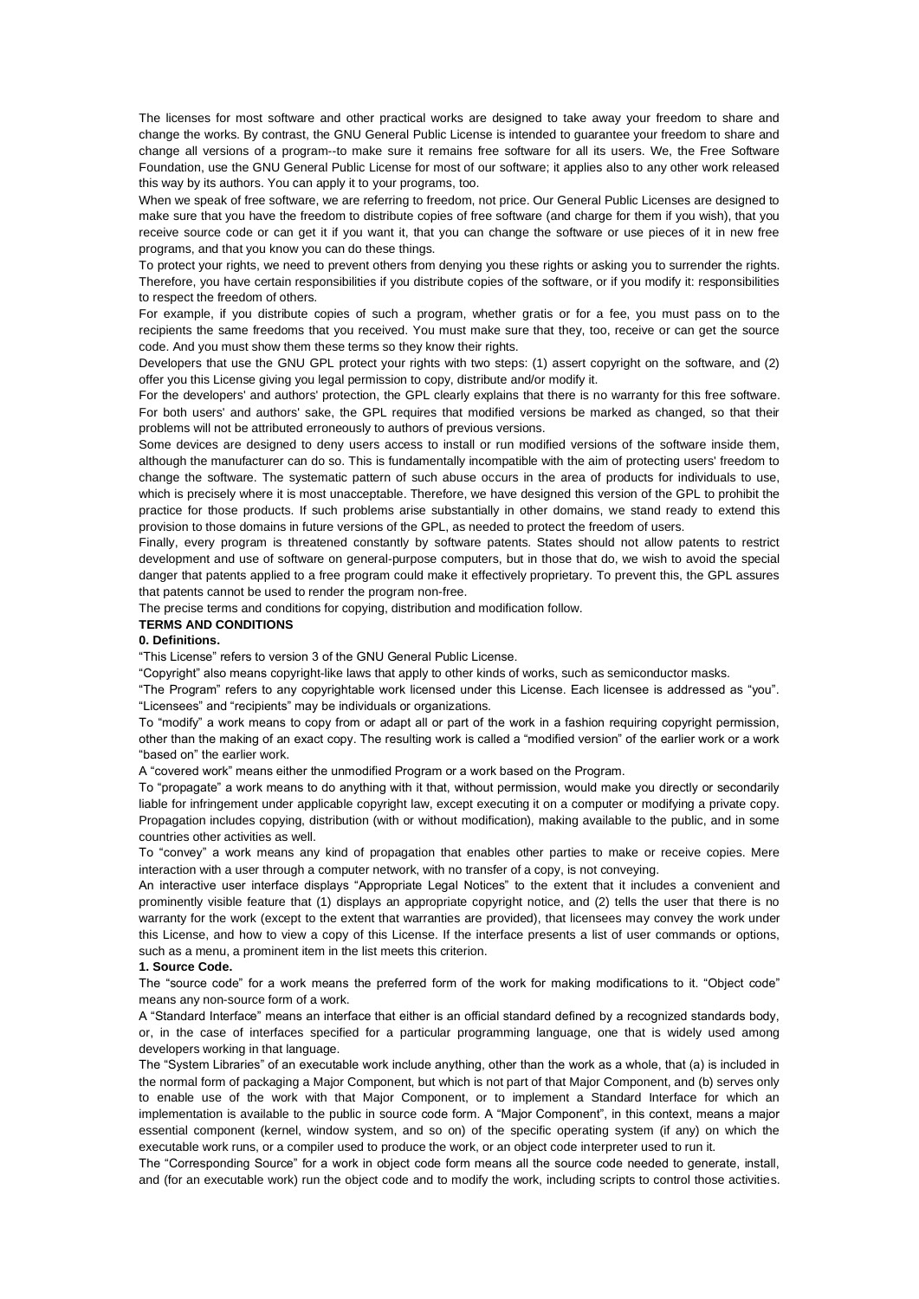The licenses for most software and other practical works are designed to take away your freedom to share and change the works. By contrast, the GNU General Public License is intended to guarantee your freedom to share and change all versions of a program--to make sure it remains free software for all its users. We, the Free Software Foundation, use the GNU General Public License for most of our software; it applies also to any other work released this way by its authors. You can apply it to your programs, too.

When we speak of free software, we are referring to freedom, not price. Our General Public Licenses are designed to make sure that you have the freedom to distribute copies of free software (and charge for them if you wish), that you receive source code or can get it if you want it, that you can change the software or use pieces of it in new free programs, and that you know you can do these things.

To protect your rights, we need to prevent others from denying you these rights or asking you to surrender the rights. Therefore, you have certain responsibilities if you distribute copies of the software, or if you modify it: responsibilities to respect the freedom of others.

For example, if you distribute copies of such a program, whether gratis or for a fee, you must pass on to the recipients the same freedoms that you received. You must make sure that they, too, receive or can get the source code. And you must show them these terms so they know their rights.

Developers that use the GNU GPL protect your rights with two steps: (1) assert copyright on the software, and (2) offer you this License giving you legal permission to copy, distribute and/or modify it.

For the developers' and authors' protection, the GPL clearly explains that there is no warranty for this free software. For both users' and authors' sake, the GPL requires that modified versions be marked as changed, so that their problems will not be attributed erroneously to authors of previous versions.

Some devices are designed to deny users access to install or run modified versions of the software inside them, although the manufacturer can do so. This is fundamentally incompatible with the aim of protecting users' freedom to change the software. The systematic pattern of such abuse occurs in the area of products for individuals to use, which is precisely where it is most unacceptable. Therefore, we have designed this version of the GPL to prohibit the practice for those products. If such problems arise substantially in other domains, we stand ready to extend this provision to those domains in future versions of the GPL, as needed to protect the freedom of users.

Finally, every program is threatened constantly by software patents. States should not allow patents to restrict development and use of software on general-purpose computers, but in those that do, we wish to avoid the special danger that patents applied to a free program could make it effectively proprietary. To prevent this, the GPL assures that patents cannot be used to render the program non-free.

The precise terms and conditions for copying, distribution and modification follow.

### **TERMS AND CONDITIONS**

### **0. Definitions.**

"This License" refers to version 3 of the GNU General Public License.

"Copyright" also means copyright-like laws that apply to other kinds of works, such as semiconductor masks.

"The Program" refers to any copyrightable work licensed under this License. Each licensee is addressed as "you". "Licensees" and "recipients" may be individuals or organizations.

To "modify" a work means to copy from or adapt all or part of the work in a fashion requiring copyright permission, other than the making of an exact copy. The resulting work is called a "modified version" of the earlier work or a work "based on" the earlier work.

A "covered work" means either the unmodified Program or a work based on the Program.

To "propagate" a work means to do anything with it that, without permission, would make you directly or secondarily liable for infringement under applicable copyright law, except executing it on a computer or modifying a private copy. Propagation includes copying, distribution (with or without modification), making available to the public, and in some countries other activities as well.

To "convey" a work means any kind of propagation that enables other parties to make or receive copies. Mere interaction with a user through a computer network, with no transfer of a copy, is not conveying.

An interactive user interface displays "Appropriate Legal Notices" to the extent that it includes a convenient and prominently visible feature that (1) displays an appropriate copyright notice, and (2) tells the user that there is no warranty for the work (except to the extent that warranties are provided), that licensees may convey the work under this License, and how to view a copy of this License. If the interface presents a list of user commands or options, such as a menu, a prominent item in the list meets this criterion.

#### **1. Source Code.**

The "source code" for a work means the preferred form of the work for making modifications to it. "Object code" means any non-source form of a work.

A "Standard Interface" means an interface that either is an official standard defined by a recognized standards body, or, in the case of interfaces specified for a particular programming language, one that is widely used among developers working in that language.

The "System Libraries" of an executable work include anything, other than the work as a whole, that (a) is included in the normal form of packaging a Major Component, but which is not part of that Major Component, and (b) serves only to enable use of the work with that Major Component, or to implement a Standard Interface for which an implementation is available to the public in source code form. A "Major Component", in this context, means a major essential component (kernel, window system, and so on) of the specific operating system (if any) on which the executable work runs, or a compiler used to produce the work, or an object code interpreter used to run it.

The "Corresponding Source" for a work in object code form means all the source code needed to generate, install, and (for an executable work) run the object code and to modify the work, including scripts to control those activities.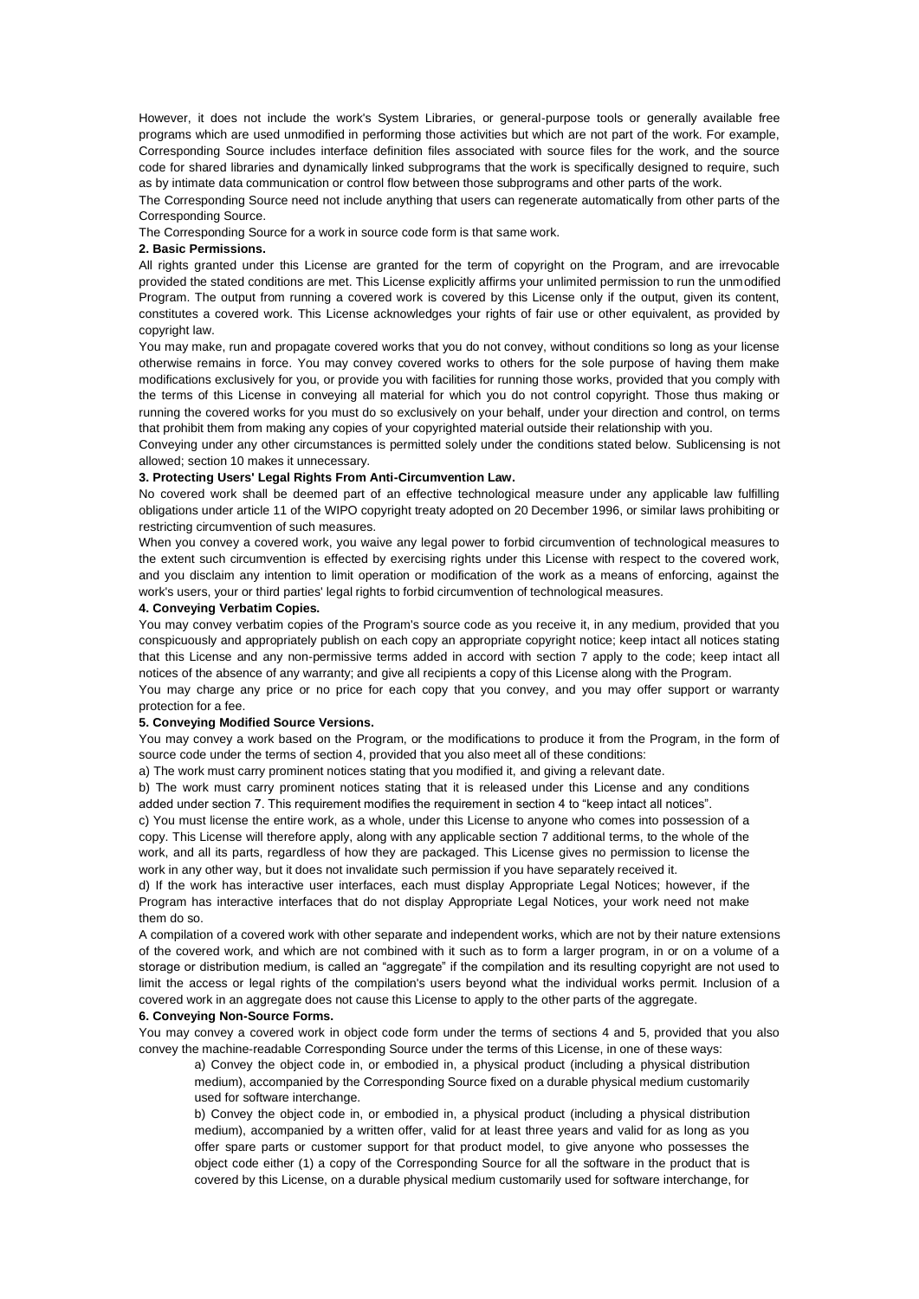However, it does not include the work's System Libraries, or general-purpose tools or generally available free programs which are used unmodified in performing those activities but which are not part of the work. For example, Corresponding Source includes interface definition files associated with source files for the work, and the source code for shared libraries and dynamically linked subprograms that the work is specifically designed to require, such as by intimate data communication or control flow between those subprograms and other parts of the work.

The Corresponding Source need not include anything that users can regenerate automatically from other parts of the Corresponding Source.

The Corresponding Source for a work in source code form is that same work.

#### **2. Basic Permissions.**

All rights granted under this License are granted for the term of copyright on the Program, and are irrevocable provided the stated conditions are met. This License explicitly affirms your unlimited permission to run the unmodified Program. The output from running a covered work is covered by this License only if the output, given its content, constitutes a covered work. This License acknowledges your rights of fair use or other equivalent, as provided by copyright law.

You may make, run and propagate covered works that you do not convey, without conditions so long as your license otherwise remains in force. You may convey covered works to others for the sole purpose of having them make modifications exclusively for you, or provide you with facilities for running those works, provided that you comply with the terms of this License in conveying all material for which you do not control copyright. Those thus making or running the covered works for you must do so exclusively on your behalf, under your direction and control, on terms that prohibit them from making any copies of your copyrighted material outside their relationship with you.

Conveying under any other circumstances is permitted solely under the conditions stated below. Sublicensing is not allowed; section 10 makes it unnecessary.

#### **3. Protecting Users' Legal Rights From Anti-Circumvention Law.**

No covered work shall be deemed part of an effective technological measure under any applicable law fulfilling obligations under article 11 of the WIPO copyright treaty adopted on 20 December 1996, or similar laws prohibiting or restricting circumvention of such measures.

When you convey a covered work, you waive any legal power to forbid circumvention of technological measures to the extent such circumvention is effected by exercising rights under this License with respect to the covered work, and you disclaim any intention to limit operation or modification of the work as a means of enforcing, against the work's users, your or third parties' legal rights to forbid circumvention of technological measures.

### **4. Conveying Verbatim Copies.**

You may convey verbatim copies of the Program's source code as you receive it, in any medium, provided that you conspicuously and appropriately publish on each copy an appropriate copyright notice; keep intact all notices stating that this License and any non-permissive terms added in accord with section 7 apply to the code; keep intact all notices of the absence of any warranty; and give all recipients a copy of this License along with the Program.

You may charge any price or no price for each copy that you convey, and you may offer support or warranty protection for a fee.

#### **5. Conveying Modified Source Versions.**

You may convey a work based on the Program, or the modifications to produce it from the Program, in the form of source code under the terms of section 4, provided that you also meet all of these conditions:

a) The work must carry prominent notices stating that you modified it, and giving a relevant date.

b) The work must carry prominent notices stating that it is released under this License and any conditions added under section 7. This requirement modifies the requirement in section 4 to "keep intact all notices".

c) You must license the entire work, as a whole, under this License to anyone who comes into possession of a copy. This License will therefore apply, along with any applicable section 7 additional terms, to the whole of the work, and all its parts, regardless of how they are packaged. This License gives no permission to license the work in any other way, but it does not invalidate such permission if you have separately received it.

d) If the work has interactive user interfaces, each must display Appropriate Legal Notices; however, if the Program has interactive interfaces that do not display Appropriate Legal Notices, your work need not make them do so.

A compilation of a covered work with other separate and independent works, which are not by their nature extensions of the covered work, and which are not combined with it such as to form a larger program, in or on a volume of a storage or distribution medium, is called an "aggregate" if the compilation and its resulting copyright are not used to limit the access or legal rights of the compilation's users beyond what the individual works permit. Inclusion of a covered work in an aggregate does not cause this License to apply to the other parts of the aggregate.

#### **6. Conveying Non-Source Forms.**

You may convey a covered work in object code form under the terms of sections 4 and 5, provided that you also convey the machine-readable Corresponding Source under the terms of this License, in one of these ways:

a) Convey the object code in, or embodied in, a physical product (including a physical distribution medium), accompanied by the Corresponding Source fixed on a durable physical medium customarily used for software interchange.

b) Convey the object code in, or embodied in, a physical product (including a physical distribution medium), accompanied by a written offer, valid for at least three years and valid for as long as you offer spare parts or customer support for that product model, to give anyone who possesses the object code either (1) a copy of the Corresponding Source for all the software in the product that is covered by this License, on a durable physical medium customarily used for software interchange, for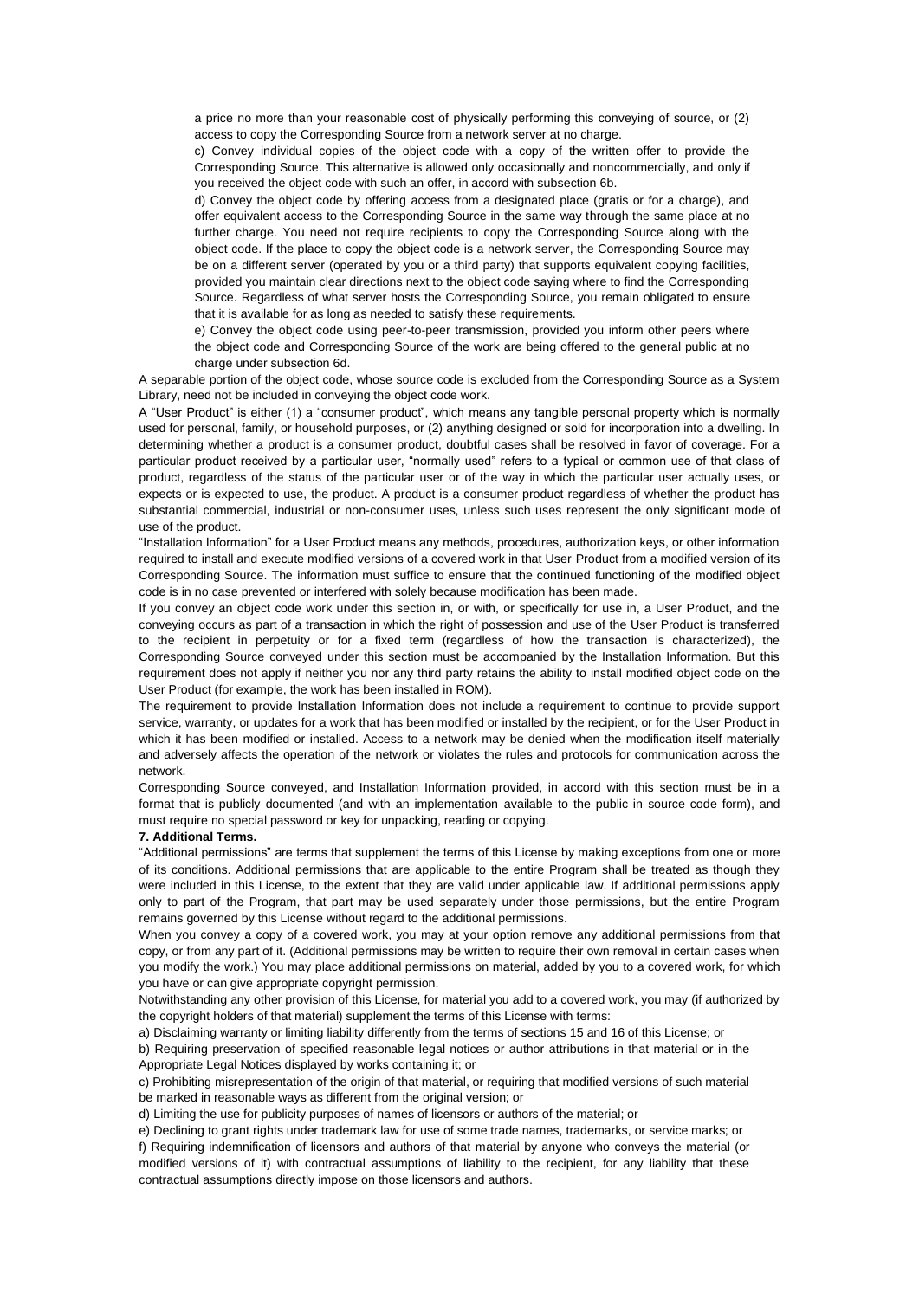a price no more than your reasonable cost of physically performing this conveying of source, or (2) access to copy the Corresponding Source from a network server at no charge.

c) Convey individual copies of the object code with a copy of the written offer to provide the Corresponding Source. This alternative is allowed only occasionally and noncommercially, and only if you received the object code with such an offer, in accord with subsection 6b.

d) Convey the object code by offering access from a designated place (gratis or for a charge), and offer equivalent access to the Corresponding Source in the same way through the same place at no further charge. You need not require recipients to copy the Corresponding Source along with the object code. If the place to copy the object code is a network server, the Corresponding Source may be on a different server (operated by you or a third party) that supports equivalent copying facilities, provided you maintain clear directions next to the object code saying where to find the Corresponding Source. Regardless of what server hosts the Corresponding Source, you remain obligated to ensure that it is available for as long as needed to satisfy these requirements.

e) Convey the object code using peer-to-peer transmission, provided you inform other peers where the object code and Corresponding Source of the work are being offered to the general public at no charge under subsection 6d.

A separable portion of the object code, whose source code is excluded from the Corresponding Source as a System Library, need not be included in conveying the object code work.

A "User Product" is either (1) a "consumer product", which means any tangible personal property which is normally used for personal, family, or household purposes, or (2) anything designed or sold for incorporation into a dwelling. In determining whether a product is a consumer product, doubtful cases shall be resolved in favor of coverage. For a particular product received by a particular user, "normally used" refers to a typical or common use of that class of product, regardless of the status of the particular user or of the way in which the particular user actually uses, or expects or is expected to use, the product. A product is a consumer product regardless of whether the product has substantial commercial, industrial or non-consumer uses, unless such uses represent the only significant mode of use of the product.

"Installation Information" for a User Product means any methods, procedures, authorization keys, or other information required to install and execute modified versions of a covered work in that User Product from a modified version of its Corresponding Source. The information must suffice to ensure that the continued functioning of the modified object code is in no case prevented or interfered with solely because modification has been made.

If you convey an object code work under this section in, or with, or specifically for use in, a User Product, and the conveying occurs as part of a transaction in which the right of possession and use of the User Product is transferred to the recipient in perpetuity or for a fixed term (regardless of how the transaction is characterized), the Corresponding Source conveyed under this section must be accompanied by the Installation Information. But this requirement does not apply if neither you nor any third party retains the ability to install modified object code on the User Product (for example, the work has been installed in ROM).

The requirement to provide Installation Information does not include a requirement to continue to provide support service, warranty, or updates for a work that has been modified or installed by the recipient, or for the User Product in which it has been modified or installed. Access to a network may be denied when the modification itself materially and adversely affects the operation of the network or violates the rules and protocols for communication across the network.

Corresponding Source conveyed, and Installation Information provided, in accord with this section must be in a format that is publicly documented (and with an implementation available to the public in source code form), and must require no special password or key for unpacking, reading or copying.

### **7. Additional Terms.**

"Additional permissions" are terms that supplement the terms of this License by making exceptions from one or more of its conditions. Additional permissions that are applicable to the entire Program shall be treated as though they were included in this License, to the extent that they are valid under applicable law. If additional permissions apply only to part of the Program, that part may be used separately under those permissions, but the entire Program remains governed by this License without regard to the additional permissions.

When you convey a copy of a covered work, you may at your option remove any additional permissions from that copy, or from any part of it. (Additional permissions may be written to require their own removal in certain cases when you modify the work.) You may place additional permissions on material, added by you to a covered work, for which you have or can give appropriate copyright permission.

Notwithstanding any other provision of this License, for material you add to a covered work, you may (if authorized by the copyright holders of that material) supplement the terms of this License with terms:

a) Disclaiming warranty or limiting liability differently from the terms of sections 15 and 16 of this License; or

b) Requiring preservation of specified reasonable legal notices or author attributions in that material or in the Appropriate Legal Notices displayed by works containing it; or

c) Prohibiting misrepresentation of the origin of that material, or requiring that modified versions of such material be marked in reasonable ways as different from the original version; or

d) Limiting the use for publicity purposes of names of licensors or authors of the material; or

e) Declining to grant rights under trademark law for use of some trade names, trademarks, or service marks; or f) Requiring indemnification of licensors and authors of that material by anyone who conveys the material (or modified versions of it) with contractual assumptions of liability to the recipient, for any liability that these contractual assumptions directly impose on those licensors and authors.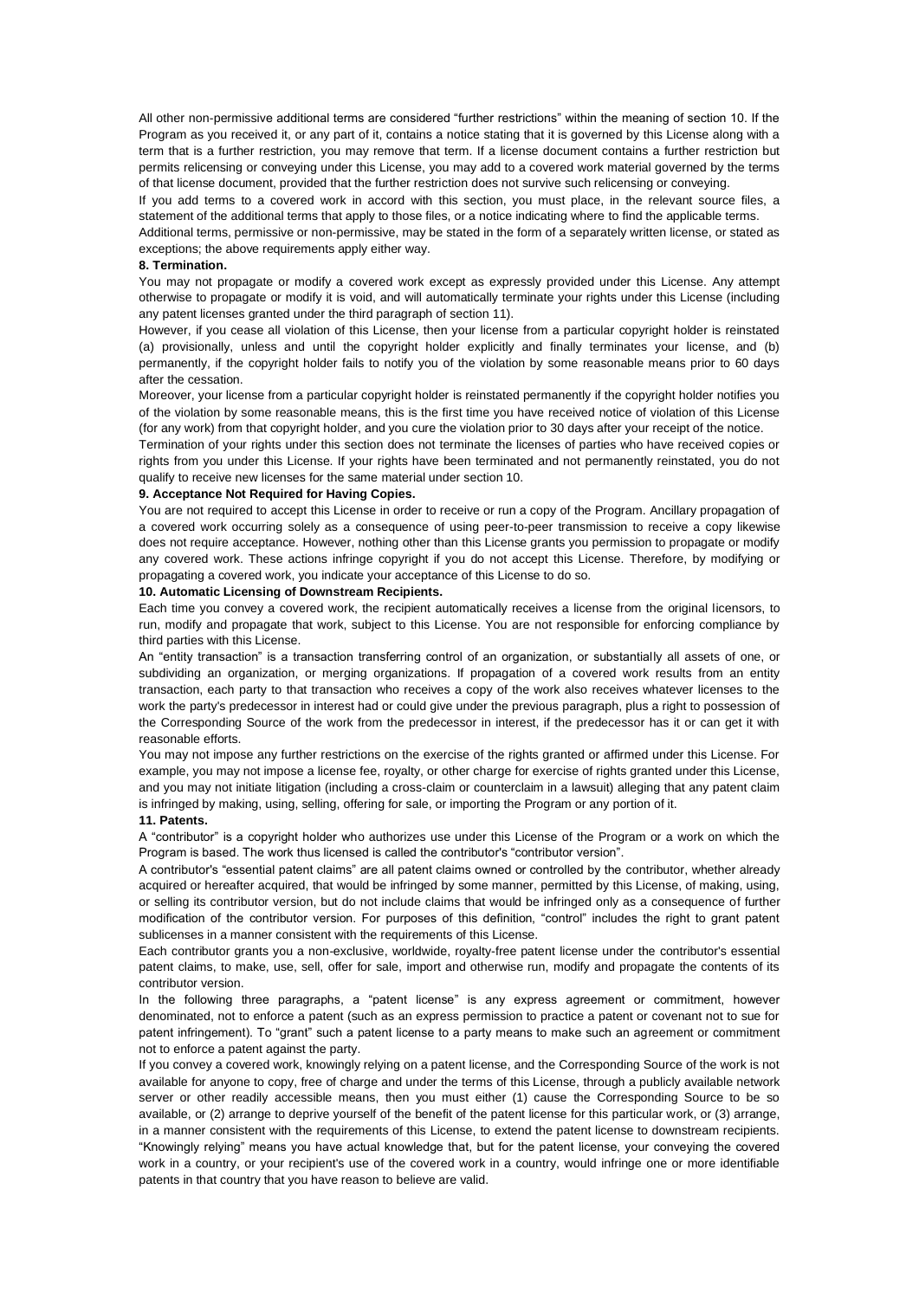All other non-permissive additional terms are considered "further restrictions" within the meaning of section 10. If the Program as you received it, or any part of it, contains a notice stating that it is governed by this License along with a term that is a further restriction, you may remove that term. If a license document contains a further restriction but permits relicensing or conveying under this License, you may add to a covered work material governed by the terms of that license document, provided that the further restriction does not survive such relicensing or conveying.

If you add terms to a covered work in accord with this section, you must place, in the relevant source files, a statement of the additional terms that apply to those files, or a notice indicating where to find the applicable terms.

Additional terms, permissive or non-permissive, may be stated in the form of a separately written license, or stated as exceptions; the above requirements apply either way.

### **8. Termination.**

You may not propagate or modify a covered work except as expressly provided under this License. Any attempt otherwise to propagate or modify it is void, and will automatically terminate your rights under this License (including any patent licenses granted under the third paragraph of section 11).

However, if you cease all violation of this License, then your license from a particular copyright holder is reinstated (a) provisionally, unless and until the copyright holder explicitly and finally terminates your license, and (b) permanently, if the copyright holder fails to notify you of the violation by some reasonable means prior to 60 days after the cessation.

Moreover, your license from a particular copyright holder is reinstated permanently if the copyright holder notifies you of the violation by some reasonable means, this is the first time you have received notice of violation of this License (for any work) from that copyright holder, and you cure the violation prior to 30 days after your receipt of the notice.

Termination of your rights under this section does not terminate the licenses of parties who have received copies or rights from you under this License. If your rights have been terminated and not permanently reinstated, you do not qualify to receive new licenses for the same material under section 10.

#### **9. Acceptance Not Required for Having Copies.**

You are not required to accept this License in order to receive or run a copy of the Program. Ancillary propagation of a covered work occurring solely as a consequence of using peer-to-peer transmission to receive a copy likewise does not require acceptance. However, nothing other than this License grants you permission to propagate or modify any covered work. These actions infringe copyright if you do not accept this License. Therefore, by modifying or propagating a covered work, you indicate your acceptance of this License to do so.

#### **10. Automatic Licensing of Downstream Recipients.**

Each time you convey a covered work, the recipient automatically receives a license from the original licensors, to run, modify and propagate that work, subject to this License. You are not responsible for enforcing compliance by third parties with this License.

An "entity transaction" is a transaction transferring control of an organization, or substantially all assets of one, or subdividing an organization, or merging organizations. If propagation of a covered work results from an entity transaction, each party to that transaction who receives a copy of the work also receives whatever licenses to the work the party's predecessor in interest had or could give under the previous paragraph, plus a right to possession of the Corresponding Source of the work from the predecessor in interest, if the predecessor has it or can get it with reasonable efforts.

You may not impose any further restrictions on the exercise of the rights granted or affirmed under this License. For example, you may not impose a license fee, royalty, or other charge for exercise of rights granted under this License, and you may not initiate litigation (including a cross-claim or counterclaim in a lawsuit) alleging that any patent claim is infringed by making, using, selling, offering for sale, or importing the Program or any portion of it.

#### **11. Patents.**

A "contributor" is a copyright holder who authorizes use under this License of the Program or a work on which the Program is based. The work thus licensed is called the contributor's "contributor version".

A contributor's "essential patent claims" are all patent claims owned or controlled by the contributor, whether already acquired or hereafter acquired, that would be infringed by some manner, permitted by this License, of making, using, or selling its contributor version, but do not include claims that would be infringed only as a consequence of further modification of the contributor version. For purposes of this definition, "control" includes the right to grant patent sublicenses in a manner consistent with the requirements of this License.

Each contributor grants you a non-exclusive, worldwide, royalty-free patent license under the contributor's essential patent claims, to make, use, sell, offer for sale, import and otherwise run, modify and propagate the contents of its contributor version.

In the following three paragraphs, a "patent license" is any express agreement or commitment, however denominated, not to enforce a patent (such as an express permission to practice a patent or covenant not to sue for patent infringement). To "grant" such a patent license to a party means to make such an agreement or commitment not to enforce a patent against the party.

If you convey a covered work, knowingly relying on a patent license, and the Corresponding Source of the work is not available for anyone to copy, free of charge and under the terms of this License, through a publicly available network server or other readily accessible means, then you must either (1) cause the Corresponding Source to be so available, or (2) arrange to deprive yourself of the benefit of the patent license for this particular work, or (3) arrange, in a manner consistent with the requirements of this License, to extend the patent license to downstream recipients. "Knowingly relying" means you have actual knowledge that, but for the patent license, your conveying the covered work in a country, or your recipient's use of the covered work in a country, would infringe one or more identifiable patents in that country that you have reason to believe are valid.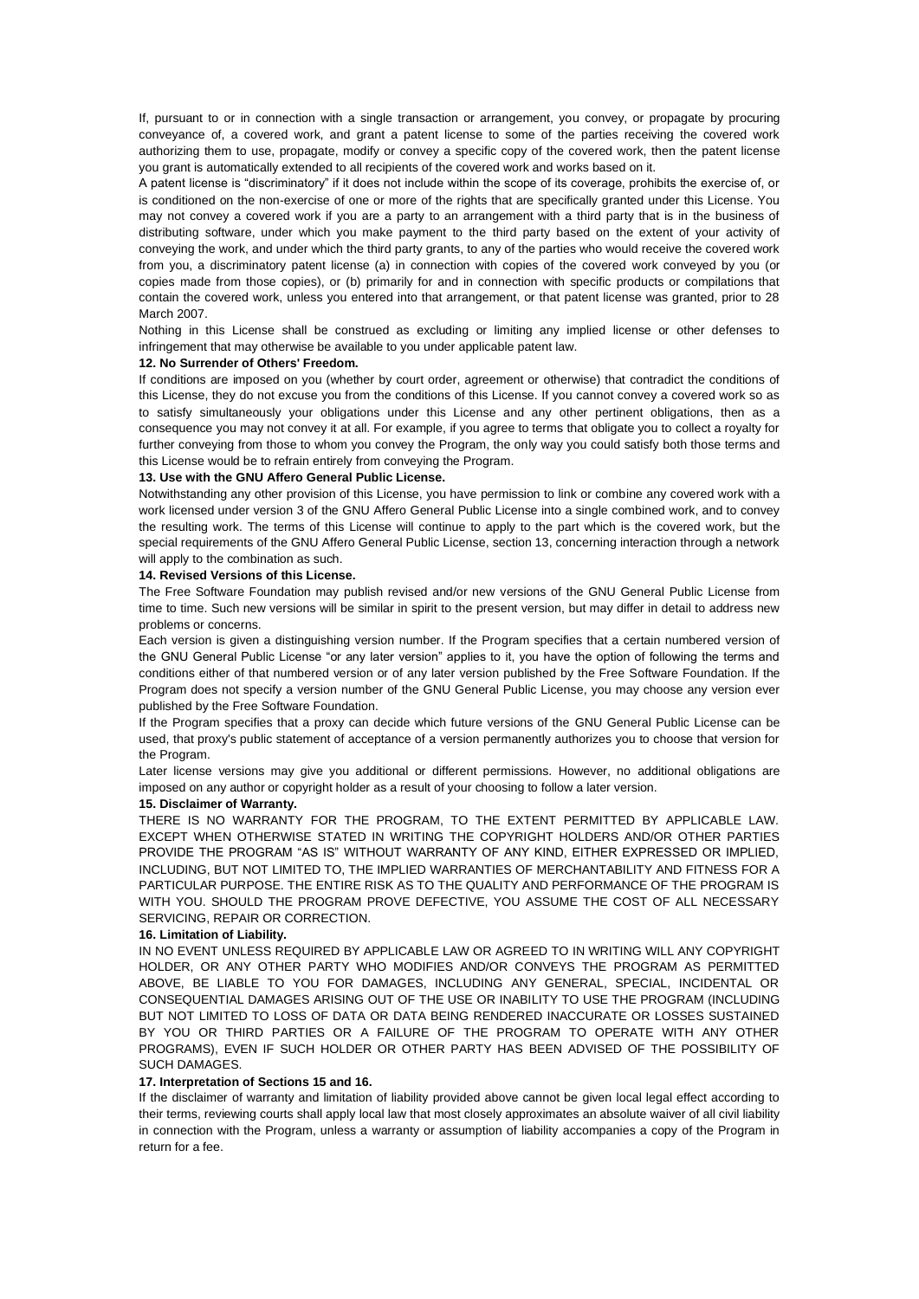If, pursuant to or in connection with a single transaction or arrangement, you convey, or propagate by procuring conveyance of, a covered work, and grant a patent license to some of the parties receiving the covered work authorizing them to use, propagate, modify or convey a specific copy of the covered work, then the patent license you grant is automatically extended to all recipients of the covered work and works based on it.

A patent license is "discriminatory" if it does not include within the scope of its coverage, prohibits the exercise of, or is conditioned on the non-exercise of one or more of the rights that are specifically granted under this License. You may not convey a covered work if you are a party to an arrangement with a third party that is in the business of distributing software, under which you make payment to the third party based on the extent of your activity of conveying the work, and under which the third party grants, to any of the parties who would receive the covered work from you, a discriminatory patent license (a) in connection with copies of the covered work conveyed by you (or copies made from those copies), or (b) primarily for and in connection with specific products or compilations that contain the covered work, unless you entered into that arrangement, or that patent license was granted, prior to 28 March 2007.

Nothing in this License shall be construed as excluding or limiting any implied license or other defenses to infringement that may otherwise be available to you under applicable patent law.

### **12. No Surrender of Others' Freedom.**

If conditions are imposed on you (whether by court order, agreement or otherwise) that contradict the conditions of this License, they do not excuse you from the conditions of this License. If you cannot convey a covered work so as to satisfy simultaneously your obligations under this License and any other pertinent obligations, then as a consequence you may not convey it at all. For example, if you agree to terms that obligate you to collect a royalty for further conveying from those to whom you convey the Program, the only way you could satisfy both those terms and this License would be to refrain entirely from conveying the Program.

### **13. Use with the GNU Affero General Public License.**

Notwithstanding any other provision of this License, you have permission to link or combine any covered work with a work licensed under version 3 of the GNU Affero General Public License into a single combined work, and to convey the resulting work. The terms of this License will continue to apply to the part which is the covered work, but the special requirements of the GNU Affero General Public License, section 13, concerning interaction through a network will apply to the combination as such.

#### **14. Revised Versions of this License.**

The Free Software Foundation may publish revised and/or new versions of the GNU General Public License from time to time. Such new versions will be similar in spirit to the present version, but may differ in detail to address new problems or concerns.

Each version is given a distinguishing version number. If the Program specifies that a certain numbered version of the GNU General Public License "or any later version" applies to it, you have the option of following the terms and conditions either of that numbered version or of any later version published by the Free Software Foundation. If the Program does not specify a version number of the GNU General Public License, you may choose any version ever published by the Free Software Foundation.

If the Program specifies that a proxy can decide which future versions of the GNU General Public License can be used, that proxy's public statement of acceptance of a version permanently authorizes you to choose that version for the Program.

Later license versions may give you additional or different permissions. However, no additional obligations are imposed on any author or copyright holder as a result of your choosing to follow a later version.

### **15. Disclaimer of Warranty.**

THERE IS NO WARRANTY FOR THE PROGRAM, TO THE EXTENT PERMITTED BY APPLICABLE LAW. EXCEPT WHEN OTHERWISE STATED IN WRITING THE COPYRIGHT HOLDERS AND/OR OTHER PARTIES PROVIDE THE PROGRAM "AS IS" WITHOUT WARRANTY OF ANY KIND, EITHER EXPRESSED OR IMPLIED, INCLUDING, BUT NOT LIMITED TO, THE IMPLIED WARRANTIES OF MERCHANTABILITY AND FITNESS FOR A PARTICULAR PURPOSE. THE ENTIRE RISK AS TO THE QUALITY AND PERFORMANCE OF THE PROGRAM IS WITH YOU. SHOULD THE PROGRAM PROVE DEFECTIVE, YOU ASSUME THE COST OF ALL NECESSARY SERVICING, REPAIR OR CORRECTION.

### **16. Limitation of Liability.**

IN NO EVENT UNLESS REQUIRED BY APPLICABLE LAW OR AGREED TO IN WRITING WILL ANY COPYRIGHT HOLDER, OR ANY OTHER PARTY WHO MODIFIES AND/OR CONVEYS THE PROGRAM AS PERMITTED ABOVE, BE LIABLE TO YOU FOR DAMAGES, INCLUDING ANY GENERAL, SPECIAL, INCIDENTAL OR CONSEQUENTIAL DAMAGES ARISING OUT OF THE USE OR INABILITY TO USE THE PROGRAM (INCLUDING BUT NOT LIMITED TO LOSS OF DATA OR DATA BEING RENDERED INACCURATE OR LOSSES SUSTAINED BY YOU OR THIRD PARTIES OR A FAILURE OF THE PROGRAM TO OPERATE WITH ANY OTHER PROGRAMS), EVEN IF SUCH HOLDER OR OTHER PARTY HAS BEEN ADVISED OF THE POSSIBILITY OF SUCH DAMAGES.

### **17. Interpretation of Sections 15 and 16.**

If the disclaimer of warranty and limitation of liability provided above cannot be given local legal effect according to their terms, reviewing courts shall apply local law that most closely approximates an absolute waiver of all civil liability in connection with the Program, unless a warranty or assumption of liability accompanies a copy of the Program in return for a fee.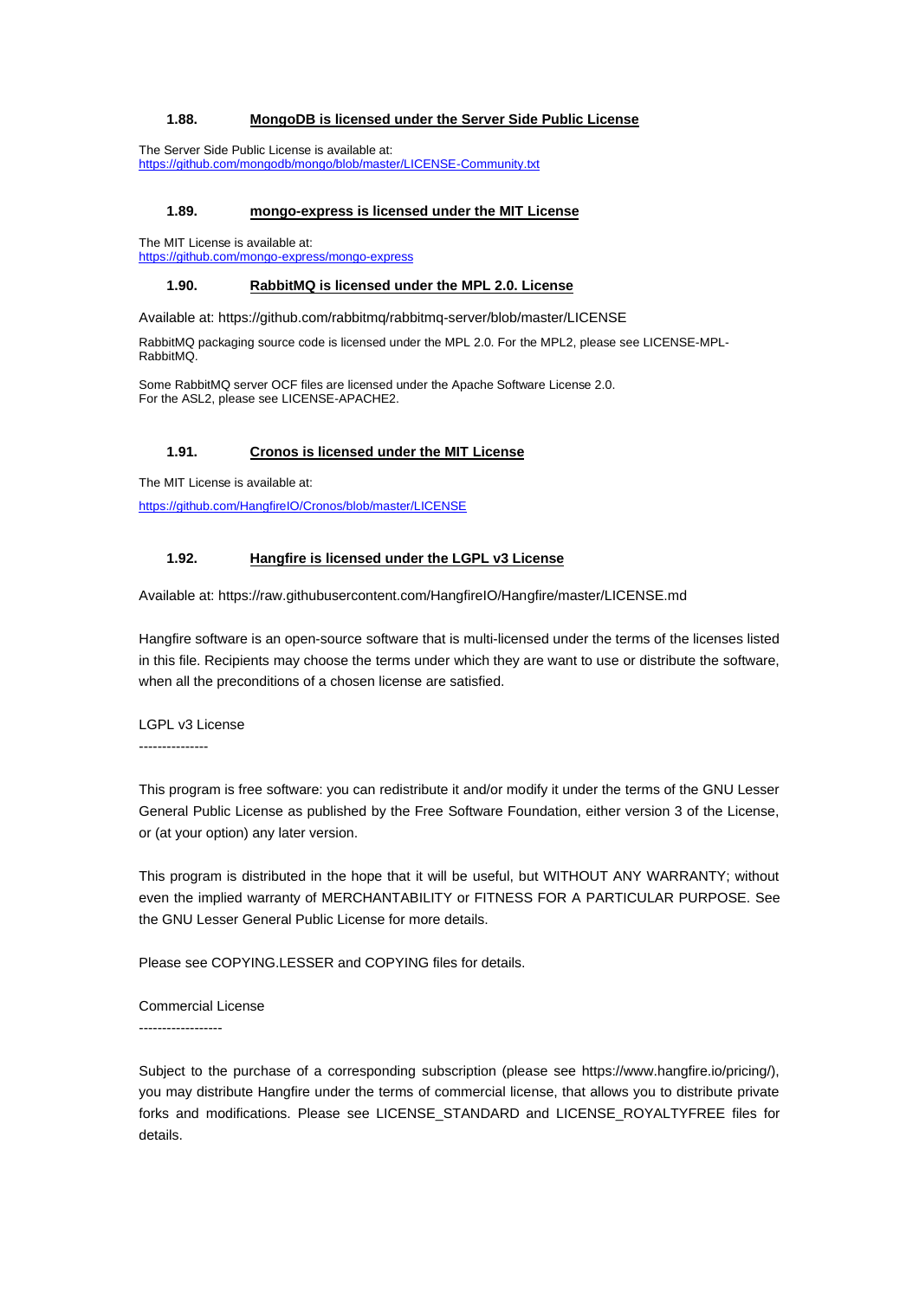## **1.88. MongoDB is licensed under the Server Side Public License**

The Server Side Public License is available at: <https://github.com/mongodb/mongo/blob/master/LICENSE-Community.txt>

## **1.89. mongo-express is licensed under the MIT License**

The MIT License is available at: <https://github.com/mongo-express/mongo-express>

## **1.90. RabbitMQ is licensed under the MPL 2.0. License**

Available at: https://github.com/rabbitmq/rabbitmq-server/blob/master/LICENSE

RabbitMQ packaging source code is licensed under the MPL 2.0. For the MPL2, please see LICENSE-MPL-RabbitMQ.

Some RabbitMQ server OCF files are licensed under the Apache Software License 2.0. For the ASL2, please see LICENSE-APACHE2.

## **1.91. Cronos is licensed under the MIT License**

The MIT License is available at:

<https://github.com/HangfireIO/Cronos/blob/master/LICENSE>

## **1.92. Hangfire is licensed under the LGPL v3 License**

Available at: https://raw.githubusercontent.com/HangfireIO/Hangfire/master/LICENSE.md

Hangfire software is an open-source software that is multi-licensed under the terms of the licenses listed in this file. Recipients may choose the terms under which they are want to use or distribute the software, when all the preconditions of a chosen license are satisfied.

LGPL v3 License

---------------

This program is free software: you can redistribute it and/or modify it under the terms of the GNU Lesser General Public License as published by the Free Software Foundation, either version 3 of the License, or (at your option) any later version.

This program is distributed in the hope that it will be useful, but WITHOUT ANY WARRANTY; without even the implied warranty of MERCHANTABILITY or FITNESS FOR A PARTICULAR PURPOSE. See the GNU Lesser General Public License for more details.

Please see COPYING.LESSER and COPYING files for details.

# Commercial License

------------------

Subject to the purchase of a corresponding subscription (please see https://www.hangfire.io/pricing/), you may distribute Hangfire under the terms of commercial license, that allows you to distribute private forks and modifications. Please see LICENSE\_STANDARD and LICENSE\_ROYALTYFREE files for details.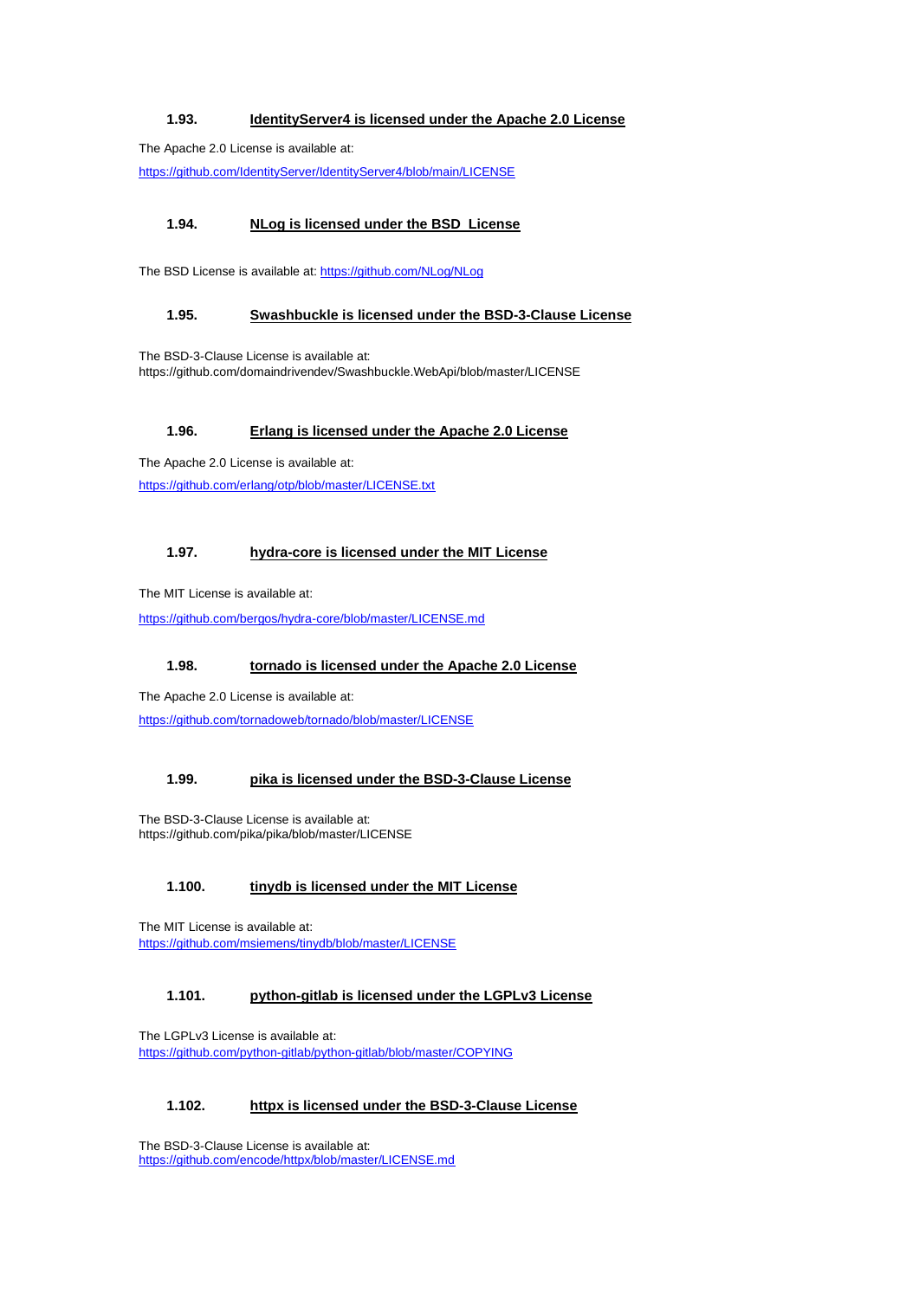## **1.93. IdentityServer4 is licensed under the Apache 2.0 License**

The Apache 2.0 License is available at:

<https://github.com/IdentityServer/IdentityServer4/blob/main/LICENSE>

## **1.94. NLog is licensed under the BSD License**

The BSD License is available at[: https://github.com/NLog/NLog](https://github.com/NLog/NLog)

## **1.95. Swashbuckle is licensed under the BSD-3-Clause License**

The BSD-3-Clause License is available at:

https://github.com/domaindrivendev/Swashbuckle.WebApi/blob/master/LICENSE

## **1.96. Erlang is licensed under the Apache 2.0 License**

The Apache 2.0 License is available at:

<https://github.com/erlang/otp/blob/master/LICENSE.txt>

## **1.97. hydra-core is licensed under the MIT License**

The MIT License is available at:

<https://github.com/bergos/hydra-core/blob/master/LICENSE.md>

## **1.98. tornado is licensed under the Apache 2.0 License**

The Apache 2.0 License is available at:

<https://github.com/tornadoweb/tornado/blob/master/LICENSE>

## **1.99. pika is licensed under the BSD-3-Clause License**

The BSD-3-Clause License is available at: https://github.com/pika/pika/blob/master/LICENSE

# **1.100. tinydb is licensed under the MIT License**

The MIT License is available at: <https://github.com/msiemens/tinydb/blob/master/LICENSE>

# **1.101. python-gitlab is licensed under the LGPLv3 License**

The LGPLv3 License is available at: <https://github.com/python-gitlab/python-gitlab/blob/master/COPYING>

## **1.102. httpx is licensed under the BSD-3-Clause License**

The BSD-3-Clause License is available at: <https://github.com/encode/httpx/blob/master/LICENSE.md>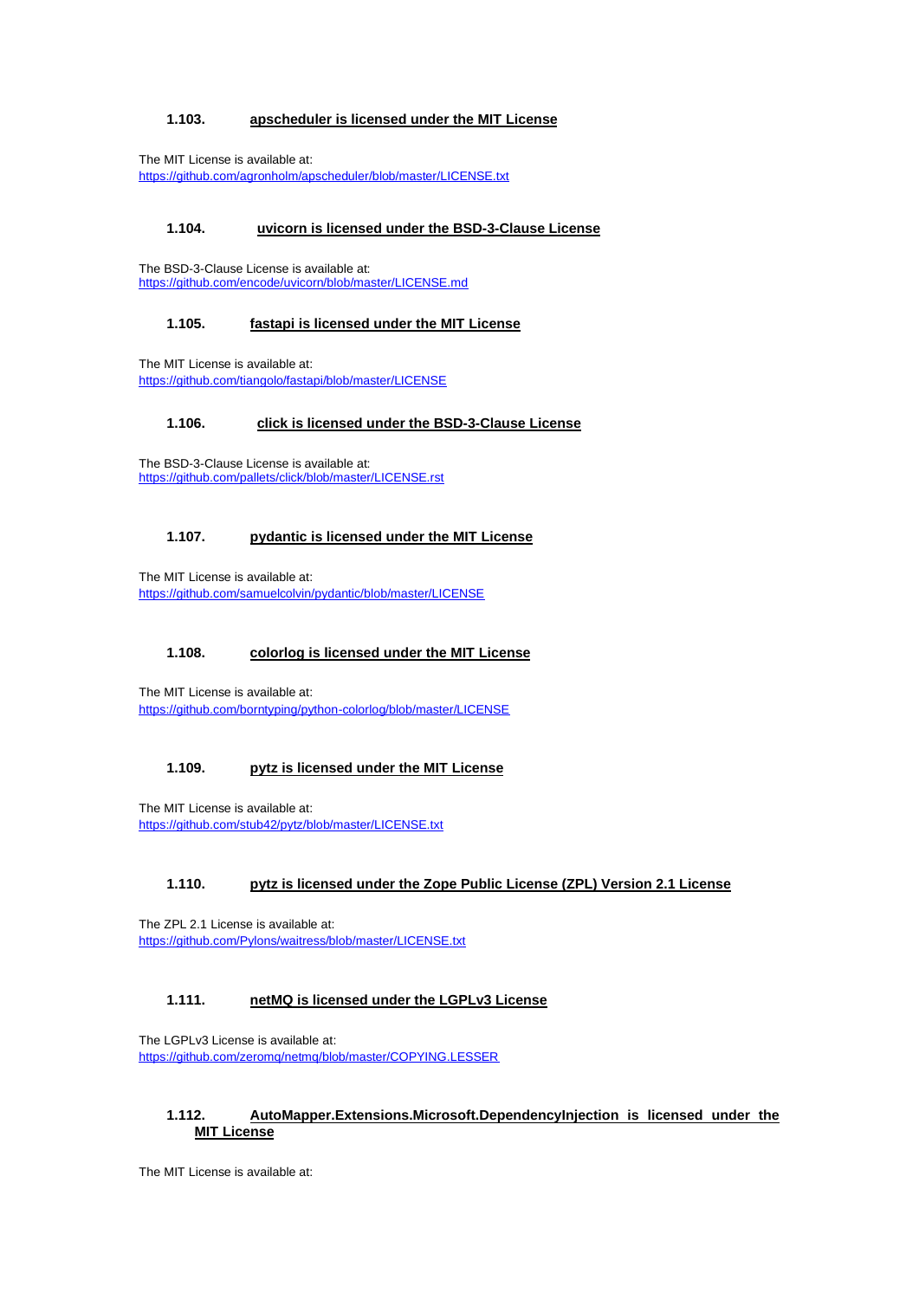## **1.103. apscheduler is licensed under the MIT License**

The MIT License is available at:

<https://github.com/agronholm/apscheduler/blob/master/LICENSE.txt>

## **1.104. uvicorn is licensed under the BSD-3-Clause License**

The BSD-3-Clause License is available at: <https://github.com/encode/uvicorn/blob/master/LICENSE.md>

### **1.105. fastapi is licensed under the MIT License**

The MIT License is available at: <https://github.com/tiangolo/fastapi/blob/master/LICENSE>

## **1.106. click is licensed under the BSD-3-Clause License**

The BSD-3-Clause License is available at: <https://github.com/pallets/click/blob/master/LICENSE.rst>

## **1.107. pydantic is licensed under the MIT License**

The MIT License is available at: <https://github.com/samuelcolvin/pydantic/blob/master/LICENSE>

### **1.108. colorlog is licensed under the MIT License**

The MIT License is available at:

<https://github.com/borntyping/python-colorlog/blob/master/LICENSE>

# **1.109. pytz is licensed under the MIT License**

The MIT License is available at: <https://github.com/stub42/pytz/blob/master/LICENSE.txt>

## **1.110. pytz is licensed under the Zope Public License (ZPL) Version 2.1 License**

The ZPL 2.1 License is available at: <https://github.com/Pylons/waitress/blob/master/LICENSE.txt>

## **1.111. netMQ is licensed under the LGPLv3 License**

The LGPLv3 License is available at: <https://github.com/zeromq/netmq/blob/master/COPYING.LESSER>

## **1.112. AutoMapper.Extensions.Microsoft.DependencyInjection is licensed under the MIT License**

The MIT License is available at: